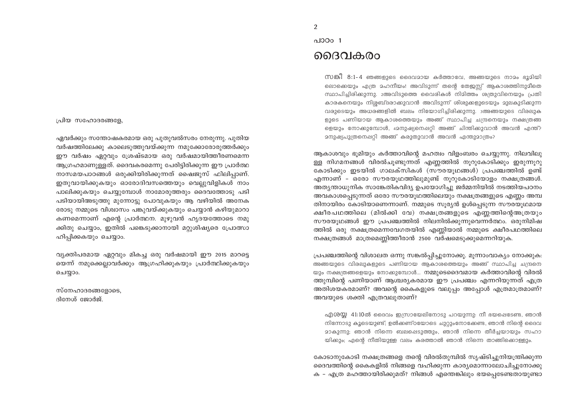പ്രിയ സഹോദരങ്ങളേ.

ഏവർക്കും സന്തോഷകരമായ ഒരു പുതുവൽസരം നേരുന്നു. പുതിയ വർഷത്തിലേക്കു കാലെടുത്തുവയ്ക്കുന്ന നമുക്കോരോരുത്തർക്കും ഈ വർഷം ഏറ്റവും ശ്രേഷ്ടമായ ഒരു വർഷമായിത്തീരണമെന്ന ആഗ്രഹമാണുള്ളത്. ദൈവകരമെന്നു പേരിട്ടിരിക്കുന്ന ഈ പ്രാർത്ഥ നാസമയപാഠങ്ങൾ ഒരുക്കിയിരിക്കുന്നത് ഷൈജുസ് ഫിലിപ്പാണ്. ഇതുവായിക്കുകയും ഓരോദിവസത്തെയും വെല്ലുവിളികൾ നാം പാലിക്കുകയും ചെയ്യുമ്പോൾ നാമോരുത്തരും ദൈവത്തോടു പടി പടിയായിഅടുത്തു മുന്നോട്ടു പോവുകയും ആ വഴിയിൽ അനേക രോടു നമ്മുടെ വിശ്വാസം പങ്കുവയ്ക്കുകയും ചെയ്യാൻ കഴിയുമാറാ കണമെന്നാണ് എന്റെ പ്രാർത്ഥന. മുഴുവൻ ഹൃദയത്തോടെ നമു ക്കിതു ചെയ്യാം, ഇതിൽ പങ്കെടുക്കാനായി മറ്റുശിഷ്യരെ പ്രോത്സാ ഹിപ്പിക്കകയും ചെയ്യാം.

വ്യക്തിപരമായ ഏറ്റവും മികച്ച ഒരു വർഷമായി ഈ 2015 മാറട്ടെ യെന്ന് നമുക്കെല്ലാവർക്കും ആഗ്രഹിക്കുകയും പ്രാർത്ഥിക്കുകയും ചെയ്യാം.

സ്നേഹാദരങ്ങളോടെ, ദിനേശ് ജോർജ്.

#### പാഠം 1

#### ദൈവകരം

സങ്കീ 8:1-4 ഞങ്ങളുടെ ദൈവമായ കർത്താവേ, അങ്ങയുടെ നാമം ഭൂമിയി ലൊക്കെയും എത്ര മഹനീയം! അവിടുന്ന് തന്റെ തേജസ്സ് ആകാശത്തിനുമീതെ സ്ഥാപിച്ചിരിക്കുന്നു. 2അവിടുത്തെ വൈരികൾ നിമിത്തം ശത്രുവിനെയും പ്രതി കാരകനെയും നിശ്ശബ്ദരാക്കുവാൻ അവിടുന്ന് ശിശുക്കളുടെയും മുലകുടിക്കുന്ന വരുടെയും അധരങ്ങളിൽ ബലം നിയോഗിച്ചിരിക്കുന്നു. ദഅങ്ങയുടെ വിരലുക ളുടെ പണിയായ ആകാശത്തെയും അങ്ങ് സ്ഥാപിച്ച ചന്ദ്രനെയും നക്ഷത്രങ്ങ ളെയും നോക്കുമ്പോൾ, 42നുഷ്യനെപ്പറ്റി അങ്ങ് ചിന്തിക്കുവാൻ അവൻ എന്ത്? മനുഷ്യപുത്രനെഷറ്റി അങ്ങ് കരുതുവാൻ അവൻ എന്തുമാത്രം?

ആകാശവും ഭുമിയും കർത്താവിന്റെ മഹത്വം വിളംബരം ചെയ്യുന്നു. നിലവിലു ള്ള നിഗമനങ്ങൾ വിരൽചൂണ്ടുന്നത് എണ്ണത്തിൽ നൂറുകോടിക്കും ഇരുന്നൂറു കോടിക്കും ഇടയിൽ ഗാലക്സികൾ (സൗരയുഥങ്ങൾ) പ്രപഞ്ചത്തിൽ ഉണ്ട് എന്നാണ് - ഒരോ സൗരയൂഥത്തിലുമുണ്ട് നൂറുകോടിയോളം നക്ഷത്രങ്ങൾ. അത്യന്താധുനിക സാങ്കേതികവിദ്യ ഉപയോഗിച്ചു ജർമ്മനിയിൽ നടത്തിയപഠനം അവകാശപ്പെടുന്നത് ഒരോ സൗരയുഥത്തിലെയും നക്ഷത്രങ്ങളുടെ എണ്ണം അമ്പ തിനായിരം കോടിയാണെന്നാണ്. നമ്മുടെ സൂര്യൻ ഉൾപ്പെടുന്ന സൗരയൂഥമായ ക്ഷീരപഥത്തിലെ (മിൽക്കി വേ) നക്ഷത്രങ്ങളുടെ എണ്ണത്തിന്റെഅത്രയും സൗരയുഥങ്ങൾ ഈ പ്രപഞ്ചത്തിൽ നിലനിൽക്കുന്നുവെന്നർത്ഥം. ഒരുനിമിഷ ത്തിൽ ഒരു നക്ഷത്രമെന്നവേഗതയിൽ എണ്ണിയാൽ നമ്മുടെ ക്ഷീരപഥത്തിലെ നക്ഷത്രങ്ങൾ മാത്രമെണ്ണിത്തീരാൻ 2500 വർഷമെടുക്കുമെന്നറിയുക.

പ്രപഞ്ചത്തിന്റെ വിശാലത ഒന്നു സങ്കൽപ്പിച്ചുനോക്കു. മുന്നാംവാക്യം നോക്കുക: അങ്ങയുടെ വിരലുകളുടെ പണിയായ ആകാശത്തെയും അങ്ങ് സ്ഥാപിച്ച ചന്ദ്രനെ യും നക്ഷത്രങ്ങളെയും നോക്കുമ്പോൾ... നമ്മുടെദൈവമായ കർത്താവിന്റെ വിരൽ ത്തുമ്പിന്റെ പണിയാണ് ആശ്ചര്യകരമായ ഈ പ്രപഞ്ചം എന്നറിയുന്നത് എത്ര അതിശയകരമാണ്? അവന്റെ കൈകളുടെ വലുപ്പം അപ്പോൾ എത്രമാത്രമാണ്? അവയുടെ ശക്തി എത്രവലുതാണ്?

എശയ്യ 41:10ൽ ദൈവം ഇസ്രായേലിനോടു പറയുന്നു: നീ ഭയപ്പെടേണ്ട, ഞാൻ നിന്നോടു കൂടെയുണ്ട്; ഉൽക്കണ്ഠയോടെ ചുറ്റുംനോക്കേണ്ട, ഞാൻ നിന്റെ ദൈവ മാകുന്നു; ഞാൻ നിന്നെ ബലപ്പെടുത്തും, ഞാൻ നിന്നെ തീർച്ചയായും സഹാ യിക്കും; എന്റെ നീതിയുള്ള വലം കരത്താൽ ഞാൻ നിന്നെ താങ്ങികൊള്ളും.

കോടാനുകോടി നക്ഷത്രങ്ങളെ തന്റെ വിരൽതുമ്പിൽ സൃഷ്ടിച്ചുനിയന്ത്രിക്കുന്ന ദൈവത്തിന്റെ കൈകളിൽ നിങ്ങളെ വഹിക്കുന്ന കാര്യമൊന്നാലോചിച്ചുനോക്കു ക – എത്ര മഹത്തായിരിക്കുമത്? നിങ്ങൾ എന്തെങ്കിലും ഭയപ്പെടേണ്ടതായുണ്ടാ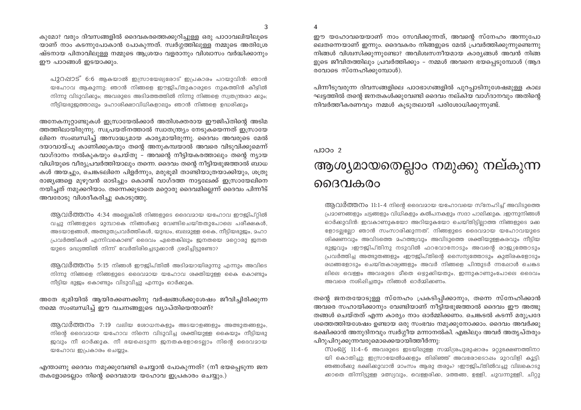$\overline{\mathbf{A}}$ 

3

കുമോ? വരും ദിവസങ്ങളിൽ ദൈവകരത്തെക്കുറിച്ചുള്ള ഒരു പാഠാവലിയിലൂടെ യാണ് നാം കടന്നുപോകാൻ പോകുന്നത്. സ്വർഗ്ഗത്തിലുള്ള നമ്മുടെ അതിശ്രേ ഷ്ടനായ പിതാവിലുള്ള നമ്മുടെ ആശ്രയം വളരാനും വിശ്വാസം വർദ്ധിക്കാനും ഈ പാഠങ്ങൾ ഇടയാക്കും.

പുറപ്പാട് 6:6 ആകയാൽ ഇസ്രായേല്യരോട് ഇപ്രകാരം പറയുവിൻ: ഞാൻ യഹോവ ആകുന്നു; ഞാൻ നിങ്ങളെ ഈജിപ്തുകാരുടെ നുകത്തിൻ കീഴിൽ നിന്നു വിടുവിക്കും; അവരുടെ അടിമത്തത്തിൽ നിന്നു നിങ്ങളെ സ്വതന്ത്രരാ കും; നീട്ടിയഭുജത്താലും മഹാശിക്ഷാവിധികളാലും ഞാൻ നിങ്ങളെ ഉദ്ധരിക്കും

അനേകനുറ്റാണ്ടുകൾ ഇസ്രായേൽക്കാർ അതിശക്തരായ ഈജിപ്തിന്റെ അടിമ ത്തത്തിലായിരുന്നു. സ്വപ്രയത്നത്താൽ സ്വാതന്ത്ര്യം നേടുകയെന്നത് ഇസ്രായേ ലിനെ സംബന്ധിച്ച് അസാദ്ധ്യമായ കാര്യമായിരുന്നു. ദൈവം അവരുടെ മേൽ ദയാവായ്പു കാണിക്കുകയും തന്റെ അനുകമ്പയാൽ അവരെ വിടുവിക്കുമെന്ന് വാഗ്ദാനം നൽകുകയും ചെയ്തു – അവന്റെ നീട്ടിയകരത്താലും തന്റെ ന്യായ വിധിയുടെ വീര്യപ്രവർത്തിയാലും തന്നെ. ദൈവം തന്റെ നീട്ടിയഭുജത്താൽ ബാധ കൾ അയച്ചും, ചെങ്കടലിനെ പിളർന്നും, മരുഭൂമി താണ്ടിയാത്രയാക്കിയും, ശത്രു രാജ്യങ്ങളെ മുഴുവൻ ഓടിച്ചും കൊണ്ട് വാഗ്ദത്ത നാട്ടലേക്ക് ഇസ്രായേലിനെ നയിച്ചത് നമുക്കറിയാം. തന്നെക്കുടാതെ മറ്റൊരു ദൈവമില്ലെന്ന് ദൈവം പിന്നീട് അവരോടു വിശദീകരിച്ചു കൊടുത്തു.

ആവർത്തനം 4:34 അല്ലെങ്കിൽ നിങ്ങളുടെ ദൈവമായ യഹോവ ഈജിപ്റ്റിൽ വച്ചു നിങ്ങളുടെ മുമ്പാകെ നിങ്ങൾക്കു വേണ്ടിചെയ്തതുപോലെ പരീക്ഷകൾ, അടയാളങ്ങൾ, അത്ഭുതപ്രവർത്തികൾ, യുദ്ധം, ബലമുള്ള കൈ, നീട്ടിയഭുളും, മഹാ പ്രവർത്തികൾ എന്നിവകൊണ്ട് ദൈവം ഏതെങ്കിലും ജനതയെ മറ്റൊരു ജനത യുടെ മദ്ധ്യത്തിൽ നിന്ന് വേർതിരിച്ചെടുക്കാൻ ശ്രമിച്ചിട്ടുണ്ടോ?

ആവർത്തനം 5:15 നിങ്ങൾ ഈജിപ്തിൽ അടിമയായിരുന്നു എന്നും അവിടെ നിന്നു നിങ്ങളെ നിങ്ങളുടെ ദൈവമായ യഹോവ ശക്തിയുള്ള കൈ കൊണ്ടും നീട്ടിയ ഭുജം കൊണ്ടും വിടുവിച്ചു എന്നും ഓർക്കുക.

#### അതേ ഭൂമിയിൽ ആയിരക്കണക്കിനു വർഷങ്ങൾക്കുശേഷം ജീവിച്ചിരിക്കുന്ന നമ്മെ സംബന്ധിച്ച് ഈ വചനങ്ങളുടെ വ്യാപ്തിയെന്താണ്?

ആവർത്തനം 7:19 വലിയ രോധനകളും അടയാളങ്ങളും അത്ഭുതങ്ങളും, നിന്റെ ദൈവമായ യഹോവ നിന്നെ വിടുവിച്ച ശക്തിയുള്ള കൈയും നീട്ടിയഭു ജവും നീ ഓർക്കുക. നീ ഭയപ്പെടുന്ന ജനതകളോടെല്ലാം നിന്റെ ദൈവമായ യഹോവ ഇപ്രകാരം ചെയ്യും.

എന്താണു ദൈവം നമുക്കുവേണ്ടി ചെയ്യാൻ പോകുന്നത്? (നീ ഭയപ്പെടുന്ന ജന തകളോടെല്ലാം നിന്റെ ദൈവമായ യഹോവ ഇപ്രകാരം ചെയ്യും.)

ഈ യഹോവയെയാണ് നാം സേവിക്കുന്നത്, അവന്റെ സ്നേഹം അന്നുപോ ലെതന്നെയാണ് ഇന്നും. ദൈവകരം നിങ്ങളുടെ മേൽ പ്രവർത്തിക്കുന്നുണ്ടെന്നു നിങ്ങൾ വിശ്വസിക്കുന്നുണ്ടോ? അവിശ്വസനീയമായ കാര്യങ്ങൾ അവൻ നിങ്ങ ളുടെ ജീവിതത്തിലും പ്രവർത്തിക്കും – നമ്മൾ അവനെ ഭയപ്പെടുമ്പോൾ (ആദ രവോടെ സ്നേഹിക്കുമ്പോൾ).

പിന്നീടുവരുന്ന ദിവസങ്ങളിലെ പാഠഭാഗങ്ങളിൽ പുറപ്പാടിനുശേഷമുള്ള കാല ഘട്ടത്തിൽ തന്റെ ജനതകൾക്കുവേണ്ടി ദൈവം നല്കിയ വാഗ്ദാനവും അതിന്റെ നിവർത്തീകരണവും നമ്മൾ കുടുതലായി പരിശോധിക്കുന്നുണ്ട്.

### $0.10002$ ആശ്യമായതെല്ലാം നമുക്കു നല്കുന്ന ദൈവകരം

ആവർത്തനം 11:1-4 നിന്റെ ദൈവമായ യഹോവയെ സ്നേഹിച്ച് അവിടുത്തെ പ്രമാണങ്ങളും ചട്ടങ്ങളും വിധികളും കൽപനകളും സദാ പാലിക്കുക. 2ഇന്നുനിങ്ങൾ ഓർക്കുവിൻ: ഇവകാണുകയോ അറിയുകയോ ചെയ്തിട്ടില്ലാത്ത നിങ്ങളുടെ മക്ക ളോടല്ലല്ലോ ഞാൻ സംസാരിക്കുന്നത്. നിങ്ങളുടെ ദൈവമായ യഹോവയുടെ ശിക്ഷണവും അവിടത്തെ മഹത്ത്വവും അവിടുത്തെ ശക്തിയുള്ളകരവും നീട്ടിയ ഭുജവും ദഈജിപ്തിനു നടുവിൽ ഫറവോനോടും അവന്റെ രാജ്യത്തോടും പ്രവർത്തിച്ച അത്ഭുതങ്ങളും 4ഈജിപ്തിന്റെ സൈന്യത്തോടും കുതിരകളോടും രഥങ്ങളോടും ചെയ്തകാര്യങ്ങളും അവർ നിങ്ങളെ പിന്തുടർ ന്നപ്പോൾ ചെങ്കട ലിലെ വെള്ളം അവരുടെ മീതെ ഒഴുക്കിയതും, ഇന്നുകാണുംപോലെ ദൈവം അവരെ നശിപ്പിച്ചതും നിങ്ങൾ ഓർമ്മിക്കണം.

തന്റെ ജനതയോടുള്ള സ്നേഹം പ്രകടിപ്പിക്കാനും, തന്നെ സ്നേഹിക്കാൻ അവരെ സഹായിക്കാനും വേണ്ടിയാണ് നീട്ടിയഭുജത്താൽ ദൈവം ഈ അത്ഭു തങ്ങൾ ചെയ്തത് എന്ന കാര്യം നാം ഓർമ്മിക്കണം. ചെങ്കടൽ കടന്ന് മരുപ്രദേ ശത്തെത്തിയശേഷം ഉണ്ടായ ഒരു സംഭവം നമുക്കുനോക്കാം. ദൈവം അവർക്കു ഭക്ഷിക്കാൻ അനുദിനവും സ്വർഗ്ഗീയ മന്നാനൽകി. എങ്കിലും അവർ അതൃപ്തരും പിറുപിറുക്കുന്നവരുമൊക്കെയായിത്തീർന്നു:

Moo1(11:4-6 അവരുടെ ഇടയിലുള്ള സമ്മിശ്രപുരുഷാരം മറ്റുഭക്ഷണത്തിനാ യി കൊതിച്ചു; ഇസ്രായേൽമക്കളും തിരിഞ്ഞ് അവരോടൊഷം മുറവിളി കൂട്ടി: ഞങ്ങൾക്കു ഭക്ഷിക്കുവാൻ മാംസം ആരു തരും? 5ഈജിപ്തിൽവച്ചു വിലകൊടു ക്കാതെ തിന്നിട്ടുള്ള മത്സ്യവും, വെള്ളരിക്ക, മത്തങ്ങ, ഉള്ളി, ചുവന്നുള്ളി, ചിറ്റു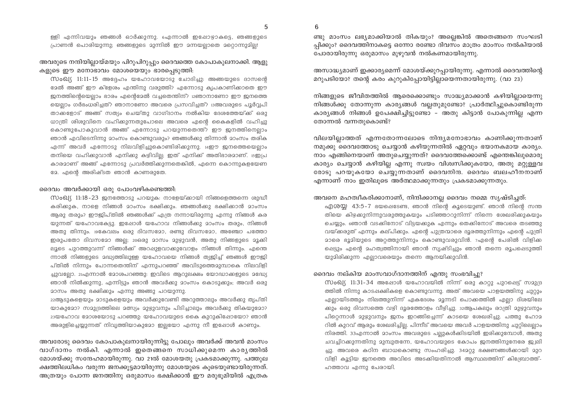$\overline{b}$ 

ള്ളി എന്നിവയും ഞങ്ങൾ ഓർക്കുന്നു. ഐന്നാൽ ഇപ്പോഴ്യാകട്ടെ, ഞങ്ങളുടെ പ്രാണൻ പൊരിയുന്നു; ഞങ്ങളുടെ മുന്നിൽ ഈ മന്നയല്ലാതെ മറ്റൊന്നുമില്ല!

#### അവരുടെ നന്ദിയില്ലായ്മയും പിറുപിറുപ്പും ദൈവത്തെ കോപാകുലനാക്കി. ആളു കളുടെ ഈ മനോഭാവം മോശയെയും ഭാരപെടുത്തി:

 $\omega$ ംവ്യ 11:11-15 അദ്ദേഹം യഹോവയോടു ചോദിച്ചു: അങ്ങയുടെ ദാസന്റെ ഭാൽ അങ്ങ് ഈ ക്ളേശം എന്തിനു വരുത്തി? എന്നോടു കൃപകാണിക്കാതെ ഈ ജനത്തിന്റെയെലാം ഭാരം എന്റെദേൽ വച്ചതെന്തിന്? i2ഞാനാണോ ഈ ജനത്തെ യെല്ലാം ഗർഭംധരിച്ചത്? ഞാനാണോ അവരെ പ്രസവിച്ചത്? ദഅവരുടെ പൂർവ്വപി താക്കളോട് അങ്ങ് സത്യം ചെയ്തു വാഗ്ദാനം നൽകിയ ദേശത്തേയ്ക്ക് ഒരു ധാത്രി ശിശുവിനെ വഹിക്കുന്നതുപോലെ അവരെ എന്റെ കൈകളിൽ വഹിച്ചു കൊണ്ടുപോകുവാൻ അങ്ങ് എന്നോടു പറയുന്നതെന്ത്? ഈ ജനത്തിനെല്ലാം ഞാൻ എവിടെനിന്നു മാംസം കൊണ്ടുവരും? ഞങ്ങൾക്കു തിന്നാൻ മാംസം തരിക എന്ന് അവർ എന്നോടു നിലവിളിച്ചുകൊണ്ടിരിക്കുന്നു. 14ഈ ജനത്തെയെല്ലാം തനിയെ വഹിക്കുവാൻ എനിക്കു കഴിവില്ല; ഇത് എനിക്ക് അതിഭാരമാണ്. 15ഇപ്ര കാരമാണ് അങ്ങ് എന്നോടു പ്രവർത്തിക്കുന്നതെങ്കിൽ, എന്നെ കൊന്നുകളയേണ ളോ. എന്റെ അരിഷ്ടത ഞാൻ കാണരുതേ.

#### ദൈവം അവർക്കായി ഒരു പോംവഴികണ്ടെത്തി:

 $\omega_0$ വ്യ 11:18-23 ജനത്തോടു പറയുക: നാളേയ്ക്കായി നിങ്ങളെത്തന്നെ ശുദ്ധീ കരിക്കുക, നാളെ നിങ്ങൾ മാംസം ഭക്ഷിക്കും. ഞങ്ങൾക്കു ഭക്ഷിക്കാൻ മാംസം ആരു തരും? ഈജിപ്തിൽ ഞങ്ങൾക്ക് എത്ര നന്നായിരുന്നു എന്നു നിങ്ങൾ കര യുന്നത് യഹോവകേട്ടു. ഇഷോൾ യഹോവ നിങ്ങൾക്കു മാംസം തരും, നിങ്ങൾ അതു തിന്നും. 19കേവലം ഒരു ദിവസമോ, രണ്ടു ദിവസമോ, അഞ്ചോ പത്തോ ഇരുപതോ ദിവസമോ അല്ല; 20ഒരു മാസം മുഴുവൻ, അതു നിങ്ങളുടെ മൂക്കി ലൂടെ പുറത്തുവന്ന് നിങ്ങൾക്ക് അറപ്പുളവാക്കുവോളം നിങ്ങൾ തിന്നും. എന്തെ ന്നാൽ നിങ്ങളുടെ മദ്ധ്യത്തിലുള്ള യഹോവയെ നിങ്ങൾ ത്യജിച്ച് ഞങ്ങൾ ഈജി പ്തിൽ നിന്നും പോന്നതെന്തിന് എന്നുപറഞ്ഞ് അവിടുത്തെമുമ്പാകെ നിലവിളി ച്ചുവല്ലോ. 21എന്നാൽ മോശപറഞ്ഞു: ഇവിടെ ആറുലക്ഷം യോദ്ധാക്കളുടെ മദ്ധ്യേ ഞാൻ നിൽക്കുന്നു, എന്നിട്ടും ഞാൻ അവർക്കു മാംസം കൊടുക്കും; അവർ ഒരു <u>മാസം അതു ഭക്ഷിക്കും എന്നു അങ്ങു പറയുന്നു.</u>

22ആടുകളെയും 20ടുകളെയും അവർക്കുവേണ്ടി അറുത്താലും അവർക്കു തൃപ്തി യാകുമോ? സമുദ്രത്തിലെ മത്സ്യം മുഴുവനും പിടിച്ചാലും അവർക്കു തികയുമോ? 23യഹോവ മോശയോടു പറഞ്ഞു: യഹോവയുടെ കൈ കുറുകിഷോയോ? ഞാൻ അരുളിച്ചെയ്യുന്നത് നിവൃത്തിയാകുമോ ഇല്ലയോ എന്നു നീ ഇഷോൾ കാണും.

അവരോടു ദൈവം കോപാകുലനായിരുന്നിട്ടു പോലും അവർക്ക് അവൻ മാംസം വാഗ്ദാനം നൽകി. എന്നാൽ ഇതെങ്ങനെ സാധിക്കുമെന്ന കാരൃത്തിൽ മോശയ്ക്കു സന്ദേഹമായിരുന്നു. വാ 21ൽ മോശയതു പ്രകടമാക്കുന്നു. പത്തുല ക്ഷത്തിലധികം വരുന്ന ജനക്കൂട്ടമായിരുന്നു മോശയുടെ കൂടെയുണ്ടായിരുന്നത്. അത്രയും പോന്ന ജനത്തിനു ഒരുമാസം ഭക്ഷിക്കാൻ ഈ മരുഭുമിയിൽ എത്രക

ണ്ടു മാംസം ലഭ്യമാക്കിയാൽ തികയും? അല്ലെങ്കിൽ അതെങ്ങനെ സംഘടി പ്പിക്കും? ദൈവത്തിനാകട്ടെ ഒന്നോ രണ്ടോ ദിവസം മാത്രം മാംസം നൽകിയാൽ പോരായിരുന്നു ഒരുമാസം മുഴുവൻ നൽകണമായിരുന്നു.

അസാദ്ധ്യമാണ് ഇക്കാര്യമെന്ന് മോശയ്ക്കുറപ്പായിരുന്നു. എന്നാൽ ദൈവത്തിന്റെ മറുപടിയോ? തന്റെ കരം കുറുകിപ്പോയിട്ടില്ലായെന്നതായിരുന്നു. (വാ 23)

നിങ്ങളുടെ ജീവിതത്തിൽ ആരെക്കൊണ്ടും സാദ്ധ്യമാക്കാൻ കഴിയില്ലായെന്നു നിങ്ങൾക്കു തോന്നുന്ന കാര്യങ്ങൾ വല്ലതുമുണ്ടോ? പ്രാർത്ഥിച്ചുകൊണ്ടിരുന്ന കാര്യങ്ങൾ നിങ്ങൾ ഉപേക്ഷിച്ചിട്ടുണ്ടോ – അതു കിട്ടാൻ പോകുന്നില്ല എന്ന തോന്നൽ വന്നതുകൊണ്ട്?

വിലയില്ലാത്തത് എന്നതോന്നലോടെ നിന്ദ്യമനോഭാവം കാണിക്കുന്നതാണ് നമുക്കു ദൈവത്തോടു ചെയ്യാൻ കഴിയുന്നതിൽ ഏറ്റവും ഭയാനകമായ കാര്യം. നാം എങ്ങിനെയാണ് അതുചെയ്യുന്നത്? ദൈവത്തേക്കൊണ്ട് എന്തെങ്കിലുമൊരു കാര്യം ചെയ്യാൻ കഴിയില്ല എന്നു സ്വയം വിശ്വസിക്കുകയോ, അതു മറ്റുള്ളവ രോടു പറയുകയോ ചെയ്യുന്നതാണ് ദൈവനിന്ദ. ദൈവം ബലഹീനനാണ് എന്നാണ് നാം ഇതിലൂടെ അർത്ഥമാക്കുന്നതും പ്രകടമാക്കുന്നതും.

അവനെ മഹത്വീകരിക്കാനാണ്, നിന്ദിക്കാനല്ല ദൈവം നമ്മെ സൃഷ്ടിച്ചത്:

എശയ്യ 43:5-7 ഭയപ്പെടേണ്ട, ഞാൻ നിന്റെ കുടെയുണ്ട്. ഞാൻ നിന്റെ സന്ത തിയെ കിഴക്കുനിന്നുവരുത്തുകയും പടിഞ്ഞാറുനിന്ന് നിന്നെ ശേഖരിക്കുകയും ചെയ്യും. ഞൊൻ വടക്കിനോട് വിട്ടയക്കുക എന്നും തെക്കിനോട് അവരെ തടഞ്ഞു വയ്ക്കരുത് എന്നും കല്പിക്കും. എന്റെ പുത്രന്മാരെ ദൂരത്തുനിന്നും എന്റെ പുത്രി മാരെ ഭൂമിയുടെ അറ്റത്തുനിന്നും കൊണ്ടുവരുവിൻ. 7എന്റെ പേരിൽ വിളിക്ക പ്പെട്ടും എന്റെ മഹത്വത്തിനായി ഞാൻ സൃഷ്ടിച്ചും ഞാൻ തന്നെ രൂപപ്പെടുത്തി യുമിരിക്കുന്ന എല്ലാവരെയും തന്നെ ആനയിക്കുവിൻ.

#### ദൈവം നല്കിയ മാംസവാഗ്ദാനത്തിന് എന്തു സംഭവിച്ചു?

സംഖ്യ 11:31-34 അഷോൾ യഹോവയിൽ നിന്ന് ഒരു കാറ്റു പുറപ്പെട്ട് സമുദ്ര ത്തിൽ നിന്നു കാടപ്പക്ഷികളെ കൊണ്ടുവന്നു. അത് അവയെ പാളയത്തിനു ചുറ്റും എല്ലായിടത്തും നിലത്തുനിന്ന് ഏകദേശം മൂന്നടി പൊക്കത്തിൽ എല്ലാ ദിശയിലേ ക്കും ഒരു ദിവസത്തെ വഴി ദൂരത്തോളം വീഴിച്ചു. ദമ്തുപകലും രാത്രി മുഴുവനും പിറ്റെന്നാൾ മുഴുവനും ജനം ഇറങ്ങിച്ചെന്ന് കാടയെ ശേഖരിച്ചു. പത്തു ഹോമ റിൽ കുറവ് ആരും ശേഖരിച്ചില്ല. പിന്നീട് അവയെ അവർ പാളയത്തിനു ചുറ്റിലെല്ലാം നിരത്തി. 33എന്നാൽ മാംസം അവരുടെ പല്ലുകൾക്കിടയിൽ ഇരിക്കുമ്പോൾ, അതു ചവച്ചിറക്കുന്നതിനു മുമ്പുതന്നേ, യഹോവയുടെ കോപം ജനത്തിനുനേരേ ജ്വലി ച്ചു. അവരെ കഠിന ബാധകൊണ്ടു സംഹരിച്ചു. 342റ്റു ഭക്ഷണങ്ങൾക്കായി 2ുറ വിളി കൂട്ടിയ ജനത്തെ അവിടെ അടക്കിയതിനാൽ ആസ്ഥലത്തിന് കിബ്രോത്ത്-ഹത്താവ എന്നു പേരായി.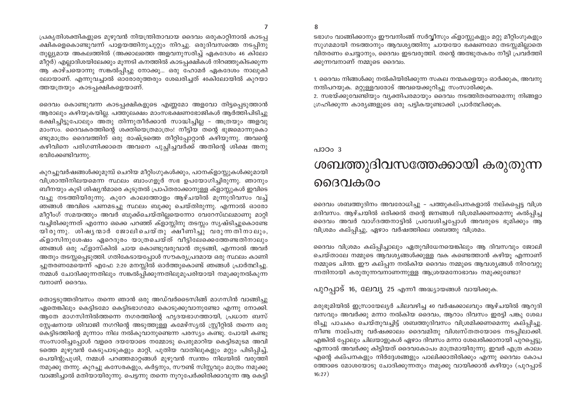$\overline{7}$ 

പ്രകൃതിശക്തികളുടെ മുഴുവൻ നിയന്ത്രിതാവായ ദൈവം ഒരുകാറ്റിനാൽ കാടപ്പ ക്ഷികളെകൊണ്ടുവന്ന് പാളയത്തിനുചുറ്റും നിറച്ചു. ഒരുദിവസത്തെ നടപ്പിനു തുല്ല്യമായ അകലത്തിൽ (അക്കാലത്തെ അളവനുസരിച്ച് ഏകദേശം 46 കിലോ മീറ്റർ) എല്ലാദിശയിലേക്കും മുന്നടി കനത്തിൽ കാടപ്പക്ഷികൾ നിറഞ്ഞുകിടക്കുന്ന ആ കാഴ്ചയൊന്നു സങ്കൽപ്പിച്ചു നോക്കൂ... ഒരു ഹോമർ ഏകദേശം നാലുകി ലോയാണ്. എന്നുവച്ചാൽ ഓരോരുത്തരും ശേഖരിച്ചത് 40കിലോയിൽ കുറയാ ത്തയത്രയും കാടപ്പക്ഷികളെയാണ്.

ദൈവം കൊണ്ടുവന്ന കാടപ്പക്ഷികളുടെ എണ്ണമോ അളവോ തിട്ടപ്പെടുത്താൻ ആരാലും കഴിയുകയില്ല. പത്തുലക്ഷം മാംസഭക്ഷണഭോജികൾ ആർത്തിപിടിച്ചു ഭക്ഷിച്ചിട്ടുപോലും അതു തിന്നുതീർക്കാൻ സാദ്ധിച്ചില്ല - അത്രയും അളവു മാംസം. ദൈവകരത്തിന്റെ ശക്തിയെത്രമാത്രം! നീട്ടിയ തന്റെ ഭുജമൊന്നുകൊ ണ്ടുമാത്രം ദൈവത്തിന് ഒരു രാഷ്ട്രത്തെ തീറ്റിപ്പോറ്റാൻ കഴിയുന്നു. അവന്റെ കഴിവിനെ പരിഗണിക്കാതെ അവനെ പുച്ചിച്ചവർക്ക് അതിന്റെ ശിക്ഷ അനു ഭവിക്കേണ്ടിവന്നു.

കുറച്ചുവർഷങ്ങൾക്കുമുമ്പ് ചെറിയ മീറ്റിംഗുകൾക്കും, പഠനക്ളാസ്സുകൾക്കുമായി വിശ്രാന്തിനിലയമെന്ന സ്ഥലം ബാംഗളൂർ സഭ ഉപയോഗിച്ചിരുന്നു. ഞാനും ബീനയും കുടി ശിഷ്യൻമാരെ കുടുതൽ പ്രാപ്തരാക്കാനുള്ള ക്ളാസ്റ്റുകൾ ഇവിടെ വച്ചു നടത്തിയിരുന്നു. കുറേ കാലത്തോളം ആഴ്ചയിൽ മൂന്നുദിവസം വച്ച് ഞങ്ങൾ അവിടെ പണമടചു സ്ഥലം ബുക്കു ചെയ്തിരുന്നു. എന്നാൽ ഓരോ മീറ്റീംഗ് സമയത്തും അവർ ബുക്ക്ചെയ്തില്ലയെന്നോ വേറേസ്ഥലമാണു മാറ്റി വച്ചിരിക്കുന്നത് എന്നോ ഒക്കെ പറഞ്ഞ് ക്ളാസ്സിനു തടസ്സം സൃഷ്ടിച്ചുകൊണ്ടേ യിരുന്നു. ശിഷൃന്മാർ ജോലിചെയ്തു ക്ഷീണിച്ചു വരുന്നതിനാലും, ക്ളാസിനുശേഷം ഏറെദൂരം യാത്രചെയ്ത് വീട്ടിലേക്കെത്തേണ്ടതിനാലും ഞങ്ങൾ ഒരു ഫ്ളാസ്കിൽ ചായ കൊണ്ടുവരുവാൻ തുടങ്ങി, എന്നാൽ അവർ അതും തടസ്സപ്പെടുത്തി. ഗതികേടായപ്പോൾ സൗകര്യപ്രദമായ ഒരു സ്ഥലം കാണി ച്ചുതരണമേയെന്ന് എഫേ 2:20 മനസ്സിൽ ഓർത്തുകൊണ്ട് ഞങ്ങൾ പ്രാർത്ഥിച്ചു. നമ്മൾ ചോദിക്കുന്നതിലും സങ്കൽപ്പിക്കുന്നതിലുമുപരിയായി നമുക്കുനൽകുന്ന വനാണ് ദൈവം.

തൊട്ടടുത്തദിവസം തന്നെ ഞാൻ ഒരു അഡ്വർടൈസിങ്ങ് മാഗസിൻ വാങ്ങിച്ചു ഏതെങ്കിലും കെട്ടിടമോ കെട്ടിടഭാഗമോ കൊടുക്കുവാനുണ്ടോ എന്നു നോക്കി. ആതേ മാഗസിനിൽത്തന്നെ നഗരത്തിന്റെ ഹൃദയഭാഗത്തായി, പ്രധാന ബസ് സ്റ്റേഷനായ ശിവാജി നഗറിന്റെ അടുത്തുള്ള കമേഴ്സ്യൽ സ്റ്റ്രീറ്റിൽ തന്നെ ഒരു കെട്ടിടത്തിന്റെ മുന്നാം നില നൽകുവാനുണ്ടെന്ന പരസ്യം കണ്ടു. പോയി കണ്ടു സംസാരിച്ചപ്പോൾ വളരെ ദയയോടെ നമ്മോടു പെരുമാറിയ കെട്ടിടമുടമ അവി ടത്തെ മുഴുവൻ കേടുപാടുകളും മാറ്റി, പുതിയ വാതിലുകളും മറ്റും പിടിപ്പിച്ച്, പെയിന്റുപുശി, നമ്മൾ പറഞ്ഞമാറ്റങ്ങൾ മുഴുവൻ സ്വന്തം നിലയിൽ വരുത്തി നമുക്കു തന്നു. കുറച്ചു കസേരകളും, കർട്ടനും, സൗണ്ട് സിസ്റ്റവും മാത്രം നമുക്കു വാങ്ങിച്ചാൽ മതിയായിരുന്നു. പെട്ടന്നു തന്നെ നുറുപേർക്കിരിക്കാവുന്ന ആ കെട്ടി

ടഭാഗം വാങ്ങിക്കാനും ഈവനിംങ്ങ് സർവ്വീസും ക്ളാസ്റ്റുകളും മറ്റു മീറ്റിംഗുകളും സുഗമമായി നടത്താനും ആവശ്യത്തിനു ചായയോ ഭക്ഷണമോ തടസ്സമില്ലാതെ വിതരണം ചെയ്യാനും, ദൈവം ഇടവരുത്തി. തന്റെ അത്ഭുതകരം നീട്ടി പ്രവർത്തി ക്കുന്നവനാണ് നമ്മുടെ ദൈവം.

1. ദൈവം നിങ്ങൾക്കു നൽകിയിരിക്കുന്ന സകല നന്മകളെയും ഓർക്കുക, അവനു നന്ദിപറയുക. മറ്റുള്ളവരോട് അവയെക്കുറിച്ചു സംസാരിക്കുക.

2. സഭയ്ക്കുവേണ്ടിയും വ്യക്തിപരമായും ദൈവം നടത്തിതരണമെന്നു നിങ്ങളാ ഗ്രഹിക്കുന്ന കാര്യങ്ങളുടെ ഒരു പട്ടികയുണ്ടാക്കി പ്രാർത്ഥിക്കുക.

### പാഠ $\circ$  3 ശബത്തുദിവസത്തേക്കായി കരുതുന്ന ദൈവകരം

ദൈവം ശബത്തുദിനം അവരോധിച്ചു – പത്തുകല്പനകളാൽ നല്കപ്പെട്ട വിശ്ര മദിവസം. ആഴ്ചയിൽ ഒരിക്കൽ തന്റെ ജനങ്ങൾ വിശ്രമിക്കണമെന്നു കൽപ്പിച്ച ദൈവം അവർ വാഗ്ദത്തനാട്ടിൽ പ്രവേശിച്ചപ്പോൾ അവരുടെ ഭൂമിക്കും ആ വിശ്രമം കല്പ്പിച്ചു, ഏഴാം വർഷത്തിലെ ശബത്തു വിശ്രമം.

ദൈവം വിശ്രമം കല്പ്പിച്ചാലും ഏതുവിധേനയെങ്കിലും ആ ദിവസവും ജോലി ചെയ്താലേ നമ്മുടെ ആവശ്യങ്ങൾക്കുള്ള വക കണ്ടെത്താൻ കഴിയൂ എന്നാണ് നമ്മുടെ ചിന്ത. ഈ കല്പ്പന നൽകിയ ദൈവം നമ്മുടെ ആവശ്യങ്ങൾ നിറവേറ്റു ന്നതിനായി കരുതുന്നവനാണന്നുള്ള ആശ്രയമനോഭാവം നമുക്കുണ്ടോ?

പുറപ്പാട് 16, ലേവൃ 25 എന്നീ അദ്ധ്യായങ്ങൾ വായിക്കുക.

മരുഭൂമിയിൽ ഇസ്രായേല്യർ ചിലവഴിച്ച 40 വർഷക്കാലവും ആഴ്ചയിൽ ആറുദി വസവും അവർക്കു മന്നാ നൽകിയ ദൈവം, ആറാം ദിവസം ഇരട്ടി പങ്കു ശേഖ രിച്ചു പാചകം ചെയ്തുവച്ചിട്ട് ശബത്തുദിവസം വിശ്രമിക്കണമെന്നു കല്പ്പിച്ചു. നീണ്ട നാല്പതു വർഷക്കാലം ദൈവമിതു വിശ്വസ്തതയോടെ നടപ്പിലാക്കി. എങ്കിൽ പ്രോലും ചിലയാളുകൾ ഏഴാം ദിവസം മന്നാ ശേഖരിക്കാനായി പുറപ്പെട്ടു, എന്നാൽ അവർക്കു കിട്ടിയത് ദൈവകോപം മാത്രമായിരുന്നു. ഇവർ എത്ര കാലം എന്റെ കല്പനകളും നിർദ്ദേശങ്ങളും പാലിക്കാതിരിക്കും എന്നു ദൈവം കോപ ത്തോടെ മോശയോടു ചോദിക്കുന്നതും നമുക്കു വായിക്കാൻ കഴിയും (പുറപ്പാട്  $16:27)$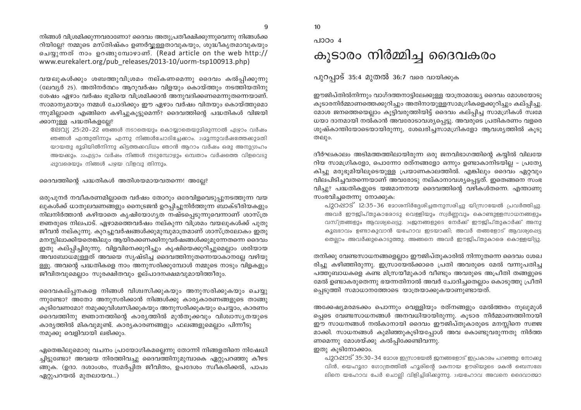നിങ്ങൾ വിശ്രമിക്കുന്നവരാണോ? ദൈവം അതുപ്രതീക്ഷിക്കുന്നുവെന്നു നിങ്ങൾക്ക റിയില്ലേ? നമ്മുടെ മസ്തിഷ്കം ഉണർവ്വള്ളതാവുകയും, ശുദ്ധീകൃതമാവുകയും ചെയ്യുന്നത് നാം ഉറങ്ങുമ്പോഴാണ്. (Read article on the web http:// www.eurekalert.org/pub releases/2013-10/uorm-tsp100913.php)

വയലുകൾക്കും ശബത്തുവിശ്രമം നല്കണമെന്നു ദൈവം കൽപ്പിക്കുന്നു (ലേവ്യർ 25), അതിനർത്ഥം ആറുവർഷം വിളയും കൊയ്ത്തും നടത്തിയതിനു ശേഷം ഏഴാം വർഷം ഭൂമിയെ വിശ്രമിക്കാൻ അനുവദിക്കണമെന്നുതന്നെയാണ്. സാമാന്യമായും നമ്മൾ ചോദിക്കും ഈ ഏഴാം വർഷം വിതയും കൊയ്ത്തുമൊ ന്നുമില്ലാതെ എങ്ങിനെ കഴിച്ചുകൂട്ടുമെന്ന്? ദൈവത്തിന്റെ പദ്ധതികൾ വിജയി ക്കാനുള്ള പദ്ധതികളല്ലേ?

ലേവ്യ 25:20-22 ഞങ്ങൾ നടാതെയും കൊയ്യാതെയുമിരുന്നാൽ ഏഴാം വർഷം ഞങ്ങൾ എന്തുതിന്നും എന്നു നിങ്ങൾചോദിച്ചേക്കാം. 2123ന്നുവർഷത്തേക്കുമതി യായതു ഭൂമിയിൽനിന്നു കിട്ടത്തക്കവിധം ഞാൻ ആറാം വർഷം ഒരു അനുഗ്രഹം അയക്കും. 22എട്ടാം വർഷം നിങ്ങൾ നടുമ്പോഴും ഒമ്പതാം വർഷത്തെ വിളവെടു ഷുവരെയും നിങ്ങൾ പഴ്യയ വിളവു തിന്നും.

#### ദൈവത്തിന്റെ പദ്ധതികൾ അതിശയമായവതന്നെ! അല്ലേ?

ഒരുപുനർ നവീകരണമില്ലാതെ വർഷം തോറും ഒരേവിളവെടുപ്പുനടത്തുന്ന വയ ലുകൾക്ക് ധാതുലവണങ്ങളും നൈട്രജൻ ഉറപ്പിച്ചുനിർത്തുന്ന ബാക്ടീരിയകളും നിലനിർത്താൻ കഴിയാതെ കൃഷിയോഗൃത നഷ്ടപ്പെടുന്നുവെന്നാണ് ശാസ്ത്ര ജ്ഞരുടെ നിലപാട്. ഏഴാമത്തെവർഷം നല്കുന്ന വിശ്രമം വയലുകൾക്ക് പുതു ജീവൻ നല്കുന്നു. കുറച്ചുവർഷങ്ങൾക്കുമുമ്പുമാത്രമാണ് ശാസ്ത്രലോകം ഇതു മനസ്സിലാക്കിയതെങ്കിലും ആയിരക്കണക്കിനുവർഷങ്ങൾക്കുമുന്നേതന്നെ ദൈവം ഇതു കല്പ്പിച്ചിരുന്നു. വിളവിനെക്കുറിച്ചും കൃഷിയെക്കുറിച്ചുമെല്ലാം ശരിയായ അവബോധമുള്ളത് അവയെ സൃഷ്ടിച്ച ദൈവത്തിനുതന്നെയാകാനല്ലേ വഴിയു ള്ളൂ. അവന്റെ പദ്ധതികളെ നാം അനുസരിക്കുമ്പോൾ നമ്മുടെ നാടും വിളകളും ജീവിതവുമെല്ലാം സുരക്ഷിതവും ഉല്പാദനക്ഷമവുമായിത്തീരും.

ദൈവകല്പ്പനകളെ നിങ്ങൾ വിശ്വസിക്കുകയും അനുസരിക്കുകയും ചെയ്യു ന്നുണ്ടോ? അതോ അനുസരിക്കാൻ നിങ്ങൾക്കു കാര്യകാരണങ്ങളുടെ താങ്ങു കുടിവേണമോ? നമുക്കുവിശ്വസിക്കുകയും അനുസരിക്കുകയും ചെയ്യാം, കാരണം ദൈവത്തിനു ജ്ഞാനത്തിന്റെ കാര്യത്തിൽ മുൻതുക്കവും വിശ്വാസ്യതയുടെ കാര്യത്തിൽ മികവുമുണ്ട്. കാര്യകാരണങ്ങളും ഫലങ്ങളുമെല്ലാം പിന്നീടു നമുക്കു വെളിവായി ലഭിക്കും.

ഏതെങ്കിലുമൊരു വചനം പ്രായോഗികമല്ലെന്നു തോന്നി നിങ്ങളതിനെ നിഷേധി ച്ചിട്ടുണ്ടോ? അവയെ നിരത്തിവച്ചു ദൈവത്തിനുമുമ്പാകെ ഏറ്റുപറഞ്ഞു കീഴട ങ്ങുക. (ഉദാ. ദശാംശം, സമർപ്പിത ജീവിതം, ഉപദേശം സ്വീകരിക്കൽ, പാപം ഏറ്റുപറയൽ മുതലായവ...)

10

പാഠം 4

## കൂടാരം നിർമ്മിച്ച ദൈവകരം

പുറപാട് 35:4 മുതൽ 36:7 വരെ വായിക്കുക

ഈജിപ്തിൽനിന്നും വാഗ്ദത്തനാട്ടിലേക്കുള്ള യാത്രാമദ്ധ്യേ ദൈവം മോശയോടു കൂടാരനിർമ്മാണത്തെക്കുറിച്ചും അതിനായുള്ളസാമഗ്രികളെക്കുറിച്ചും കല്പ്പിച്ചു. മോശ ജനത്തെയെല്ലാം കുട്ടിവരുത്തിയിട്ട് ദൈവം കല്പ്പിച്ച സാമഗ്രികൾ സ്വമേ ധയാ ദാനമായി നൽകാൻ അവരോടാവശ്യപ്പെട്ടു. അവരുടെ പ്രതികരണം വളരെ ശുഷ്കാന്തിയോടെയായിരുന്നു, ശേഖരിച്ചസാമഗ്രികളോ ആവശ്യത്തിൽ കുടു തലും.

ദീർഘകാലം അടിമത്തത്തിലായിരുന്ന ഒരു ജനവിഭാഗത്തിന്റെ കയ്യിൽ വിലയേ റിയ സാമഗ്രികളോ, പൊന്നോ രത്നങ്ങളോ ഒന്നും ഉണ്ടാകാനിടയില്ല – പ്രത്യേ കിച്ചു മരുഭൂമിയിലൂടെയുള്ള പ്രയാണകാലത്തിൽ. എങ്കിലും ദൈവം ഏറ്റവും വിലപിടിച്ചവതന്നെയാണ് അവരോടു നല്കാനാവശ്യപ്പെട്ടത്. ഇതെങ്ങനെ സംഭ വിച്ചു? പദ്ധതികളുടെ യജമാനനായ ദൈവത്തിന്റെ വഴികൾതന്നെ. എന്താണു സംഭവിച്ചതെന്നു നോക്കുക:

പുറപ്പാട് 12:35-36 മോശനിർദ്ദേശിച്ചതനുസരിച്ചു യിസ്രായേൽ പ്രവർത്തിച്ചു. അവർ ഈജിപ്തുകാരോടു വെള്ളിയും സ്വർണ്ണവും കൊണ്ടുള്ളസാധനങ്ങളും വസ്ത്രങ്ങളും ആവശ്യപ്പെട്ടു. 36ജനങ്ങളുടെ നേർക്ക് ഈജിപ്തുകാർക്ക് അനു കൂലഭാവം ഉണ്ടാകുവാൻ യഹോവ ഇടയാകി; അവർ തങ്ങളോട് ആവശ്യപ്പെട്ട തെല്ലാം അവർക്കുകൊടുത്തു. അങ്ങനെ അവർ ഈജിപ്തുകാരെ കൊള്ളയിട്ടു.

തനിക്കു വേണ്ടസാധനങ്ങളെല്ലാം ഈജിപ്തുകാരിൽ നിന്നുതന്നെ ദൈവം ശേഖ രിച്ചു കഴിഞ്ഞിരുന്നു. ഇസ്രായേൽക്കാരെ പ്രതി അവരുടെ മേൽ വന്നുപതിച്ച പത്തുബാധകളെ കണ്ട മിസ്രയീമുകാർ വീണ്ടും അവരുടെ അപ്രീതി തങ്ങളുടെ മേൽ ഉണ്ടാകരുതെന്നു ഭയന്നതിനാൽ അവർ ചോദിച്ചതെല്ലാം കൊടുത്തു പ്രീതി പ്പെടുത്തി സമാധാനത്തോടെ യാത്രയാക്കുകയാണുണ്ടായത്.

അക്കേഷ്യമരമടക്കം പൊന്നും വെള്ളിയും രത്നങ്ങളും മേൽത്തരം നൂലുമുൾ പ്പെടെ വേണ്ടസാധനങ്ങൾ അനവധിയായിരുന്നു. കൂടാര നിർമ്മാണത്തിനായി ഈ സാധനങ്ങൾ നൽകാനായി ദൈവം ഈജിപ്തുകാരുടെ മനസ്സിനെ സജ്ജ മാക്കി. സാധനങ്ങൾ കുമിഞ്ഞുകൂടിയപ്പോൾ അവ കൊണ്ടുവരുന്നതു നിർത്ത ണമെന്നു മോശയ്ക്കു കൽപ്പിക്കേണ്ടിവന്നു.

#### ഇതു കൂടിനോക്കാം.

പുറപ്പാട് 35:30-34 മോശ ഇസ്രായേൽ ജനങ്ങളോട് ഇപ്രകാരം പറഞ്ഞു: നോക്കു വിൻ, യെഹൂദാ ഗോത്രത്തിൽ ഹൂരിന്റെ മകനായ ഊരിയുടെ മകൻ ബെസലേ ലിനെ യഹോവ പേർ ചൊല്ലി വിളിച്ചിരിക്കുന്നു. 31യഹോവ അവനെ ദൈവാത്മാ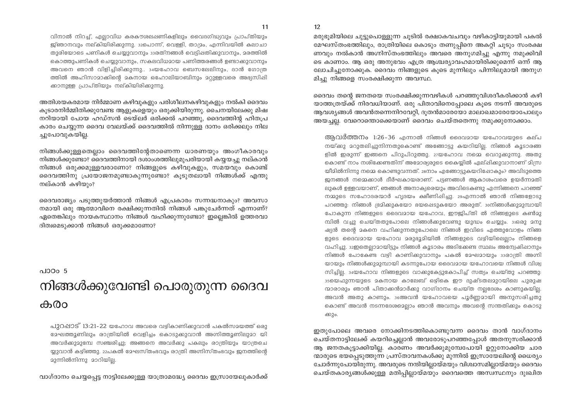$12<sup>°</sup>$ 

വിനാൽ നിറച്ച്, എല്ലാവിധ കരകൗശലഷണികളിലും വൈദഗ്ദ്ധ്യവും പ്രാപ്തിയും ജ്ഞാനവും നല്കിയിരിക്കുന്നു. ദുപൊന്ന്, വെള്ളി, താദ്രം, എന്നിവയിൽ കലാചാ തുരിയോടെ പണികൾ ചെയുവാനും ദാരത്നങ്ങൾ വെടിഷതിക്കുവാനും, മരത്തിൽ കൊത്തുപണികൾ ചെയുവാനും, സകലവിധമായ പണിത്തരങ്ങൾ ഉണ്ടാക്കുവാനും അവനെ ഞാൻ വിളിച്ചിരിക്കുന്നു.. 34യഹോവ ബെസലേലിനും, ദാൻ ഗോത്ര ത്തിൽ അഹിസാമാക്കിന്റെ മകനായ ഒഹോലിയാബിനും മറ്റുള്ളവരെ അഭ്യസിഷി ക്കാനുള്ള പ്രാപ്തിയും നല്കിയിരിക്കുന്നു.

അതിശയകരമായ നിർമ്മാണ കഴിവുകളും പരിശീലനകഴിവുകളും നൽകി ദൈവം കുടാരനിർമ്മിതിക്കുവേണ്ട ആളുകളെയും ഒരുക്കിയിരുന്നു. ചൈനയിലേക്കു മിഷ നറിയായി പോയ ഹഡ്സൻ ടെയ്ലർ ഒരിക്കൽ പറഞ്ഞു, ദൈവത്തിന്റ ഹിതപ്ര കാരം ചെയ്യുന്ന ദൈവ വേലയ്ക്ക് ദൈവത്തിൽ നിന്നുള്ള ദാനം ഒരിക്കലും നില ച്ചുപോവുകയില്ല.

നിങ്ങൾക്കുള്ളതെല്ലാം ദൈവത്തിന്റേതാണെന്ന ധാരണയും അംഗീകാരവും നിങ്ങൾക്കുണ്ടോ? ദൈവത്തിനായി ദശാംശത്തിലുമുപരിയായി കയ്യയച്ചു നല്കാൻ നിങ്ങൾ ഒരുക്കമുള്ളവരാണോ? നിങ്ങളുടെ കഴിവുകളും, സമയവും കൊണ്ട് ദൈവത്തിനു പ്രയോജനമുണ്ടാകുന്നുണ്ടോ? കുടുതലായി നിങ്ങൾക്ക് എന്തു നല്കാൻ കഴിയും?

ദൈവരാജ്യം പടുത്തുയർത്താൻ നിങ്ങൾ എപ്രകാരം സന്നദ്ധനാകും? അവസാ നമായി ഒരു ആത്മാവിനെ രക്ഷിക്കുന്നതിൽ നിങ്ങൾ പങ്കുചേർന്നത് എന്നാണ്? ഏതെങ്കിലും നായകസ്ഥാനം നിങ്ങൾ വഹിക്കുന്നുണ്ടോ? ഇല്ലെങ്കിൽ ഉത്തരവാ ദിത്വമെടുക്കാൻ നിങ്ങൾ ഒരുക്കമാണോ?

### പാഠ $\circ$  5 നിങ്ങൾക്കുവേണ്ടി പൊരുതുന്ന ദൈവ കരാ

പുറപ്പാട് 13:21-22 യഹോവ അവരെ വഴികാണിക്കുവാൻ പകൽസമയത്ത് ഒരു ഭേഘത്തൂണിലും രാത്രിയിൽ വെളിച്ചം കൊടുക്കുവാൻ അഗ്നിത്തൂണിലുദാ യി അവർക്കുമുമ്പേ സഞ്ചരിച്ചു; അങ്ങനെ അവർക്കു പകലും രാത്രിയും യാത്രചെ യ്യുവാൻ കഴിഞ്ഞു. 22പകൽ മേഘസ്തംഭവും രാത്രി അഗ്നിസ്തംഭവും ജനത്തിന്റെ മുന്നിൽനിന്നു മാറിയില്ല.

വാഗ്ദാനം ചെയ്യപ്പെട്ട നാട്ടിലേക്കുള്ള യാത്രാമദ്ധ്യേ ദൈവം ഇസ്രായേലുകാർക്ക്

മരുഭൂമിയിലെ ചുട്ടുപൊള്ളുന്ന ചൂടിൽ രക്ഷാകവചവും വഴികാട്ടിയുമായി പകൽ മേഘസ്തംഭത്തിലും, രാത്രിയിലെ കൊടും തണുപ്പിനെ അകറ്റി ചുടും സംരക്ഷ ണവും നൽകാൻ അഗ്നിസ്തംഭത്തിലും അവരെ അനുഗമിച്ചു എന്നു നമുക്കിവി ടെ കാണാം. ആ ഒരു അനുഭവം എത്ര ആശ്ചര്യാവഹമായിരിക്കുമെന്ന് ഒന്ന് ആ ലോചിച്ചുനോക്കുക. ദൈവം നിങ്ങളുടെ കുടെ മുന്നിലും പിന്നിലുമായി അനുഗ മിച്ചു നിങ്ങളെ സംരക്ഷിക്കുന്ന അവസ്ഥ.

ദൈവം തന്റെ ജനതയെ സംരക്ഷിക്കുന്നവഴികൾ പറഞ്ഞുവിശദീകരിക്കാൻ കഴി യാത്തത്രയ്ക്ക് നിരവധിയാണ്. ഒരു പിതാവിനെപ്പോലെ കുടെ നടന്ന് അവരുടെ ആവശ്യങ്ങൾ അവൻതന്നെനിറവേറ്റി, ദുതൻമാരേയോ മാലാഖമാരേയോപോലും അയച്ചല്ല. വേറൊന്തൊക്കെയാണ് ദൈവം ചെയ്തതെന്നു നമുക്കുനോക്കാം.

ആവർത്തനം 1:26-36 എന്നാൽ നിങ്ങൾ ദൈവമായ യഹോവയുടെ കല്പ നയ്ക്കു മറുതലിച്ചുനിന്നതുകൊണ്ട് അങ്ങോട്ടു കയറിയില്ല. നിങ്ങൾ കൂടാരങ്ങ ളിൽ ഇരുന്ന് ഇങ്ങനെ പിറുപിറുത്തു. 27യഹോവ നമ്മെ വെറുക്കുന്നു. അതു കൊണ്ട് നാം നശിക്കേണ്ടതിന് അദോരര്ദുടെ കൈയിൽ ഏല്ഷിക്കുവാനാണ് മിസ്ര യീമിൽനിന്നു നമ്മെ കൊണ്ടുവന്നത്. 28നാം എങ്ങോട്ടുകയറിഷോകും? അവിടുത്തെ ജനങ്ങൾ നമ്മെക്കാൾ ദീർഘകായരാണ്. പട്ടണങ്ങൾ ആകാശംവരെ ഉയർന്നമതി ലുകൾ ഉള്ളവയാണ്, ഞങ്ങൾ അനാക്യരെയും അവിടെകണ്ടു എന്നിങ്ങനെ പറഞ്ഞ് നമ്മുടെ സഹോദരന്മാർ ഹൃദയം ക്ഷീണിഷിച്ചു. 29എന്നാൽ ഞാൻ നിങ്ങളോടു പറഞ്ഞു: നിങ്ങൾ ഭ്രമിക്കുകയോ ഭയപ്പെടുകയോ അരുത്. 30നിങ്ങൾക്കുമുമ്പായി പോകുന്ന നിങ്ങളുടെ ദൈവമായ യഹോവ, ഈജിപ്തി ൽ നിങ്ങളുടെ കൺമു മ്പിൽ വച്ചു ചെയ്തതുപോലെ നിങ്ങൾക്കുവേണ്ടു യുദ്ധം ചെയ്യും. ദകരു മനു ഷ്യൻ തന്റെ മകനെ വഹിക്കുന്നതുപോലെ നിങ്ങൾ ഇവിടെ എത്തുവോളം നിങ്ങ ളുടെ ദൈവമായ യഹോവ മരുഭൂമിയിൽ നിങ്ങളുടെ വഴിയിലെല്ലാം നിങ്ങളെ വഹിച്ചു. ദാഇതെല്ലാമായിട്ടും നിങ്ങൾ കൂടാരം അടിക്കേണ്ട സ്ഥലം അന്വേഷിഷാനും നിങ്ങൾ പോകേണ്ട വഴി കാണിക്കുവാനും പകൽ മേഘമായും 33രാത്രി അഗ്നി യായും നിങ്ങൾക്കുമുമ്പായി കടന്നുപോയ ദൈവമായ യഹോവയെ നിങ്ങൾ വിശ്വ സിച്ചില്ല. 34യഹോവ നിങ്ങളുടെ വാക്കുകേട്ടുകോപിച്ച് സത്യം ചെയ്തു പറഞ്ഞു: 35യെഫുന്നയുടെ മകനായ കാലേബ് ഒഴികെ ഈ ദുഷ്ടതലമുറയിലെ പുരുഷ ന്മാരാരും ഞാൻ പിതാക്കൻമാർക്കു വാഗ്ദാനം ചെയ്ത നല്ലദേശം കാണുകയില്ല. അവൻ അതു കാണും. 36അവൻ യഹോവയെ പൂർണ്ണമായി അനുസരിച്ചതു കൊണ്ട് അവൻ നടന്നദേശമെല്ലാം ഞാൻ അവനും അവന്റെ സന്തതിക്കും കൊടു ക്കും.

ഇതുപോലെ അവരെ നോക്കിനടത്തികൊണ്ടുവന്ന ദൈവം താൻ വാഗ്ദാനം ചെയ്തനാട്ടിലേക്ക് കയറിച്ചെല്ലാൻ അവരോടുപറഞ്ഞപ്പോൾ അതനുസരിക്കാൻ ആ ജനതകുട്ടാക്കിയില്ല. കാരണം അവർക്കുമുമ്പേപോയി ഉറ്റുനോക്കിയ ചാര ന്മാരുടെ ഭയപ്പെടുത്തുന്ന പ്രസ്താവനകൾക്കു മുന്നിൽ ഇസ്രായേലിന്റെ ധൈര്യം ചോർന്നുപോയിരുന്നു. അവരുടെ നന്ദിയില്ലായ്മയും വിശ്വാസമില്ലായ്മയും ദൈവം ചെയ്തകാര്യങ്ങൾക്കുള്ള മതിപ്പില്ലായ്മയും ദൈവത്തെ അസ്വസ്ഥനും ദുഃഖിത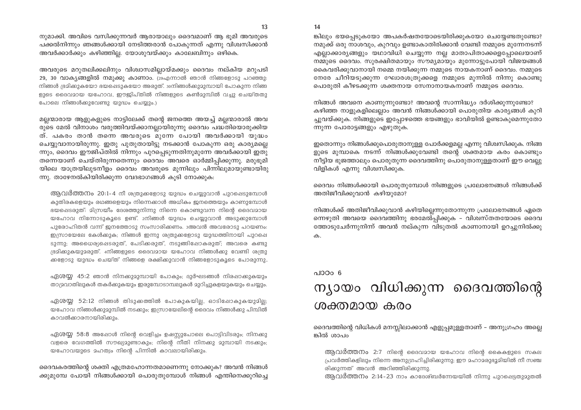$14$ 

നുമാക്കി. അവിടെ വസിക്കുന്നവർ ആരായാലും ദൈവമാണ് ആ ഭൂമി അവരുടെ പക്കൽനിന്നും ഞങ്ങൾക്കായി നേടിത്തരാൻ പോകുന്നത് എന്നു വിശ്വസിക്കാൻ അവർക്കാർക്കും കഴിഞ്ഞില്ല. യോശുവയ്ക്കും കാലേബിനും ഒഴികെ.

അവരുടെ മറുതലിക്കലിനും വിശ്വാസമില്ലായ്മക്കും ദൈവം നല്കിയ മറുപടി 29, 30 വാക്യങ്ങളിൽ നമുക്കു കാണാം. (29എന്നാൽ ഞാൻ നിങ്ങളോടു പറഞ്ഞു: നിങ്ങൾ ഭ്രമിക്കുകയോ ഭയപ്പെടുകയോ അരുത്. ാനിങ്ങൾക്കുമുമ്പായി പോകുന്ന നിങ്ങ ളുടെ ദൈവമായ യഹോവ, ഈജിപ്തിൽ നിങ്ങളുടെ കൺമുമ്പിൽ വച്ചു ചെയ്തതു പോലെ നിങ്ങൾക്കുവേണ്ടു യുദ്ധം ചെയ്യും.)

മല്ലന്മാരായ ആളുകളുടെ നാട്ടിലേക്ക് തന്റെ ജനത്തെ അയച്ച് മല്ലന്മാരാൽ അവ രുടെ മേൽ വിനാശം വരുത്തിവയ്ക്കാനല്ലായിരുന്നു ദൈവം പദ്ധതിയൊരുക്കിയ ത്. പകരം താൻ തന്നെ അവരുടെ മുന്നേ പോയി അവർക്കായി യുദ്ധം ചെയ്യുവാനായിരുന്നു. ഇതു പുതുതായിട്ടു നടക്കാൻ പോകുന്ന ഒരു കാര്യമല്ലെ ന്നും, ദൈവം ഈജിപ്തിൽ നിന്നും പുറപ്പെടുന്നതിനുമുന്നേ അവർക്കായി ഇതു തന്നെയാണ് ചെയ്തിരുന്നതെന്നും ദൈവം അവരെ ഓർമ്മിപ്പിക്കുന്നു. മരുഭൂമി യിലെ യാത്രയിലുടനീളം ദൈവം അവരുടെ മുന്നിലും പിന്നിലുമായുണ്ടായിരു ന്നു. താഴേനൽകിയിരിക്കുന്ന വേദഭാഗങ്ങൾ കൂടി നോക്കുക:

ആവർത്തനം 20:1-4 നീ ശത്രുകളോടു യുദ്ധം ചെയ്യുവാൻ പുറപ്പെടുമ്പോൾ കുതിരകളെയും രഥങ്ങളെയും നിന്നെക്കാൾ അധികം ജനത്തെയും കാണുമ്പോൾ ഭയപ്പെടരുത്: മിസ്രയീം ദേശത്തുനിന്നു നിന്നെ കൊണ്ടുവന്ന നിന്റെ ദൈവമായ യഹോവ നിന്നോടുകൂടെ ഉണ്ട്. 2നിങ്ങൾ യുദ്ധം ചെയ്യുവാൻ അടുക്കുമ്പോൾ പുരോഹിതൻ വന്ന് ജനത്തോടു സംസാരിക്കണം. ദഅവൻ അവരോടു പറയണം: ഇസ്രായേലേ കേൾക്കുക; നിങ്ങൾ ഇന്നു ശത്രുക്കളോടു യുദ്ധത്തിനായി പുറപ്പെ ടുന്നു; അധൈര്യപ്പെടരുത്, പേടിക്കരുത്, നടുങ്ങിഷോകരുത്; അവരെ കണ്ടു ഭ്രമിക്കുകയുമരുത്. 4നിങ്ങളുടെ ദൈവമായ യഹോവ നിങ്ങൾക്കു വേണ്ടി ശത്രു ക്കളോടു യുദ്ധം ചെയ്ത് നിങ്ങളെ രക്ഷിക്കുവാൻ നിങ്ങളോടുകൂടെ പോരുന്നു.

ഏശയ്യ 45:2 ഞാൻ നിനക്കുമുമ്പായി പോകും; ദുർഘടങ്ങൾ നിരപ്പാക്കുകയും താദ്രവാതിലുകൾ തകർക്കുകയും ഇരുമ്പോടാമ്പലുകൾ മുറിച്ചുകളയുകയും ചെയ്യും.

ഏശയ്യ 52:12 നിങ്ങൾ തിടുക്കത്തിൽ പോകുകയില്ല, ഓടിഷോകുകയുമില്ല; യഹോവ നിങ്ങൾക്കുമുമ്പിൽ നടക്കും; ഇസ്രായേലിന്റെ ദൈവം നിങ്ങൾക്കു പിമ്പിൽ കാവൽക്കാരനായിരിക്കും.

ഏശയ്യ 58:8 അഷോൾ നിന്റെ വെളിച്ചം ഉഷസ്സുപോലെ പൊട്ടിവിടരും; നിനക്കു വളരെ വേഗത്തിൽ സൗഖ്യമുണ്ടാകും; നിന്റെ നീതി നിനക്കു മുമ്പായി നടക്കും; യഹോവയുടെ മഹത്വം നിന്റെ പിന്നിൽ കാവലായിരിക്കും.

ദൈവകരത്തിന്റെ ശക്തി എത്രമഹോന്നതമാണെന്നു നോക്കുക? അവൻ നിങ്ങൾ ക്കുമുമ്പേ പോയി നിങ്ങൾക്കായി പൊരുതുമ്പോൾ നിങ്ങൾ എന്തിനെക്കുറിച്ചെ ങ്കിലും ഭയപ്പെടുകയോ അപകർഷതയോടെയിരിക്കുകയോ ചെയ്യേണ്ടതുണ്ടോ? നമുക്ക് ഒരു നാശവും, കുറവും ഉണ്ടാകാതിരിക്കാൻ വേണ്ടി നമ്മുടെ മുന്നേനടന്ന് എല്ലാക്കാര്യങ്ങളും യഥാവിധി ചെയ്യുന്ന നല്ല മാതാപിതാക്കളെപ്പോലെയാണ് നമ്മുടെ ദൈവം. സുരക്ഷിതമായും സൗമൃമായും മുന്നോട്ടുപോയി വിജയങ്ങൾ കൈവരിക്കുവാനായി നമ്മെ നയിക്കുന്ന നമ്മുടെ നായകനാണ് ദൈവം. നമ്മുടെ നേരേ ചീറിയടുക്കുന്ന ഘോരശത്രുക്കളെ നമ്മുടെ മുന്നിൽ നിന്നു കൊണ്ടു പൊരുതി കീഴടക്കുന്ന ശക്തനായ സേനാനായകനാണ് നമ്മുടെ ദൈവം.

നിങ്ങൾ അവനെ കാണുന്നുണ്ടോ? അവന്റെ സാന്നിദ്ധ്യം ദർശിക്കുന്നുണ്ടോ? കഴിഞ്ഞ നാളുകളിലെല്ലാം അവൻ നിങ്ങൾക്കായി പൊരുതിയ കാര്യങ്ങൾ കുറി ച്ചുവയ്ക്കുക. നിങ്ങളുടെ ഇപ്പോഴത്തെ ഭയങ്ങളും ഭാവിയിൽ ഉണ്ടാകുമെന്നുതോ ന്നുന്ന പോരാട്ടങ്ങളും എഴുതുക.

ഇതൊന്നും നിങ്ങൾക്കുപൊരുതാനുള്ള പോർക്കളമല്ല എന്നു വിശ്വസിക്കുക. നിങ്ങ ളുടെ മുമ്പാകെ നടന്ന് നിങ്ങൾക്കുവേണ്ടി തന്റെ ശക്തമായ കരം കൊണ്ടും നീട്ടിയ ഭുജത്താലും പൊരുതുന്ന ദൈവത്തിനു പൊരുതാനുള്ളതാണ് ഈ വെല്ലു വിളികൾ എന്നു വിശ്വസിക്കുക.

ദൈവം നിങ്ങൾക്കായി പൊരുതുമ്പോൾ നിങ്ങളുടെ പ്രലോഭനങ്ങൾ നിങ്ങൾക്ക് അതിജീവിക്കുവാൻ കഴിയുമോ?

നിങ്ങൾക്ക് അതിജീവിക്കുവാൻ കഴിയില്ലെന്നുതോന്നുന്ന പ്രലോഭനങ്ങൾ ഏതെ ന്നെഴുതി അവയെ ദൈവത്തിനു ഭരമേൽപ്പിക്കുക – വിശ്വസ്തതയോടെ ദൈവ ത്തോടുചേർന്നുനിന്ന് അവൻ നല്കുന്ന വിടുതൽ കാണാനായി ഉറച്ചുനിൽക്കു ക.

#### പാഠം 6

## ന്യായം വിധിക്കുന്ന ദൈവത്തിന്റെ ശക്തമായ കരം

ദൈവത്തിന്റെ വിധികൾ മനസ്സിലാക്കാൻ എളുപ്പമുള്ളതാണ് – അനുഗ്രഹം അല്ലെ ങ്കിൽ ശാപം

ആവർത്തനം 2:7 നിന്റെ ദൈവമായ യഹോവ നിന്റെ കൈകളുടെ സകല പ്രവർത്തികളിലും നിന്നെ അനുഗ്രഹിച്ചിരിക്കുന്നു; ഈ മഹാമരുഭൂമിയിൽ നീ സഞ്ച രിക്കുന്നത് അവൻ അറിഞ്ഞിരിക്കുന്നു.

ആവർത്തനം 2:14-23 നാം കാദേശ്ബർന്നേയയിൽ നിന്നു പുറഷെട്ടതുമുതൽ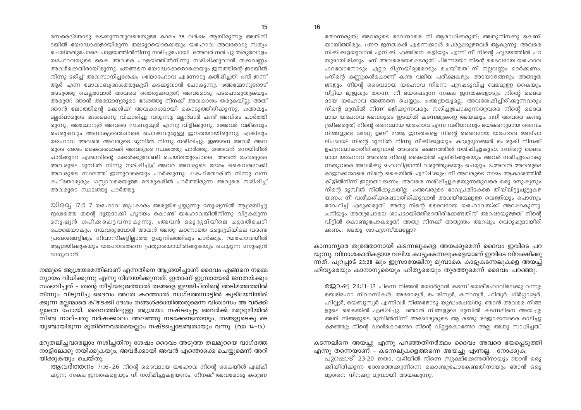തോന്നരുത്; അവരുടെ ദേവന്മാരെ നീ ആരാധിക്കരുത്; അതുനിനക്കു കെണി യായിത്തീരും. 17ഈ ജനതകൾ എന്നെക്കാൾ പെരുഷമുള്ളവർ ആകുന്നു: അവരെ നീക്കിക്കളയുവാൻ എനിക്ക് എങ്ങിനെ കഴ്വിയും എന്ന് നീ നിന്റെ ഹ്യദയത്തിൽ പറ യുമായിരിക്കും.  $\mathop{\mathrm{sgn}}$  അവരെഭയപ്പെടരുത്; പിന്നേയോ നിന്റെ ദൈവമായ യഹോവ ഫറവോനോടും എലാ മിന്ധ്രയീമ്യരോടും ചെയ്തത് നീ നലവണം ഓർക്കണം. <u> 19നിന്റെ കണുകൾകൊണ്ട് കണ്ട വലിയ പരീക്ഷകളും അടയാളങ്ങളും അത്ഭുത</u> ങ്ങളും, നിന്റെ ദൈവമായ യഹോവ നിന്നെ പുറഷടുവിച്ച ബലമുള്ള കൈയും നീട്ടിയ ഭുജവും തന്നെ. നീ ഭയപ്പെടുന്ന സകല ജനതകളോടും നിന്റെ ദൈവ മായ യഹോവ അങ്ങനെ ചെയ്യും. 20അത്രയുമല്ല, അവശേഷിച്ചിരിക്കുന്നവരും നിന്റെ മുമ്പിൽ നിന്ന് ഒളിക്കുന്നവരും നശിച്ചുപോകുന്നതുവരെ നിന്റെ ദൈവ <u>മായ യഹോവ അവരുടെ ഇടയിൽ കടന്നലുകളെ അയകും. 21നീ അവരെ കണ്ടു</u> ഭ്രമിക്കരുത്; നിന്റെ ദൈവമായ യഹോവ എന്ന വലിയവനും ഭയങ്കരനുമായ ദൈവം നിങ്ങളുടെ മദ്ധ്യേ ഉണ്ട്. 22ആ ജനതകളെ നിന്റെ ദൈവമായ യഹോവ അല്പാ ല്പമായി നിന്റെ മുമ്പിൽ നിന്നു നീക്കികളയും; കാട്ടുമൃഗങ്ങൾ പെരുകി നിനക്ക് ഉപദ്രവമാകാതിരിക്കുവാൻ അവരെ ക്ഷണത്തിൽ നശിഷിച്ചുകൂടാ. 23നിന്റെ ദൈവ ദായ യഹോവ അവരെ നിന്റെ കൈയിൽ ഏല്ഷിക്കുകയും അവർ നശിച്ചുപോകു ന്നതുവരെ അവർക്കു മഹാവിഭ്രാന്തി വരുത്തുകയും ചെയ്യും. 24അവൻ അവരുടെ രാജാക്കന്മാരെ നിന്റെ കൈയിൽ ഏല്ഷിക്കും; നീ അവരുടെ നാമം ആകാശത്തിൻ കീഴിൽനിന്ന് ഇല്ലാതാക്കണം. അവരെ നശിപ്പിച്ചുകളയുന്നതുവരെ ഒരു മനുഷ്യനും നിന്റെ മുമ്പിൽ നിൽക്കുകയില്ല. 25അവരുടെ ദേവപ്രതിമകളെ തീയിലിട്ടുചുട്ടുകള യണം; നീ വശീകരിക്കഷെടാതിരിക്കുവാൻ അവയിന്മേലുള്ള വെള്ളിയും പൊന്നും ദോഹിച്ച് എടുക്കരുത്; അതു നിന്റെ ദൈവമായ യഹോവയ്ക്ക് അറപ്പാകുന്നു. <sup>26</sup>നീയും അതുപോലെ ശാപമായിത്തീരാതിരിക്കേണ്ടതിന് അറപ്പായുള്ളത് നിന്റെ വീട്ടിൽ കൊണ്ടുപോകരുത്; അതു നിനക്ക് അത്യന്തം അറഷും വെറുഷുമായിരി ക്കണം; അതു ശാപഗ്രസ്തമല്ലോ?

കാനാന്യരെ തുരത്താനായി കടന്നലുകളെ അയക്കുമെന്ന് ദൈവം ഇവിടെ പറ യുന്നു. വിനാശകാരികളായ വലിയ കാട്ടുകടന്നലുകളെയാണ് ഇവിടെ വിവക്ഷിക്കു ന്നത്. പുറപ്പാട് 23:28 ലും ഇസ്രായേലിനു മുമ്പാകെ കാട്ടുകടന്നലുകളെ അയച്ച് ഹിവ്യരെയും കാനാന്യരെയും ഹിത്യരെയും തുരത്തുമെന്ന് ദൈവം പറഞ്ഞു.

8്ക്കാഷ്വ 24:11-12 പിന്നെ നിങ്ങൾ യോർദ്ദാൻ കടന്ന് യെരീഹോവിലേക്കു വന്നു; യെരീഹോ നിവാസികൾ, അമോര്യർ, പെരീസ്യർ, കനാന്യർ, ഹിത്യർ, ഗിർഗ്ഗാശ്യർ, ഹിവ്വ്യർ, യെബുസ്യർ എന്നിവർ നിങ്ങളോടു യുദ്ധംചെയ്തു; ഞാൻ അവരെ നിങ്ങ ളുടെ കൈയിൽ ഏല്പ്പിച്ചു. 12ഞാൻ നിങ്ങളുടെ മുമ്പിൽ കടന്നലിനെ അയച്ചു; അത് നിങ്ങളുടെ മുമ്പിൽനിന്ന് അമോര്യരുടെ ആ രണ്ടു രാജാക്കന്മാരെ ഓടിച്ചു കളഞ്ഞു; നിന്റെ വാൾകൊണ്ടോ നിന്റെ വിലുകൊണ്ടോ അല അതു സാധിച്ചത്.

#### കടന്നലിനെ അയച്ചു എന്നു പറഞ്ഞതിനർത്ഥം ദൈവം അവരെ ഭയപ്പെടുത്തി എന്നു തന്നെയാണ് – കടന്നലുകളെത്തന്നെ അയച്ചു എന്നല്ല. നോക്കുക:

പുറപ്പാട് 23:20 ഇതാ, വഴിയിൽ നിന്നെ സൂക്ഷിക്കേണ്ടതിനായും ഞാൻ ഒരു ക്കിയിരിക്കുന്ന ദേശത്തേക്കുനിന്നെ കൊണ്ടുപോകേണ്ടതിനായും ഞാൻ ഒരു ദൂതനെ നിനക്കു മുമ്പായി അയക്കുന്നു.

സേരെദ്തോടു കടക്കുന്നതുവരെയുള്ള കാലം 38 വർഷം ആയിരുന്നു; അതിനി ടയിൽ യോദ്ധാക്കളായിരുന്ന തലമുറയൊക്കെയും യഹോവ അവരോടു സത്യം ചെയ്തതുപോലെ പാളയത്തിൽനിന്നു നശിച്ചുപോയി. 15അവർ നശിച്ചു തീരുവോളം യഹോവയുടെ കൈ അവരെ പാളയത്തിൽനിന്നു നശിപ്പിക്കുവാൻ തക്കവണ്ണം അവർക്കെതിരായിരുന്നു. iഞ്ജെനെ യോദ്ധാക്കളൊക്കെയും ജനത്തിന്റെ ഇടയിൽ നിന്നു മരിച്ച് അവസാനിച്ചശേഷം 17യോഹോവ എന്നോടു കൽപ്പിച്ചത്: 18നീ ഇന്ന് ആർ എന്ന മോവാബ്യദേശത്തുകൂടി കടക്കുവാൻ പോകുന്നു. 19അമോന്യരോട് അടുത്തു ചെല്പവോൾ അവരെ ഞെരുക്കരുത്; അവരോടു പടപൊരുതുകയും അരുത്; ഞാൻ അമ്മോന്യരുടെ ദേശത്തു നിനക്ക് അവകാശം തരുകയില്ല; അത് .<br>ഞാൻ ലോത്തിന്റെ മക്കൾക്ക് അവകാശമായി കൊടുത്തിരിക്കുന്നു. 20അതും <u>ാലൻമാരുടെ ദേശമെന്നു വിചാരിച്ചു വരുന്നു; മലൻമാർ പണ്ട് അവിടെ പാർത്തി</u> രുന്നു; അമ്മോന്യർ അവരെ സംസുമ്മ്യർ എന്നു വിളിക്കുന്നു. 21അവർ വലിഷവും പെരുഷവും അനാക്യരെഷോലെ പൊക്കവുമുള്ള ജനതയായിരുന്നു; എങ്കിലും യഹോവ അവരെ അവരുടെ മുമ്പിൽ നിന്നു നശിപ്പിച്ചു; ഇങ്ങനെ അവർ അവ രുടെ ദേശം കൈവശമാക്കി അവരുടെ സ്ഥലത്തു പാർത്തു. 22അവൻ സേയിരിൽ പാർക്കുന്ന ഏശാവിന്റെ മക്കൾക്കുവേണ്ടി ചെയ്തതുപോലെ, അവൻ ഹോര്യരെ അവരുടെ മുമ്പിൽ നിന്നു നശിപ്പിച്ചിട്ട് അവർ അവരുടെ ദേശം കൈവശമാക്കി അവരുടെ സ്ഥലത്ത് ഇന്നുവരെയും പാർക്കുന്നു. 23കഫ്തോരിൽ നിന്നു വന്ന കഫ്തോര്യരും ഗസ്സാവരെയുള്ള ഊരുകളിൽ പാർത്തിരുന്ന അവ്യരെ നശിപ്പിച്ച് അവരുടെ സ്ഥലത്തു പാർത്തു.

യിര2്യ 17:5-7 യഹോവ ഇപ്രകാരം അരുളിച്ചെയ്യുന്നു. മനുഷ്യനിൽ ആശ്രയിച്ചു ജഢത്തെ തന്റെ ഭുജമാക്കി ഹൃദയം കൊണ്ട് യഹോവയിൽനിന്നു വിട്ടകലുന്ന മനുഷ്യൻ ശപിക്കപ്പെട്ടവനാകുന്നു. അേവൻ മരുഭൂമിയിലെ ചൂരൽചെടി പോലെയാകും; നന്മവരുമ്പോൾ അവൻ അതു കാണാതെ മരുഭൂമിയിലെ വരണ്ട പ്രദേശങ്ങളിലും നിവാസികളില്ലാത്ത ഉഷുനിലത്തിലും പാർക്കും. 7യഹോവയിൽ ആശ്രയിക്കുകയും യഹോവതന്നെ പ്രത്യാശയായിരിക്കുകയും ചെയ്യുന്ന മനുഷ്യൻ ഭാഗ്യവാൻ.

നമ്മുടെ ആശ്രയമെന്തിലാണ് എന്നതിനെ ആശ്രയിച്ചാണ് ദൈവം എങ്ങനെ നമ്മെ ന്യായം വിധിക്കുന്നു എന്നു നിശ്ചയിക്കുന്നത്. ഇതാണ് ഇസ്രായേൽ ജനതയ്ക്കും സംഭവിച്ചത് - തന്റെ നീട്ടിയഭുജത്താൽ തങ്ങളെ ഈജിപ്തിന്റെ അടിമത്തത്തിൽ നിന്നും വിടുവിച്ച ദൈവം അതേ കരത്താൽ വാഗ്ദത്തനാട്ടിൽ കുടിയേറിയിരി ക്കുന്ന മല്ലന്മാരെ കീഴടക്കി ദേശം തങ്ങൾക്കായിത്തരുമെന്ന വിശ്വാസം അ വർക്കി ല്ലാതെ പോയി. ദൈവത്തിലുള്ള ആശ്രയം നഷ്ടപ്പെട്ട അവർക്ക് മരുഭൂമിയിൽ നീണ്ട നാല്പതു വർഷക്കാലം അലഞ്ഞു നടക്കേണ്ടതായും, തങ്ങളുടെകൂ ടെ യുണ്ടായിരുന്ന മുതിർന്നവരെയെല്ലാം നഷ്ടപ്പെടേണ്ടതായും വന്നു. (വാ 14-15)

മറുതലിച്ചവരെല്ലാം നശിച്ചതിനു ശേഷം ദൈവം അടുത്ത തലമുറയെ വാഗ്ദത്ത നാട്ടിലേക്കു നയിക്കുകയും, അവർക്കായി അവൻ എന്തൊക്കെ ചെയുമെന്ന് അറി യിക്കുകയും ചെയ്തു.

ആവർത്തനം 7:16-26 നിന്റെ ദൈവമായ യഹോവ നിന്റെ കൈയിൽ ഏല്ഷി ക്കുന്ന സകല ജനതകളെയും നീ നശിഷിച്ചുകളയണം; നിനക്ക് അവരോടു കരുണ

15

16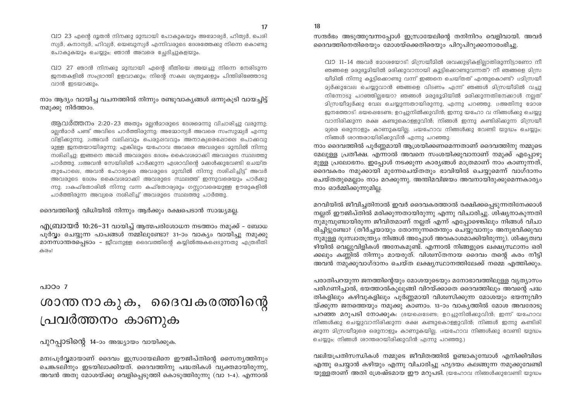18

വാ 23 എന്റെ ദൂതൻ നിനക്കു മുമ്പായി പോകുകയും അമോര്യർ, ഹിത്യർ, പെരി സ്യർ, കനാന്യർ, ഹിവ്യർ, യെബുസ്യർ എന്നിവരുടെ ദേശത്തേക്കു നിന്നെ കൊണ്ടു പോകുകയും ചെയ്യും; ഞാൻ അവരെ ച്ചേദിച്ചുകളയും.

വാ 27 ഞാൻ നിനക്കു മുമ്പായി എന്റെ ഭീതിയെ അയച്ചു നിന്നെ നേരിടുന്ന ജനതകളിൽ സംഭ്രാന്തി ഉളവാക്കും; നിന്റെ സകല ശത്രുക്കളും പിന്തിരിഞ്ഞോടു വാൻ ഇടയാക്കും.

നാം ആദ്യം വായിച്ച വചനത്തിൽ നിന്നും രണ്ടുവാകൃങ്ങൾ ഒന്നുകൂടി വായച്ചിട്ട് നമൂക്കു നിർത്താം.

ആവർത്തനം 2:20-23 അതും മലൻമാരുടെ ദേശമെന്നു വിചാരിച്ചു വരുന്നു; <u>ാല്ല</u>ൻമാർ പണ്ട് അവിടെ പാർത്തിരുന്നു; അമ്മോന്യർ അവരെ സംസുമ്മ്യർ എന്നു വിളിക്കുന്നു. 21അവർ വലിഷവും പെരുഷവവും അനാക്യരെഷോലെ പൊക്കവു ദുള്ള ജനതയായിരുന്നു; എങ്കിലും യഹോവ അവരെ അവരുടെ ദുമ്പിൽ നിന്നു നശിപ്പിച്ചു; ഇങ്ങനെ അവർ അവരുടെ ദേശം കൈവശമാക്കി അവരുടെ സ്ഥലത്തു പാർത്തു. 22അവൻ സേയിരിൽ പാർക്കുന്ന ഏശാവിന്റെ മക്കൾക്കുവേണ്ടി ചെയ്ത തുപോലെ, അവൻ ഹോര്യരെ അവരുടെ മുമ്പിൽ നിന്നു നശിഷിച്ചിട്ട് അവർ അവരുടെ ദേശം കൈവശമാക്കി അവരുടെ സ്ഥലത്ത് ഇന്നുവരെയും പാർക്കു ന്നു. 23കഫ്തോരിൽ നിന്നു വന്ന കഫ്തോര്യരും ഗസ്ലാവരെയുള്ള ഊരുകളിൽ പാർത്തിരുന്ന അവ്യരെ നശിപ്പിച്ച് അവരുടെ സ്ഥലത്തു പാർത്തു.

ദൈവത്തിന്റെ വിധിയിൽ നിന്നും ആർക്കും രക്ഷപെടാൻ സാദ്ധ്യമല്ല.

എ(ബായർ 10:26–31 വായിച് ആത്മപരിശോധന നടത്താം നമുക്ക് – ബോധ പൂർവ്വം ചെയ്യുന്ന പാപങ്ങൾ നമ്മിലുണ്ടോ? 31-ാം വാക്യം വായിച്ചു നമുക്കു മാനസാന്തരപ്പെടാം – ജീവനുള്ള ദൈവത്തിന്റെ കയ്യിൽഅകപ്പെടുന്നതു എത്രഭീതി കരം!

 $0.1000-7$ 

## ശാന്ത നാകുക, ദൈവകരത്തിന്റെ പ്രവർത്തനം കാണുക

പുറപ്പാടിന്റെ 14-ാം അദ്ധ്യായം വായിക്കുക.

മനഃപൂർവ്വമായാണ് ദൈവം ഇസ്രായേലിനെ ഈജിപ്തിന്റെ സൈന്യത്തിനും ചെങ്കടലിനും ഇടയിലാക്കിയത്. ദൈവത്തിനു പദ്ധതികൾ വ്യക്തമായിരുന്നു, അവൻ അതു മോശയ്ക്കു വെളിപ്പെടുത്തി കൊടുത്തിരുന്നു (വാ 1-4). എന്നാൽ സന്ദർഭം അടുത്തുവന്നപ്പോൾ ഇസ്രായേലിന്റെ തനിനിറം വെളിവായി. അവർ ദൈവത്തിനെതിരെയും മോശയ്ക്കെതിരെയും പിറുപിറുക്കാനാരംഭിച്ചു.

വാ 11-14 അവർ മോശയോട്: മിന്ധ്രയീമിൽ ശവക്കുഴികളിലാതിരുന്നിട്ടാണോ നീ ഞങ്ങളെ മരുഭൂമിയിൽ മരിക്കുവാനായി കൂട്ടികൊണ്ടുവന്നത്? നീ ഞങ്ങളെ മിസ്ര യീമിൽ നിന്നു കൂട്ടിക്കൊണ്ടു വന്ന് ഇങ്ങനെ ചെയ്തത് എന്തുകൊണ്ട്? 12മിസ്രയീ <u> മ്യർക്കുവേല ചെയ്യുവാൻ ഞങ്ങളെ വിടണം എന്ന് ഞങ്ങൾ മിന്ധ്രയീമിൽ വച്ചു</u> നിന്നോടു പറഞ്ഞില്ലയോ? ഞങ്ങൾ മരുഭൂമിയിൽ മരിക്കുന്നതിനേക്കാൾ നല്ലത് മിസ്രയീമ്യർക്കു വേല ചെയ്യുന്നതായിരുന്നു, എന്നു പറഞ്ഞു. ദഅതിനു മോശ ജനത്തോട്: ഭയഷെടേണ്ട; ഉറച്ചുനിൽക്കുവിൻ; ഇന്നു യഹോ വ നിങ്ങൾക്കു ചെയ്യു വാനിരിക്കുന്ന രക്ഷ കണ്ടുകൊള്ളുവിൻ; നിങ്ങൾ ഇന്നു കണ്ടിരിക്കുന്ന മിസ്രയീ 2്യരെ ഒരുനാളും കാണുകയില്ല. 14യഹോവ നിങ്ങൾക്കു വേണ്ടി യുദ്ധം ചെയ്യും; നിങ്ങൾ ശാന്തരായിരിക്കുവിൻ എന്നു പറഞ്ഞു.

നാം ദൈവത്തിൽ പൂർണ്ണമായി ആശ്രയിക്കണമെന്നതാണ് ദൈവത്തിനു നമ്മുടെ മേലുള്ള പ്രതീക്ഷ. എന്നാൽ അവനെ സംശയിക്കുവാനാണ് നമുക്ക് എപ്പോഴു മുള്ള പ്രലോഭനം. ഇപ്പോൾ നടക്കുന്ന കാര്യങ്ങൾ മാത്രമാണ് നാം കാണുന്നത്, ദൈവകരം നമുക്കായി മുന്നേചെയ്തതും ഭാവിയിൽ ചെയ്യുമെന്ന് വാഗ്ദാനം ചെയ്തതുമെല്ലാം നാം മറക്കുന്നു. അന്തിമവിജയം അവനായിരുക്കുമെന്നകാര്യം നാം ഓർമ്മിക്കുന്നുമില്ല.

മറവിയിൽ ജീവിച്ചതിനാൽ ഇവർ ദൈവകരത്താൽ രക്ഷിക്കപ്പെടുന്നതിനേക്കാൾ നല്ലത് ഈജിപ്തിൽ മരിക്കുന്നതായിരുന്നു എന്നു വിചാരിച്ചു. ശിഷ്യനാകുന്നതി നുമുമ്പുണ്ടായിരുന്ന ജീവിതമാണ് നല്ലത് എന്ന് എപ്പോഴെങ്കിലും നിങ്ങൾ വിചാ രിച്ചിട്ടുണ്ടോ? (തീർച്ചയായും തോന്നുന്നതെന്തും ചെയ്യുവാനും അനുഭവിക്കുവാ നുമുള്ള ദുഃസ്വാതന്ത്ര്യം നിങ്ങൾ അപ്പോൾ അവകാശമാക്കിയിരുന്നു). ശിഷ്യത്വവ ഴിയിൽ വെല്ലുവിളികൾ അനേകമുണ്ട്. എന്നാൽ നിങ്ങളുടെ ലക്ഷ്യസ്ഥാനം ഒരി ക്കലും കണ്ണിൽ നിന്നും മായരുത്. വിശ്വസ്തനായ ദൈവം തന്റെ കരം നീട്ടി അവൻ നമുക്കുവാഗ്ദാനം ചെയ്ത ലക്ഷ്യസ്ഥാനത്തിലേക്ക് നമ്മെ എത്തിക്കും.

പരാതിപറയുന്ന ജനത്തിന്റെയും മോശയുടെയും മനോഭാവത്തിലുള്ള വൃത്യാസം പരിഗണിച്ചാൽ, ഭയത്താൽകുലുങ്ങി വിറയ്ക്കാതെ ദൈവത്തിലും അവന്റെ പദ്ധ തികളിലും കഴിവുകളിലും പൂർണ്ണമായി വിശ്വസിക്കുന്ന മോശയും ഭയന്നുവിറ യ്ക്കുന്ന ജനത്തെയും നമുക്കു കാണാം. 13–ാം വാകൃത്തിൽ മോശ അവരോടു പറഞ്ഞ മറുപടി നോക്കുക: ഭ്രയപ്പെടേണ്ട; ഉറച്ചുനിൽക്കുവിൻ; ഇന്ന് യഹോവ നിങ്ങൾക്കു ചെയ്യുവാനിരിക്കുന്ന രക്ഷ കണ്ടുകൊള്ളുവിൻ; നിങ്ങൾ ഇന്നു കണ്ടിരി ക്കുന്ന മിസ്രയീമ്യരെ ഒരുനാളും കാണുകയില്ല. 14യഹോവ നിങ്ങൾക്കു വേണ്ടി യുദ്ധം ചെയ്യും; നിങ്ങൾ ശാന്തരായിരിക്കുവിൻ എന്നു പറഞ്ഞു.)

വലിയപ്രതിസന്ധികൾ നമ്മുടെ ജീവിതത്തിൽ ഉണ്ടാകുമ്പോൾ എനിക്കിവിടെ എന്തു ചെയ്യാൻ കഴിയും എന്നു വിചാരിച്ചു ഹൃദയം കലങ്ങുന്ന നമുക്കുവേണ്ടി യുള്ളതാണ് അതി ശ്രേഷ്ടമായ ഈ മറുപടി. (യഹോവ നിങ്ങൾകുവേണ്ടി യുദ്ധം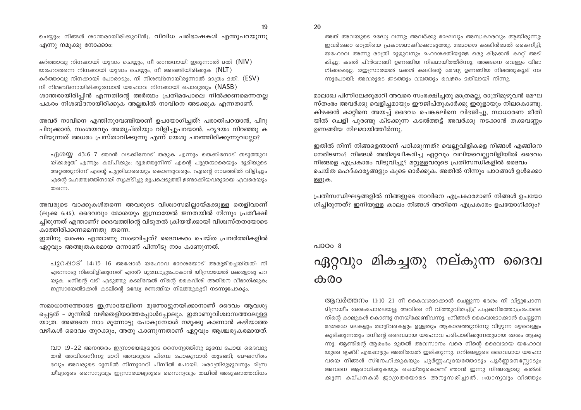ചെയ്യും; നിങ്ങൾ രാന്തരായിരിക്കുവിൻ). **വിവിധ പരിഭാഷകൾ എന്തുപറയുന്നു** എന്നു നമുക്കു നോക്കാം:

കർത്താവു നിനക്കായി യുദ്ധം ചെയ്യും, നീ രാന്തനായി ഇരുന്നാൽ മതി (NIV) യഹോതന്നെ നിനക്കായി യുദ്ധം ചെയ്യും, നീ അടങ്ങിയിരിക്കുക  $(NLT)$ കർത്താവു നിനക്കായി പോരാടും, നീ നിശബ്ദനായിരുന്നാൽ മാത്രം മതി. (ESV) നീ നിശബ്ദനായിരിക്കുമ്പോൾ യഹോവ നിനക്കായി പൊരുതും  $(NASB)$ ശാന്തരായിരിപ്പിൻ എന്നതിന്റെ അർത്ഥം പ്രതിമപോലെ നിൽക്കണമെന്നതല്ല പകരം നിശബ്ദനായിരിക്കുക അല്ലങ്കിൽ നാവിനെ അടക്കുക എന്നതാണ്.

അവർ നാവിനെ എന്തിനുവേണ്ടിയാണ് ഉപയോഗിച്ചത്? പരാതിപറയാൻ, പിറു പിറുക്കാൻ, സംശയവും അതൃപ്തിയും വിളിച്ചുപറയാൻ. ഹൃദയം നിറഞ്ഞു ക വിയുന്നത് അധരം പ്രസ്താവിക്കുന്നു എന്ന് യേശു പറഞ്ഞിരിക്കുന്നുവലോ?

ഏശയ്യ 43:6-7 ഞാൻ വടക്കിനോട് തരുക എന്നും തെക്കിനോട് തടുത്തുവ യ്ക്കരുത് എന്നും കല്പിക്കും; ദൂരത്തുനിന്ന് എന്റെ പുത്രന്മാരെയും ഭൂമിയുടെ അറ്റത്തുനിന്ന് എന്റെ പുത്രിമാരെയും കൊണ്ടുവരും. 7എന്റെ നാമത്തിൽ വിളിച്ചും എന്റെ മഹത്ത്വത്തിനായി സൃഷ്ടിച്ചു രൂപപ്പെടുത്തി ഉണ്ടാക്കിയവരുമായ ഏവരെയും തന്നെ.

അവരുടെ വാക്കുകൾതന്നെ അവരുടെ വിശ്വാസമില്ലായ്മക്കുള്ള തെളിവാണ് (ലുക്ക 6:45). ദൈവവും മോശയും ഇസ്രായേൽ ജനതയിൽ നിന്നും പ്രതീക്ഷി ച്ചിരുന്നത് എന്താണ്? ദൈവത്തിന്റെ വിടുതൽ ക്രിയയ്ക്കായി വിശ്വസ്തതയോടെ കാത്തിരിക്കണമെന്നതു തന്നെ.

ഇതിനു ശേഷം എന്താണു സംഭവിച്ചത്? ദൈവകരം ചെയ്ത പ്രവർത്തികളിൽ ഏറ്റവും അത്ഭുതകരമായ ഒന്നാണ് പിന്നീടു നാം കാണുന്നത്.

പുറപ്പാട് 14:15-16 അപ്പോൾ യഹോവ മോശയോട് അരുളിച്ചെയ്തത്: നീ എന്നോടു നിലവിളിക്കുന്നത് എന്ത്? മുമ്പോട്ടുപോകാൻ യിസ്രായേൽ മക്കളോടു പറ യുക. ഞിന്റെ വടി എടുത്തു കടലിന്മേൽ നിന്റെ കൈവീശി അതിനെ വിഭാഗിക്കുക; ഇസ്രായേൽമക്കൾ കടലിന്റെ മദ്ധ്യേ ഉണങ്ങിയ നിലത്തുകൂടി നടന്നുപോകും.

സമാധാനത്തോടെ ഇസ്രായേലിനെ മുന്നോട്ടുനയിക്കാനാണ് ദൈവം ആവശ്യ പ്പെട്ടത് - മുന്നിൽ വഴിതെളിയാത്തപ്പോൾപ്പോലും. ഇതാണുവിശ്വാസത്താലുള്ള യാത്ര. അങ്ങനെ നാം മുന്നോട്ടു പോകുമ്പോൾ നമുക്കു കാണാൻ കഴിയാത്ത വഴികൾ ദൈവം തുറക്കും, അതു കാണുന്നതാണ് ഏറ്റവും ആശ്ചര്യകരമായത്.

 $\Omega$ 12 19-22 അനന്തരം ഇസ്രായേല്യരുടെ സൈന്യത്തിനു മുമ്പേ പോയ ദൈവദൂ തൻ അവിടെനിന്നു മാറി അവരുടെ പിമ്പേ പോകുവാൻ തുടങ്ങി; മേഘസ്തം ഭവും അവരുടെ മുമ്പിൽ നിന്നുമാറി പിമ്പിൽ പോയി. 20രാത്രിമുഴുവനും മിസ്ര യീമ്യരുടെ സൈന്യവും ഇന്ധ്രായേല്യരുടെ സൈന്യവും തമ്മിൽ അടുക്കാത്തവിധം

അത് അവയുടെ മദ്ധ്യേ വന്നു; അവർക്കു മേഘവും അന്ധകാരവും ആയിരുന്നു; ഇവർക്കോ രാത്രിയെ പ്രകാശമാക്കിക്കൊടുത്തു. 218മാശെ കടലിൻമേൽ കൈനീട്ടി; യഹോവ അന്നു രാത്രി മുഴുവനും മഹാശക്തിയുള്ള ഒരു കിഴക്കൻ കാറ് അടി ഷിച്ചു; കടൽ പിൻവാങ്ങി ഉണങ്ങിയ നിലമായിത്തീർന്നു; അങ്ങനെ വെള്ളം വിഭാ ഗിക്കപ്പെട്ടു. 22ഇസ്രായേൽ മക്കൾ കടലിന്റെ മദ്ധ്യേ ഉണങ്ങിയ നിലത്തുകൂടി നട ന്നുപോയി; അവരുടെ ഇടത്തും വലത്തും വെള്ളം മതിലായി നിന്നു.

മാലാഖ പിന്നിലേക്കുമാറി അവരെ സംരക്ഷിച്ചതു മാത്രമല്ല, രാത്രിമുഴുവൻ മേഘ സ്തംഭം അവർക്കു വെളിച്ചമായും ഈജിപ്തുകാർക്കു ഇരുളായും നിലകൊണ്ടു. കിഴക്കൻ കാറ്റിനെ അയച്ച് ദൈവം ചെങ്കടലിനെ വിഭജിച്ചു, സാധാരണ രീതി യിൽ ചെളി പുരണ്ടു കിടക്കുന്ന കടൽത്തട്ട് അവർക്കു നടക്കാൻ തക്കവണ്ണം ഉണങ്ങിയ നിലമായിത്തീർന്നു.

ഇതിൽ നിന്ന് നിങ്ങളെന്താണ് പഠിക്കുന്നത്? വെല്ലുവിളികളെ നിങ്ങൾ എങ്ങിനെ നേരിടണം? നിങ്ങൾ അഭിമുഖീകരിച്ച ഏറ്റവും വലിയവെല്ലുവിളിയിൽ ദൈവം നിങ്ങളെ എപ്രകാരം വിടുവിച്ചു? മറ്റുള്ളവരുടെ പ്രതിസന്ധികളിൽ ദൈവം ചെയ്ത മഹദ്കാര്യങ്ങളും കുടെ ഓർക്കുക. അതിൽ നിന്നും പാഠങ്ങൾ ഉൾക്കൊ ള്ളുക.

പ്രതിസന്ധിഘട്ടങ്ങളിൽ നിങ്ങളുടെ നാവിനെ എപ്രകാരമാണ് നിങ്ങൾ ഉപയോ ഗിച്ചിരുന്നത്? ഇനിയുള്ള കാലം നിങ്ങൾ അതിനെ എപ്രകാരം ഉപയോഗിക്കും?

### പാഠം 8 ഏറ്റവും മികച്ചതു നല്കുന്ന ദൈവ കരം

ആവർത്തനം 11:10-21 നീ കൈവരമാക്കാൻ ചെല്ലുന്ന ദേശം നീ വിട്ടുപോന്ന <u> ദിസ്രയീം ദേശംപോലെയല്ല; അവിടെ നീ വിത്തുവിതച്ചിട്ട് പച്ചക്കറിത്തോട്ടംപോലെ</u> നിന്റെ കാലുകൾ കൊണ്ടു നനയ്ക്കേണ്ടിവന്നു. imിങ്ങൾ കൈവശമാക്കാൻ ചെല്ലുന്ന ദേശമോ മലകളും താഴ്വരകളും ഉള്ളതും ആകാശത്തുനിന്നു വീഴുന്ന മഴവെള്ളം കുടിക്കുന്നതും 12നിന്റെ ദൈവമായ യഹോവ പരിപാലിക്കുന്നതുമായ ദേശം ആകു ന്നു. ആണ്ടിന്റെ ആരംഭം മുതൽ അവസാനം വരെ നിന്റെ ദൈവമായ യഹോവ യുടെ ദൃഷ്ടി എഷോഴും അതിന്മേൽ ഇരിക്കുന്നു. 13നിങ്ങളുടെ ദൈവമായ യഹോ വയെ നിങ്ങൾ സ്നേഹിക്കുകയും പൂർണ്ണഹൃദയത്തോടും പൂർണ്ണമനസ്സോടും അവനെ ആരാധിക്കുകയും ചെയ്തുകൊണ്ട് ഞാൻ ഇന്നു നിങ്ങളോടു കൽപ്പി ക്കുന്ന കല്പനകൾ ജാഗ്രതയോടെ അനുസരിച്ചാൽ, 14ധാന്യവും വീഞ്ഞും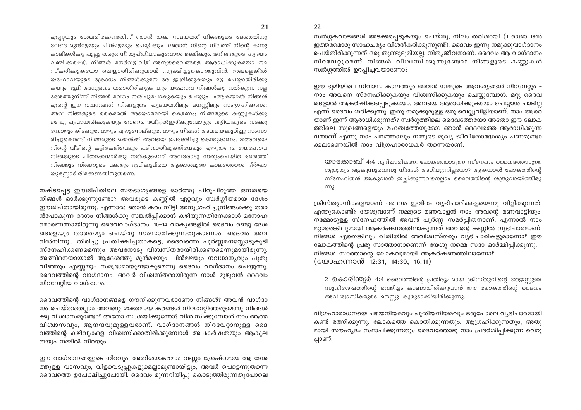എണ്ണയും ശേഖരിക്കേണ്ടതിന് ഞാൻ തക്ക സമയത്ത് നിങ്ങളുടെ ദേശത്തിനു വേണ്ട മുൻമഴയും പിൻമഴയും പെയ്യിക്കും. 15ഞാൻ നിന്റെ നിലത്ത് നിന്റെ കന്നു കാലികൾക്കു പുല്ലു തരും; നീ തൃപ്തിയാകുവോളം ഭക്ഷിക്കും.  $\frac{1}{1000}$ ങ്ങളുടെ ഹൃദയം വഞ്ചിക്കപ്പെട്ട്, നിങ്ങൾ നേർവഴിവിട്ട് അന്യദൈവങ്ങളെ ആരാധിക്കുകയോ നമ സ്കരിക്കുകയോ ചെയ്യാതിരിക്കുവാൻ സൂക്ഷിച്ചുകൊള്ളുവിൻ. 17അല്ലെങ്കിൽ യഹോവയുടെ ക്രോധം നിങ്ങൾക്കുനേ രേ ജ്വലിക്കുകയും മഴ പെയ്യാതിരിക്കു കയും ഭൂമി അനുഭവം തരാതിരിക്കുക യും യഹോവ നിങ്ങൾക്കു നൽകുന്ന നല്ല ഭേശത്തുനിന്ന് നിങ്ങൾ വേഗം നശിച്ചുപോകുകയും ചെയ്യും. 18ആകയാൽ നിങ്ങൾ എന്റെ ഈ വചനങ്ങൾ നിങ്ങളുടെ ഹൃദയത്തിലും മനസ്സിലും സംഗ്രഹിക്കണം; അവ നിങ്ങളുടെ കൈമേൽ അടയാളമായി കെട്ടണം; നിങ്ങളുടെ കണ്ണുകൾക്കു മദ്ധ്യേ പട്ടമായിരിക്കുകയും വേണം. ചുവീട്ടിൽഇരിക്കുമ്പോഴും വഴിയിലൂടെ നടക്കു മ്പോഴും കിടക്കുമ്പോഴും എഴുന്നേല്കുമ്പോഴും നിങ്ങൾ അവയെക്കുറിച്ചു സംസാ രിച്ചുകൊണ്ട് നിങ്ങളുടെ മക്കൾക്ക് അവയെ ഉപദേശിച്ചു കൊടുക്കണം. 20അവയെ നിന്റെ വീടിന്റെ കട്ടിളകളിന്മേലും പടിവാതിലുകളിന്മേലും എഴുതണം. 21യഹോവ നിങ്ങളുടെ പിതാക്കന്മാർക്കു നൽകുമെന്ന് അവരോടു സത്യംചെയ്ത ദേശത്ത് നിങ്ങളും നിങ്ങളുടെ മക്കളും ഭൂമിക്കുമീതെ ആകാശമുള്ള കാലത്തോളം ദീർഘാ യുസ്സോടിരിക്കേണ്ടതിനുതന്നെ.

നഷ്ടപ്പെട്ട ഈജിപ്തിലെ സൗഭാഗൃങ്ങളെ ഓർത്തു പിറുപിറുത്ത ജനതയെ നിങ്ങൾ ഓർക്കുന്നുണ്ടോ? അവരുടെ കണ്ണിൽ ഏറ്റവും സ്വർഗ്ഗീയമായ ദേശം ഈജിപ്തായിരുന്നു. എന്നാൽ ഞാൻ കരം നീട്ടി അനുഗ്രഹിച്ചുനിങ്ങൾക്കു തരാ ൻപോകുന്ന ദേശം നിങ്ങൾക്കു സങ്കൽപ്പിക്കാൻ കഴിയുന്നതിനേക്കാൾ മനോഹ രമാണെന്നായിരുന്നു ദൈവവാഗ്ദാനം. 10–14 വാകൃങ്ങളിൽ ദൈവം രണ്ടു ദേശ ങ്ങളെയും താരതമ്യം ചെയ്തു സംസാരിക്കുന്നതുകാണാം. ദൈവം അവ രിൽനിന്നും തിരിച്ചു പ്രതീക്ഷിച്ചതാകട്ടെ, ദൈവത്തെ പൂർണ്ണമനസ്സോടുകൂടി സ്നേഹിക്കണമെന്നും അവനോടു വിശ്വസ്തരായിരിക്കണമെന്നുമായിരുന്നു. അങ്ങിനെയായാൽ ആദേശത്തു മുൻമഴയും പിൻമഴയും നവധാനൃവും പുതു വീഞ്ഞും എണ്ണയും സമൃദ്ധമായുണ്ടാകുമെന്നു ദൈവം വാഗ്ദാനം ചെയ്യുന്നു. ദൈവത്തിന്റെ വാഗ്ദാനം. അവർ വിശ്വസ്തരായിരുന്ന നാൾ മുഴുവൻ ദൈവം നിറവേറ്റിയ വാഗ്ദാനം.

ദൈവത്തിന്റെ വാഗ്ദാനങ്ങളെ ഗൗനിക്കുന്നവരാണോ നിങ്ങൾ? അവൻ വാഗ്ദാ നം ചെയ്തതെല്ലാം അവന്റെ ശക്തമായ കരങ്ങൾ നിറവേറ്റിത്തരുമെന്നു നിങ്ങൾ ക്കു വിശ്വാസമുണ്ടോ? അതോ സംശയിക്കുന്നോ? വിശ്വസിക്കുമ്പോൾ നാം ആത്മ വിശ്വാസവും, ആനന്ദവുമുള്ളവരാണ്. വാഗ്ദാനങ്ങൾ നിറവേറ്റാനുള്ള ദൈ വത്തിന്റെ കഴിവുകളെ വിശ്വസിക്കാതിരിക്കുമ്പോൾ അപകർഷതയും ആകുല തയും നമ്മിൽ നിറയും.

ഈ വാഗ്ദാനങ്ങളുടെ നിറവും, അതിശയകരമാം വണ്ണം ശ്രേഷ്ഠമായ ആ ദേശ ത്തുള്ള വാസവും, വിളവെടുപ്പുകളുമെല്ലാമുണ്ടായിട്ടും, അവർ പെട്ടെന്നുതന്നെ ദൈവത്തെ ഉപേക്ഷിച്ചുപോയി. ദൈവം മുന്നറിയിപ്പു കൊടുത്തിരുന്നതുപോലെ 22

സ്വർഗ്ഗകവാടങ്ങൾ അടക്കപ്പെടുകയും ചെയ്തു, നിലം തരിശായി (1 രാജാ 18ൽ ഇത്തരമൊരു സാഹചര്യം വിശദീകരിക്കുന്നുണ്ട്). ദൈവം ഇന്നു നമുക്കുവാഗ്ദാനം ചെയ്തിരിക്കുന്നത് ഒരു തുണ്ടുഭുമിയല്ല, നിത്യജീവനാണ്. ദൈവം ആ വാഗ്ദാനം നിറവേറ്റുമെന്ന് നിങ്ങൾ വിശ്വസിക്കുന്നുണ്ടോ? നിങ്ങളുടെ കണ്ണുകൾ സ്വർഗ്ഗത്തിൽ ഉറപ്പിച്ചവയാണോ?

ഈ ഭൂമിയിലെ നിവാസ കാലത്തും അവൻ നമ്മുടെ ആവശ്യങ്ങൾ നിറവേറ്റും -നാം അവനെ സ്നേഹിക്കുകയും വിശ്വസിക്കുകയും ചെയ്യുമ്പോൾ. മറ്റു ദൈവ ങ്ങളാൽ ആകർഷിക്കപ്പെടുകയോ, അവയെ ആരാധിക്കുകയോ ചെയ്യാൻ പാടില്ല എന്ന് ദൈവം ശഠിക്കുന്നു. ഇതു നമുക്കുമുള്ള ഒരു വെല്ലുവിളിയാണ്. നാം ആരെ യാണ് ഇന്ന് ആരാധിക്കുന്നത്? സ്വർഗ്ഗത്തിലെ ദൈവത്തേയോ അതോ ഈ ലോക ത്തിലെ സുഖങ്ങളെയും മഹത്വത്തേയുമോ? ഞാൻ ദൈവത്തെ ആരാധിക്കുന്ന വനാണ് എന്നു നാം പറഞ്ഞാലും നമ്മുടെ മുഖ്യ ജീവിതോദ്ധേശ്യം പണമുണ്ടാ ക്കലാണെങ്കിൽ നാം വിഗ്രഹാരാധകർ തന്നെയാണ്.

യാക്കോബ് 4:4 വ്യഭിചാരികളേ, ലോകത്തോടുള്ള സ്നേഹം ദൈവത്തോടുള്ള ശത്രുത്വം ആകുന്നുവെന്നു നിങ്ങൾ അറിയുന്നില്ലയോ? ആകയാൽ ലോകത്തിന്റെ സ്നേഹിതൻ ആകുവാൻ ഇച്ചിക്കുന്നവനെല്ലാം ദൈവത്തിന്റെ ശത്രുവായിത്തീരു  $m<sub>2</sub>$ .

ക്രിസ്ത്യാനികളെയാണ് ദൈവം ഇവിടെ വ്യഭിചാരികളേയെന്നു വിളിക്കുന്നത്. എന്തുകൊണ്ട്? യേശുവാണ് നമ്മുടെ മണവാളൻ നാം അവന്റെ മണവാട്ടിയും. നമ്മോടുള്ള സ്നേഹത്തിൽ അവൻ പൂർണ്ണ സമർപ്പിതനാണ്. എന്നാൽ നാം മറ്റാരെങ്കിലുമായി ആകർഷണത്തിലാകുന്നത് അവന്റെ കണ്ണിൽ വ്യഭിചാരമാണ്. നിങ്ങൾ ഏതെങ്കിലും രീതിയിൽ അവിശ്വസ്തരും വ്യഭിചാരികളുമാണോ? ഈ ലോകത്തിന്റെ പ്രഭു സാത്താനാണെന്ന് യേശു നമ്മെ സദാ ഓർമ്മിപ്പിക്കുന്നു. നിങ്ങൾ സാത്താന്റെ ലോകവുമായി ആകർഷണത്തിലാണോ? (യോഹന്നാൻ 12:31, 14:30, 16:11)

2 കൊരിന്ത്യർ 4:4 ദൈവത്തിന്റെ പ്രതിരൂപമായ ക്രിസ്തുവിന്റെ തേജസ്സുള്ള സുവിശേഷത്തിന്റെ വെളിച്ചം കാണാതിരിക്കുവാൻ ഈ ലോകത്തിന്റെ ദൈവം അവിശ്വാസികളുടെ മനസ്സു കുരുടാക്കിയിരിക്കുന്നു.

വിഗ്രഹാരാധനയെ പഴയനിയമവും പുതിയനിയമവും ഒരുപോലെ വ്യഭിചാരമായി കണ്ട് ഭത്സിക്കുന്നു. ലോകത്തെ കൊതിക്കുന്നതും, ആഗ്രഹിക്കുന്നതും, അതു മായി സൗഹൃദം സ്ഥാപിക്കുന്നതും ദൈവത്തോടു നാം പ്രദർശിപ്പിക്കുന്ന വെറു പ്പാണ്.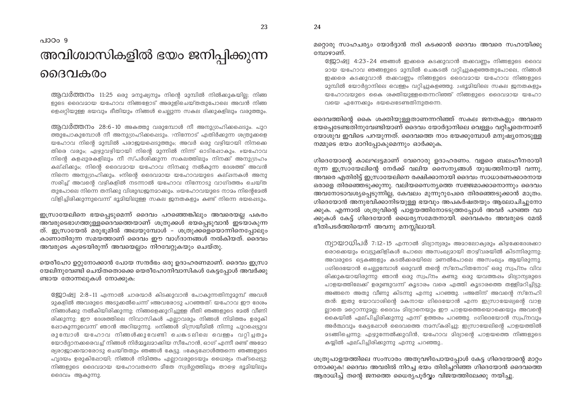24

പാഠം 9

# അവിശ്വാസികളിൽ ഭയം ജനിപ്പിക്കുന്ന ദൈവകരം

ആവർത്തനം 11:25 ഒരു മനുഷ്യനും നിന്റെ മുമ്പിൽ നിൽക്കുകയില്ല; നിങ്ങ ളുടെ ദൈവമായ യഹോവ നിങ്ങളോട് അരുളിചെയ്തതുപോലെ അവൻ നിങ്ങ ളെപ്പറിയുള്ള ഭയവും ഭീതിയും നിങ്ങൾ ചെല്പുന്ന സകല ദിക്കുകളിലും വരുത്തും.

ആവർത്തനം 28:6-10 അകത്തു വരുമ്പോൾ നീ അനുഗ്രഹിക്കപ്പെടും. പുറ ത്തുപോകുമ്പോൾ നീ അനുഗ്രഹിക്കപ്പെടും. 7നിന്നോട് എതിർക്കുന്ന ശത്രുക്കളെ യഹോവ നിന്റെ മുമ്പിൽ പരാജയപ്പെടുത്തും; അവർ ഒരു വഴിയായി നിനക്കെ തിരെ വരും; ഏഴുവഴിയായി നിന്റെ മുന്നിൽ നിന്ന് ഓടിഷോകും. ഃയഹോവ നിന്റെ കളപ്പുരകളിലും നീ സ്പർശിക്കുന്ന സകലത്തിലും നിനക്ക് അനുഗ്രഹം കല്ഷിക്കും; നിന്റെ ദൈവമായ യഹോവ നിനക്കു നൽകുന്ന ദേശത്ത് അവൻ നിന്നെ അനുഗ്രഹിക്കും. ംനിന്റെ ദൈവമായ യഹോവയുടെ കല്ഷനകൾ അനു സരിച്ച് അവന്റെ വഴികളിൽ നടന്നാൽ യഹോവ നിന്നോടു വാഗ്ദത്തം ചെയ്ത തുപോലെ നിന്നെ തനിക്കു വിശുദ്ധജനമാക്കും. 10യഹോവയുടെ നാമം നിന്റെമേൽ വിളിച്ചിരിക്കുന്നുവെന്ന് ഭൂദിയിലുള്ള സകല ജനതകളും കണ്ട് നിന്നെ ഭയപ്പെടും.

ഇസ്രായേലിനെ ഭയപ്പെടുമെന്ന് ദൈവം പറഞ്ഞെങ്കിലും അവരെയല്ല പകരം അവരുടെഭാഗത്തുള്ളദൈവത്തെയാണ് ശത്രുക്കൾ ഭയപ്പെടുവാൻ ഇടയാകുന്ന ത്. ഇസ്രായേൽ മരുഭൂമിൽ അലയുമ്പോൾ - ശത്രുക്കളെയൊന്നിനെപ്പോലും കാണാതിരുന്ന സമയത്താണ് ദൈവം ഈ വാഗ്ദാനങ്ങൾ നൽകിയത്. ദൈവം അവരുടെ കൂടെയിരുന്ന് അവയെല്ലാം നിറവേറ്റുകയും ചെയ്തു.

യെരീഹോ ഉറ്റുനോക്കാൻ പോയ സന്ദർഭം ഒരു ഉദാഹരണമാണ്. ദൈവം ഇസ്രാ യേലിനുവേണ്ടി ചെയ്തതൊക്കെ യെരീഹോനിവാസികൾ കേട്ടപ്പോൾ അവർക്കു ണ്ടായ തോന്നലുകൾ നോക്കുക:

8ജ്ജാഷ്വ 2:8-11 എന്നാൽ ചാരന്മാർ കിടക്കുവാൻ പോകുന്നതിനുമുമ്പ് അവൾ മുകളിൽ അവരുടെ അടുക്കൽചെന്ന് 9അവരോടു പറഞ്ഞത്: യഹോവ ഈ ദേശം നിങ്ങൾക്കു നൽകിയിരിക്കുന്നു; നിങ്ങളെക്കുറിച്ചുള്ള ഭീതി ഞങ്ങളുടെ മേൽ വീണി രിക്കുന്നു; ഈ ദേശത്തിലെ നിവാസികൾ എല്ലാവരും നിങ്ങൾ നിമിത്തം ഉരുകി ഷോകുന്നുവെന്ന് ഞാൻ അറിയുന്നു. 10നിങ്ങൾ മിസ്രയീമിൽ നിന്നു പുറപ്പെട്ടുവ രുമ്പോൾ യഹോവ നിങ്ങൾക്കുവേണ്ടി ചെങ്കടലിലെ വെള്ളം വറ്റിച്ചതും യോർദ്ദാനക്കരെവച്ച് നിങ്ങൾ നിർമ്മൂലമാക്കിയ സീഹോൻ, ഓഗ് എന്നീ രണ്ട് അമോ ര്യരാജാക്കന്മാരോടു ചെയ്തതും ഞങ്ങൾ കേട്ടു. 11കേട്ടപ്പോൾത്തന്നെ ഞങ്ങളുടെ ഹൃദയം ഉരുകിഷോയി; നിങ്ങൾ നിമിത്തം എല്ലാവരുടെയും ധൈര്യം നഷ്ടപ്പെട്ടു; നിങ്ങളുടെ ദൈവമായ യഹോവതന്നെ മീതേ സ്വർഗ്ഗത്തിലും താഴെ ഭൂമിയിലും ദൈവം ആകുന്നു.

മറ്റൊരു സാഹചര്യം യോർദ്ദാൻ നദി കടക്കാൻ ദൈവം അവരെ സഹായിക്കു മ്പോഴാണ്.

8ജ്ജാഷ്വ 4:23-24 ഞങ്ങൾ ഇക്കരെ കടക്കുവാൻ തക്കവണ്ണം നിങ്ങളുടെ ദൈവ മായ യഹോവ ഞങ്ങളുടെ മുമ്പിൽ ചെങ്കടൽ വറിച്ചുകളഞ്ഞതുപോലെ, നിങ്ങൾ ഇക്കരെ കടക്കുവാൻ തക്കവണ്ണം നിങ്ങളുടെ ദൈവമായ യഹോവ നിങ്ങളുടെ 23മ്പിൽ യോർദ്ദാനിലെ വെള്ളം വറ്റിച്ചുകളഞ്ഞു. 24ഭൂമിയിലെ സകല ജനതകളും യഹോവയുടെ കൈ ശക്തിയുള്ളതെന്നറിഞ്ഞ് നിങ്ങളുടെ ദൈവമായ യഹോ വയെ എന്നേക്കും ഭയപ്പെടേണ്ടതിനുതന്നെ.

ദൈവത്തിന്റെ കൈ ശക്തിയുള്ളതാണന്നറിഞ്ഞ് സകല ജനതകളും അവനെ ഭയപ്പെടേണ്ടതിനുവേണ്ടിയാണ് ദൈവം യോർദ്ദാനിലെ വെള്ളം വറ്റിച്ചതെന്നാണ് യോശുവ ഇവിടെ പറയുന്നത്. ദൈവത്തെ നാം ഭയക്കുമ്പോൾ മനുഷ്യനോടുള്ള നമ്മുടെ ഭയം മാറിപ്പോകുമെന്നും ഓർക്കുക.

ഗിദെയോന്റെ കാലഘട്ടമാണ് വേറൊരു ഉദാഹരണം. വളരെ ബലഹീനരായി രുന്ന ഇസ്രായേലിന്റെ നേർക്ക് വലിയ സൈന്യങ്ങൾ യുദ്ധത്തിനായി വന്നു. അവരെ എതിരിട്ട് ഇസ്രായേലിനെ രക്ഷിക്കാനായി ദൈവം സാധാരണക്കാരനായ ഒരാളെ തിരഞ്ഞെടുക്കുന്നു. വലിയസൈന്യത്തെ സജ്ജമാക്കാനൊന്നും ദൈവം അവനോടാവശ്യപ്പെടുന്നില്ല, കേവലം മുന്നൂറുപേരെ തിരഞ്ഞെടുക്കാൻ മാത്രം. ഗിദെയോൻ അനുഭവിക്കാനിടയുള്ള ഭയവും അപകർഷതയും ആലോചിച്ചുനോ ക്കുക. എന്നാൽ ശത്രുവിന്റെ പാളയത്തിനോടടുത്തപ്പോൾ അവർ പറഞ്ഞ വാ ക്കുകൾ കേട്ട് ഗിദെയോൻ ധൈര്യസമേതനായി. ദൈവകരം അവരുടെ മേൽ ഭീതിപടർത്തിയെന്ന് അവനു മനസ്സിലായി.

ന്യായാധിപർ 7:12-15 എന്നാൽ മിദ്യാന്യരും അമാലോക്യരും കിഴക്കേദേശക്കാ രൊക്കെയും വെട്ടുക്കിളികൾ പോലെ അസംഖ്യമായി താഴ്വരയിൽ കിടന്നിരുന്നു; അവരുടെ ഒട്ടകങ്ങളും കടൽക്കരയിലെ മണൽപോലെ അസംഖ്യം ആയിരുന്നു. 13ഗിദെയോൻ ചെല്ലുമ്പോൾ ഒരുവൻ തന്റെ സ്നേഹിതനോട് ഒരു സ്വപ്നം വിവ രിക്കുകയായിരുന്നു: ഞാൻ ഒരു സ്വപ്നം കണ്ടു; ഒരു യവത്തഷം മിദ്യാന്യരുടെ പാളയത്തിലേക്ക് ഉരുണ്ടുവന്ന് കൂടാരം വരെ എത്തി കൂടാരത്തെ തള്ളിമറിച്ചിട്ടു; അങ്ങനെ അതു വീണു കിടന്നു എന്നു പറഞ്ഞു. 14അതിന് അവന്റെ സ്നേഹി തൻ: ഇതു യോവാശിന്റെ മകനായ ഗിദെയോൻ എന്ന ഇസ്രായേല്യന്റെ വാള ല്ലാതെ മറ്റൊന്നുമല്ല; ദൈവം മിദ്യാനെയും ഈ പാളയത്തെയൊക്കെയും അവന്റെ കൈയിൽ ഏല്പിച്ചിരിക്കുന്നു എന്ന് ഉത്തരം പറഞ്ഞു. 15ഗിദെയോൻ സ്വപ്നവും അർത്ഥവും കേട്ടഷോൾ ദൈവത്തെ നമസ്കരിച്ചു; ഇസ്രായേലിന്റെ പാളയത്തിൽ മടങ്ങിച്ചെന്നു; എഴുന്നേൽക്കുവിൻ, യഹോവ മിദ്യാന്റെ പാളയത്തെ നിങ്ങളുടെ കയ്യിൽ ഏല്പിച്ചിരിക്കുന്നു എന്നു പറഞ്ഞു..

ശത്രുപാളയത്തിലെ സംസാരം അതുവഴിപോയപ്പോൾ കേട്ട ഗിദെയോന്റെ മാറ്റം നോക്കുക! ദൈവം അവരിൽ നിറച്ച ഭയം തിരിച്ചറിഞ്ഞ ഗിദെയോൻ ദൈവത്തെ ആരാധിച്ച് തന്റെ ജനത്തെ ധൈര്യപൂർവ്വം വിജയത്തിലേക്കു നയിച്ചു.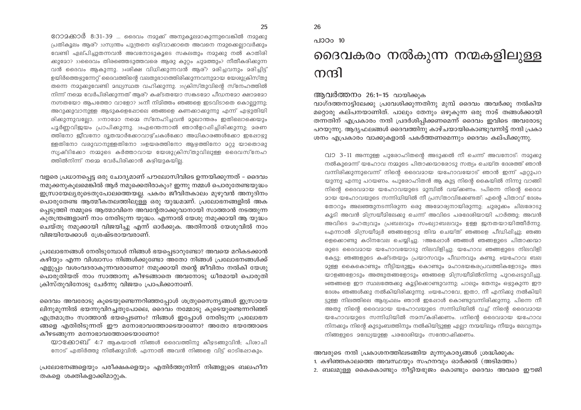0ോമക്കാർ 8:31-39 ... ദൈവം നമുക്ക് അനുകൂലമാകുന്നുവെങ്കിൽ നമുക്കു പ്രതികുലം അര്?ുദസ്വന്തം പുത്രനെ ഒഴിവാക്കാതെ അവനെ നമ്മുക്കെലാവർക്കും വേണ്ടി ഏല്പിച്ചുതന്നവൻ അവനോടുകൂടെ സകലതും നമുക്കു നൽ കാതിരി ക്കുമോ? ദാദൈവം തിരഞ്ഞെടുത്തവരെ ആരു കുറ്റം ചുമത്തും? നീതീകരിക്കുന്ന

വൻ ദൈവം ആകുന്നു. 34ശിക്ഷ വിധിക്കുന്നവൻ ആര്? മരിച്ചവനും മരിച്ചിട്ട് ഉയിർത്തെഴുന്നേറ് ദൈവത്തിന്റെ വലതുഭാഗത്തിരിക്കുന്നവനുമായ യേശുക്രിസ്തു തന്നെ നമുക്കുവേണ്ടി മദ്ധ്യസ്ഥത വഹിക്കുന്നു. 35/കിസ്തുവിന്റെ സ്നേഹത്തിൽ നിന്ന് നമ്മെ വേർപിരിക്കുന്നത് ആര്? കഷ്ടതയോ സകടമോ പീഡനമോ ക്ഷാമമോ നഗ്നതയോ ആപത്തോ വാളോ? 36നീ നിമിത്തം ഞങ്ങളെ ഇടവിടാതെ കൊല്ലുന്നു; അറുക്കുവാനുള്ള ആടുകളെപ്പോലെ ഞങ്ങളെ കണക്കാക്കുന്നു എന്ന് എഴുതിയി രിക്കുന്നുവല്വോ.  $3700820$  നമ്മെ സ്നേഹിച്ചവൻ മുഖാന്തരം ഇതിലൊക്കെയും പൂർണ്ണവിജയം പ്രാപിക്കുന്നു. ഃഎന്തെന്നാൽ ഞാൻഉറപ്പിച്ചിരിക്കുന്നു; മരണ ത്തിനോ ജീവനോ ദൂതന്മാർക്കോവാഴ്ചകൾക്കോ അധികാരങ്ങൾക്കോ ഇപ്പോഴു ള്ളതിനോ വരുവാനുള്ളതിനോ ദ്വാേയരത്തിനോ ആഴത്തിനോ മറ്റു യാതൊരു സൃഷ്ടിക്കോ നമ്മുടെ കർത്താവായ യേശുക്രിസ്തുവിലുള്ള ദൈവസ്നേഹ ത്തിൽനിന്ന് നമ്മെ വേർപിരിക്കാൻ കഴിയുകയില്ല.

വളരെ പ്രധാനപ്പെട്ട ഒരു ചോദ്യമാണ് പൗലോസിവിടെ ഉന്നയിക്കുന്നത് – ദൈവം നമുക്കനുകൂലമെങ്കിൽ ആർ നമുക്കെതിരാകും? ഇന്നു നമ്മൾ പൊരുതേണ്ടയുദ്ധം ഇസ്രായേല്യരുടെതുപോലത്തെയല്ല. പകരം ജീവിതകാലം മുഴുവൻ അനുദിനം പൊരുതേണ്ട ആത്മീകതലത്തിലുള്ള ഒരു യുദ്ധമാണ്. പ്രലോഭനങ്ങളിൽ അക പ്പെടുത്തി നമ്മുടെ ആത്മാവിനെ അവന്റേതാക്കുവാനായി സാത്താൻ നടത്തുന്ന കുതന്ത്രങ്ങളാണ് നാം നേരിടുന്ന യുദ്ധം. എന്നാൽ യേശു നമുക്കായി ആ യുദ്ധം ചെയ്തു നമുക്കായി വിജയിച്ചു എന്ന് ഓർക്കുക. അതിനാൽ യേശുവിൽ നാം വിജയിയേക്കാൾ ശ്രേഷ്ടരായവരാണ്.

പ്രലോഭനങ്ങൾ നേരിടുമ്പോൾ നിങ്ങൾ ഭയപ്പെടാറുണ്ടോ? അവയെ മറികടക്കാൻ കഴിയും എന്ന വിശ്വാസം നിങ്ങൾക്കുണ്ടോ അതോ നിങ്ങൾ പ്രലോഭനങ്ങൾക്ക് എളുപ്പം വശംവദരാകുന്നവരാണോ? നമുക്കായി തന്റെ ജീവിതം നൽകി യേശു പൊരുതിയത് നാം സാത്താനു കീഴടങ്ങാതെ അവനോടു ധീരമായി പൊരുതി ക്രിസ്തുവിനോടു ചേർന്നു വിജയം പ്രാപിക്കാനാണ്.

ദൈവം അവരോടു കൂടെയുണ്ടെന്നറിഞ്ഞപ്പോൾ ശത്രുസൈന്യങ്ങൾ ഇസ്രായേ ലിനുമുന്നിൽ ഭയന്നുവിറച്ചതുപോലെ, ദൈവം നമ്മോടു കൂടെയുണ്ടെന്നറിഞ്ഞ് എത്രമാത്രം സാത്താൻ ഭയപ്പെടണം? നിങ്ങൾ ഇപ്പോൾ നേരിടുന്ന പ്രലോഭന ങ്ങളെ എതിരിടുന്നത് ഈ മനോഭാവത്തോടെയാണോ? അതോ ഭയത്തോടെ കീഴടങ്ങുന്ന മനോഭാവത്തോടെയാണോ?

യാക്കോബ് 4:7 ആകയാൽ നിങ്ങൾ ദൈവത്തിനു കീഴടങ്ങുവിൻ; പിശാചി നോട് എതിർത്തു നിൽക്കുവിൻ; എന്നാൽ അവൻ നിങ്ങളെ വിട്ട് ഓടിഷോകും.

പ്രലോഭനങ്ങളെയും പരീക്ഷകളെയും എതിർത്തുനിന്ന് നിങ്ങളുടെ ബലഹീന തകളെ ശക്തികളാക്കിമാറ്റുക.

### പാഠം 10 ദൈവകരം നൽകുന്ന നന്മകളിലുള്ള നന്ദി

ആവർത്തനം 26:1–15 വായിക്കുക

വാഗ്ദത്തനാട്ടിലേക്കു പ്രവേശിക്കുന്നതിനു മുമ്പ് ദൈവം അവർക്കു നൽകിയ മറ്റൊരു കല്പനയാണിത്. പാലും തേനും ഒഴുകുന്ന ഒരു നാട് തങ്ങൾക്കായി തന്നതിന് എപ്രകാരം നന്ദി പ്രദർശിപ്പിക്കണമെന്ന് ദൈവം ഇവിടെ അവരോടു പറയുന്നു. ആദ്യഫലങ്ങൾ ദൈവത്തിനു കാഴ്ചയായികൊണ്ടുവന്നിട്ട് നന്ദി പ്രകാ ശനം എപ്രകാരം വാക്കുകളാൽ പകർത്തണമെന്നും ദൈവം കല്പിക്കുന്നു.

വാ 3-11 അന്നുള്ള പുരോഹിതന്റെ അടുക്കൽ നീ ചെന്ന് അവനോട്: നമുക്കു നൽകുമെന്ന് യഹോവ നമ്മുടെ പിതാക്കന്മാരോടു സത്യം ചെയ്ത ദേശത്ത് ഞാൻ വന്നിരിക്കുന്നുവെന്ന് നിന്റെ ദൈവമായ യഹോവയോട് ഞാൻ ഇന്ന് ഏറ്റുപറ യുന്നു എന്നു പറയണം. ച്ചുരോഹിതൻ ആ കുട്ട നിന്റെ കൈയിൽ നിന്നു വാങ്ങി നിന്റെ ദൈവമായ യഹോവയുടെ മുമ്പിൽ വയ്ക്കണം. 5പിന്നെ നിന്റെ ദൈവ 2ായ യഹോവയുടെ സന്നിധിയിൽ നീ പ്രസ്താവിക്കേണ്ടത്: എന്റെ പിതാവ് ദേശം തോറും അലഞ്ഞുനടന്നിരുന്ന ഒരു അമോര്യനായിരുന്നു; ചുരുക്കം ചിലരോടു കൂടി അവൻ മിന്ധ്രയീമിലേക്കു ചെന്ന് അവിടെ പരദേശിയായി പാർത്തു; അവൻ അവിടെ മഹത്വവും പ്രബലവും സംഖ്യാബലവും ഉള്ള ജനതയായിത്തീർന്നു. ഐന്നാൽ മിസ്രയീമ്യർ ഞങ്ങളോടു തിന്മ ചെയ്ത് ഞങ്ങളെ പീഡിഷിച്ചു; ഞങ്ങ ളെക്കൊണ്ടു കഠിനവേല ചെയ്യിച്ചു. 7അഷോൾ ഞങ്ങൾ ഞങ്ങളുടെ പിതാക്കന്മാ രുടെ ദൈവമായ യഹോവയോടു നിലവിളിച്ചു; യഹോവ ഞങ്ങളുടെ നിലവിളി കേട്ടു; ഞങ്ങളുടെ കഷ്ടതയും പ്രയാസവും പീഡനവും കണ്ടു. യേഹോവ ബല 2ുള്ള കൈകൊണ്ടും നീട്ടിയഭുളും കൊണ്ടും 2ഹാഭയങ്കരപ്രവത്തികളോടും അട യാളങ്ങളോടും അത്ഭുതങ്ങളോടും ഞങ്ങളെ മിസ്രയീമിൽനിന്നു പുറപ്പെടുവിച്ചു. ‱ങ്ങളെ ഈ സ്ഥലത്തേക്കു കൂട്ടിക്കൊണ്ടുവന്നു; പാലും തേനും ഒഴ്യുകുന്ന ഈ ദേശം ഞങ്ങൾക്കു നൽകിയിരിക്കുന്നു. 10യഹോവേ, ഇതാ, നീ എനിക്കു നൽകിയി ട്ടുള്ള നിലത്തിലെ ആദ്യഫലം ഞാൻ ഇഷോൾ കൊണ്ടുവന്നിരിക്കുന്നു. പിന്നെ നീ അതു നിന്റെ ദൈവമായ യഹോവയുടെ സന്നിധിയിൽ വച്ച് നിന്റെ ദൈവമായ യഹോവയുടെ സന്നിധിയിൽ നമസ്കരിക്കണം.  $\overline{1}$ ന്നിന്റെ ദൈവമായ യഹോവ നിനക്കും നിന്റെ കുടുംബത്തിനും നൽകിയിട്ടുള്ള എല്ലാ നന്മയിലും നീയും ലേവ്യനും നിങ്ങളുടെ മദ്ധേയ്രുള്ള പരദേശിയും സന്തോഷിക്കണം.

അവരുടെ നന്ദി പ്രകാശനത്തിലടങ്ങിയ മൂന്നുകാര്യങ്ങൾ ശ്രദ്ധിക്കുക:

- 1. കഴിഞ്ഞകാലത്തെ അവസ്ഥയും സഹനവും ഓർക്കൽ (അടിമത്തം)
- 2. ബലമുള്ള കൈകൊണ്ടും നീട്ടിയഭുജം കൊണ്ടും ദൈവം അവരെ ഈജി

26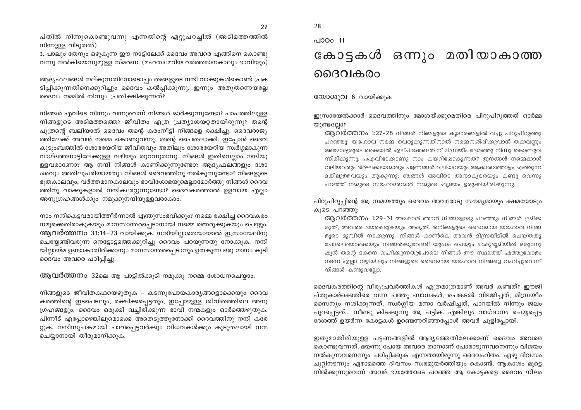പ്തിൽ നിന്നുകൊണ്ടുവന്നു എന്നതിന്റെ ഏറ്റുപറച്ചിൽ (അടിമത്തത്തിൽ നിന്നുള്ള വിടുതൽ)

3. പാലും തേനും ഒഴുകുന്ന ഈ നാട്ടിലേക്ക് ദൈവം അവരെ എങ്ങിനെ കൊണ്ടു വന്നു നൽകിയെന്നുമുള്ള സ്മരണ. (മഹത്വമേറിയ വർത്തമാനകാലും ഭാവിയും)

ആദ്യഫലങ്ങൾ നല്കുന്നതിനോടൊപ്പം തങ്ങളുടെ നന്ദി വാക്കുകൾകൊണ്ട് പ്രക ടിപ്പിക്കുന്നതിനെക്കുറിച്ചും ദൈവം കൽപ്പിക്കുന്നു. ഇന്നും അതുതന്നെയല്ലേ ദൈവം നമ്മിൽ നിന്നും പ്രതീക്ഷിക്കുന്നത്?

നിങ്ങൾ എവിടെ നിന്നും വന്നുവെന്ന് നിങ്ങൾ ഓർക്കുന്നുണ്ടോ? പാപത്തിലുള്ള നിങ്ങളുടെ അടിമത്തത്തെ? ജീവിതം എത്ര പ്രത്യാശയറ്റതായിരുന്നു? തന്റെ പുത്രൻെ ബലിയാൽ ദൈവം തന്റെ കരംനീട്ടി നിങ്ങളെ രക്ഷിച്ചു. ദൈവരാജ്യ ത്തിലേക്ക് അവൻ നമ്മെ കൊണ്ടുവന്നു, തന്റെ പൈതലാക്കി. ഇപ്പോൾ ദൈവ കുടുംബത്തിൽ ശോഭയേറിയ ജീവിതവും അതിലും ശോഭയേറിയ സ്വർഗ്ഗമാകുന്ന വാഗ്ദത്തനാട്ടിലേക്കുള്ള വഴിയും തുറന്നുതന്നു. നിങ്ങൾ ഇതിനെല്ലാം നന്ദിയു ള്ളവരാണോ? ആ നന്ദി നിങ്ങൾ കാണിക്കുന്നുണ്ടോ? ആദ്യഫലങ്ങളും ദശാ ംശവും അതിലുപരിയായതും നിങ്ങൾ ദൈവത്തിനു നൽകുന്നുണ്ടോ? നിങ്ങളുടെ ഭുതകാലവും, വർത്തമാനകാലവും ഭാവിശോഭയുമെല്ലാമോർത്തു നിങ്ങൾ ദൈവ ത്തിനു വാക്കുകളാൽ നന്ദികരേറ്റുന്നുണ്ടോ? ദൈവകരത്താൽ ഉളവായ എല്ലാ അനുഗ്രഹങ്ങൾക്കും നമുക്കുനന്ദിയുള്ളവരാകാം.

നാം നന്ദികെട്ടവരായിത്തീർന്നാൽ എന്തുസംഭവിക്കും? നമ്മെ രക്ഷിച്ച ദൈവകരം നമുക്കെതിരാകുകയും മാനസാന്തരപ്പെടാനായി നമ്മെ ഞെരുക്കുകയും ചെയ്യും. ആവർത്തനം 31:14–23 വായിക്കുക. നന്ദിയില്ലാതെയായാൽ ഇസ്രായേലിനു ചെയ്യേണ്ടിവരുന്ന നെട്ടോട്ടത്തെക്കുറിച്ചു ദൈവം പറയുന്നതു നോക്കുക. നന്ദി യില്ലായ്മ ഉണ്ടാകാതിരിക്കാനും മാനസാന്തരപ്പെടാനും ഉതകുന്ന ഒരു ഗാനം കൂടി ദൈവം അവരെ പഠിപ്പിച്ചു.

ആവർത്തനം 32ലെ ആ പാട്ടിൽക്കുടി നമുക്കു നമ്മെ ശോധനചെയ്യാം.

നിങ്ങളുടെ ജീവിതകഥയെഴുതുക - കടന്നുപോയകാര്യങ്ങളൊക്കെയും ദൈവ കരത്തിന്റെ ഇടപെടലും, രക്ഷിക്കപ്പെട്ടതും, ഇപ്പോഴുള്ള ജീവിതത്തിലെ അനു ഗ്രഹങ്ങളും, ദൈവം ഒരുക്കി വച്ചിരിക്കുന്ന ഭാവി നന്മകളും ഓർത്തെഴുതുക. പിന്നീട് എപ്പോഴെങ്കിലുമൊക്കെ അതെടുത്തുനോക്കി ദൈവത്തിനു നന്ദി കരേ റ്റുക. നന്ദിസൂചകമായി പാവപ്പെട്ടവർക്കും വിധവകൾക്കും കൂടുതലായി നന്മ ചെയ്യാനായി തീരുമാനിക്കുക.

### 28 പാഠം 11 കോട്ടകൾ ഒന്നും മതിയാകാത്ത ദൈവകരം

യോശുവ 6 വായിക്കുക

ഇസ്രായേൽക്കാർ ദൈവത്തിനും മോശയ്ക്കുമെതിരെ പിറുപിറുത്തത് ഓർമ്മ യുണ്ടല്ലോ?

ആവർത്തനം 1:27-28 നിങ്ങൾ നിങ്ങളുടെ കൂടാരങ്ങളിൽ വച്ചു പിറുപിറുത്തു പറഞ്ഞു: യഹോവ നമ്മെ വെറുക്കുന്നതിനാൽ നമ്മെനശിഷിക്കുവാൻ തക്കവണ്ണം അമോര്യരുടെ കൈയിൽ ഏല്പിക്കേണ്ടതിന് മിസ്രയീം ദേശത്തു നിന്നു കൊണ്ടുവ ന്നിരിക്കുന്നു. 28എവിടേക്കാണു നാം കയറിഷോകുന്നത്? ജനങ്ങൾ നമ്മെക്കാൾ വലിയവരും ദീർഘകായന്മാരും പട്ടണങ്ങൾ വലിയവയും ആകാശത്തോളം എത്തുന്ന മതിലുള്ളവയും ആകുന്നു; ഞങ്ങൾ അവിടെ അനാക്യരെയും കണ്ടു വെന്നു പറഞ്ഞ് നമ്മുടെ സഹോദരന്മാർ നമ്മുടെ ഹൃദയം ഉരുക്കിയിരിക്കുന്നു.

പിറുപിറുപ്പിന്റെ ആ സമയത്തും ദൈവം അവരോടു സൗമ്യമായും ക്ഷമയോടും കുടെ പറഞ്ഞു:

ആവർത്തനം 1:29-31 അഷോൾ ഞാൻ നിങ്ങളോടു പറഞ്ഞു: നിങ്ങൾ ഭൂമിക രുത്, അവരെ ഭയപ്പെടുകയും അരുത്. ഃനിങ്ങളുടെ ദൈവമായ യഹോവ നിങ്ങ ളുടെ മുമ്പിൽ നടക്കുന്നു. നിങ്ങൾ കാൺകെ അവൻ മിസ്രയീമിൽ ചെയ്തതു പോലെയൊക്കെയും നിങ്ങൾക്കുവേണ്ടി യുദ്ധം ചെയ്യും 312രുഭൂമിയിൽ ഒരുമനു ഷ്യൻ തന്റെ മകനെ വഹിക്കുന്നതുപോലെ നിങ്ങൾ ഈ സ്ഥലത്ത് എത്തുവോളം നടന്ന എല്ലാ വഴിയിലും നിങ്ങളുടെ ദൈവമായ യഹോവ നിങ്ങളെ വഹിച്ചുവെന്ന് നിങ്ങൾ കണ്ടുവല്ലോ.

ദൈവകരത്തിന്റെ വീര്യപ്രവർത്തികൾ എത്രമാത്രമാണ് അവർ കണ്ടത്? ഈജി പ്തുകാർക്കെതിരെ വന്ന പത്തു ബാധകൾ, ചെങ്കടൽ വിഭജിച്ചത്, മിസ്രയീം സൈന്യം നശിക്കുന്നത്, സ്വർഗ്ഗീയ മന്നാ വർഷിച്ചത്, പാറയിൽ നിന്നും ജലം പുറപ്പെട്ടത്... നീണ്ടു കിടക്കുന്നു ആ പട്ടിക. എങ്കിലും വാഗ്ദാനം ചെയ്യപ്പെട്ട ദേശത്ത് ഉയർന്ന കോട്ടകൾ ഉണ്ടെന്നറിഞ്ഞപ്പോൾ അവർ ചുളിപ്പോയി.

ഇതുമാതിരിയുള്ള പട്ടണങ്ങളിൽ ആദ്യത്തേതിലേക്കാണ് ദൈവം അവരെ കൊണ്ടുവന്നത്. ഭയന്നു പോയ അവരെ താനാണ് പോരാടുന്നവനെന്നും വിജയം നൽകുന്നവനെന്നും പഠിപ്പിക്കുക എന്നതായിരുന്നു ദൈവഹിതം. ഏഴു ദിവസം ചുറ്റിനടന്നും ഏഴാമത്തെ ദിവസം സ്വരമുയർത്തിയും കൊണ്ട്, ആകാശം മുട്ടെ നിൽക്കുന്നുവെന്ന് അവർ ഭയത്തോടെ പറഞ്ഞ ആ കോട്ടകളെ ദൈവം നിലം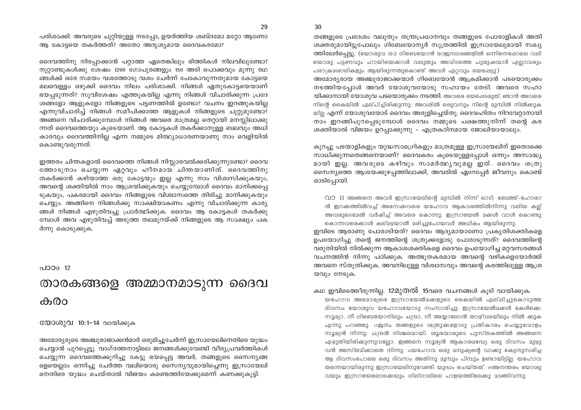30

പരിശാക്കി. അവരുടെ ചുറ്റിയുള്ള നടപ്പോ, ഉയർത്തിയ ശബ്ദമോ മറ്റോ ആണോ ആ കോട്ടയെ തകർത്തത്? അതോ അദൃശ്യമായ ദൈവകരമോ?

ദൈവത്തിനു നിരപ്പാക്കാൻ പറ്റാത്ത ഏതെങ്കിലും ഭിത്തികൾ നിലവിലുണ്ടോ? നുറ്റാണ്ടുകൾക്കു ശേഷം 1200 ഗോപുരങ്ങളും 150 അടി പൊക്കവും മുന്നു രഥ ങ്ങൾക്ക് ഒരേ സമയം വശത്തോടു വശം ചേർന്ന് പോകാവുന്നതുമായ കോടയെ മലവെള്ളം ഒഴുക്കി ദൈവം നിലം പരിശാക്കി. നിങ്ങൾ ഏതുകോട്ടയെയാണ് ഭയപടുന്നത്? സുവിശേഷം എത്തുകയില്ല എന്നു നിങ്ങൾ വിചാരിക്കുന്ന പ്രദേ ശങ്ങളോ ആളുകളോ നിങ്ങളുടെ പട്ടണത്തിൽ ഉണ്ടോ? വചനം ഇറങ്ങുകയില്ല എന്നുവിചാരിച്ച് നിങ്ങൾ സമീപിക്കാത്ത ആളുകൾ നിങ്ങളുടെ ചുറ്റുമുണ്ടോ? അങ്ങനെ വിചാരിക്കുമ്പോൾ നിങ്ങൾ അവരെ മാത്രമല്ല തെറ്റായി മനസ്സിലാക്കു ന്നത് ദൈവത്തെയും കുടെയാണ്. ആ കോട്ടകൾ തകർക്കാനുള്ള ബലവും അധി കാരവും ദൈവത്തിനില്ല എന്ന നമ്മുടെ മിത്ഥ്യാധാരണയാണു നാം വെളിയിൽ കൊണ്ടുവരുന്നത്.

ഇത്തരം ചിന്തകളാൽ ദൈവത്തെ നിങ്ങൾ നിസ്സാരവൽക്കരിക്കുന്നുണ്ടോ? ദൈവ ത്തോടുനാം ചെയ്യുന്ന ഏറ്റവും ഹീനമായ ചിന്തയാണിത്. ദൈവത്തിനു തകർക്കാൻ കഴിയാത്ത ഒരു കോട്ടയും ഇല്ല എന്നു നാം വിശ്വസിക്കുകയും, അവന്റെ ശക്തിയിൽ നാം ആശ്രയിക്കുകയും ചെയ്യുമ്പോൾ ദൈവം മാനിക്കപ്പെ ടുകയും, പകരമായി ദൈവം നിങ്ങളുടെ വിശ്വാസത്തെ തിരിച്ചു മാനിക്കുകയും ചെയ്യും. അങ്ങിനെ നിങ്ങൾക്കു സാക്ഷിയാകണം എന്നു വിചാരിക്കുന്ന കാര്യ ങ്ങൾ നിങ്ങൾ എഴുതിവച്ചു പ്രാർത്ഥിക്കുക. ദൈവം ആ കോട്ടകൾ തകർക്കു മ്പോൾ അവ എഴുതിവച്ച് അടുത്ത തലമുറയ്ക്ക് നിങ്ങളുടെ ആ സാക്ഷ്യം പക ർന്നു കൊടുക്കുക.

പാഠം  $12$ 

### താരകങ്ങളെ അമ്മാനമാടുന്ന ദൈവ കരാ

#### യോശുവ 10:1-14 വായിക്കുക

അമോര്യരുടെ അഞ്ചുരാജാക്കൻമാർ ഒരുമിച്ചുചേർന്ന് ഇസ്രായേലിനെതിരെ യുദ്ധം . ചെയ്യാൻ പുറപ്പെട്ടു. വാഗ്ദത്തനാട്ടിലെ ജനങ്ങൾക്കുവേണ്ടി വീര്യപ്രവർത്തികൾ ചെയ്യുന്ന ദൈവത്തെക്കുറിച്ചു കേട്ടു ഭയപ്പെട്ട അവർ, തങ്ങളുടെ സൈനൃങ്ങ ളെയെല്ലാം ഒന്നിച്ചു ചേർത്ത വലിയൊരു സൈന്യവുമായിച്ചെന്നു ഇസ്രായേലി നെതിരെ യുദ്ധം ചെയ്താൽ വിജയം കണ്ടെത്തിയേക്കുമെന്ന് കണക്കുകൂട്ടി.

തങ്ങളുടെ പ്രദേശം വലുതും തന്ത്രപ്രധാനവും തങ്ങളുടെ പോരാളികൾ അതി ശക്തരുമായിട്ടുപോലും ഗിബേയോന്യർ സുത്രത്തിൽ ഇസ്രായേലുമായി സഖ്യ ത്തിലേർപ്പെട്ടു. (യോശുവ 10:2 ഗിബെയോൻ രാജനഗരങ്ങളിൽ ഒന്നിനെഷോലെ വലി യൊരു പട്ടണവും ഹായിയെക്കാൾ വലുതും അവിടത്തെ പുരുഷന്മാർ എല്ലാവരും പരാക്രമശാലികളും ആയിരുന്നതുകൊണ്ട് അവർ ഏറ്റവും ഭയപ്പെട്ടു)

അമോര്യരായ അഞ്ചുരാജാക്കന്മാർ ഗിബെയോൻ ആക്രമിക്കാൻ പടയൊരുക്കം നടത്തിയപ്പോൾ അവർ യോശുവയോടു സഹായം തേടി. അവരെ സഹാ യിക്കാനായി യോശുവ പടയൊരുക്കം നടത്തി. അവരെ ഭയപ്പെടരുത്; ഞാൻ അവരെ നിന്റെ കൈയിൽ ഏല്പിച്ചിരിക്കുന്നു; അവരിൽ ഒരുവനും നിന്റെ മുമ്പിൽ നിൽക്കുക യില്ല എന്ന് യോശുവയോട് ദൈവം അരുളിച്ചെയ്തു. ദൈവഹിതം നിറവേറ്റാനായി നാം ഇറങ്ങിപുറപ്പെടുമ്പോൾ ദൈവം നമ്മുടെ പക്ഷത്തുനിന്ന് തന്റെ കര ശക്തിയാൽ വിജയം ഉറപ്പാക്കുന്നു - എത്രകഠിനമായ ജോലിയായാലും.

കുറച്ചു പടയാളികളും യുദ്ധസാമഗ്രികളും മാത്രമുള്ള ഇസ്രായേലിന് ഇതൊക്കെ സാധിക്കുന്നതെങ്ങനെയാണ്? ദൈവകരം കൂടെയുള്ളപ്പോൾ ഒന്നും അസാദ്ധ്യ മായി ഇല്ല. അവരുടെ കഴിവും സാമർത്ഥൃവുമല്ല ഇത്. ദൈവം ശത്രു സൈന്യത്തെ ആശയക്കുഴപ്പത്തിലാക്കി, അവരിൽ ഏറേപ്പേർ ജീവനും കൊണ്ട് ഓടിപ്പോയി.

വാ 11 അങ്ങനെ അവർ ഇസ്രായേലിന്റെ മുമ്പിൽ നിന്ന് ഓടി; ബേത്ത്-ഹോരാ ൻ ഇറക്കത്തിൽവച്ച് അസേക്കവരെ യഹോവ ആകാശത്തിൽനിന്നു വലിയ കല്പ് അവരുടെമേൽ വർഷിച്ച് അവരെ കൊന്നു. ഇസ്രായേൽ മക്കൾ വാൾ കൊണ്ടു കൊന്നവരെക്കാൾ കല്മഴയാൽ മരിച്ചുപോയവർ അധികം ആയിരുന്നു.

ഇവിടെ ആരാണു പോരാടിയത്? ദൈവം ആദ്യമായാണോ പ്രകൃതിശക്തികളെ ഉപയോഗിച്ചു തന്റെ ജനത്തിന്റെ ശത്രുക്കളോടു പോരാടുന്നത്? ദൈവത്തിന്റെ വരുതിയിൽ നിൽക്കുന്ന ആകാശശക്തികളെ ദൈവം ഉപയോഗിച്ച മറ്റവസരങ്ങൾ വചനത്തിൻ നിന്നു പഠിക്കുക. അത്ഭുതകരമായ അവന്റെ വഴികളെയോർത്ത് അവനെ സ്തുതിക്കുക. അവനിലുള്ള വിശ്വാസവും അവന്റെ കരത്തിലുള്ള ആശ്ര യവും നേടുക.

കഥ ഇവിടെത്തീരുന്നില്ല. 12മുതൽ 15വരെ വചനങ്ങൾ കുടി വായിക്കുക.

യഹോവ അമോര്യരെ ഇസ്രായേൽമക്കളുടെ കൈയിൽ ഏല്ഷിച്ചുകൊടുത്ത ദിവസം യോശുവ യഹോവയോടു സംസാരിച്ചു; ഇസ്രായേൽമക്കൾ കേൾക്കെ: സൂര്യാ, നീ ഗിബെയോനിലും ചന്ദ്രാ, നീ അയ്യാലോൻ താഴ്വരയിലും നിൽ ക്കുക എന്നു പറഞ്ഞു. 13ജനം തങ്ങളുടെ ശത്രുക്കളോടു പ്രതികാരം ചെയ്യുവോളം സൂര്യൻ നിന്നു; ചന്ദ്രൻ നിശ്ചലമായി. ശൂരന്മാരുടെ പുസ്തകത്തിൽ അങ്ങനെ എഴുതിയിരിക്കുന്നുവല്ലോ. ഇങ്ങനെ സൂര്യൻ ആകാശമദ്ധ്യേ ഒരു ദിവസം മുഴു വൻ അസ്തമിക്കാതെ നിന്നു. 14യഹോവ ഒരു മനുഷ്യന്റെ വാക്കു കേട്ടനുസരിച്ച ആ ദിവസംപോലെ ഒരു ദിവസം അതിനു മുമ്പും പിമ്പും ഉണ്ടായിട്ടില്ല; യഹോവ തന്നെയായിരുന്നു ഇസ്രായേലിനുവേണ്ടി യുദ്ധം ചെയ്തത്. 15അനന്തരം യോശു വയും ഇസ്രായേലൊക്കെയും ഗില്ഗാലിലെ പാളയത്തിലേക്കു മടങ്ങിവന്നു.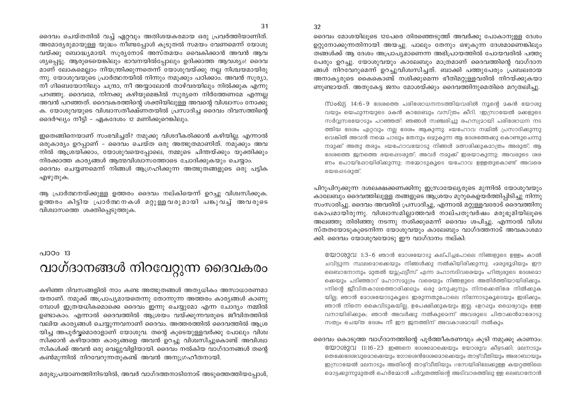ദൈവം മോശയിലൂടെ 12പേരെ തിരഞ്ഞെടുത്ത് അവർക്കു പോകാനുള്ള ദേശം ഉറ്റുനോക്കുന്നതിനായി അയച്ചു. പാലും തേനും ഒഴുകുന്ന ദേശമാണെങ്കിലും തങ്ങൾക്ക് ആ ദേശം അപ്രാപ്യമാണെന്ന അഭിപ്രായത്തിൽ പോയവരിൽ പത്തു പേരും ഉറച്ചു. യോശുവയും കാലേബും മാത്രമാണ് ദൈവത്തിന്റെ വാഗ്ദാന ങ്ങൾ നിറവേറുമെന്ന് ഉറച്ചുവിശ്വസിച്ചത്. ബാക്കി പത്തുപേരും പ്രബലരായ അനാകൃരുടെ കൈകൊണ്ട് നശിക്കുമെന്ന ഭീതിമറ്റുള്ളവരിൽ നിറയ്ക്കുകയാ ണുണ്ടായത്. അതുകേട്ട ജനം മോശയ്ക്കും ദൈവത്തിനുമെതിരെ മറുതലിച്ചു.

സംഖ്യ 14:6-9 ദേശത്തെ പരിശോധനനടത്തിയവരിൽ നൂന്റെ മകൻ യോശു വയും യെഫുന്നയുടെ മകൻ കാലേബും വസ്ത്രം കീറി. 7ഇസ്രായേൽ മക്കളുടെ സർവ്വസഭയോടും പറഞ്ഞത്: ഞങ്ങൾ സഞ്ചരിച്ചു രഹസ്യദായി പരിശോധന നട ത്തിയ ദേശം ഏറ്റവും നല്ല ദേശം ആകുന്നു. യേഹോവ നമ്മിൽ പ്രസാദിക്കുന്നു വെങ്കിൽ അവൻ നമ്മെ പാലും തേനും ഒഴുകുന്ന ആ ദേശത്തേക്കു കൊണ്ടുചെന്നു നമുക്ക് അതു തരും. ംയഹോവയോടു നിങ്ങൾ മത്സരിക്കുകമാത്രം അരുത്; ആ ഭേശത്തെ ജനത്തെ ഭയപ്പെടരുത്; അവർ നമുക്ക് ഇരയാകുന്നു; അവരുടെ ശര ണം പൊയ്ഷോയിരിക്കുന്നു; നമ്മോടുകൂടെ യഹോവ ഉള്ളതുകൊണ്ട് അവരെ ഭയപ്പെടരുത്.

പിറുപിറുക്കുന്ന ദശലക്ഷക്കണക്കിനു ഇസ്രായേല്യരുടെ മുന്നിൽ യോശുവയും കാലേബും ദൈവത്തിലുള്ള തങ്ങളുടെ ആശ്രയം മുറുകെഉയർത്തിപ്പിടിച്ചു നിന്നു സംസാരിച്ചു. ദൈവം അവരിൽ പ്രസാദിച്ചു, എന്നാൽ മറ്റുള്ളവരോട് ദൈവത്തിനു കോപമായിരുന്നു. വിശ്വാസമില്ലാത്തവർ നാല്പതുവർഷം മരുഭൂമിയിലുടെ അലഞ്ഞു തിരിഞ്ഞു നടന്നു നശിക്കുമെന്ന് ദൈവം ശപിച്ചു. എന്നാൽ വിശ്വ സ്തതയോടുകുടെനിന്ന യോശുവയും കാലേബും വാഗ്ദത്തനാട് അവകാശമാ ക്കി. ദൈവം യോശുവയോടു ഈ വാഗ്ദാനം നല്കി.

യോശുവ 1:3-6 ഞാൻ മോശയോടു കല്പിച്ചപോലെ നിങ്ങളുടെ ഉള്ളം കാൽ ചവിട്ടുന്ന സ്ഥലമൊക്കെയും നിങ്ങൾക്കു നൽകിയിരിക്കുന്നു. 42രുഭൂദിയും ഈ ലെബാനോനും മുതൽ യൂഫ്രട്ടീസ് എന്ന മഹാനദിവരെയും ഹിത്യരുടെ ദേശമൊ ക്കെയും പടിഞ്ഞാറ് മഹാസമുദ്രം വരെയും നിങ്ങളുടെ അതിർത്തിയായിരിക്കും. ടനിന്റെ ജീവിതകാലത്തൊരിക്കലും ഒരു മനുഷ്യനും നിനക്കെതിരേ നിൽക്കുക യില്ല; ഞാൻ മോശയോടുകൂടെ ഇരുന്നതുപോലെ നിന്നോടുകൂടെയും ഇരിക്കും; ഞാൻ നിന്നെ കൈവിടുകയില്ല, ഉപേക്ഷിക്കുകയും ഇല്ല. ഉെറഷും ധൈര്യവും ഉള്ള വനായിരിക്കുക; ഞാൻ അവർക്കു നൽകുമെന്ന് അവരുടെ പിതാക്കൻമാരോടു സത്യം ചെയ്ത ദേശം നീ ഈ ജനത്തിന് അവകാശമായി നൽകും.

ദൈവം കൊടുത്ത വാഗ്ദാനത്തിന്റെ പൂർത്തീകരണവും കൂടി നമുക്കു കാണാം: യോശുവ 11:16-23 ഇങ്ങനെ ദേശമൊക്കെയും യോശുവ കീഴടക്കി; മലനാടും തെക്കേദേശവുമൊക്കെയും ഗോശെൻദേശമൊക്കെയും താഴ്വീതിയും അരാബായും ഇസ്രായേൽ മലനാടും അതിന്റെ താഴ്വീതിയും 17സേയിരിലേക്കുള്ള കയറ്റത്തിലെ മൊട്ടക്കുന്നുമുതൽ ഹെർമ്മോൻ പർവ്വതത്തിന്റെ അടിവാരത്തിലു ള്ള ലെബാനോൻ

ദൈവം ചെയ്തതിൽ വച്ച് ഏറ്റവും അതിശയകരമായ ഒരു പ്രവർത്തിയാണിത്. അമോര്യരുമായുള്ള യുദ്ധം നീണ്ടപ്പോൾ കൂടുതൽ സമയം വേണമെന്ന് യോശു വയ്ക്കു ബോദ്ധ്യമായി. സൂര്യനോട് അസ്തമയം വൈകിക്കാൻ അവൻ ആവ ശ്യപ്പെട്ടു. ആരുടെയെങ്കിലും ഭാവനയിൽപ്പോലും ഉദിക്കാത്ത ആവശ്യം! ദൈവ മാണ് ലോകമെല്ലാം നിയന്ത്രിക്കുന്നതെന്ന് യോശുവയ്ക്കു നല്ല നിശ്ചയമായിരു ന്നു. യോശുവയുടെ പ്രാർത്ഥനയിൽ നിന്നും നമുക്കും പഠിക്കാം. അവൻ സുര്യാ, നീ ഗിബെയോനിലും ചന്ദ്രാ, നീ അയ്യാലോൻ താഴ്വരയിലും നിൽക്കുക എന്നു പറഞ്ഞു. ദൈവമേ, നിനക്കു കഴിയുമെങ്കിൽ സുര്യനെ നിർത്തേണമേ എന്നല്ല അവൻ പറഞ്ഞത്. ദൈവകരത്തിന്റെ ശക്തിയിലുള്ള അവന്റെ വിശ്വാസം നോക്കു ക. യോശുവയുടെ വിശ്വാസതീക്ഷ്ണതയിൽ പ്രസാദിച്ച ദൈവം ദിവസത്തിന്റെ ദൈർഘ്യം നീട്ടി - ഏകദേശം 12 മണിക്കുറെങ്കിലും.

ഇതെങ്ങിനെയാണ് സംഭവിച്ചത്? നമുക്കു വിശദീകരിക്കാൻ കഴിയില്ല. എന്നാൽ ഒരുകാര്യം ഉറപ്പാണ് – ദൈവം ചെയ്ത ഒരു അത്ഭുതമാണിത്. നമുക്കും അവ നിൽ ആശ്രയിക്കാം, യോശുവയെപ്പോലെ, നമ്മുടെ ചിന്തയ്ക്കും യുക്തിക്കും നിരക്കാത്ത കാര്യങ്ങൾ ആത്മവിശ്വാസത്തോടെ ചോദിക്കുകയും ചെയ്യാം. ദൈവം ചെയ്യണമെന്ന് നിങ്ങൾ ആഗ്രഹിക്കുന്ന അത്ഭുതങ്ങളുടെ ഒരു പട്ടിക എഴുതുക.

ആ പ്രാർത്ഥനയ്ക്കുള്ള ഉത്തരം ദൈവം നല്കിയെന്ന് ഉറച്ചു വിശ്വസിക്കുക. ഉത്തരം കിട്ടിയ പ്രാർത്ഥനകൾ മറ്റുള്ളവരുമായി പങ്കുവച്ച് അവരുടെ വിശ്വാസത്തെ ശക്തിപ്പെടുത്തുക.

### പാഠം 13 വാഗ്ദാനങ്ങൾ നിറവേറ്റുന്ന ദൈവകരം

കഴിഞ്ഞ ദിവസങ്ങളിൽ നാം കണ്ട അത്ഭുതങ്ങൾ അത്യധികം അസാധാരണമാ യതാണ്. നമുക്ക് അപ്രാപൃമായതെന്നു തോന്നുന്ന അത്തരം കാരൃങ്ങൾ കാണു മ്പോൾ ഇത്രയധികമൊക്കെ ദൈവം ഇന്നു ചെയ്യുമോ എന്ന ചോദ്യം നമ്മിൽ ഉണ്ടാകാം. എന്നാൽ ദൈവത്തിൽ ആശ്രയം വയ്ക്കുന്നവരുടെ ജീവിതത്തിൽ വലിയ കാര്യങ്ങൾ ചെയ്യുന്നവനാണ് ദൈവം. അത്തരത്തിൽ ദൈവത്തിൽ ആശ്ര യിച്ച അപൂർവ്വമൊരാളാണ് യോശുവ. തന്റെ കുടെയുള്ളവർക്കു പോലും വിശ്വ സിക്കാൻ കഴിയാത്ത കാര്യങ്ങളെ അവൻ ഉറച്ചു വിശ്വസിച്ചുകൊണ്ട് അവിശ്വാ സികൾക്ക് അവൻ ഒരു വെല്ലുവിളിയായി. ദൈവം നൽകിയ വാഗ്ദാനങ്ങൾ തന്റെ കൺമുന്നിൽ നിറവേറുന്നതുകണ്ട് അവൻ അനുഗ്രഹീതനായി.

മരുഭൂപ്രയാണത്തിനിടയിൽ, അവർ വാഗ്ദത്തനാടിനോട് അടുത്തെത്തിയപ്പോൾ,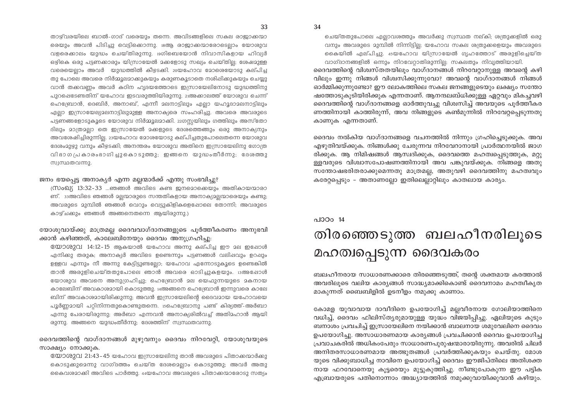താഴ്വരയിലെ ബാൽ-ഗാദ് വരെയും തന്നെ. അവിടങ്ങളിലെ സകല രാജാക്കന്മാ രെയും അവൻ പിടിച്ചു വെട്ടിക്കൊന്നു. 18ആ രാജാക്കന്മാരോടെല്ലാം യോശുവ വളരെക്കാലം യുദ്ധം ചെയ്തിരുന്നു. 19ഗിബെയോൻ നിവാസികളായ ഹിവ്യർ ഒഴ്വികെ ഒരു പട്ടണക്കാരും യിസ്രായേൽ മക്കളോടു സഖ്യം ചെയ്തില്ല. ശേഷമുള്ള വരെയെലാം അവർ യുദ്ധത്തിൽ കീഴടക്കി. 20യഹോവ മോശെയോടു കല്പിച്ച തു പോലെ അവരെ നിർമ്മൂലമാക്കുകയും കരുണകൂടാതെ നശിഷിക്കുകയും ചെയ്യു വാൻ തക്കവണം അവർ കഠിന ഹൃദയത്തോടെ ഇസ്രായേലിനോടു യുദ്ധത്തിനു പുറപ്പെടേണ്ടതിന് യഹോവ ഇടവരുത്തിയിരുന്നു. 21അക്കാലത്ത് യോശുവ ചെന്ന് ഹെബ്രോൻ, ദെബിർ, അനാബ്, എന്നീ മലനാട്ടിലും എല്ലാ യഹൂദാമലനാട്ടിലും എല്ലാ ഇസ്രായേല്യദലനാട്ടിലുമുള്ള അനാക്യരെ സംഹരിച്ചു. അവരെ അവരുടെ പട്ടണങ്ങളോടുകൂടെ യോശുവ നിർമ്മൂലമാക്കി. 22ഗസ്സയിലും ഗത്തിലും അസ്തോ ദിലും മാത്രമല്ലാ തെ ഇസ്രായേൽ മക്കളുടെ ദേശത്തെങ്ങും ഒരു അനാക്യനും അവശേഷിച്ചിരുന്നില. 23യഹോവ മോശയോടു കല്പിച്ചതുപോലെതന്നെ യോശുവ ദേശം2ുഴ്യു വനും കീഴ്ടക്കി; അനന്തരം യോശുവ അതിനെ ഇസ്രായേലിനു ഗോത്ര വിഭാഗപ്രകാരംഭാഗിച്ചുകൊടുത്തു; ഇങ്ങനെ യുദ്ധംതീർന്നു; ദേശത്തു സ്വസ്ഥതവന്നു.

#### ജനം ഭയപ്പെട്ട അനാകൃർ എന്ന മല്ലന്മാർക്ക് എന്തു സംഭവിച്ചു?

(സംഖ്യ 13:32-33 ...ഞങ്ങൾ അവിടെ കണ്ട ജനമൊക്കെയും അതികായന്മാരാ ണ്. 33അവിടെ ഞങ്ങൾ 2ല്ലന്മാരുടെ സന്തതികളായ അനാക്യമല്ലന്മാരെയും കണ്ടു; അവരുടെ മുമ്പിൽ ഞങ്ങൾ വെറും വെട്ടുകിളികളെഷോലെ തോന്നി; അവരുടെ കാഴ്ചക്കും ഞങ്ങൾ അങ്ങനെതന്നെ ആയിരുന്നു.)

#### യോശുവായ്ക്കു മാത്രമല്ല ദൈവവാഗ്ദാനങ്ങളുടെ പൂർത്തീകരണം അനുഭവി ക്കാൻ കഴിഞ്ഞത്, കാലേബിനേയും ദൈവം അനുഗ്രഹിച്ചു:

യോശുവ 14:12-15 ആകയാൽ യഹോവ അന്നു കല്പിച്ച ഈ മല ഇഷോൾ എനിക്കു തരുക; അനാക്യർ അവിടെ ഉണ്ടെന്നും പട്ടണങ്ങൾ വലിഷവും ഉറഷും ഉള്ളവ എന്നും നീ അന്നു കേട്ടിട്ടുണ്ടല്ലോ; യഹോവ എന്നോടുകൂടെ ഉണ്ടെങ്കിൽ താൻ അരുളിചെയ്തതുപോലെ ഞാൻ അവരെ ഓടിച്ചുകളയും. ദഅഷോൾ യോശുവ അവനെ അനുഗ്രഹിച്ചു; ഹെബ്രോൻ മല യെഫുന്നയുടെ മകനായ കാലേബിന് അവകാശമായി കൊടുത്തു. 14അങ്ങനെ ഹെബ്രോൻ ഇന്നുവരെ കാലേ ബിന് അവകാശമായിരിക്കുന്നു; അവൻ ഇസ്രായേലിന്റെ ദൈവമായ യഹോവയെ പൂർണ്ണമായി പറ്റിനിന്നതുകൊണ്ടുതന്നെ. 15ഹെബ്രോനു പണ്ട് കിര്യത്ത്-അർബാ എന്നു പേരായിരുന്നു; അർബാ എന്നവൻ അനാക്യരിൽവച്ച് അതിമഹാൻ ആയി രുന്നു. അങ്ങനെ യുദ്ധംതീർന്നു: ദേശത്തിന് സ്വസ്ഥതവന്നു.

ദൈവത്തിന്റെ വാഗ്ദാനങ്ങൾ മുഴുവനും ദൈവം നിറവേറ്റി, യോശുവയുടെ സാക്ഷ്യം നോക്കുക.

 $\circ$ യാശുവ 21:43-45 യഹോവ ഇന്ധ്രായേലിനു താൻ അവരുടെ പിതാക്കന്മാർക്കു കൊടുക്കുമെന്നു വാഗ്ദത്തം ചെയ്ത ദേശമെല്ലാം കൊടുത്തു; അവർ അതു കൈവശമാക്കി അവിടെ പാർത്തു. 44യഹോവ അവരുടെ പിതാക്കന്മാരോടു സത്യം

ചെയ്തതുപോലെ എല്ലാവശത്തും അവർക്കു സ്വസ്ഥത നല്കി; ശത്രുക്കളിൽ ഒരു വനും അവരുടെ മുമ്പിൽ നിന്നിട്ടില്ല; യഹോവ സകല ശത്രുക്കളെയും അവരുടെ കൈയിൽ എല്പിച്ചു. 45യഹോവ യിസ്രായേൽ ഗൃഹത്തോട് അരുളിച്ചെയ്ത വാഗ്ദാനങ്ങളിൽ ഒന്നും നിറവേറ്റാതിരുന്നില്ല; സകലതും നിവൃത്തിയായി.

ദൈവത്തിന്റെ വിശ്വസ്തതയിലും വാഗ്ദാനങ്ങൾ നിറവേറ്റാനുള്ള അവന്റെ കഴി വിലും ഇന്നു നിങ്ങൾ വിശ്വസിക്കുന്നുവോ? അവന്റെ വാഗ്ദാനങ്ങൾ നിങ്ങൾ ഓർമ്മിക്കുന്നുണ്ടോ? ഈ ലോകത്തിലെ സകല ജനങ്ങളുടെയും ലക്ഷ്യം സന്തോ ഷത്തോടുകൂടിയിരിക്കുക എന്നതാണ്. ആനന്ദലബ്ധിക്കുള്ള ഏറ്റവും മികച്ചവഴി ദൈവത്തിന്റെ വാഗ്ദാനങ്ങളെ ഓർത്തുവച്ചു വിശ്വസിച്ച് അവയുടെ പൂർത്തീകര ണത്തിനായി കാത്തിരുന്ന്, അവ നിങ്ങളുടെ കൺമുന്നിൽ നിറവേറ്റപ്പെടുന്നതു കാണുക എന്നതാണ്.

ദൈവം നൽകിയ വാഗ്ദാനങ്ങളെ വചനത്തിൽ നിന്നും ഗ്രഹിചെടുക്കുക. അവ എഴുതിവയ്ക്കുക. നിങ്ങൾക്കു ചേരുന്നവ നിറവേറാനായി പ്രാർത്ഥനയിൽ ജാഗ രിക്കുക. ആ നിമിഷങ്ങൾ ആസ്വദിക്കുക, ദൈവത്തെ മഹത്വപ്പെടുത്തുക, മറ്റു ള്ളവരുടെ വിശ്വാസപോഷണത്തിനായി അവ പങ്കുവയ്ക്കുക. നിങ്ങളെ അതു സന്തോഷഭരിതരാക്കുമെന്നതു മാത്രമല്ല, അതുവഴി ദൈവത്തിനു മഹത്വവും കരേറ്റപ്പെടും – അതാണല്ലോ ഇതിലെല്ലാറ്റിലും കാതലായ കാര്യം.

### പാഠം 14 തിരഞ്ഞെടുത്ത ബലഹീനരിലൂടെ മഹത്വപ്പെടുന്ന ദൈവകരം

ബലഹീനരായ സാധാരണക്കാരെ തിരഞ്ഞെടുത്ത്, തന്റെ ശക്തമായ കരത്താൽ അവരിലുടെ വലിയ കാര്യങ്ങൾ സാദ്ധ്യമാക്കികൊണ്ട് ദൈവനാമം മഹത്വീകൃത മാകുന്നത് ബൈബിളിൽ ഉടനീളം നമുക്കു കാണാം.

കോമള യുവാവായ ദാവീദിനെ ഉപയോഗിച്ച് മല്ലവീരനായ ഗോലിയാത്തിനെ വധിച്ച്, ദൈവം ഫിലിസ്ത്യരുമായുള്ള യുദ്ധം വിജയിപ്പിച്ചു. ഏലിയുടെ കുടും ബനാശം പ്രവചിച്ച് ഇസ്രായേലിനെ നയിക്കാൻ ബാലനായ ശമുവേലിനെ ദൈവം ഉപയോഗിച്ചു. അസാധാരണമായ കാര്യങ്ങൾ പ്രവചിക്കാൻ ദൈവം ഉപയോഗിച്ച പ്രവാചകരിൽ അധികംപേരും സാധാരണപുരുഷന്മാരായിരുന്നു. അവരിൽ ചിലർ അനിതരസാധാരണമായ അത്ഭുതങ്ങൾ പ്രവർത്തിക്കുകയും ചെയ്തു. മോശ യുടെ വിക്കുബാധിച്ച നാവിനെ ഉപയോഗിച്ച് ദൈവം ഈജിപ്തിലെ അതിശക്ത നായ ഫറവോനെയു കൂട്ടരെയും മുട്ടുകുത്തിച്ചു. നീണ്ടുപോകുന്ന ഈ പട്ടിക എബ്രായരുടെ പതിനൊന്നാം അദ്ധ്യായത്തിൽ നമുക്കുവായിക്കുവാൻ കഴിയും.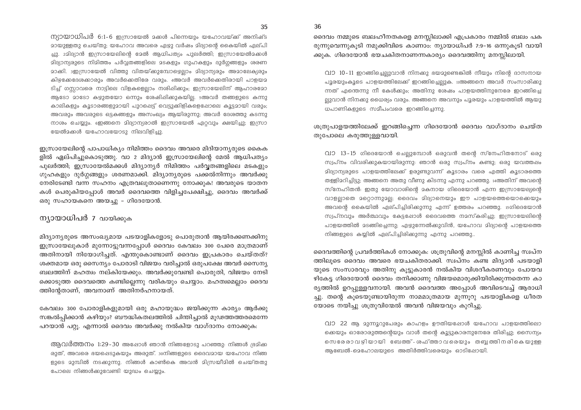ന്യായാധിപർ 6:1-6 ഇസ്രായേൽ മകൾ പിന്നെയും യഹോവയ്ക്ക് അനിഷ്ട ദായുള്ളതു ചെയ്തു; യഹോവ അവരെ ഏഴ്യു വർഷം ദിദ്യാന്റെ കൈയിൽ ഏല്പി ച്ചു. 2മിദ്യാൻ ഇസ്രായേലിന്റെ മേൽ ആധിപത്യം പുലർത്തി; ഇസ്രായേൽമക്കൾ മിദ്യാന്യരുടെ നിമിത്തം പർവ്വതങ്ങളിലെ മടകളും ഗുഹകളും ദുർഗ്ഗങ്ങളും ശരണ മാക്കി. ദഇസ്രായേൽ വിത്തു വിതയ്ക്കുമ്പോഴെല്ലാം മിദ്യാന്യരും അമാലേക്യരും കിഴ്ചക്കേദേശക്കാരും അവർക്കെതിരേ വരും. 4അവർ അവർക്കെതിരായി പാളയമ ടിച്ച് ഗസ്സാവരെ നാട്ടിലെ വിളകളെല്ലാം നശിഷിക്കും; ഇസ്രായേലിന് ആഹാരമോ ആടോ മാടോ കഴ്യുതയോ ഒന്നും ശേഷിപ്പിക്കുകയില്ല. ടഅവർ തങ്ങളുടെ കന്നു കാലികളും കൂടാരങ്ങളുമായി പുറപ്പെട്ട് വെട്ടുക്കിളികളെഷോലെ കൂട്ടമായി വരും; അവരും അവരുടെ ഒട്ടകങ്ങളും അസംഖ്യം ആയിരുന്നു; അവർ ദേശത്തു കടന്നു നാശം ചെയ്യും. ഇെങ്ങനെ മിദ്യാന്യരാൽ ഇസ്രായേൽ ഏറ്റവും ക്ഷയിച്ചു; ഇസ്രാ യേൽമക്കൾ യഹോവയോടു നിലവിളിച്ചു.

ഇസ്രായേലിന്റെ പാപാധിക്യം നിമിത്തം ദൈവം അവരെ മിദിയാന്യരുടെ കൈക ളിൽ ഏല്പിച്ചുകൊടുത്തു. വാ 2 മിദ്യാൻ ഇസ്രായേലിന്റെ മേൽ ആധിപത്യം പുലർത്തി; ഇസ്രായേൽമക്കൾ മിദ്യാന്യർ നിമിത്തം പർവ്വതങ്ങളിലെ മടകളും ഗുഹകളും ദുർഗ്ഗങ്ങളും ശരണമാക്കി. മിദ്യാന്യരുടെ പക്കൽനിന്നും അവർക്കു നേരിടേണ്ടി വന്ന സഹനം എത്രവലുതാണെന്നു നോക്കുക! അവരുടെ യാതന കൾ പെരുകിയപ്പോൾ അവർ ദൈവത്തെ വിളിച്ചപേക്ഷിച്ചു, ദൈവം അവർക്ക് ഒരു സഹായകനെ അയച്ചു - ഗിദേയോൻ.

#### ന്യായാധിപർ 7 വായിക്കുക

മിദ്യാന്യരുടെ അസംഖ്യമായ പടയാളികളോടു പൊരുതാൻ ആയിരക്കണക്കിനു ഇസ്രായേലുകാർ മുന്നോട്ടുവന്നപ്പോൾ ദൈവം കേവലം 300 പേരെ മാത്രമാണ് അതിനായി നിയോഗിച്ചത്. എന്തുകൊണ്ടാണ് ദൈവം ഇപ്രകാരം ചെയ്തത്? ശക്തമായ ഒരു സൈന്യം പോരാടി വിജയം വരിച്ചാൽ ഒരുപക്ഷേ അവർ സൈന്യ ബലത്തിന് മഹത്വം നല്കിയേക്കും. അവർക്കുവേണ്ടി പൊരുതി, വിജയം നേടി ക്കൊടുത്ത ദൈവത്തെ കണ്ടില്ലെന്നു വരികയും ചെയ്യാം. മഹത്വമെല്ലാം ദൈവ ത്തിന്റേതാണ്, അവനാണ് അതിനർഹനായത്.

കേവലം 300 പോരാളികളുമായി ഒരു മഹായുദ്ധം ജയിക്കുന്ന കാര്യം ആർക്കു സങ്കൽപ്പിക്കാൻ കഴിയും? ബൗദ്ധികതലത്തിൽ ചിന്തിച്ചാൽ മൂഢത്തത്തരമെന്നേ പറയാൻ പറ്റൂ. എന്നാൽ ദൈവം അവർക്കു നൽകിയ വാഗ്ദാനം നോക്കുക:

ആവർത്തനം 1:29-30 അഷോൾ ഞാൻ നിങ്ങളോടു പറഞ്ഞു: നിങ്ങൾ ഭ്രമിക്ക രുത്, അവരെ ഭയപ്പെടുകയും അരുത്. 30നിങ്ങളുടെ ദൈവമായ യഹോവ നിങ്ങ ളുടെ മുമ്പിൽ നടക്കുന്നു. നിങ്ങൾ കാൺകെ അവൻ മിസ്രയീമിൽ ചെയ്തതു പോലെ നിങ്ങൾക്കുവേണ്ടി യുദ്ധം ചെയ്യും.

വാ 10-11 ഇറങ്ങിച്ചെല്ലുവാൻ നിനക്കു ഭയമുണ്ടെങ്കിൽ നീയും നിന്റെ ദാസനായ പൂരയുംകൂടെ പാളയത്തിലേക്ക് ഇറങ്ങിച്ചെല്ലുക. iiഅങ്ങനെ അവർ സംസാരിക്കു ന്നത് എന്തെന്നു നീ കേൾക്കും; അതിനു ശേഷം പാളയത്തിനുനേരേ ഇറങ്ങിച്ചെ ല്ലുവാൻ നിനക്കു ധൈര്യം വരും. അങ്ങനെ അവനും പൂരയും പാളയത്തിൽ ആയു ധപാണികളുടെ സമീപംവരെ ഇറങ്ങിച്ചെന്നു.

#### ശത്രുപാളയത്തിലേക്ക് ഇറങ്ങിച്ചെന്ന ഗിദെയോൻ ദൈവം വാഗ്ദാനം ചെയ്ത തുപോലെ കരുത്തുള്ളവായി.

വാ 13-15 ഗിഭെയാൻ ചെല്ലുമ്പോൾ ഒരുവൻ തന്റെ സ്നേഹിതനോട് ഒരു സ്വപ്നം വിവരിക്കുകയായിരുന്നു: ഞാൻ ഒരു സ്വപ്നം കണ്ടു; ഒരു യവത്തഷം മിദ്യാന്യരുടെ പാളയത്തിലേക്ക് ഉരുണ്ടുവന്ന് കൂടാരം വരെ എത്തി കൂടാരത്തെ തള്ളിമറിച്ചിട്ടു; അങ്ങനെ അതു വീണു കിടന്നു എന്നു പറഞ്ഞു. ച്രഅതിന് അവന്റെ സ്നേഹിതൻ: ഇതു യോവാശിന്റെ മകനായ ഗിദെയോൻ എന്ന ഇസ്രായേല്യന്റെ വാളല്ലാതെ മറ്റൊന്നുമല്ല; ദൈവം മിദ്യാനെയും ഈ പാളയത്തെയൊക്കെയും അവന്റെ കൈയിൽ ഏല്പിച്ചിരിക്കുന്നു എന്ന് ഉത്തരം പറഞ്ഞു. 15ഗിദെയോൻ സ്വപ്നവും അർത്ഥവും കേട്ടപ്പോൾ ദൈവത്തെ നമസ്കരിച്ചു; ഇസ്രായേലിന്റെ പാളയത്തിൽ മടങ്ങിച്ചെന്നു; എഴ്യുന്നേൽക്കുവിൻ, യഹോവ മിദ്യാന്റെ പാളയത്തെ നിങ്ങളുടെ കയ്യിൽ ഏല്പിച്ചിരിക്കുന്നു എന്നു പറഞ്ഞു..

ദൈവത്തിന്റെ പ്രവർത്തികൾ നോക്കുക: ശത്രുവിന്റെ മനസ്സിൽ കാണിച്ച സ്വപ്ന ത്തിലൂടെ ദൈവം അവരെ ഭയചകിതരാക്കി. സ്വപ്നം കണ്ട മിദ്യാൻ പടയാളി യുടെ സംസാരവും അതിനു കൂട്ടുകാരൻ നൽകിയ വിശദീകരണവും പോയവ ഴികേട്ട ഗിദെയോൻ ദൈവം തനിക്കാണു വിജയമൊരുക്കിയിരിക്കുന്നതെന്ന കാ ര്യത്തിൽ ഉറപ്പുള്ളവനായി. അവൻ ദൈവത്ത അപ്പോൾ അവിടെവച്ച് ആരാധി ച്ചു. തന്റെ കുടെയുണ്ടായിരുന്ന നാമമാത്രമായ മുന്നുറു പടയാളികളെ ധീരത യോടെ നയിച്ചു ശത്രുവിന്മേൽ അവൻ വിജയവും കുറിച്ചു.

വാ 22 ആ മുന്നൂറുപേരും കാഹളം ഊതിയഷോൾ യഹോവ പാളയത്തിലൊ ക്കെയും ഓരോരുത്തന്റെയും വാൾ തന്റെ കൂട്ടുകാരനുനേരേ തിരിച്ചു; സൈന്യം സെരേരാവഴിയായി ബേത്ത്-ശഫ്ത്താവരെയും തബ്ബത്തിനരികെയുള്ള ആബേൽ-മെഹോലയുടെ അതിർത്തിവരെയും ഓടിഷോയി.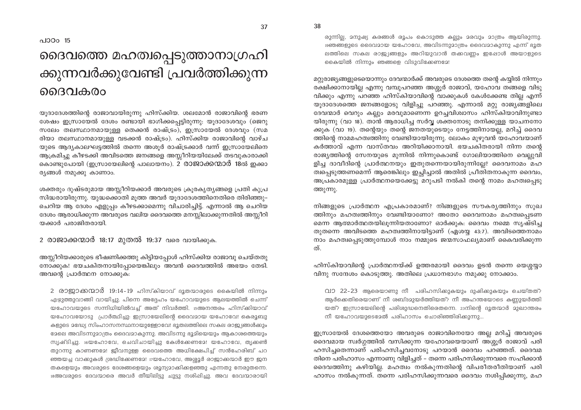രുന്നില്ല, മനുഷ്യ കരങ്ങൾ രൂപം കൊടുത്ത കല്ലും മരവും മാത്രം ആയിരുന്നു. 19ഞങ്ങളുടെ ദൈവമായ യഹോവേ, അവിടന്നുമാത്രം ദൈവമാകുന്നു എന്ന് ഭൂത ലത്തിലെ സകല രാജ്യങ്ങളും അറിയുവാൻ തക്കവണ്ണം ഇഷോൾ അയാളുടെ കൈയിൽ നിന്നും ഞങ്ങളെ വിടുവിക്കേണമേ!

മറ്റുരാജ്യങ്ങളുടെയൊന്നും ദേവന്മാർക്ക് അവരുടെ ദേശത്തെ തന്റെ കയ്യിൽ നിന്നും രക്ഷിക്കാനായില്ല എന്നു വമ്പുപറഞ്ഞ അശ്ശൂർ രാജാവ്, യഹോവ തങ്ങളെ വിടു വിക്കും എന്നു പറഞ്ഞ ഹിസ്കിയാവിന്റെ വാക്കുകൾ കേൾക്കേണ്ട തില്ല എന്ന് യുദാദേശത്തെ ജനങ്ങളോടു വിളിച്ചു പറഞ്ഞു. എന്നാൽ മറ്റു രാജ്യങ്ങളിലെ ദേവന്മാർ വെറും കല്ലും മരവുമാണെന്ന ഉറച്ചവിശ്വാസം ഹിസ്കിയാവിനുണ്ടാ യിരുന്നു (വാ 18). താൻ ആരാധിച്ച സർവ്വ ശക്തനോടു തനിക്കുള്ള യാചനനോ ക്കുക (വാ 19). തന്റെയും തന്റെ ജനതയുടെയും നേട്ടത്തിനായല്ല, മറിച്ച് ദൈവ ത്തിന്റെ നാമമഹത്വത്തിനു വേണ്ടിയായിരുന്നു. ലോകം മുഴുവൻ യഹോവയാണ് കർത്താവ് എന്ന വാസ്തവം അറിയിക്കാനായി. ഭയചകിതരായി നിന്ന തന്റെ രാജ്യത്തിന്റെ സേനയുടെ മുന്നിൽ നിന്നുകൊണ്ട് ഗോലിയാത്തിനെ വെല്ലുവി ളിച്ച ദാവീദിന്റെ പ്രാർത്ഥനയും ഇതുതന്നെയായിരുന്നില്ലേ? ദൈവനാമം മഹ ത്വപ്പെടുത്തണമെന്ന് ആരെങ്കിലും ഇച്ചിച്ചാൽ അതിൽ പ്രീതിതനാകുന്ന ദൈവം, അപ്രകാരമുള്ള പ്രാർത്ഥനയെക്കേട്ടു മറുപടി നൽകി തന്റെ നാമം മഹത്വപ്പെടു ത്തുന്നു.

നിങ്ങളുടെ പ്രാർത്ഥന എപ്രകാരമാണ്? നിങ്ങളുടെ സൗകര്യത്തിനും സുഖ ത്തിനും മഹത്വത്തിനും വേണ്ടിയാണോ? അതോ ദൈവനാമം മഹത്വപ്പെടണ മെന്ന ആത്മാർത്ഥതയിലുന്നിയതാണോ? ഓർക്കുക: ദൈവം നമ്മെ സൃഷ്ടിച്ച തുതന്നെ അവിടത്തെ മഹത്വത്തിനായിട്ടാണ് (ഏശയ്യ 43:7). അവിടത്തെനാമം നാം മഹത്വപ്പെടുത്തുമ്പോൾ നാം നമ്മുടെ ജന്മസാഫല്യമാണ് കൈവരിക്കുന്ന ത്.

ഹിസ്കിയാവിന്റെ പ്രാർത്ഥനയ്ക്ക് ഉത്തരമായി ദൈവം ഉടൻ തന്നെ യെശ്ശയ്യാ വിനു സന്ദേശം കൊടുത്തു. അതിലെ പ്രധാനഭാഗം നമുക്കു നോക്കാം.

വാ 22-23 ആരെയാണു നീ പരിഹസിക്കുകയും ദുഷിക്കുകയും ചെയ്തത്? ആർക്കെതിരെയാണ് നീ ശബ്ദമുയർത്തിയത്? നീ അഹന്തയോടെ കണ്ണുയർത്തി യത്? ഇസ്രായേലിന്റെ പരിശുദ്ധനെതിരെതന്നെ. 23നിന്റെ ദൂതന്മാർ 2ുഖാന്തരം നീ യഹോവയുടെമേൽ പരിഹാസം ചൊരിഞ്ഞിരിക്കുന്നു...

ഇസ്രായേൽ ദേശത്തെയോ അവരുടെ രാജാവിനെയോ അല്ല മറിച്ച് അവരുടെ ദൈവമായ സ്വർഗ്ഗത്തിൽ വസിക്കുന്ന യഹോവയെയാണ് അശ്ശൂർ രാജാവ് പരി ഹസിച്ചതെന്നാണ് പരിഹസിച്ചവനോടു പറയാൻ ദൈവം പറഞ്ഞത്. ദൈവമ തിനെ പരിഹാസം എന്നാണു വിളിച്ചത് – തന്നെ പരിഹസിക്കുന്നവരെ സഹിക്കാൻ ദൈവത്തിനു കഴിയില്ല. മഹത്വം നൽകുന്നതിന്റെ വിപരീതരീതിയാണ് പരി ഹാസം നൽകുന്നത്. തന്നെ പരിഹസിക്കുന്നവരെ ദൈവം നശിപ്പിക്കുന്നു, മഹ

പാഠം 15

## ദൈവത്തെ മഹത്വപ്പെടുത്താനാഗ്രഹി ക്കുന്നവർക്കുവേണ്ടി പ്രവർത്തിക്കുന്ന ൈദവകരം

യുദാദേശത്തിന്റെ രാജാവായിരുന്നു ഹിസ്ക്കിയ, ശലമോൻ രാജാവിന്റെ ഭരണ ശേഷം ഇസ്രായേൽ ദേശം രണ്ടായി ഭാഗിക്കപ്പെട്ടിരുന്നു: യൂദാദേശവും (ജെറു സലേം തലസ്ഥാനമായുള്ള തെക്കൻ രാഷ്ട്രം), ഇസ്രായേൽ ദേശവും (സമ രിയാ തലസ്ഥാനമായുള്ള വടക്കൻ രാഷ്ട്രം). ഹിസ്ക്കിയ രാജാവിന്റെ വാഴ്ച യുടെ ആദ്യകാലഘട്ടത്തിൽ തന്നെ അശൂർ രാഷ്ട്രക്കാർ വന്ന് ഇസ്രായേലിനെ ആക്രമിച്ചു കീഴടക്കി അവിടത്തെ ജനങ്ങളെ അസ്സീറിയയിലേക്ക് തടവുകാരാക്കി കൊണ്ടുപോയി (ഇസ്രായേലിന്റെ പാലായനം). 2 രാജാക്കന്മാർ 18ൽ ഇക്കാ ര്യങ്ങൾ നമുക്കു കാണാം.

ശക്തരും ദുഷ്ടരുമായ അസ്സീറിയക്കാർ അവരുടെ ക്രൂരകൃതൃങ്ങളെ പ്രതി കുപ്ര സിദ്ധരായിരുന്നു. യുദ്ധക്കൊതി മുത്ത അവർ യുദാദേശത്തിനെതിരെ തിരിഞ്ഞു-ചെറിയ ആ ദേശം എളുപ്പം കീഴടക്കാമെന്നു വിചാരിച്ചിട്ട്. എന്നാൽ ആ ചെറിയ ദേശം ആരാധിക്കുന്ന അവരുടെ വലിയ ദൈവത്തെ മനസ്സിലാക്കുന്നതിൽ അസ്സീറി യക്കാർ പരാജിതരായി.

2 രാജാക്കന്മാർ 18:17 മുതൽ 19:37 വരെ വായിക്കുക.

അസ്സീറിയക്കാരുടെ ഭീഷണിക്കത്തു കിട്ടിയപ്പോൾ ഹിസ്ക്കിയ രാജാവു ചെയ്തതു നോക്കുക! ഭയചകിതനായിപ്പോയെങ്കിലും അവൻ ദൈവത്തിൽ അഭയം തേടി. അവന്റെ പ്രാർത്ഥന നോക്കുക:

2 രാജാക്കന്മാർ 19:14-19 ഹിസ്കിയാവ് ദൂതന്മാരുടെ കൈയിൽ നിന്നും എഴുത്തുവാങ്ങി വായിച്ചു. പിന്നെ അദ്ദേഹം യഹോവയുടെ ആലയത്തിൽ ചെന്ന് യഹോവയുടെ സന്നിധിയിൽവച്ച് അത് നിവർത്തി. 15അനന്തരം ഹിസ്ക്കിയാവ് യഹോവയോടു പ്രാർത്ഥിച്ചു: ഇസ്രായേലിന്റെ ദൈവമായ യഹോവേ! കെരുബു കളുടെ മദ്ധ്യേ സിംഹാസനസ്ഥനായുള്ളോവേ! ഭൂതലത്തിലെ സകല രാജ്യങ്ങൾക്കും ഭേരല അവിടന്നുമാത്രം ദൈവമാകുന്നു. അവിടന്നു ഭൂമിയെയും ആകാശത്തെയും സൃഷ്ടിച്ചു. 16യഹോവേ, ചെവിചായിച്ചു കേൾക്കേണമേ! യഹോവേ, തൃക്കൺ തുറന്നു കാണണമേ! ജീവനുള്ള ദൈവത്തെ അധിക്ഷേപിച്ച് സൻഹേരിബ് പറ ഞ്ഞയച്ച വാക്കുകൾ ശ്രദ്ധിക്കേണമേ! 17യഹോവേ, അശ്ഛൂർ രാജാക്കന്മാർ ഈ ജന തകളെയും അവരുടെ ദേശങ്ങളെയും ശൂന്യമാക്കിക്കളഞ്ഞു എന്നതു നേരുതന്നെ. 18അവരുടെ ദേവന്മാരെ അവർ തീയിലിട്ടു ചുട്ടു നശിഷിച്ചു. അവ ദേവന്മാരായി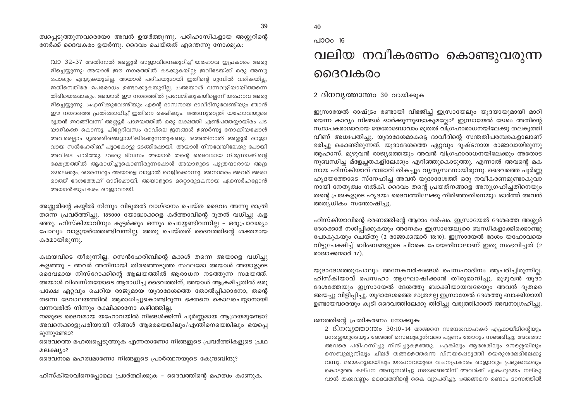ത്വപ്പെടുത്തുന്നവരെയോ അവൻ ഉയർത്തുന്നു. പരിഹാസികളായ അശ്ശൂറിന്റെ നേർക്ക് ദൈവകരം ഉയർന്നു. ദൈവം ചെയ്തത് എന്തെന്നു നോക്കുക:

വാ 32-37 അതിനാൽ അശ്ശൂർ രാജാവിനെക്കുറിച്ച് യഹോവ ഇപ്രകാരം അരു ളിച്ചെയ്യുന്നു: അയാൾ ഈ നഗരത്തിൽ കടക്കുകയില്യ; ഇവിടേയ്ക്ക് ഒരു അമ്പു പോലും എയ്യുകയുമില്ല. അയാൾ പരിചയുമായി ഇതിന്റെ മുമ്പിൽ വരികയില്ല, ഇതിനെതിരേ ഉപരോധം ഉണ്ടാക്കുകയുമില്ല. ദ്ദാഅയാൾ വന്നവഴിയായിത്തന്നെ തിരിയെപ്പോകും. അയാൾ ഈ നഗരത്തിൽ പ്രവേശിക്കുകയില്ലെന്ന് യഹോവ അരു ളിച്ചെയ്യുന്നു. 34എനിക്കുവേണ്ടിയും എന്റെ ദാസനായ ദാവീദിനുവേണ്ടിയും ഞാൻ ഈ നഗരത്തെ പ്രതിരോധിച്ച് ഇതിനെ രക്ഷിക്കും. 35അന്നുരാത്രി യഹോവയുടെ ദുതൻ ഇറങ്ങിവന്ന് അശൂർ പാളയത്തിൽ ഒരു ലക്ഷത്തി എൺപത്തയായിരം പട യാളികളെ കൊന്നു. പിറ്റേദിവസം രാവിലെ ജനങ്ങൾ ഉണർന്നു നോക്കിയപ്പോൾ അവരെലാം മൃതശരീരങ്ങളായിക്കിടക്കുന്നതുകണ്ടു.  $_3$ ഭഅതിനാൽ അശ്ശൂർ രാജാ വായ സൻഹേരിബ് പുറകോട്ടു മടങ്ങിഷോയി. അയാൾ നിനവേയിലേക്കു പോയി അവിടെ പാർത്തു. 37ഒരു ദിവസം അയാൾ തന്റെ ദൈവമായ നിസ്രോക്കിന്റെ ക്ഷേത്രത്തിൽ ആരാധിച്ചുകൊണ്ടിരുന്നപ്പോൾ അയാളുടെ പുത്രന്മാരായ അദ്ര ഭേഖലക്കും, ശരേസറും അയാളെ വാളാൽ വെട്ടിക്കൊന്നു. അനന്തരം അവർ അരാ രാത്ത് ദേശത്തേക്ക് ഓടിപ്പോയി. അയാളുടെ മറ്റൊരുമകനായ ഏസെർഹദ്ദോൻ അയാൾക്കുപകരം രാജാവായി.

അശ്ശുരിന്റെ കയ്യിൽ നിന്നും വിടുതൽ വാഗ്ദാനം ചെയ്ത ദൈവം അന്നു രാത്രി തന്നെ പ്രവർത്തിച്ചു. 185000 യോദ്ധാക്കളെ കർത്താവിന്റെ ദുതൻ വധിച്ചു കള ഞ്ഞു. ഹിസ്കിയാവിനും കുട്ടർക്കും ഒന്നും ചെയ്യേണ്ടിവന്നില്ല – ഒരുപ്രാവശ്യം പോലും വാളുയർത്തേണ്ടിവന്നില്ല. അതു ചെയ്തത് ദൈവത്തിന്റെ ശക്തമായ കരമായിരുന്നു.

കഥയവിടെ തീരുന്നില്ല. സെൻഹേരിബിന്റെ മക്കൾ തന്നെ അയാളെ വധിച്ചു കളഞ്ഞു - അവർ അതിനായി തിരഞ്ഞെടുത്ത സ്ഥലമോ അയാൾ അയാളുടെ ദൈവമായ നിസ്റോക്കിന്റെ ആലയത്തിൽ ആരാധന നടത്തുന്ന സമയത്ത്. അയാൾ വിശ്വസ്തയോടെ ആരാധിച്ച ദൈവത്തിന്, അയാൾ ആക്രമിച്ചതിൽ ഒരു പക്ഷേ ഏറ്റവും ചെറിയ രാജ്യമായ യുദാദേശത്തെ തോൽപ്പിക്കാനോ, തന്റെ തന്നെ ദേവാലയത്തിൽ ആരാധിച്ചുകൊണ്ടിരുന്ന ഭക്തനെ കൊലചെയ്യാനായി വന്നവരിൽ നിന്നും രക്ഷിക്കാനോ കഴിഞ്ഞില്ല.

നമ്മുടെ ദൈവമായ യഹോവയിൽ നിങ്ങൾക്കിന്ന് പൂർണ്ണമായ ആശ്രയമുണ്ടോ? അവനെക്കാളുപരിയായി നിങ്ങൾ ആരെയെങ്കിലും/എന്തിനെയെങ്കിലും ഭയപ്പെ ടുന്നുണ്ടോ?

ദൈവത്തെ മഹത്വപ്പെടുത്തുക എന്നതാണോ നിങ്ങളുടെ പ്രവർത്തികളുടെ പ്രഥ മലക്ഷ്യം?

ദൈവനാമ മഹത്വമാണോ നിങ്ങളുടെ പ്രാർത്ഥനയുടെ കേന്ദ്രബിന്ദു?

ഹിസ്കിയാവിനെപ്പോലെ പ്രാർത്ഥിക്കുക – ദൈവത്തിന്റെ മഹത്വം കാണുക.

### 40  $0.100016$ വലിയ നവീകരണം കൊണ്ടുവരുന്ന ദൈവകരം

2 ദിനവൃത്താന്തം 30 വായിക്കുക

ഇസ്രായേൽ രാഷ്ട്രം രണ്ടായി വിഭജിച്ച് ഇസ്രായേലും യുദയായുമായി മാറി യെന്ന കാര്യം നിങ്ങൾ ഓർക്കുന്നുണ്ടാകുമല്ലോ? ഇസ്രായേൽ ദേശം അതിന്റെ സ്ഥാപകരാജാവായ യേരോബോവാം മുതൽ വിഗ്രഹാരാധനയിലേക്കു തലകുത്തി വീണ് അധഃപതിച്ചു. യുദാദേശമാകട്ടെ ദാവീദിന്റെ സന്തതിപരമ്പരകളാലാണ് ഭരിച്ചു കൊണ്ടിരുന്നത്. യുദാദേശത്തെ ഏറ്റവും ദുഷ്ടനായ രാജാവായിരുന്നു ആഹാസ്. മുഴുവൻ രാജ്യത്തെയും അവൻ വിഗ്രഹാരാധനയിലേക്കും അതോട നുബന്ധിച്ച മ്ളേച്ചതകളിലേക്കും എറിഞ്ഞുകൊടുത്തു. എന്നാൽ അവന്റെ മക നായ ഹിസ്കിയാവ് രാജാവ് തികച്ചും വ്യത്യസ്ഥനായിരുന്നു. ദൈവത്തെ പൂർണ്ണ ഹൃദയത്തോടെ സ്നേഹിച്ച അവൻ യുദാദേശത്ത് ഒരു നവീകരണമുണ്ടാകുവാ നായി നേതൃത്വം നൽകി. ദൈവം തന്റെ പ്രയത്നങ്ങളെ അനുഗ്രഹിച്ചതിനെയും തന്റെ പ്രജകളുടെ ഹൃദയം ദൈവത്തിലേക്കു തിരിഞ്ഞതിനെയും ഓർത്ത് അവൻ അത്യധികം സന്തോഷിച്ചു.

ഹിസ്കിയാവിന്റെ ഭരണത്തിന്റെ ആറാം വർഷം, ഇസ്രായേൽ ദേശത്തെ അശ്ശൂർ ദേശക്കാർ നശിപ്പിക്കുകയും അനേകം ഇസ്രായേല്യരെ ബന്ധികളാക്കിക്കൊണ്ടു പോകുകയും ചെയ്തു (2 രാജാക്കന്മാർ 18:10). ഇസ്രായേൽ ദേശം യഹോവയെ വിട്ടുപേക്ഷിച്ച് ബിംബങ്ങളുടെ പിറകെ പോയതിനാലാണ് ഇതു സംഭവിച്ചത് (2 രാജാക്കന്മാർ 17).

യുദാദേശത്തുപോലും അനേകവർഷങ്ങൾ പെസഹാദിനം ആചരിച്ചിരുന്നില്ല. ഹിസ്കിയാവ് പെസഹാ ആഘോഷിക്കാൻ തീരുമാനിച്ചു. മുഴുവൻ യുദാ ദേശത്തേയും ഇസ്രായേൽ ദേശത്തു ബാക്കിയായവരേയും അവൻ ദുതരെ അയച്ചു വിളിപ്പിച്ചു. യൂദാദേശത്തെ മാത്രമല്ല ഇസ്രായേൽ ദേശത്തു ബാക്കിയായി ഉണ്ടായവരെയും കൂടി ദൈവത്തിലേക്കു തിരിച്ചു വരുത്തിക്കാൻ അവനാഗ്രഹിച്ചു.

ജനത്തിന്റെ പ്രതികരണം നോക്കുക:

2 ദിനവൃത്താന്തം 30:10-14 അങ്ങനെ സന്ദേശവാഹകർ എഫ്രായീമിന്റെയും മനശ്ശെയുടെയും ദേശത്ത് സെബുലൂൻവരെ പട്ടണം തോറും സഞ്ചരിച്ചു; അവരോ അവരെ പരിഹസിച്ചു നിന്ദിച്ചുകളഞ്ഞു. 11എങ്കിലും ആശേരിലും മനശ്ശെയിലും സെബുലൂനിലും ചിലർ തങ്ങളെത്തന്നെ വിനയപ്പെടുത്തി യെരുശലേമിലേക്കു വന്നു. 12യെഹൂദായിലും യഹോവയുടെ വചനപ്രകാരം രാജാവും പ്രഭുക്കന്മാരും കൊടുത്ത കല്പന അനുസരിച്ചു നടക്കേണ്ടതിന് അവർക്ക് ഏകഹൃദയം നല്കു വാൻ തക്കവണ്ണം ദൈവത്തിന്റെ കൈ വ്യാപരിച്ചു. 13അങ്ങനെ രണ്ടാം മാസത്തിൽ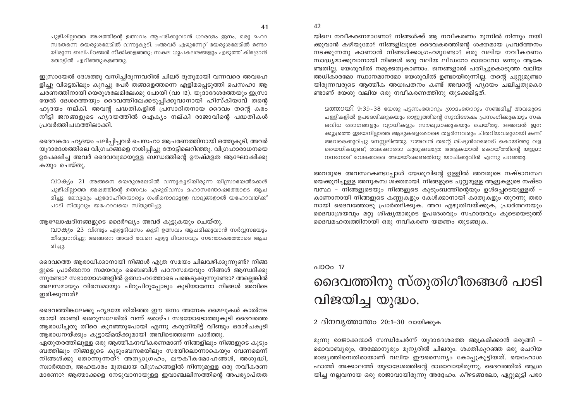പുളിപ്പില്ലാത്ത അപ്പത്തിന്റെ ഉത്സവം ആചരിക്കുവാൻ ധാരാളം ജനം, ഒരു മഹാ സഭതന്നെ യെരുശലേമിൽ വന്നുകൂടി. ചുഅവർ എഴുന്നേറ് യേരുശലേമിൽ ഉണ്ടാ യിരുന്ന ബലിപീഠങ്ങൾ നീക്കികളഞ്ഞു; സകല ധൂപകലശങ്ങളും എടുത്ത് കിദ്രോൻ തോട്ടിൽ എറിഞ്ഞുകളഞ്ഞു.

ഇസ്രായേൽ ദേശത്തു വസിച്ചിരുന്നവരിൽ ചിലർ ദുതുമായി വന്നവരെ അവഹേ ളിച്ചു വിട്ടെങ്കിലും കുറച്ചു പേർ തങ്ങളെത്തന്നെ എളിമപ്പെടുത്തി പെസഹാ ആ ചരണത്തിനായി യെരുശലേമിലേക്കു പോയി (വാ 12). യുദാദേശത്തേയും ഇസ്രാ യേൽ ദേശത്തെയും ദൈവത്തിലേക്കടുപ്പിക്കുവാനായി ഹിസ്കിയാവ് തന്റെ ഹൃദയം നല്കി. അവന്റ പദ്ധതികളിൽ പ്രസാദിതനായ ദൈവം തന്റെ കരം നീട്ടി ജനങ്ങളുടെ ഹൃദയത്തിൽ ഐക്യം നല്കി രാജാവിന്റെ പദ്ധതികൾ പ്രവർത്തിപ്പറത്തിലാക്കി.

ദൈവകരം ഹൃദയം ചലിപ്പിച്ചവർ പെസഹാ ആചരണത്തിനായി ഒത്തുകുടി, അവർ യൂദാദേശത്തിലെ വിഗ്രഹങ്ങളെ നശിപ്പിച്ചു തോട്ടിലെറിഞ്ഞു. വിഗ്രഹാരാധനയെ ഉപേക്ഷിച്ച അവർ ദൈവവുമായുള്ള ബന്ധത്തിന്റെ ഊഷ്മളത ആഘോഷിക്കു കയും ചെയ്തു.

വാക്യം 21 അങ്ങനെ യെരുശലേമിൽ വന്നുകൂടിയിരുന്ന യിസ്രായേൽമക്കൾ പുളിപ്പില്ലാത്ത അപ്പത്തിന്റെ ഉത്സവം ഏഴ്യുദിവസം മഹാസന്തോഷത്തോടെ ആച രിച്ചു; ലേവ്യരും പുരോഹിതന്മാരും ഗംഭീരനാദമുള്ള വാദ്യങ്ങളാൽ യഹോവയ്ക്ക് പാടി നിത്യവും യഹോവയെ സ്തുതിച്ചു.

#### ആഘോഷദിനങ്ങളുടെ ദൈർഘ്യം അവർ കുട്ടുകയും ചെയ്തു.

വാക്യം 23 വീണ്ടും ഏഴുദിവസം കൂടി ഉത്സവം ആചരിക്കുവാൻ സർവ്വസഭയും തീരുമാനിച്ചു; അങ്ങനെ അവർ വേറെ ഏഴു ദിവസവും സന്തോഷത്തോടെ ആച രിച്ചു.

ദൈവത്തെ ആരാധിക്കാനായി നിങ്ങൾ എത്ര സമയം ചിലവഴിക്കുന്നുണ്ട്? നിങ്ങ ളുടെ പ്രാർത്ഥനാ സമയവും ബൈബിൾ പഠനസമയവും നിങ്ങൾ ആസ്വദിക്കു ന്നുണ്ടോ? സഭായോഗങ്ങളിൽ ഉത്സാഹത്തോടെ പങ്കെടുക്കുന്നുണ്ടോ? അല്ലെങ്കിൽ അലസമായും വിരസമായും പിറുപിറുപ്പോടും കുടിയാണോ നിങ്ങൾ അവിടെ ഇരിക്കുന്നത്?

ദൈവത്തിങ്കലേക്കു ഹ്യദയേ തിരിഞ്ഞ ഈ ജനം അനേക മൈലുകൾ കാൽനട യായി താണ്ടി ജെറുസലേമിൽ വന്ന് ഒരാഴ്ച സഭയോടൊത്തുകൂടി ദൈവത്തെ ആരാധിച്ചതു തീരെ കുറഞ്ഞുപോയി എന്നു കരുതിയിട്ട് വീണ്ടും ഒരാഴ്ചകുടി ആരാധനയ്ക്കും കൂട്ടായ്മയ്ക്കുമായി അവിടെത്തന്നെ പാർത്തു.

ഏതുതരത്തിലുള്ള ഒരു ആത്മീകനവീകരണമാണ് നിങ്ങളിലും നിങ്ങളുടെ കുടും ബത്തിലും നിങ്ങളുടെ കുടുംബസഭയിലും സഭയിലൊന്നാകെയും വേണമെന്ന് നിങ്ങൾക്കു തോന്നുന്നത്? അത്യാഗ്രഹം, ലൗകീകമോഹങ്ങൾ, അശുദ്ധി, സ്വാർത്ഥത, അഹങ്കാരം മുതലായ വിഗ്രഹങ്ങളിൽ നിന്നുമുള്ള ഒരു നവീകരണ മാണോ? ആത്മാക്കളെ നേടുവാനായുള്ള ഇവാഞ്ചലിസത്തിന്റെ അപര്യാപ്തത യിലെ നവീകരണമാണോ? നിങ്ങൾക്ക് ആ നവീകരണം മുന്നിൽ നിന്നും നയി ക്കുവാൻ കഴിയുമോ? നിങ്ങളിലൂടെ ദൈവകരത്തിന്റെ ശക്തമായ പ്രവർത്തനം നടക്കുന്നതു കാണാൻ നിങ്ങൾക്കാഗ്രഹമുണ്ടോ? ഒരു വലിയ നവീകരണം സാദ്ധ്യമാക്കുവാനായി നിങ്ങൾ ഒരു വലിയ ലീഡറോ രാജാവോ ഒന്നും ആകേ ണ്ടതില്ല. യേശുവിൽ നമുക്കതുകാണാം. ജനങ്ങളാൽ പതിച്ചുകൊടുത്ത വലിയ അധികാരമോ സ്ഥാനമാനമോ യേശുവിൽ ഉണ്ടായിരുന്നില്ല. തന്റെ ചുറ്റുമുണ്ടാ യിരുന്നവരുടെ ആത്മീക അധഃപതനം കണ്ട് അവന്റെ ഹൃദയം ചലിച്ചതുകൊ ണ്ടാണ് യേശു വലിയ ഒരു നവീകരണത്തിനു തുടക്കമിട്ടത്.

2ത്തായി 9:35-38 യേശു പട്ടണംതോറും ഗ്രാമംതോറും സഞ്ചരിച്ച് അവരുടെ പള്ളികളിൽ ഉപദേശിക്കുകയും രാജ്യത്തിന്റെ സുവിശേഷം പ്രസംഗിക്കുകയും സക ലവിധ രോഗങ്ങളും വ്യാധികളും സൗഖ്യമാക്കുകയും ചെയ്തു. 36അവൻ ജന ക്കൂട്ടത്തെ ഇടയനില്ലാത്ത ആടുകളെഷോലെ തളർന്നവരും ചിതറിയവരുമായി കണ്ട് അവരെക്കുറിച്ചു മനസ്സലിഞ്ഞു. 37അവൻ തന്റെ ശിഷ്യൻമാരോട്: കൊയ്ത്തു വള രെയധികമുണ്ട്; വേലക്കാരോ ചുരുക്കമന്രേ 38ആകയാൽ കൊയ്ത്തിന്റെ യജമാ നനനോട് വേലക്കാരെ അയയ്ക്കേണ്ടതിനു യാചിക്കുവിൻ എന്നു പറഞ്ഞു.

അവരുടെ അവസ്ഥകണ്ടപ്പോൾ യേശുവിന്റെ ഉള്ളിൽ അവരുടെ നഷ്ടാവസ്ഥ യെക്കുറിച്ചുള്ള അനുകമ്പ ശക്തമായി. നിങ്ങളുടെ ചുറ്റുമുള്ള ആളുകളുടെ നഷ്ടാ വസ്ഥ – നിങ്ങളുടെയും നിങ്ങളുടെ കുടുംബത്തിന്റെയും ഉൾപ്പെടെയുള്ളത് – കാണാനായി നിങ്ങളുടെ കണ്ണുകളും കേൾക്കാനായി കാതുകളും തുറന്നു തരാ നായി ദൈവത്തോടു പ്രാർത്ഥിക്കുക. അവ എഴുതിവയ്ക്കുക, പ്രാർത്ഥനയും ദൈവാശ്രയവും മറ്റു ശിഷ്യന്മാരുടെ ഉപദേശവും സഹായവും കൂടെയെടുത്ത് ദൈവമഹത്വത്തിനായി ഒരു നവീകരണ യജ്ഞം തുടങ്ങുക.

#### പാഠം 17

# ദൈവത്തിനു സ്തുതിഗീതങ്ങൾ പാടി വിജയിച്ച യുദ്ധം.

#### 2 ദിനവ്യത്താന്തം 20:1-30 വായിക്കുക

മുന്നു രാജാക്കന്മാർ സന്ധിചേർന്ന് യുദാദേശത്തെ ആക്രമിക്കാൻ ഒരുങ്ങി – മൊവാബ്യരും, അമ്മോന്യരും മുന്യരിൽ ചിലരും. ശക്തികുറഞ്ഞ ഒരു ചെറിയ രാജൃത്തിനെതിരായാണ് വലിയ ഈസൈന്യം കോപ്പുകൂട്ടിയത്. യെഹോശ ഫാത്ത് അക്കാലത്ത് യുദാദേശത്തിന്റെ രാജാവായിരുന്നു. ദൈവത്തിൽ ആശ്ര യിച്ച നല്ലവനായ ഒരു രാജാവായിരുന്നു അദ്ദേഹം. കീഴടങ്ങലോ, ഏറ്റുമുട്ടി പരാ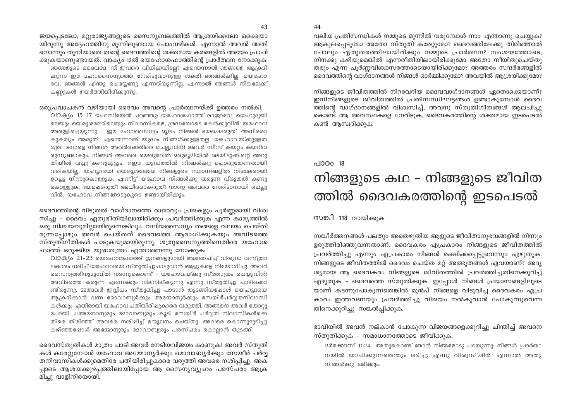വലിയ പ്രതിസന്ധികൾ നമ്മുടെ മുന്നിൽ വരുമ്പോൾ നാം എന്താണു ചെയ്യുക? ആകുലപെടുമോ അതോ സ്തൂതി കരോദ്രമാ? ദൈവത്തിലേക്കു തിരിഞ്ഞാൽ പോലും ഏതുതരത്തിലായിരിക്കും നമ്മുടെ പ്രാർത്ഥന? സംശയത്തോടെ, നിനക്കു കഴിയുമെങ്കിൽ എന്നരീതിയിലായിരിക്കുമോ അതോ നീയിതുചെയ്തു തരും എന്ന പൂർണ്ണവിശ്വാസത്തോടെയായിരിക്കുമോ? അത്തരം സന്ദർഭങ്ങളിൽ ദൈവത്തിന്റെ വാഗ്ദാനങ്ങൾ നിങ്ങൾ ഓർമ്മിക്കുമോ? അവയിൽ ആശ്രയിക്കുമോ?

നിങ്ങളുടെ ജീവിതത്തിൽ നിറവേറിയ ദൈവവാഗ്ദാനങ്ങൾ ഏതൊക്കെയാണ്? ഇനിനിങ്ങളുടെ ജീവിതത്തിൽ പ്രതിസന്ധിഘട്ടങ്ങൾ ഉണ്ടാകുമ്പോൾ ദൈവ ത്തിന്റെ വാഗ്ദാനങ്ങളിൽ വിശ്വസിച്ച്, അവനു സ്തുതിഗീതങ്ങൾ ആലപിച്ചു കൊണ്ട് ആ അവസ്ഥകളെ നേരിടുക, ദൈവകരത്തിന്റെ ശക്തമായ ഇടപെടൽ കണ്ട് ആസ്വദിക്കുക.

#### $0.100018$

# നിങ്ങളുടെ കഥ – നിങ്ങളുടെ ജീവിത ത്തിൽ ദൈവകരത്തിന്റെ ഇടപെടൽ

സങ്കീ 118 വായിക്കുക

സങ്കീർത്തനങ്ങൾ പലതും അതെഴുതിയ ആളുടെ ജീവിതാനുഭവങ്ങളിൽ നിന്നും ഉരുത്തിരിഞ്ഞുവന്നതാണ്. ദൈവകരം എപ്രകാരം നിങ്ങളുടെ ജീവിതത്തിൽ പ്രവർത്തിച്ചു എന്നും എപ്രകാരം നിങ്ങൾ രക്ഷിക്കപ്പെട്ടുവെന്നും എഴുതുക. നിങ്ങളുടെ ജീവിതത്തിൽ ദൈവം ചെയ്ത മറ്റ് അത്ഭുതങ്ങൾ ഏവയാണ്? അദൃ ശ്യമായ ആ ദൈവകരം നിങ്ങളുടെ ജീവിതത്തിൽ പ്രവർത്തിച്ചതിനെക്കുറിച്ച് എഴുതുക - ദൈവത്തെ സ്തുതിക്കുക. ഇപ്പോൾ നിങ്ങൾ പ്രയാസങ്ങളിലൂടെ യാണ് കടന്നുപോകുന്നതെങ്കിൽ മുൻപ് നിങ്ങളെ വിടുവിച്ച ദൈവകരം എപ്ര കാരം ഇത്തവണയും പ്രവർത്തിച്ചു വിജയം നൽകുവാൻ പോകുന്നുവെന്ന തിനെക്കുറിച്ചു സങ്കൽപ്പിക്കുക.

ഭാവിയിൽ അവൻ നല്കാൻ പോകുന്ന വിജയങ്ങളെക്കുറിച്ചു ചിന്തിച്ച് അവനെ സ്തുതിക്കുക - സമാധാനത്തോടെ ജീവിക്കുക.

2ർക്കോസ് 11:24 അതുകൊണ്ട് ഞാൻ നിങ്ങളോടു പറയുന്നു: നിങ്ങൾ പ്രാർത്ഥ നയിൽ യാചിക്കുന്നതെന്തും ലഭിച്ചു എന്നു വിശ്വസിഷിൻ, എന്നാൽ അതു നിങ്ങൾക്കു ലഭിക്കും.

ജയപ്പെടലോ, മറ്റുരാജ്യങ്ങളുടെ സൈന്യബലത്തിൽ ആശ്രയിക്കലോ ഒക്കെയാ യിരുന്നു അദ്ദേഹത്തിനു മുന്നിലുണ്ടായ പോംവഴികൾ. എന്നാൽ അവൻ അതി നൊന്നും തുനിയാതെ തന്റെ ദൈവത്തിന്റെ ശക്തമായ കരങ്ങളിൽ അഭയം പ്രാപി ക്കുകയാണുണ്ടായത്. വാക്യം 12ൽ യെഹോശഫാത്തിന്റെ പ്രാർത്ഥന നോക്കുക: ഞങ്ങളുടെ ദൈവദേ! നീ ഇവരെ വിധിക്കയിലേ? എന്തെന്നാൽ ഞങ്ങളെ ആക്രമി ക്കുന്ന ഈ മഹാസൈന്യത്തെ നേരിടുവാനുള്ള ശക്തി ഞങ്ങൾക്കില്ല. യെഹോ വേ, ഞങ്ങൾ എന്തു ചെയ്യേണ്ടു എന്നറിയുന്നില്ല. എന്നാൽ ഞങ്ങൾ നികലേക്ക് കണ്ണുകൾ ഉയർത്തിയിരിക്കുന്നു

#### ഒരുപ്രവാചകൻ വഴിയായി ദൈവം അവന്റെ പ്രാർത്ഥനയ്ക്ക് ഉത്തരം നൽകി.

വാക്യം 15-17 യഹസിയേൽ പറഞ്ഞു: യഹോശഫാത്ത് രാജാവേ, യെഹുദ്യയി ലെയും യെരുശലേമിലെയും നിവാസികളെ, ശ്രദ്ധയോടെ കേൾക്കുവിൻ! യഹോവ അരുളിച്ചെയ്യുന്നു - ഈ മഹാസൈന്യം മൂലം നിങ്ങൾ ഭയപ്പെടരുത്; അധീരരാ കുകയും അരുത്. എന്തെന്നാൽ യുദ്ധം നിങ്ങൾക്കുള്ളതല്ല, യഹോവയ്ക്കുള്ളത ത്രേ. 16നാളെ നിങ്ങൾ അവർക്കെതിരെ ചെല്ലുവിൻ! അവർ സീസ് കയറ്റം കയറിവ രുന്നുണ്ടാകും. നിങ്ങൾ അവരെ യെരുവേൽ മരുഭൂമിയിൽ മലയിടുക്കിന്റെ അറു തിയിൽ വച്ചു കണ്ടുമുട്ടും. 17ഈ യുദ്ധത്തിൽ നിങ്ങൾക്കു പൊരുതേണ്ടതായി വരികയില. യഹുദയേ! യെരുശലേദേ! നിങ്ങളുടെ സ്ഥാനങ്ങളിൽ നിശ്ചലരായി ഉറച്ചു നിന്നുകൊള്ളുക. എന്നിട്ട് യഹോവ നിങ്ങൾക്കു തരുന്ന വിടുതൽ കണ്ടു കൊള്ളുക, ഭയപ്പെടരുതി അധീരരാകരുതി നാളെ അവരെ നേരിടാനായി ചെല്പു വിൻ. യഹോവ നിങ്ങളോടുകൂടെ ഉണ്ടായിരിക്കും.

ദൈവത്തിന്റെ വിടുതൽ വാഗ്ദാനത്തെ രാജാവും പ്രജകളും പൂർണ്ണമായി വിശ്വ സിച്ചു – ദൈവം ഏതുരീതിയിലായിരിക്കും പ്രവർത്തിക്കുക എന്ന കാര്യത്തിൽ ഒരു നിശ്ചയവുമില്ലായിരുന്നെങ്കിലും. വലിയസൈന്യം തങ്ങളെ വലയം ചെയ്തി രുന്നപോഴും അവർ ചെയ്തത് ദൈവത്തെ ആരാധിക്കുകയും അവിടത്തെ സ്തുതിഗീതികൾ പാടുകയുമായിരുന്നു. ശത്രുസൈന്യത്തിനെതിരെ യഹോശ ഫാത്ത് ഒരുക്കിയ യുദ്ധതന്ത്രം എന്താണെന്നു നോക്കുക:

വാക്യം 21-23 യെഹോശഫാത്ത് ജനങ്ങളുമായി ആലോചിച്ച് വിശുദ്ധ വസ്ത്രാ ലങ്കാരം ധരിച്ച് യഹോവയെ സ്തുതിച്ചുപാടുവാൻ ആളുകളെ നിയോഗിച്ചു. അവർ സൈന്യത്തിനുമുമ്പിൽ നടന്നുകൊണ്ട് - യഹോവയ്ക്കു സ്തോത്രം ചെയ്യുവിൻ! അവിടത്തെ കരുണ എന്നേക്കും നിലനില്ക്കുന്നു എന്നു സ്തുതിച്ചു പാടിക്കൊ ണ്ടിരുന്നു. 22അവർ ഇവ്വിധം സ്തുതിച്ചു പാടാൻ തുടങ്ങിയപ്പോൾ യെഹൂദയെ ആക്രമിക്കാൻ വന്ന മോവാബ്യർക്കും അമ്മോന്യർക്കും സേയിർപർവ്വതനിവാസി കൾക്കും എതിരായി യഹോവ പതിയിരിഷുകാരെ വരുത്തി. അങ്ങനെ അവർ തോറ്റു പോയി. 23അമ്മോന്യരും മോവാബ്യരും കൂടി സേയിർ പർവ്വത നിവാസികൾക്കെ തിരെ തിരിഞ്ഞ് അവരെ നശിപ്പിച്ച് ഉന്മൂലനം ചെയ്തു. അവരെ കൊന്നുമുടിച്ചു കഴിഞ്ഞപ്പോൾ അമ്മോന്യരും മോവാബ്യരും പരസ്പരം കൊല്ലാൻ തുടങ്ങി.

ദൈവസ്തുതികൾ മാത്രം പാടി അവർ നേടിയവിജയം കാണുക! അവർ സ്തുതി കൾ കരേറ്റുമ്പോൾ യഹോവ അമ്മോന്യർക്കും മൊവാബ്യർക്കും സേയീർ പർവ്വ തനിവാസികൾക്കുമെതിരേ പതിയിരിപ്പുകാരെ വരുത്തി അവരെ നശിപ്പിച്ചു. അക പ്പാടെ ആശയക്കുഴപ്പത്തിലായിപ്പോയ ആ സൈന്യവ്യൂഹം പരസ്പരം ആക്ര മിച്ചു വാളിനിരയായി.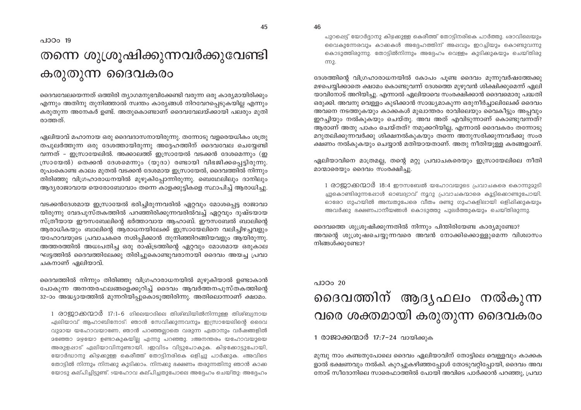പുറപ്പെട്ട് യോർദ്ദാനു കിഴക്കുള്ള കെരീത്ത് തോട്ടിനരികെ പാർത്തു. രോവിലെയും വൈകുന്നേരവും കാക്കകൾ അദ്ദേഹത്തിന് അപ്പവും ഇറച്ചിയും കൊണ്ടുവന്നു കൊടുത്തിരുന്നു. തോട്ടിൽനിന്നും അദ്ദേഹം വെള്ളം കുടിക്കുകയും ചെയ്തിരു cm2.

ദേശത്തിന്റെ വിഗ്രഹാരാധനയിൽ കോപം പൂണ്ട ദൈവം മൂന്നുവർഷത്തേക്കു മഴപെയ്യിക്കാതെ ക്ഷാമം കൊണ്ടുവന്ന് ദേശത്തെ മുഴുവൻ ശിക്ഷിക്കുമെന്ന് ഏലി യാവിനോട് അറിയിച്ചു. എന്നാൽ ഏലിയാവെ സംരക്ഷിക്കാൻ ദൈവമൊരു പദ്ധതി ഒരുക്കി. അവനു വെള്ളം കുടിക്കാൻ സാദ്ധ്യമാകുന്ന ഒരുനീർച്ചാലിലേക്ക് ദൈവം അവനെ നടത്തുകയും കാക്കകൾ മുഖാന്തരം രാവിലെയും വൈകീട്ടും അപ്പവും ഇറച്ചിയും നൽകുകയും ചെയ്തു. അവ അത് എവിടുന്നാണ് കൊണ്ടുവന്നത്? ആരാണ് അതു പാകം ചെയ്തത്? നമുക്കറിയില്ല, എന്നാൽ ദൈവകരം തന്നോടു മറുതലിക്കുന്നവർക്കു ശിക്ഷനൽകുകയും തന്നെ അനുസരിക്കുന്നവർക്കു സംര ക്ഷണം നൽകുകയും ചെയ്യാൻ മതിയായതാണ്. അതു നീതിയുള്ള കരങ്ങളാണ്.

ഏലിയാവിനെ മാത്രമല്ല, തന്റെ മറ്റു പ്രവാചകരെയും ഇസ്രായേലിലെ നീതി മാന്മാരെയും ദൈവം സംരക്ഷിച്ചു.

1 രാജാക്കന്മാർ 18:4 ഈസബേൽ യഹോവയുടെ പ്രവാചകരെ കൊന്നുമുടി ച്ചുകൊണ്ടിരുന്നപ്പോൾ ഓബദ്യാവ് നൂറു പ്രവാചകന്മാരെ കൂട്ടിക്കൊണ്ടുപോയി. ഓരോ ഗുഹയിൽ അമ്പതുപേരെ വീതം രണ്ടു ഗുഹകളിലായി ഒളിപ്പിക്കുകയും അവർക്കു ഭക്ഷണപാനീയങ്ങൾ കൊടുത്തു പുലർത്തുകയും ചെയ്തിരുന്നു.

ദൈവത്തെ ശുശ്രുഷിക്കുന്നതിൽ നിന്നും പിന്തിരിയേണ്ട കാര്യമുണ്ടോ? അവന്റെ ശുശ്രുഷചെയ്യുന്നവരെ അവൻ നോക്കിക്കൊള്ളുമെന്ന വിശ്വാസം നിങ്ങൾക്കുണ്ടോ?

### $0.100020$ ദൈവത്തിന് ആദൃഫലം നൽകുന്ന വരെ ശക്തമായി കരുതുന്ന ദൈവകരം

1 രാജാക്കന്മാർ 17:7-24 വായിക്കുക

മുമ്പു നാം കണ്ടതുപോലെ ദൈവം ഏലിയാവിന് തോട്ടിലെ വെള്ളവും കാക്കക ളാൽ ഭക്ഷണവും നൽകി. കുറച്ചുകഴിഞ്ഞപ്പോൾ തോടുവറ്റിപ്പോയി, ദൈവം അവ നോട് സീദോനിലെ സാരെഫാത്തിൽ പോയി അവിടെ പാർക്കാൻ പറഞ്ഞു, പ്രവാ

പാഠം 19

# തന്നെ ശുശ്രൂഷിക്കുന്നവർക്കുവേണ്ടി കരുതുന്ന ദൈവകരം

ദൈവവേലയെന്നത് ഒത്തിരി ത്യാഗമനുഭവിക്കേണ്ടി വരുന്ന ഒരു കാര്യമായിരിക്കും എന്നും അതിനു തുനിഞ്ഞാൽ സ്വന്തം കാര്യങ്ങൾ നിറവേറപ്പെടുകയില്ല എന്നും കരുതുന്ന അനേകർ ഉണ്ട്. അതുകൊണ്ടാണ് ദൈവവേലയ്ക്കായി പലരും മുതി രാത്തത്

ഏലിയാവ് മഹാനായ ഒരു ദൈവദാസനായിരുന്നു. തന്നോടു വളരെയധികം ശത്രു തപുലർത്തുന്ന ഒരു ദേശത്തായിരുന്നു അദേഹത്തിന് ദൈവവേല ചെയേണ്ടി വന്നത് – ഇസ്രായേലിൽ. അക്കാലത്ത് ഇസ്രായേൽ വടക്കൻ ദേശമെന്നും (ഇ സ്രായേൽ) തെക്കൻ ദേശമെന്നും (യൂദാ) രണ്ടായി വിഭജിക്കപ്പെട്ടിരുന്നു. രുപംകൊണ്ട കാലം മുതൽ വടക്കൻ ദേശമായ ഇസ്രായേൽ, ദൈവത്തിൽ നിന്നും തിരിഞ്ഞു വിഗ്രഹാരാധനയിൽ മുഴുകിപ്പോന്നിരുന്നു. ബെഥേലിലും ദാനിലും ആദ്യരാജാവായ യെരോബോവാം തന്നെ കാളക്കുട്ടികളെ സ്ഥാപിച്ച് ആരാധിച്ചു.

വടക്കൻദേശമായ ഇസ്രായേൽ ഭരിച്ചിരുന്നവരിൽ ഏറ്റവും മോശപ്പെട്ട രാജാവാ യിരുന്നു വേദപുസ്തകത്തിൽ പറഞ്ഞിരിക്കുന്നവരിൽവച്ച് ഏറ്റവും ദുഷ്ടയായ സ്ത്രീയായ ഈസബേലിന്റെ ഭർത്താവായ ആഹാബ്. ഈസബേൽ ബാലിന്റെ ആരാധികയും ബാലിന്റെ ആരാധനയിലേക്ക് ഇസ്രായേലിനെ വലിച്ചിഴച്ചവളും യഹോവയുടെ പ്രവാചകരെ നശിപ്പിക്കാൻ തുനിഞ്ഞിറങ്ങിയവളും ആയിരുന്നു. അത്തരത്തിൽ അധഃപതിച്ച ഒരു രാഷ്ട്രത്തിന്റെ ഏറ്റവും മോശമായ ഒരുകാല ഘട്ടത്തിൽ ദൈവത്തിലേക്കു തിരിച്ചുകൊണ്ടുവരാനായി ദൈവം അയച്ച പ്രവാ ചകനാണ് ഏലിയാവ്.

ദൈവത്തിൽ നിന്നും തിരിഞ്ഞു വിഗ്രഹാരാധനയിൽ മുഴുകിയാൽ ഉണ്ടാകാൻ പോകുന്ന അനന്തരഫലങ്ങളെക്കുറിച്ച് ദൈവം ആവർത്തനപുസ്തകത്തിന്റെ 32-ാം അദ്ധ്യായത്തിൽ മുന്നറിയിപ്പുകൊടുത്തിരിന്നു. അതിലൊന്നാണ് ക്ഷാമം.

1 രാജാക്കന്മാർ 17:1-6 ഗിലെയാദിലെ തിശ്ബിയിൽനിന്നുള്ള തിശ്ബ്യനായ ഏലിയാവ് ആഹാബിനോട്: ഞാൻ സേവിക്കുന്നവനും ഇസ്രായേലിന്റെ ദൈവ വുമായ യഹോവയാണേ, ഞാൻ പറഞ്ഞല്ലാതെ വരുന്ന ഏതാനും വർഷങ്ങളിൽ മഞ്ഞോ മഴയോ ഉണ്ടാകുകയില്ല എന്നു പറഞ്ഞു. 2അനന്തരം യഹോവയുയെ അരുളപ്പാട് ഏലിയാവിനുണ്ടായി. ാഇവിടം വിട്ടുപോകുക. കിഴക്കോട്ടുപോയി, യോർദ്ധാനു കിഴക്കുള്ള കെരീത്ത് തോട്ടിനരികെ ഒളിച്ചു പാർക്കുക. 4അവിടെ തോട്ടിൽ നിന്നും നിനക്കു കുടിക്കാം. നിനക്കു ഭക്ഷണം തരുന്നതിനു ഞാൻ കാക്ക യോടു കല്പിച്ചിട്ടുണ്ട്. 5യഹോവ കല്പിച്ചതുപോലെ അദ്ദേഹം ചെയ്തു: അദ്ദേഹം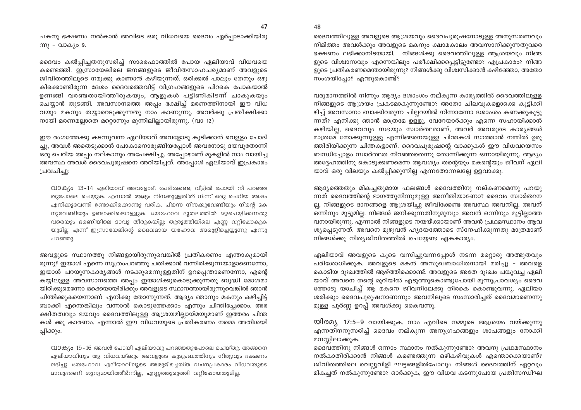ചകനു ഭക്ഷണം നൽകാൻ അവിടെ ഒരു വിധവയെ ദൈവം ഏർപ്പാടാക്കിയിരു ന്നു - വാക്യം 9.

ദൈവം കൽപ്പിച്ചതനുസരിച്ച് സാരെഫാത്തിൽ പോയ ഏലിയാവ് വിധവയെ കണ്ടെത്തി. ഇസ്രായേലിലെ ജനങ്ങളുടെ ജീവിതസാഹചര്യമാണ് അവളുടെ ജീവിതത്തിലൂടെ നമുക്കു കാണാൻ കഴിയുന്നത്. ഒരിക്കൽ പാലും തേനും ഒഴു കിക്കൊണ്ടിരുന്ന ദേശം ദൈവത്തെവിട്ട് വിഗ്രഹങ്ങളുടെ പിറകെ പോകയാൽ ഉണങ്ങി വരണ്ടതായിത്തീരുകയും, ആളുകൾ പട്ടിണികിടന്ന് ചാകുകയും ചെയ്യാൻ തുടങ്ങി. അവസാനത്തെ അപ്പം ഭക്ഷിച്ച് മരണത്തിനായി ഈ വിധ വയും മകനും തയ്യാറെടുക്കുന്നതു നാം കാണുന്നു. അവർക്കു പ്രതീക്ഷിക്കാ നായി മരണമല്ലാതെ മറ്റൊന്നും മുന്നിലില്ലായിരുന്നു. (വാ 12)

. ഈ രംഗത്തേക്കു കടന്നുവന്ന ഏലിയാവ് അവളോടു കുടിക്കാൻ വെള്ളം ചോദി ച്ചു, അവൾ അതെടുക്കാൻ പോകാനൊരുങ്ങിയപ്പോൾ അവനോടു ദയവുതോന്നി ഒരു ചെറിയ അപ്പം നല്കാനും അപേക്ഷിച്ചു. അപ്പോഴാണ് മുകളിൽ നാം വായിച്ച അവസ്ഥ അവൾ ദൈവപുരുഷനെ അറിയിച്ചത്. അപ്പോൾ ഏലിയാവ് ഇപ്രകാരം പ്രവചിച്ചു:

വാക്യം 13-14 ഏലിയാവ് അവളോട്: പേടിക്കേണ്ട; വീട്ടിൽ പോയി നീ പറഞ്ഞ തുപോലെ ചെയ്യുക. എന്നാൽ ആദ്യം നിനക്കുള്ളതിൽ നിന്ന് ഒരു ചെറിയ അഷം എനിക്കുവേണ്ടി ഉണ്ടാക്കിക്കൊണ്ടു വരിക. പിന്നെ നിനക്കുവേണ്ടിയും നിന്റെ മക നുവേണ്ടിയും ഉണ്ടാക്കികൊള്ളുക. 14യഹോവ ഭൂതലത്തിൽ മഴപെയ്യിക്കന്നതു വരെയും ഭരണിയിലെ മാവു തീരുകയില്ല; തുരുത്തിയിലെ എണ്ണ വറ്റിഷോകുക യുമില്ല എന്ന് ഇസ്രായേലിന്റെ ദൈവമായ യഹോവ അരുളിച്ചെയ്യുന്നു എന്നു പറഞ്ഞു.

അവളുടെ സ്ഥാനത്തു നിങ്ങളായിരുന്നുവെങ്കിൽ പ്രതികരണം എന്താകുമായി രുന്നു? ഇയാൾ എന്നെ സുത്രംപറഞ്ഞു ചതിക്കാൻ വന്നിരിക്കുന്നയാളാണെന്നോ, . ഇയാൾ പറയുന്നകാര്യങ്ങൾ നടക്കുമെന്നുള്ളതിന് ഉറപ്പെന്താണെന്നോ, എന്റെ കയ്യിലുള്ള അവസാനത്തെ അപ്പം ഇയാൾക്കുകൊടുക്കുന്നതു ബുദ്ധി മോശമാ യിരിക്കുമെന്നോ ഒക്കെയായിരിക്കും അവളുടെ സ്ഥാനത്തായിരുന്നുവെങ്കിൽ ഞാൻ ചിന്തിക്കുകയെന്നാണ് എനിക്കു തോന്നുന്നത്. ആദ്യം ഞാനും മകനും കഴിച്ചിട്ട് ബാക്കി എന്തെങ്കിലും വന്നാൽ കൊടുത്തേക്കാം എന്നും ചിന്തിച്ചേക്കാം. അര ക്ഷിതത്വവും ഭയവും ദൈവത്തിലുള്ള ആശ്രയമില്ലായ്മയുമാണ് ഇത്തരം ചിന്ത കൾ ക്കു കാരണം. എന്നാൽ ഈ വിധവയുടെ പ്രതികരണം നമ്മെ അതിശയി പ്പിക്കും.

വാക(ം 15-16 അവൾ പോയി ഏലിയാവു പറഞ്ഞതുപോലെ ചെയ്തു. അങ്ങനെ ഏലീയാവിനും ആ വിധവയ്ക്കും അവളുടെ കുടുംബത്തിനും നിത്യവും ഭക്ഷണം ലഭിച്ചു. 16യഹോവ ഏലീയാവിലൂടെ അരുളിച്ചെയ്ത വചനപ്രകാരം വിധവയുടെ മാവുഭരണി ശൂന്യമായിത്തീർന്നില്ല, എണ്ണത്തുരുത്തി വറ്റിഷോയതുമില്ല.

ദൈവത്തിലുള്ള അവളുടെ ആശ്രയവും ദൈവപുരുഷനോടുള്ള അനുസരണവും നിമിത്തം അവൾക്കും അവളുടെ മകനും ക്ഷാമകാലം അവസാനിക്കുന്നതുവരെ ഭക്ഷണം ലഭിക്കാനിടയായി. നിങ്ങൾക്കു ദൈവത്തിലുള്ള ആശ്രയവും നിങ്ങ ളുടെ വിശ്വാസവും എന്നെങ്കിലും പരീക്ഷിക്കപ്പെട്ടിട്ടുണ്ടോ? എപ്രകാരം? നിങ്ങ ളുടെ പ്രതികരണമെന്തായിരുന്നു? നിങ്ങൾക്കു വിശ്വസിക്കാൻ കഴിഞ്ഞോ, അതോ സംശയിച്ചോ? എന്തുകൊണ്ട്?

വരുമാനത്തിൽ നിന്നും ആദ്യം ദശാംശം നല്കുന്ന കാര്യത്തിൽ ദൈവത്തിലുള്ള നിങ്ങളുടെ ആശ്രയം പ്രകടമാകുന്നുണ്ടോ? അതോ ചിലവുകളൊക്കെ കുട്ടിക്കി ഴിച്ച് അവസാനം ബാക്കിവരുന്ന ചില്ലറയിൽ നിന്നാണോ ദശാംശം കണക്കുകൂട്ടു ന്നത്? എനിക്കു ഞാൻ മാത്രമേ ഉള്ളു, വേറേയാർക്കും എന്നെ സഹായിക്കാൻ കഴിയില്ല, ദൈവവും സഭയും സ്വാർത്ഥരാണ്, അവർ അവരുടെ കാര്യങ്ങൾ മാത്രമേ നോക്കുന്നുള്ളു എന്നിങ്ങനെയുള്ള ചിന്തകൾ സാത്താൻ നമ്മിൽ ഉരു ത്തിരിയിക്കുന്ന ചിന്തകളാണ്. ദൈവപുരുഷന്റെ വാക്കുകൾ ഈ വിധവയെസം ബന്ധിച്ചോളം സ്വാർത്ഥത നിറഞ്ഞതെന്നു തോന്നിക്കുന്ന ഒന്നായിരുന്നു. ആദ്യം അദ്ദേഹത്തിനു കൊടുക്കണമെന്ന ആവശ്യം തന്റെയും മകന്റെയും ജീവന് ഏലി യാവ് ഒരു വിലയും കൽപ്പിക്കുന്നില്ല എന്നതോന്നലല്ലേ ഉളവാക്കൂ.

ആദ്യത്തെതും മികച്ചതുമായ ഫലങ്ങൾ ദൈവത്തിനു നല്കണമെന്നു പറയു ന്നത് ദൈവത്തിന്റെ ഭാഗത്തുനിന്നുമുള്ള അനീതിയാണോ? ദൈവം സ്വാർത്ഥന ല്ല, നിങ്ങളുടെ ദാനങ്ങളെ ആശ്രയിച്ചു ജീവിക്കേണ്ട അവസ്ഥ അവനില്ല. അവന് ഒന്നിനും മുട്ടുമില്ല. നിങ്ങൾ ജനിക്കുന്നതിനുമുമ്പും അവൻ ഒന്നിനും മുട്ടില്ലാത്ത വനായിരുന്നു. എന്നാൽ നിങ്ങളുടെ നന്മയ്ക്കായാണ് അവൻ പ്രഥമസ്ഥാനം ആവ ശ്യപ്പെടുന്നത്. അവനെ മുഴുവൻ ഹൃദയത്തോടെ സ്നേഹിക്കുന്നതു മാത്രമാണ് നിങ്ങൾക്കു നിത്യജീവിതത്തിൽ ചെയ്യേണ്ട ഏകകാര്യം.

ഏലിയാവ് അവളുടെ കൂടെ വസിച്ചുവന്നപ്പോൾ നടന്ന മറ്റൊരു അത്ഭുതവും പരിശോധിക്കുക. അവളുടെ മകൻ അസുഖബാധിതനായി മരിച്ചു - അവളെ കൊടിയ ദുഃഖത്തിൽ ആഴ്ത്തിക്കൊണ്ട്. അവളുടെ അതേ ദുഃഖം പങ്കുവച്ച ഏലി യാവ് അവനെ തന്റെ മുറിയിൽ എടുത്തുകൊണ്ടുപോയി മൂന്നുപ്രാവശ്യം ദൈവ ത്തോടു യാചിച്ച് ആ മകനെ ജീവനിലേക്കു തിരകെ കൊണ്ടുവന്നു. ഏലിയാ ശരിക്കും ദൈവപുരുഷനാണന്നും അവനിലൂടെ സംസാരിച്ചത് ദൈവമാണെന്നു മുള്ള പൂർണ്ണ ഉറപ്പ് അവൾക്കു കൈവന്നു.

യിരമ്യ, 17:5–9 വായിക്കുക. നാം എവിടെ നമ്മുടെ ആശ്രയം വയ്ക്കുന്നു എന്നതിനനുസരിച്ച് ദൈവം നല്കുന്ന അനുഗ്രഹങ്ങളും ശാപങ്ങളും നോക്കി മനസ്സിലാക്കുക.

ദൈവത്തിനു നിങ്ങൾ ഒന്നാം സ്ഥാനം നൽകുന്നുണ്ടോ? അവനു പ്രഥമസ്ഥാനം നൽകാതിരിക്കാൻ നിങ്ങൾ കണ്ടെത്തുന്ന ഒഴികഴിവുകൾ എന്തൊക്കെയാണ്? ജീവിതത്തിലെ വെല്ലുവിളി ഘട്ടങ്ങളിൽപോലും നിങ്ങൾ ദൈവത്തിന് ഏറ്റവും മികച്ചത് നൽകുന്നുണ്ടോ? ഓർക്കുക, ഈ വിധവ കടന്നുപോയ പ്രതിസന്ധിഘ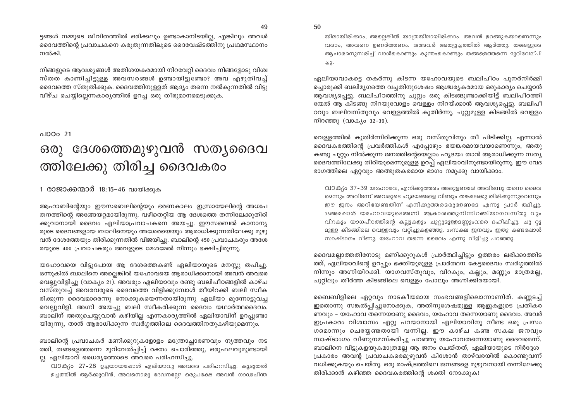ട്ടങ്ങൾ നമ്മുടെ ജീവിതത്തിൽ ഒരിക്കലും ഉണ്ടാകാനിടയില്ല, എങ്കിലും അവൾ ദൈവത്തിന്റെ പ്രവാചകനെ കരുതുന്നതിലൂടെ ദൈവേഷ്ടത്തിനു പ്രഥമസ്ഥാനം നൽകി.

നിങ്ങളുടെ ആവശ്യങ്ങൾ അതിശയകരമായി നിറവേറ്റി ദൈവം നിങ്ങളോടു വിശ്വ സ്തത കാണിച്ചിട്ടുള്ള അവസരങ്ങൾ ഉണ്ടായിട്ടുണ്ടോ? അവ എഴുതിവച്ച് ദൈവത്തെ സ്തുതിക്കുക. ദൈവത്തിനുള്ളത് ആദ്യം തന്നെ നൽകുന്നതിൽ വിട്ടു വീഴ്ച ചെയ്യില്ലെന്നകാര്യത്തിൽ ഉറച്ച ഒരു തീരുമാനമെടുക്കുക.

#### പാഠം 21

## ഒരു ദേശത്തെമുഴുവൻ സത്യദൈവ ത്തിലേക്കു തിരിച്ച ദൈവകരം

#### 1 രാജാക്കന്മാർ 18:15-46 വായിക്കുക

ആഹാബിന്റെയും ഈസബെലിന്റെയും ഭരണകാലം ഇസ്രായേലിന്റെ അധഃപ തനത്തിന്റെ അങ്ങേയറ്റമായിരുന്നു. വഴിതെറ്റിയ ആ ദേശത്തെ തന്നിലേക്കുതിരി ക്കുവാനായി ദൈവം ഏലിയാപ്രവാചകനെ അയച്ചു. ഈസബെൽ കാനാന്യ രുടെ ദൈവങ്ങളായ ബാലിനെയും അശേരയെയും ആരാധിക്കുന്നതിലേക്കു മുഴു വൻ ദേശത്തേയും തിരിക്കുന്നതിൽ വിജയിച്ചു. ബാലിന്റെ 450 പ്രവാചകരും അശേ രയുടെ 400 പ്രവാചകരും അവളുടെ മേശമേൽ നിന്നും ഭക്ഷിച്ചിരുന്നു.

യഹോവയെ വിട്ടുപോയ ആ ദേശത്തെകണ്ട് ഏലിയായുടെ മനസ്സു തപിച്ചു. ഒന്നുകിൽ ബാലിനെ അല്ലെങ്കിൽ യഹോവയെ ആരാധിക്കാനായി അവൻ അവരെ വെല്ലുവിളിച്ചു (വാക്യം 21). അവരും ഏലിയാവും രണ്ടു ബലിപീഠങ്ങളിൽ കാഴ്ച വസ്തുവച്ച് അവരവരുടെ ദൈവത്തെ വിളിക്കുമ്പോൾ തീയിറക്കി ബലി സ്വീക രിക്കുന്ന ദൈവമാരെന്നു നോക്കുകയെന്നതായിരുന്നു ഏലിയാ മുന്നോട്ടുവച്ച വെല്ലുവിളി. അഗ്നി അയച്ചു ബലി സ്വീകരിക്കുന്ന ദൈവം യഥാർത്ഥദൈവം. ്ബാലിന് അതുചെയ്യുവാൻ കഴിയില്ല എന്നകാര്യത്തിൽ ഏലിയാവിന് ഉറപ്പുണ്ടാ യിരുന്നു, താൻ ആരാധിക്കുന്ന സ്വർഗ്ഗത്തിലെ ദൈവത്തിനതുകഴിയുമെന്നും.

ബാലിന്റെ പ്രവാചകർ മണിക്കുറുകളോളം മന്ത്രോച്ചാരണവും നൃത്തവും നട ത്തി, തങ്ങളെത്തന്നെ മുറിവേൽപ്പിച്ച് രക്തം ചൊരിഞ്ഞു, ഒരുഫലവുമുണ്ടായി ്ല്ല. ഏലിയാവ് ധൈര്യത്തോടെ അവരെ പരിഹസിച്ചു.

വാക്യം 27-28 ഉച്ചയായപ്പോൾ ഏലിയാവു അവരെ പരിഹസിച്ചു: കൂടുതൽ ഉച്ചത്തിൽ ആർക്കുവിൻ, അവനൊരു ദേവനല്ലേ? ഒരുപക്ഷേ അവൻ ഗാഢചിന്ത 50

യിലായിരിക്കാം, അല്ലെങ്കിൽ യാത്രയിലായിരിക്കാം, അവൻ ഉറങ്ങുകയാണെന്നും വരാം, അവനെ ഉണർത്തണം. 28അവർ അത്യുച്ചത്തിൽ ആർത്തു. തങ്ങളുടെ ആചാരമനുസരിച്ച് വാൾകൊണ്ടും കുന്തംകൊണ്ടും തങ്ങളെത്തന്നെ മുറിവേല്പി  $-212$ 

ഏലിയാവാകട്ടെ തകർന്നു കിടന്ന യഹോവയുടെ ബലിപീഠം പുനർനിർമ്മി ച്ചൊരുക്കി ബലിമൃഗത്തെ വച്ചതിനുശേഷം ആശ്ചര്യകരമായ ഒരുകാര്യം ചെയ്യാൻ ആവശ്യപ്പെട്ടു. ബലിപീഠത്തിനു ചുറ്റും ഒരു കിടങ്ങുണ്ടാക്കിയിട്ട് ബലിപീഠത്തി ന്മേൽ ആ കിടങ്ങു നിറയുവോളം വെള്ളം നിറയ്ക്കാൻ ആവശ്യപ്പെട്ടു. ബലിപീ ഠവും ബലിവസ്തുവും വെള്ളത്തിൽ കുതിർന്നു, ചുറ്റുമുള്ള കിടങ്ങിൽ വെള്ളം നിറഞ്ഞു (വാക്യം 32-39).

വെള്ളത്തിൽ കുതിർന്നിരിക്കുന്ന ഒരു വസ്തുവിനും തീ പിടിക്കില്ല. എന്നാൽ ദൈവകരത്തിന്റെ പ്രവർത്തികൾ എപ്പോഴും ഭയങ്കരമായവയാണെന്നും, അതു കണ്ടു ചുറ്റും നിൽക്കുന്ന ജനത്തിന്റെയെല്ലാം ഹൃദയം താൻ ആരാധിക്കുന്ന സത്യ ദൈവത്തിലേക്കു തിരിയുമെന്നുമുള്ള ഉറപ്പ് ഏലിയാവിനുണ്ടായിരുന്നു. ഈ വേദ ഭാഗത്തിലെ ഏറ്റവും അത്ഭുതകരമായ ഭാഗം നമുക്കു വായിക്കാം.

വാക്യം 37-39 യഹോവേ, എനിക്കുത്തരം അരുളണമേ! അവിടന്നു തന്നെ ദൈവ മെന്നും അവിടന്ന് അവരുടെ ഹൃദയങ്ങളെ വീണ്ടും തകലേക്കു തിരിക്കുന്നുവെന്നും ഈ ജനം അറിയേണ്ടതിന് എനിക്കുത്തരമരുളേണമേ എന്നു പ്രാർ ത്ഥിച്ചു. ാഃഅഷോൾ യഹോവയുടെഅഗ്നി ആകാശത്തുനിന്നിറങ്ങിയാഗവസ്തു വും വിറകും യാഗപീഠത്തിന്റെ കല്ലുകളും ചുറ്റുമുള്ളമണ്ണുംവരെ ദഹിഷിച്ചു. ചു റ്റു മുള്ള കിടങ്ങിലെ വെള്ളവും വറ്റിച്ചുകളഞ്ഞു. 39സകല ജനവും ഇതു കണ്ടപ്പോൾ സാഷ്ടാഗം വീണു. യഹോവ തന്നെ ദൈവം എന്നു വിളിച്ചു പറഞ്ഞു.

ദൈവമല്ലാത്തതിനോടു മണിക്കുറുകൾ പ്രാർത്ഥിച്ചിട്ടും ഉത്തരം ലഭിക്കാത്തിട ത്ത്, ഏലിയാവിന്റെ ഉറപ്പും ഭക്തിയുമുള്ള പ്രാർത്ഥന കേട്ടദൈവം സ്വർഗ്ഗത്തിൽ നിന്നും അഗ്നിയിറക്കി. യാഗവസ്തുവും, വിറകും, കല്ലും, മണ്ണും മാത്രമല്ല, ചുറ്റിലും തീർത്ത കിടങ്ങിലെ വെള്ളം പോലും അഗ്നിക്കിരയായി.

ബൈബിളിലെ ഏറ്റവും നാടകീയമായ സംഭവങ്ങളിലൊന്നാണിത്. കണ്ണടച്ച് ഇതൊന്നു സങ്കൽപ്പിച്ചുനോക്കുക, അതിനുശേഷമുള്ള ആളുകളുടെ പ്രതികര ണവും – യഹോവ തന്നെയാണു ദൈവം, യഹോവ തന്നെയാണു ദൈവം. അവർ ഇപ്രകാരം വിശ്വാസം ഏറ്റു പറയാനായി ഏലിയാവിനു നീണ്ട ഒരു പ്രസം ഗമൊന്നും ചെയ്യേണ്ടതായി വന്നില്ല. ഈ കാഴ്ച കണ്ട സകല ജനവും സാഷ്ടാംഗം വീണുനമസ്കരിച്ചു പറഞ്ഞു യഹോവതന്നെയാണു ദൈവമെന്ന്. ബാലിനെ വിട്ടുകളയുകമാത്രമല്ല ആ ജനം ചെയ്തത്, ഏലിയായുടെ നിർദ്ദേശ പ്രകാരം അവന്റ പ്രവാചകരെമുഴുവൻ കിശോൻ താഴ്വരയിൽ കൊണ്ടുവന്ന് വധിക്കുകയും ചെയ്തു. ഒരു രാഷ്ട്രത്തിലെ ജനങ്ങളെ മുഴുവനായി തന്നിലേക്കു തിരിക്കാൻ കഴിഞ്ഞ ദൈവകരത്തിന്റെ ശക്തി നോക്കുക!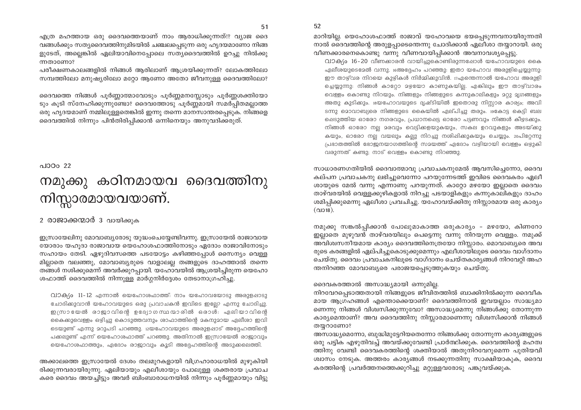52

എത്ര മഹത്തായ ഒരു ദൈവത്തെയാണ് നാം ആരാധിക്കുന്നത്!? വ്യാജ ദൈ വങ്ങൾക്കും സത്യദൈവത്തിനുമിടയിൽ ചഞ്ചലപ്പെടുന്ന ഒരു ഹൃദയമാണോ നിങ്ങ ളുടേത്, അല്ലെങ്കിൽ ഏലിയാവിനെപ്പോലെ സതൃദൈവത്തിൽ ഉറച്ചു നിൽക്കു ന്നതാണോ?

പരീക്ഷണകാലങ്ങളിൽ നിങ്ങൾ ആരിലാണ് ആശ്രയിക്കുന്നത്? ലോകത്തിലോ സമ്പത്തിലോ മനുഷ്യരിലോ മറ്റോ ആണോ അതോ ജീവനുള്ള ദൈവത്തിലോ?

ദൈവത്തെ നിങ്ങൾ പൂർണ്ണാത്മാവോടും പൂർണ്ണമനസ്സോടും പൂർണ്ണശക്തിയോ ടും കൂടി സ്നേഹിക്കുന്നുണ്ടോ? ദൈവത്തോടു പൂർണ്ണമായി സമർപ്പിതമല്ലാത്ത ഒരു ഹൃദയമാണ് നമ്മിലുള്ളതെങ്കിൽ ഇന്നു തന്നെ മാനസാന്തരപ്പെടുക. നിങ്ങളെ ദൈവത്തിൽ നിന്നും പിൻതിരിപ്പിക്കാൻ ഒന്നിനെയും അനുവദിക്കരുത്.

### പാഠം 22 നമുക്കു കഠിനമായവ ദൈവത്തിനു നിസ്സാരമായവയാണ്.

#### 2 രാജാക്കന്മാർ 3 വായിക്കുക

ഇസ്രായേലിനു മോവാബ്യരോടു യുദ്ധംചെയ്യേണ്ടിവന്നു. ഇസ്രായേൽ രാജാവായ യോരാം യഹൂദാ രാജാവായ യെഹോശഫാത്തിനോടും ഏദോം രാജാവിനോടും സഹായം തേടി. ഏഴുദിവസത്തെ പടയോട്ടം കഴിഞ്ഞപ്പോൾ സൈന്യം വെള്ള മില്ലാതെ വലഞ്ഞു, മോവാബ്യരുടെ വാളാലല്ല തങ്ങളുടെ ദാഹത്താൽ തന്നെ തങ്ങൾ നശിക്കുമെന്ന് അവർക്കുറപ്പായി. യഹോവയിൽ ആശ്രയിച്ചിരുന്ന യെഹോ ശഫാത്ത് ദൈവത്തിൽ നിന്നുള്ള മാർഗ്ഗനിർദ്ദേശം തേടാനാഗ്രഹിച്ചു.

വാക്യം 11-12 എന്നാൽ യെഹോശഫാത്ത്: നാം യഹോവയോടു അരുളപ്പാടു ചോദിക്കുവാൻ യഹോവയുടെ ഒരു പ്രവാചകൻ ഇവിടെ ഇല്ലോ എന്നു ചോദിച്ചു. ഇന്ധ്രായേൽ രാജാവിന്റെ ഉദ്യോഗസ്ഥന്മാരിൽ ഒരാൾ: ഏലിയാവിന്റെ കൈക്കുവെള്ളം ഒഴിച്ചു കൊടുത്തവനും ശാഫാത്തിന്റെ മകനുമായ ഏലീശാ ഇവി ടെയുണ്ട് എന്നു മറുപടി പറഞ്ഞു. i2യഹോവയുടെ അരുളപ്പാട് അദ്ദേഹത്തിന്റെ പക്കലുണ്ട് എന്ന് യെഹോശഫാത്ത് പറഞ്ഞു. അതിനാൽ ഇസ്രായേൽ രാജാവും യെഹോശഫാത്തും, ഏദോം രാജാവും കൂടി അദ്ദേഹത്തിന്റെ അടുക്കലെത്തി.

അക്കാലത്തെ ഇസ്രായേൽ ദേശം തലമുറകളായി വിഗ്രഹാരാധയിൽ മുഴുകിയി രിക്കുന്നവരായിരുന്നു. ഏലിയായും എലീശായും പോലുള്ള ശക്തരായ പ്രവാച കരെ ദൈവം അയച്ചിട്ടും അവർ ബിംബാരാധനയിൽ നിന്നും പൂർണ്ണമായും വിട്ടു

മാറിയില്ല. യെഹോശഫാത്ത് രാജാവ് യഹോവയെ ഭയപ്പെടുന്നവനായിരുന്നതി നാൽ ദൈവത്തിന്റെ അരുളപ്പാടെന്തെന്നു ചോദിക്കാൻ ഏലീശാ തയ്യാറായി. ഒരു വീണക്കാരനെകൊണ്ടു വന്നു വീണവായിപ്പിക്കാൻ അവനാവശ്യപ്പെട്ടു.

വാക്യം 16-20 വീണക്കാരൻ വായിച്ചുകൊണ്ടിരുന്നപ്പോൾ യഹോവയുടെ കൈ ഏലീശയുടെമേൽ വന്നു. 16അദ്ദേഹം പറഞ്ഞു: ഇതാ യഹോവ അരുളിച്ചെയ്യുന്നു: ഈ താഴ്വര നിറയെ കുഴികൾ നിർമ്മിക്കുവിൻ. 17എന്തെന്നാൽ യഹോവ അരുളി ച്ചെയ്യുന്നു: നിങ്ങൾ കാറ്റോ മഴയോ കാണുകയില്ല. എങ്കിലും ഈ താഴ്വാരം വെള്ളം കൊണ്ടു നിറയും. നിങ്ങളും നിങ്ങളുടെ കന്നുകാലികളും മറ്റു മൃഗങ്ങളും അതു കുടിക്കും. 18യഹോവയുടെ ദൃഷ്ടിയിൽ ഇതൊരു നിസ്സാര കാര്യം; അവി ടന്നു മൊവാബ്യരെ നിങ്ങളുടെ കൈയിൽ ഏല്പിച്ചു തരും. 19കോട്ട കെട്ടി ബല ഷെടുത്തിയ ഓരോ നഗരവും, പ്രധാനപ്പെട്ട ഓരോ പട്ടണവും നിങ്ങൾ കീഴ്ടക്കും. നിങ്ങൾ ഓരോ നല്ല മരവും വെട്ടിക്കളയുകയും, സകല ഉറവുകളും അടയ്ക്കു കയും, ഓരോ നല്ല വയലും കല്ലു നിറച്ചു നശിഷിക്കുകയും ചെയ്യും. 20പിറ്റേന്നു പ്രഭാതത്തിൽ ഭോജനയാഗത്തിന്റെ സമയത്ത് ഏദോം വഴിയായി വെള്ളം ഒഴുകി വരുന്നത് കണ്ടു; നാട് വെള്ളം കൊണ്ടു നിറഞ്ഞു.

സാധാരണഗതിയിൽ ദൈവാത്മാവു പ്രവാചകനുമേൽ ആവസിച്ചെന്നോ, ദൈവ കല്പന പ്രവാചകനു ലഭിച്ചുവെന്നോ പറയുന്നേടത്ത് ഇവിടെ ദൈവകരം ഏലീ ശായുടെ മേൽ വന്നു എന്നാണു പറയുന്നത്. കാറ്റോ മഴയോ ഇല്ലാതെ ദൈവം താഴ്വരയിൽ വെള്ളക്കുഴികളാൽ നിറച്ചു പടയാളികളും കന്നുകാലികളും ദാഹം ശമിപ്പിക്കുമെന്നു ഏലീശാ പ്രവചിച്ചു. യഹോവയ്ക്കിതു നിസ്സാരമായ ഒരു കാര്യം  $(21018).$ 

നമുക്കു സങ്കൽപ്പിക്കാൻ പോലുമാകാത്ത ഒരുകാര്യം - മഴയോ, കിണറോ ഇല്ലാതെ മുഴുവൻ താഴ്വരയിലും പെട്ടെന്നു വന്നു നിറയുന്ന വെള്ളം. നമുക്ക് അവിശ്വസനീയമായ കാര്യം ദൈവത്തിനെത്രയോ നിസ്സാരം. മൊവാബ്യരെ അവ രുടെ കരങ്ങളിൽ ഏല്പിച്ചുകൊടുക്കുമെന്നും എലീശായിലുടെ ദൈവം വാഗ്ദാനം ചെയ്തു. ദൈവം പ്രവാചകനിലൂടെ വാഗ്ദാനം ചെയ്തകാര്യങ്ങൾ നിറവേറ്റി അഹ ന്തനിറഞ്ഞ മോവാബൃരെ പരാജയപ്പെടുത്തുകയും ചെയ്തു.

#### ദൈവകരത്താൽ അസാദ്ധ്യമായി ഒന്നുമില്ല.

നിറവേറപ്പെടാത്തതായി നിങ്ങളുടെ ജീവിതത്തിൽ ബാക്കിനിൽക്കുന്ന ദൈവീക മായ ആഗ്രഹങ്ങൾ എന്തൊക്കെയാണ്? ദൈവത്തിനാൽ ഇവയല്ലാം സാദ്ധ്യമാ ണെന്നു നിങ്ങൾ വിശ്വസിക്കുന്നുവോ? അസാദ്ധ്യമെന്നു നിങ്ങൾക്കു തോന്നുന്ന കാര്യമെന്താണ്? അവ ദൈവത്തിനു നിസ്സാരമാണെന്നു വിശ്വസിക്കാൻ നിങ്ങൾ തയ്യറാണോ?

അസാദ്ധ്യമെന്നോ, ബുദ്ധിമുട്ടേറിയതെന്നോ നിങ്ങൾക്കു തോന്നുന്ന കാര്യങ്ങളുടെ ഒരു പട്ടിക എഴുതിവച്ച് അവയ്ക്കുവേണ്ടി പ്രാർത്ഥിക്കുക. ദൈവത്തിന്റെ മഹത്വ ത്തിനു വേണ്ടി ദൈവകരത്തിന്റെ ശക്തിയാൽ അതുനിറവേറുമെന്ന പുതിയവി ശ്വാസം നേടുക. അത്തരം കാര്യങ്ങൾ നടക്കുന്നതിനു സാക്ഷിയാകുക, ദൈവ കരത്തിന്റെ പ്രവർത്തനത്തെക്കുറിച്ചു മറ്റുള്ളവരോടു പങ്കുവയ്ക്കുക.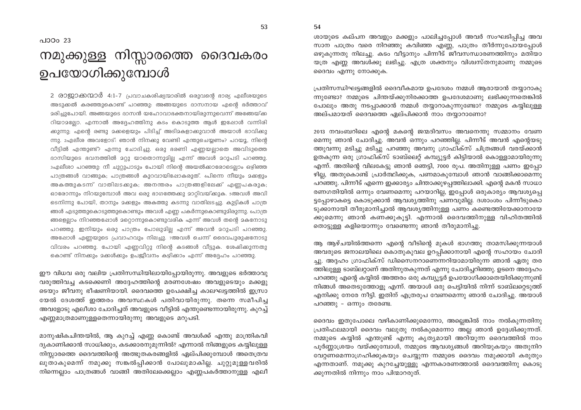54

ശായുടെ കല്പന അവളും മക്കളും പാലിച്ചപ്പോൾ അവർ സംഘടിപ്പിച്ച അവ സാന പാത്രം വരെ നിറഞ്ഞു കവിഞ്ഞ എണ്ണ, പാത്രം തീർന്നുപോയപ്പോൾ ഒഴുകുന്നതു നിലച്ചു. കടം വീട്ടാനും പിന്നീട് ജീവസന്ധാരണത്തിനും മതിയാ യത്ര എണ്ണ അവൾക്കു ലഭിച്ചു. എത്ര ശക്തനും വിശ്വസ്തനുമാണു നമ്മുടെ ദൈവം എന്നു നോക്കുക.

പ്രതിസന്ധിഘട്ടങ്ങളിൽ ദൈവീകമായ ഉപദേശം നമ്മൾ ആരായാൻ തയ്യാറാകു ന്നുണ്ടോ? നമ്മുടെ ചിന്തയ്ക്കുനിരക്കാത്ത ഉപദേശമാണു ലഭിക്കുന്നതെങ്കിൽ പോലും അതു നടപ്പാക്കാൻ നമ്മൾ തയ്യാറാകുന്നുണ്ടോ? നമ്മുടെ കയിലുള്ള അല്പമായത് ദൈവത്തെ ഏല്പിക്കാൻ നാം തയാറാണോ?

2013 നവംബറിലെ എന്റെ മകന്റെ ജന്മദിവസം അവനെന്തു സമ്മാനം വേണ മെന്നു ഞാൻ ചോദിച്ചു. അവൻ ഒന്നും പറഞ്ഞില്ല. പിന്നീട് അവൻ എന്റെയടു ത്തുവന്നു മടിച്ചു മടിച്ചു പറഞ്ഞു അവനു ഗ്രാഫിക്സ് ചിത്രങ്ങൾ വരയ്ക്കാൻ ഉതകുന്ന ഒരു ഗ്രാഫിക്സ് ടാബ്ലെറ്റ് കമ്പ്യൂട്ടർ കിട്ടിയാൽ കൊള്ളാമായിരുന്നു എന്ന്. അതിന്റെ വിലകേട്ടു ഞാൻ ഞെട്ടി, 7000 രുപ. അതിനുള്ള പണം ഇപ്പോ ഴില്ല, അതുകൊണ്ട് പ്രാർത്ഥിക്കുക, പണമാകുമ്പോൾ ഞാൻ വാങ്ങിക്കാമെന്നു പറഞ്ഞു. പിന്നീട് എന്നെ ഇക്കാര്യം ചിന്താക്കുഴപ്പത്തിലാക്കി. എന്റെ മകൻ സാധാ രണഗതിയിൽ ഒന്നും വേണമെന്നു പറയാറില്ല, ഇപ്പോൾ ഒരുകാര്യം ആവശ്യപ്പെ ട്ടപ്പോഴാകട്ടെ കൊടുക്കാൻ ആവശ്യത്തിനു പണവുമില്ല. ദശാംശം പിന്നീടുകൊ ടുക്കാനായി തീരുമാനിച്ചാൽ ആവശ്യത്തിനുള്ള പണം കണ്ടെത്തിയേക്കാനായേ ക്കുമെന്നു ഞാൻ കണക്കുകൂട്ടി. എന്നാൽ ദൈവത്തിനുള്ള വിഹിതത്തിൽ തൊട്ടുള്ള കളിയൊന്നും വേണ്ടെന്നു ഞാൻ തീരുമാനിച്ചു.

ആ ആഴ്ചയിൽത്തന്നെ എന്റെ വീടിന്റെ മുകൾ ഭാഗത്തു താമസിക്കുന്നയാൾ അവരുടെ ജനാലയിലെ കൊതുകുവല ഉറപ്പിക്കാനായി എന്റെ സഹായം ചോദി ച്ചു. അദ്ദഹം ഗ്രാഫിക്സ് ഡിസൈനറാണെന്നറിയാമായിരുന്ന ഞാൻ ഏതു തര ത്തിലുള്ള ടാബ്ലറ്റാണ് അതിനുതകുന്നത് എന്നു ചോദിച്ചറിഞ്ഞു. ഉടനെ അദ്ദേഹം പറഞ്ഞു എന്റെ കയ്യിൽ അത്തരം ഒരു കമ്പ്യൂട്ടർ ഉപയോഗിക്കാതെയിരിക്കുന്നുണ്ട് നിങ്ങൾ അതെടുത്തോളു എന്ന്. അയാൾ ഒരു പെട്ടിയിൽ നിന്ന് ടാബ്ലറ്റെടുത്ത് എനിക്കു നേരേ നീട്ടി. ഇതിന് എത്രരുപ വേണമെന്നു ഞാൻ ചോദിച്ചു. അയാൾ പറഞ്ഞു - ഒന്നും തരേണ്ട.

ദൈവം ഇതുപോലെ വഴികാണിക്കുമെന്നോ, അല്ലെങ്കിൽ നാം നൽകുന്നതിനു പ്രതിഫലമായി ദൈവം വലുതു നൽകുമെന്നോ അല്ല ഞാൻ ഉദ്ദേശിക്കുന്നത്. നമ്മുടെ കയ്യിൽ എന്തുണ്ട് എന്നു കൃത്യമായി അറിയുന്ന ദൈവത്തിൽ നാം പൂർണ്ണാശ്രയം വയ്ക്കുമ്പോൾ, നമ്മുടെ ആവശ്യങ്ങൾ അറിയുകയും അതുനിറ വേറ്റണമെന്നാഗ്രഹിക്കുകയും ചെയ്യുന്ന നമ്മുടെ ദൈവം നമുക്കായി കരുതും എന്നതാണ്. നമുക്കു കുറച്ചേയുള്ളു എന്നകാരണത്താൽ ദൈവത്തിനു കൊടു ക്കുന്നതിൽ നിന്നും നാം പിന്മാറരുത്.

#### പാഠം 23

## നമുക്കുള്ള നിസ്സാരത്തെ ദൈവകരം ഉപയോഗിക്കുമ്പോൾ

2 രാജ്കാമാർ 4:1-7 പ്രവാചകശിഷ്യന്മാരിൽ ഒരുവന്റെ ഭാര്യ എലീശയുടെ അടുക്കൽ കരഞ്ഞുകൊണ്ട് പറഞ്ഞു: അങ്ങയുടെ ദാസനായ എന്റെ ഭർത്താവ് മരിച്ചുപോയി. അങ്ങയുടെ ദാസൻ യഹോവാഭക്തനായിരുന്നുവെന്ന് അങ്ങേയ്ക്ക റിയാമല്ലോ. എന്നാൽ അദ്ദേഹത്തിനു കടം കൊടുത്ത ആൾ ഇപ്പോൾ വന്നിരി ക്കുന്നു; എന്റെ രണ്ടു മക്കളെയും പിടിച്ച് അടിമകളാക്കുവാൻ അയാൾ ഭാവിക്കു ന്നു. 2എലീശ അവളോട്: ഞാൻ നിനക്കു വേണ്ടി എന്തുചെയ്യണം? പറയൂ, നിന്റെ വീട്ടിൽ എന്തുണ്ട്? എന്നു ചോദിച്ചു. ഒരു ഭരണി എണ്ണയല്ലാതെ അവിടുത്തെ ദാസിയുടെ ഭവനത്തിൽ മറ്റു യാതൊന്നുമില്ല എന്ന് അവൾ മറുപടി പറഞ്ഞു. 3എലീശാ പറഞ്ഞു: നീ ചുറ്റുപാടും പോയി നിന്റെ അയൽക്കാരോടെല്ലാം ഒഴിഞ്ഞ പാത്രങ്ങൾ വാങ്ങുക; പാത്രങ്ങൾ കുറവായിഷോകരുത്. 4പിന്നെ നീയും മക്കളും അകത്തുകടന്ന് വാതിലടക്കുക; അനന്തരം പാത്രങ്ങളിലേക്ക് എണ്ണപകരുക; ഓരോന്നും നിറയുമ്പോൾ അവ ഒരു ഭാഗത്തേക്കു മാറ്റിവയ്ക്കുക. 5അവൾ അവി ടെനിന്നു പോയി, താനും മക്കളും അകത്തു കടന്നു വാതിലടച്ചു. കുട്ടികൾ പാത്ര ങ്ങൾ എടുത്തുകൊടുത്തുകൊണ്ടും അവൾ എണ്ണ പകർന്നുകൊണ്ടുമിരുന്നു. പൊത്ര ങ്ങളെല്ലാം നിറഞ്ഞപ്പോൾ മറ്റൊന്നുകൊണ്ടുവരിക എന്ന് അവൾ തന്റെ മകനോടു പറഞ്ഞു. ഇനിയും ഒരു പാത്രം പോലുമില്ല എന്ന് അവൻ മറുപടി പറഞ്ഞു. അഷോൾ എണ്ണയുടെ പ്രവാഹവും നിലച്ചു. 7അവൾ ചെന്ന് ദൈവപുരുഷനോടു വിവരം പറഞ്ഞു. പോയി എണ്ണവിറ്റു നിന്റെ കടങ്ങൾ വീട്ടുക. ശേഷിക്കുന്നതു കൊണ്ട് നിനക്കും മക്കൾക്കും ഉപജീവനം കഴിക്കാം എന്ന് അദ്ദേഹം പറഞ്ഞു.

ഈ വിധവ ഒരു വലിയ പ്രതിസന്ധിയിലായിപ്പോയിരുന്നു. അവളുടെ ഭർത്താവു വരുത്തിവച്ച കടക്കെണി അദ്ദേഹത്തിന്റെ മരണശേഷം അവളുടെയും മക്കളു ടെയും ജീവനു ഭീഷണിയായി. ദൈവത്തെ ഉപേക്ഷിച്ച കാലഘട്ടത്തിൽ ഇസ്രാ യേൽ ദേശത്ത് ഇത്തരം അവസ്ഥകൾ പതിവായിരുന്നു. തന്നെ സമീപിച്ച അവളോടു എലീശാ ചോദിച്ചത് അവളുടെ വീട്ടിൽ എന്തുണ്ടെന്നായിരുന്നു. കുറച്ച് എണ്ണമാത്രമാണുള്ളതെന്നായിരുന്നു അവളുടെ മറുപടി.

മാനുഷികചിന്തയിൽ, ആ കുറച്ച് എണ്ണ കൊണ്ട് അവൾക്ക് എന്തു മാന്ത്രികവി ദ്യകാണിക്കാൻ സാധിക്കും, കടക്കാരനുമുന്നിൽ? എന്നാൽ നിങ്ങളുടെ കയ്യിലുള്ള നിസ്സാരത്തെ ദൈവത്തിന്റെ അത്ഭുതകരങ്ങളിൽ ഏല്പിക്കുമ്പോൾ അതെത്രവ ലുതാകുമെന്ന് നമുക്കു സങ്കൽപ്പിക്കാൻ പോലുമാകില്ല. ചുറ്റുമുള്ളവരിൽ നിന്നെല്ലാം പാത്രങ്ങൾ വാങ്ങി അതിലേക്കെല്ലാം എണ്ണപകർത്താനുള്ള എലീ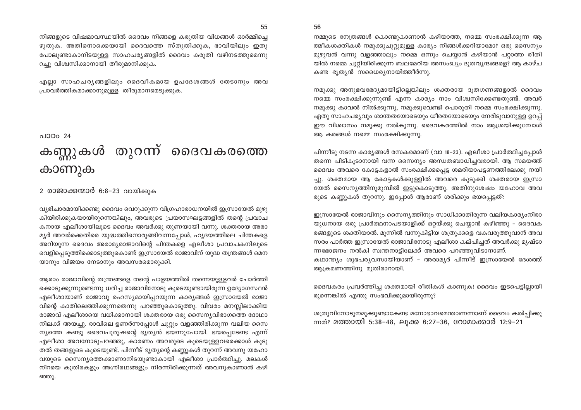നിങ്ങളുടെ വിഷമാവസ്ഥയിൽ ദൈവം നിങ്ങളെ കരുതിയ വിധങ്ങൾ ഓർമ്മിച്ചെ ഴുതുക. അതിനൊക്കെയായി ദൈവത്തെ സ്തുതിക്കുക, ഭാവിയിലും ഇതു പോലുണ്ടാകാനിടയുള്ള സാഹചര്യങ്ങളിൽ ദൈവം കരുതി വഴിനടത്തുമെന്നു റച്ചു വിശ്വസിക്കാനായി തീരുമാനിക്കുക.

എല്ലാ സാഹചര്യങ്ങളിലും ദൈവീകമായ ഉപദേശങ്ങൾ തേടാനും അവ പ്രാവർത്തികമാക്കാനുമുള്ള തീരുമാനമെടുക്കുക.

#### പാറം  $24$

## കണ്ണുകൾ തുറന്ന് ദൈവകരത്തെ കാണുക

#### 2 രാജാക്കന്മാർ 6:8-23 വായിക്കുക

വ്യഭിചാരമായിക്കണ്ടു ദൈവം വെറുക്കുന്ന വിഗ്രഹാരാധനയിൽ ഇസ്രായേൽ മുഴു കിയിരിക്കുകയായിരുന്നെങ്കിലും, അവരുടെ പ്രയാസഘട്ടങ്ങളിൽ തന്റെ പ്രവാച കനായ എലീശായിലൂടെ ദൈവം അവർക്കു തുണയായി വന്നു. ശക്തരായ അരാ മ്യർ അവർക്കെതിരെ യുദ്ധത്തിനൊരുങ്ങിവന്നപ്പോൾ, ഹൃദയത്തിലെ ചിന്തകളെ അറിയുന്ന ദൈവം അരാമ്യരാജാവിന്റെ ചിന്തകളെ എലീശാ പ്രവാചകനിലൂടെ വെളിപ്പെടുത്തിക്കൊടുത്തുകൊണ്ട് ഇസ്രായേൽ രാജാവിന് യുദ്ധ തന്ത്രങ്ങൾ മെന യാനും വിജയം നേടാനും അവസരമൊരുക്കി.

ആരാം രാജാവിന്റെ തന്ത്രങ്ങളെ തന്റെ പാളയത്തിൽ തന്നെയുള്ളവർ ചോർത്തി ക്കൊടുക്കുന്നുണ്ടെന്നു ധരിച്ച രാജാവിനോടു കുടെയുണ്ടായിരുന്ന ഉദ്യോഗസ്ഥൻ എലീശായാണ് രാജാവു രഹസ്യമായിപ്പറയുന്ന കാര്യങ്ങൾ ഇസ്രായേൽ രാജാ വിന്റെ കാതിലെത്തിക്കുന്നതെന്നു പറഞ്ഞുകൊടുത്തു. വിവരം മനസ്സിലാക്കിയ രാജാവ് എലീശായെ വധിക്കാനായി ശക്തരായ ഒരു സൈന്യവിഭാഗത്തെ ദോഥാ നിലക്ക് അയച്ചു. രാവിലെ ഉണർന്നപ്പോൾ ചുറ്റും വളഞ്ഞിരിക്കുന്ന വലിയ സൈ ന്യത്തെ കണ്ടു ദൈവപുരുഷന്റെ ഭൃത്യൻ ഭയന്നുപോയി. ഭയപ്പെടേണ്ട എന്ന് എലീശാ അവനോടുപറഞ്ഞു, കാരണം അവരുടെ കൂടെയുള്ളവരെക്കാൾ കുടു തൽ തങ്ങളുടെ കൂടെയുണ്ട്. പിന്നീട് ഭൃതൃന്റെ കണ്ണുകൾ തുറന്ന് അവനു യഹോ വയുടെ സൈന്യത്തെക്കാണാനിടയുണ്ടാകായി എലീശാ പ്രാർത്ഥിച്ചു. മലകൾ നിറയെ കുതിരകളും അഗ്നിരഥങ്ങളും നിരന്നിരിക്കുന്നത് അവനുകാണാൻ കഴി ഞ്ഞു.

#### 56

നമ്മുടെ നേത്രങ്ങൾ കൊണ്ടുകാണാൻ കഴിയാത്ത, നമ്മെ സംരക്ഷിക്കുന്ന ആ ത്മീകശക്തികൾ നമുക്കുചുറ്റുമുള്ള കാര്യം നിങ്ങൾക്കറിയാമോ? ഒരു സൈന്യം മുഴുവൻ വന്നു വളഞ്ഞാലും നമ്മെ ഒന്നും ചെയ്യാൻ കഴിയാൻ പറ്റാത്ത രീതി യിൽ നമ്മെ ചുറ്റിയിരിക്കുന്ന ബലമേറിയ അസംഖ്യം ദൂതവൃന്ദങ്ങളെ? ആ കാഴ്ച കണ്ട ഭൃതൃൻ സധൈര്യനായിത്തീർന്നു.

നമുക്കു അനുഭവഭേദ്യമായിട്ടില്ലെങ്കിലും ശക്തരായ ദുതഗണങ്ങളാൽ ദൈവം നമ്മെ സംരക്ഷിക്കുന്നുണ്ട് എന്ന കാര്യം നാം വിശ്വസിക്കേണ്ടതുണ്ട്. അവർ നമുക്കു കാവൽ നിൽക്കുന്നു, നമുക്കുവേണ്ടി പൊരുതി നമ്മെ സംരക്ഷിക്കുന്നു. ഏതു സാഹചര്യവും ശാന്തതയോടെയും ധീരതയോടെയും നേരിടുവാനുള്ള ഉറപ്പ് ഈ വിശ്വാസം നമുക്കു നൽകുന്നു. ദൈവകരത്തിൽ നാം ആശ്രയിക്കുമ്പോൾ ആ കരങ്ങൾ നമ്മെ സംരക്ഷിക്കുന്നു.

പിന്നീടു നടന്ന കാര്യങ്ങൾ രസകരമാണ് (വാ 18–23). എലീശാ പ്രാർത്ഥിച്ചപ്പോൾ തന്നെ പിടികൂടാനായി വന്ന സൈന്യം അന്ധതബാധിച്ചവരായി. ആ സമയത്ത് ദൈവം അവരെ കോട്ടകളാൽ സംരക്ഷിക്കപ്പെട്ട ശമരിയാപട്ടണത്തിലേക്കു നയി ച്ചു. ശക്തമായ ആ കോട്ടകൾക്കുള്ളിൽ അവരെ കുടുക്കി ശക്തരായ ഇസ്രാ യേൽ സൈന്യത്തിനുമുമ്പിൽ ഇട്ടുകൊടുത്തു. അതിനുശേഷം യഹോവ അവ രുടെ കണ്ണുകൾ തുറന്നു. ഇപ്പോൾ ആരാണ് ശരിക്കും ഭയപ്പെട്ടത്?

ഇസ്രായേൽ രാജാവിനും സൈന്യത്തിനും സാധിക്കാതിരുന്ന വലിയകാര്യംനിരാ യുധനായ ഒരു പ്രാർത്ഥനാപടയാളിക്ക് ഒറ്റയ്ക്കു ചെയ്യാൻ കഴിഞ്ഞു – ദൈവക രങ്ങളുടെ ശക്തിയാൽ. മുന്നിൽ വന്നുകിട്ടിയ ശത്രുക്കളെ വകവരുത്തുവാൻ അവ സരം പാർത്ത ഇസ്രായേൽ രാജാവിനോടു എലീശാ കല്പിച്ചത് അവർക്കു മൃഷ്ടാ ന്നഭോജനം നൽകി സ്വന്തനാട്ടിലേക്ക് അവരെ പറഞ്ഞുവിടാനാണ്. കഥാന്ത്യം ശുഭപര്യവസായിയാണ് - അരാമ്യർ പിന്നീട് ഇസ്രായേൽ ദേശത്ത് ആക്രമണത്തിനു മുതിരാറായി.

ദൈവകരം പ്രവർത്തിച്ച ശക്തമായി രീതികൾ കാണുക! ദൈവം ഇടപെട്ടില്ലായി രുന്നെങ്കിൽ എന്തു സംഭവിക്കുമായിരുന്നു?

ശത്രുവിനോടുനമുക്കുണ്ടാകേണ്ട മനോഭാവമെന്താണന്നാണ് ദൈവം കൽപ്പിക്കു ന്നത്? മത്തായി 5:38-48, ലുക്ക 6:27-36, റോമാക്കാർ 12:9-21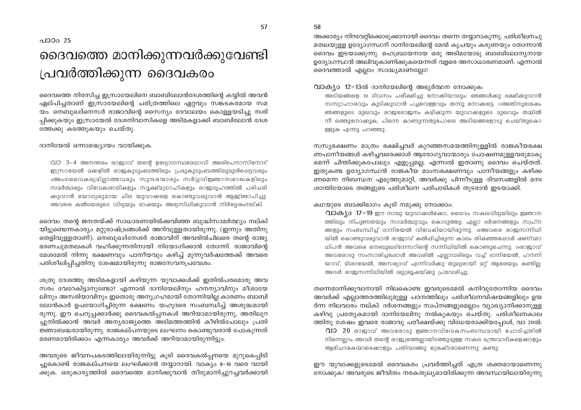## ദൈവത്തെ മാനിക്കുന്നവർക്കുവേണ്ടി പ്രവർത്തിക്കുന്ന ദൈവകരം

ദൈവത്തെ നിരസിച്ച ഇസ്രായേലിനെ ബാബിലോൻദേശത്തിന്റെ കയ്യിൽ അവൻ ഏല്പിച്ചതാണ് ഇസ്രായേലിന്റെ ചരിത്രത്തിലെ ഏറ്റവും സങ്കടകരമായ സമ യം. നെബുഖദ്നെസർ രാജാവിന്റെ സൈന്യം ദേവാലയം കൊള്ളയടിച്ചു നശി പ്പിക്കുകയും ഇസ്രായേൽ ദേശനിവാസികളെ അടിമകളാക്കി ബാബിലോൻ ദേശ ത്തേക്കു കടത്തുകയും ചെയ്തു.

ദാനിയേൽ ഒന്നാമദ്ധ്യായം വായിക്കുക.

വാ 3-4 അനന്തരം രാജാവ് തന്റെ ഉദ്യോഗസ്ഥമേധാവി അശ്പെനാസിനോട് ഇസ്രായേൽ മക്കളിൽ രാജകുടുംബത്തിലും പ്രഭുകുടുംബത്തിലുമുൾപ്പെട്ടവരും 4അംഗവൈകല്യമില്ലാത്തവരും സുന്ദരന്മാരും സർവ്വവിജ്ഞാനശാഖകളിലും സമർത്ഥരും വിവേകശാലികളും സൂക്ഷ്മഗ്രാഹികളും രാജഗൃഹത്തിൽ പരിചരി ക്കുവാൻ യോഗ്യരുമായ ചില യുവാക്കളെ കൊണ്ടുവരുവാൻ ആജ്ഞാപിച്ചു. അവരെ കൽദയരുടെ വിദ്യയും ഭാഷയും അഭ്യസിഷിക്കുവാൻ നിർദ്ദേശംനല്കി.

ദൈവം തന്റെ ജനതയ്ക്ക് സാധാരണയിൽക്കവിഞ്ഞ ബുദ്ധിസാമർത്ഥ്യം നല്കി യിട്ടുണ്ടെന്നകാര്യം മറ്റുരാഷ്ട്രങ്ങൾക്ക് അറിവുള്ളതായിരുന്നു. (ഇന്നും അതിനു തെളിവുള്ളതാണ്). നെബുഖദ്നേശർ രാജാവിന് അവരിൽചിലരെ തന്റെ രാജ്യ ഭരണചുമതലകൾ വഹിക്കുന്നതിനായി നിയോഗിക്കാൻ തോന്നി. രാജാവിന്റെ മേശമേൽ നിന്നു ഭക്ഷണവും പാനീയവും കഴിച്ച് മൂന്നുവർഷത്തേക്ക് അവരെ പരിശീലിപ്പിച്ചതിനു ശേഷമായിരുന്നു രാജസേവനപ്രവേശം.

ശത്രു ദേശത്തു അടിമകളായി കഴിയുന്ന യുവാക്കൾക്ക് ഇതിൽപരമൊരു അവ സരം വേറേകിട്ടാനുണ്ടോ? എന്നാൽ ദാനിയേലിനും ഹനന്യാവിനും മീശായേ ലിനും അസരിയാവിനും ഇതൊരു അനുഗ്രഹമായി തോന്നിയില്ല കാരണം ബാബി ലോൻകാർ ഉപയോഗിച്ചിരുന്ന ഭക്ഷണം യഹുദരെ സംബന്ധിച്ച് അശുദ്ധമായി രുന്നു. ഈ ചെറുപ്പക്കാർക്കു ദൈവകൽപ്പനകൾ അറിയാമായിരുന്നു, അതിലുറ ച്ചുനിൽക്കാൻ അവർ അന്യരാജ്യത്തെ അടിമത്തത്തിൻ കീഴിൽപോലും പ്രതി ജ്ഞാബദ്ധരായിരുന്നു. രാജകല്പനയുടെ ലംഘനം കൊണ്ടുവരാൻ പോകുന്നത് മരണമായിരിക്കാം എന്നകാര്യം അവർക്ക് അറിയാമായിരുന്നിട്ടും.

അവരുടെ ജീവനപകടത്തിലായിരുന്നിട്ടു കൂടി ദൈവകൽപ്പനയെ മുറുകെപ്പിടി ച്ചുകൊണ്ട് രാജകല്പനയെ ലംഘിക്കാൻ തയ്യാറായി. വാക്യം 8–16 വരെ വായി ക്കുക. ഒരുകാര്യത്തിൽ ദൈവത്തെ മാനിക്കുവാൻ തീരുമാനിച്ചുറച്ചവർക്കായി

അക്കാര്യം നിറവേറ്റിക്കൊടുക്കാനായി ദൈവം തന്നെ തയ്യാറാകുന്നു. പരിശീലനചു മതലയുള്ള ഉദ്യോഗസ്ഥന് ദാനിയേലിന്റെ മേൽ കൃപയും കരുണയും തോന്നാൻ ദൈവം ഇടയാക്കുന്നു. ഹെബ്രായനായ ഒരു അടിമയോടു ബാബിലോന്യനായ ഉദ്യോഗസ്ഥൻ അലിവുകാണിക്കുകയെന്നത് വളരെ അസാധാരണമാണ്. എന്നാൽ ദൈവത്താൽ എല്ലാം സാദ്ധ്യമാണല്ലോ!

#### വാകും 12-13ൽ ദാനിയേലിന്റെ അഭൂർത്ഥന നോക്കുക:

അടിയങ്ങളെ 10 ദിവസം പരീക്ഷിച്ചു നോക്കിയാലും; ഞങ്ങൾക്കു ഭക്ഷിക്കുവാൻ സസ്യാഹാരവും കുടിക്കുവാൻ പച്ചവെള്ളവും തന്നു നോക്കട്ടെ. ദഅതിനുശേഷം ഞങ്ങളുടെ മുഖവും രാജഭോജനം കഴിക്കുന്ന യുവാക്കളുടെ മുഖവും തമ്മിൽ നീ ഒത്തുനോക്കുക; പിന്നെ കാണുന്നതുപോലെ അടിയങ്ങളോടു ചെയ്തുകൊ ള്ളുക എന്നു പറഞ്ഞു.

സസ്യഭക്ഷണം മാത്രം ഭക്ഷിച്ചവർ കുറഞ്ഞസമയത്തിനുള്ളിൽ രാജകീയഭക്ഷ ണപാനീയങ്ങൾ കഴിച്ചവരെക്കാൾ ആരോഗ്യവാന്മാരും പോഷണമുള്ളവരുമാകു മെന്ന് ചിന്തിക്കുകപോലും എളുപ്പമല്ല. എന്നാൽ ഇതാണു ദൈവം ചെയ്തത്. ഇതുകണ്ട ഉദ്യോഗസ്ഥൻ രാജകീയ മാംസഭക്ഷണവും പാനീയങ്ങളും കഴിക്ക ണമെന്ന നിബന്ധന എടുത്തുമാറ്റി, അവർക്കു പിന്നീടുള്ള ദിവസങ്ങളിൽ മനഃ ശാന്തിയോടെ തങ്ങളുടെ പരിശീലന പരിപാടികൾ തുടരാൻ ഇടയാക്കി.

കഥയുടെ ബാക്കിഭാഗം കുടി നമുക്കു നോക്കാം:

 $\Omega$ 10 $\Theta$ , o  $17-19$  ഈ നാലു യുവാക്കൾക്കോ, ദൈവം സകലവിദ്യയിലും ഇഞാന ത്തിലും നിപുണതയും സാമർത്ഥ്യവും കൊടുത്തു; എല്ലാ ദർശനങ്ങളും സ്വപ്ന ങ്ങളും സംബന്ധിച്ച് ദാനിയേൽ വിവേകിയായിരുന്നു.  $18$ അവരെ രാജസന്നിധി യിൽ കൊണ്ടുവരുവാൻ രാജാവ് കൽപ്പിച്ചിരുന്ന കാലം തികഞ്ഞപ്പോൾ ഷണ്ഢാ ധിപൻ അവരെ നെബുഖദ്നേസറിന്റെ സന്നിധിയിൽ കൊണ്ടുചെന്നു. ചരാജാവ് അവരോടു സംസാരിച്ചപ്പോൾ അവരിൽ എല്ലാവരിലും വച്ച് ദാനിയേൽ, ഹനനി യാവ്, മിശായേൽ, അസര്യാവ് എന്നിവർക്കു തുല്യരായി മറ്റ് ആരേയും കണ്ടില്ല; അവർ രാജസന്നിധിയിൽ ശുശ്രൂഷയ്ക്കു പ്രവേശിച്ചു.

തന്നെമാനിക്കുവാനായി നിലകൊണ്ട ഇവരുടെമേൽ കനിവുതോന്നിയ ദൈവം അവർക്ക് എല്ലാത്തരത്തിലുമുള്ള പഠനത്തിലും പരിശീലനവിഷയങ്ങളിലും ഉയ ർന്ന നിലവാരം നല്കി. ദർശനങ്ങളും സ്വപ്നങ്ങളുമെല്ലാം വ്യാഖ്യാനിക്കാനുള്ള കഴിവു പ്രത്യേകമായി ദാനിയേലിനു നൽകുകയും ചെയ്തു. പരിശീലനകാല ത്തിനു ശേഷം ഇവരെ രാജാവു പരീക്ഷയ്ക്കു വിധേയരാക്കിയപ്പോൾ, വാ 20ൽ:  $\Omega$ 10 20 രാജാവ് അവരോടു ഇഞാനവിവേകസംബന്ധമായി ചോദിച്ചതിൽ നിന്നെല്ലാം അവർ തന്റെ രാജ്യത്തെലായിടത്തുമുള്ള സകല മന്ത്രവാദികളെക്കാളും ആഭിചാരകന്മാരെക്കാളും പതിന്മടങ്ങു ശ്രേഷ്ടരാണെന്നു കണ്ടു.

ഈ യുവാക്കളുടെമേൽ ദൈവകരം പ്രവർത്തിച്ചത് എത്ര ശക്തമായാണെന്നു നോക്കുക! അവരുടെ ജീവിതം നരകതുല്യമായിരിക്കുന്ന അവസ്ഥയിലായിരുന്നു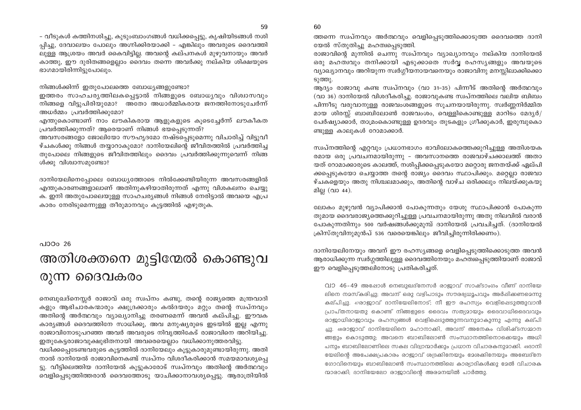- വീടുകൾ കത്തിനശിച്ചു, കുടുംബാംഗങ്ങൾ വധിക്കപ്പെട്ടു, കൃഷിയിടങ്ങൾ നശി പ്പിച്ചു, ദേവാലയം പോലും അഗ്നിക്കിരയാക്കി – എങ്കിലും അവരുടെ ദൈവത്തി ലുള്ള ആശ്രയം അവർ കൈവിട്ടില്ല. അവന്റെ കല്പനകൾ മുഴുവനായും അവർ കാത്തു, ഈ ദുരിതങ്ങളെല്ലാം ദൈവം തന്നെ അവർക്കു നല്കിയ ശിക്ഷയുടെ ഭാഗമായിരിന്നിട്ടുപോലും.

നിങ്ങൾക്കിന്ന് ഇതുപോലത്തെ ബോധ്യങ്ങളുണ്ടോ?

ഇത്തരം സാഹചര്യത്തിലകപ്പെട്ടാൽ നിങ്ങളുടെ ബോധ്യവും വിശ്വാസവും നിങ്ങളെ വിട്ടുപിരിയുമോ? അതോ അധാർമ്മികരായ ജനത്തിനോടുചേർന്ന് അധർമ്മം പ്രവർത്തിക്കുമോ?

എന്തുകൊണ്ടാണ് നാം ലൗകികരായ ആളുകളുടെ കൂടെച്ചേർന്ന് ലൗകീകത പ്രവർത്തിക്കുന്നത്? ആരെയാണ് നിങ്ങൾ ഭയപ്പെടുന്നത്?

അവസരങ്ങളോ ജോലിയോ സൗഹൃദമോ നഷ്ടപ്പെടുമെന്നു വിചാരിച്ച് വിട്ടുവീ ഴ്ചകൾക്കു നിങ്ങൾ തയ്യാറാകുമോ? ദാനിയേലിന്റെ ജീവിതത്തിൽ പ്രവർത്തിച്ച തുപോലെ നിങ്ങളുടെ ജീവിതത്തിലും ദൈവം പ്രവർത്തിക്കുന്നുവെന്ന് നിങ്ങ ൾക്കു വിശ്വാസമുണ്ടോ?

ദാനിയേലിനെപ്പോലെ ബോധ്യത്തോടെ നിൽക്കേണ്ടിയിരുന്ന അവസരങ്ങളിൽ .എന്തുകാരണങ്ങളാലാണ് അതിനുകഴിയാതിരുന്നത് എന്നു വിശകലനം ചെയ്യു ക. ഇനി അതുപോലെയുള്ള സാഹചര്യങ്ങൾ നിങ്ങൾ നേരിട്ടാൽ അവയെ എപ്ര കാരം നേരിടുമെന്നുള്ള തീരുമാനവും കൂട്ടത്തിൽ എഴുതുക.

പാഠം 26

# അതിശക്തനെ മുട്ടിന്മേൽ കൊണ്ടുവ രുന്ന ദൈവകരം

നെബുഖദ്നെസ്സർ രാജാവ് ഒരു സ്വപ്നം കണ്ടു, തന്റെ രാജ്യത്തെ മന്ത്രവാദി കളും ആഭിചാരകന്മാരും ക്ഷുദ്രക്കാരും കൽദയരും മറ്റും തന്റെ സ്വപ്നവും അതിന്റെ അർത്ഥവും വ്യാഖ്യാനിച്ചു തരണമെന്ന് അവൻ കല്പിച്ചു. ഈവക കാര്യങ്ങൾ ദൈവത്തിനേ സാധിക്കൂ, അവ മനുഷ്യരുടെ ഇടയിൽ ഇല്ല എന്നു രാജാവിനോടുപറഞ്ഞ അവർ അവരുടെ നിവൃത്തികേട് രാജാവിനെ അറിയിച്ചു. ഇതുകേട്ടരാജാവുക്ഷുഭിതനായി അവരെയെല്ലാം വധിക്കാനുത്തരവിട്ടു.

വധിക്കപ്പെടേണ്ടവരുടെ കൂട്ടത്തിൽ ദാനിയേലും കൂട്ടുകാരുമുണ്ടായിരുന്നു. അതി നാൽ ദാനിയേൽ രാജാവിനെകണ്ട് സ്വപ്നം വിശദീകരിക്കാൻ സമയമാവശ്യപ്പെ ട്ടു. വീട്ടിലെത്തിയ ദാനിയേൽ കൂട്ടുകാരോട് സ്വപ്നവും അതിന്റെ അർത്ഥവും വെളിപ്പെടുത്തിത്തരാൻ ദൈവത്തോടു യാചിക്കാനാവശ്യപ്പെട്ടു. ആരാത്രിയിൽ

ത്തന്നെ സ്വപ്നവും അർത്ഥവും വെളിപ്പെടുത്തിക്കൊടുത്ത ദൈവത്തെ ദാനി യേൽ സ്തുതിച്ചു മഹത്വപ്പെടുത്തി.

രാജാവിന്റെ മുന്നിൽ ചെന്നു സ്വപ്നവും വ്യാഖ്യാനവും നല്കിയ ദാനിയേൽ ഒരു മഹത്വവും തനിക്കായി എടുക്കാതെ സർവ്വ രഹസ്യങ്ങളും അവയുടെ വ്യാഖ്യാനവും അറിയുന്ന സ്വർഗ്ഗീയനായവനെയും രാജാവിനു മനസ്സിലാക്കിക്കൊ ടുത്തു.

ആദ്യം രാജാവു കണ്ട സ്വപ്നവും (വാ 31-35) പിന്നീട് അതിന്റെ അർത്ഥവും (വാ 36) ദാനിയേൽ വിശദീകരിച്ചു. രാജാവുകണ്ട സ്വപ്നത്തിലെ വലിയ ബിബം പിന്നീടു വരുവാനുള്ള രാജവംശങ്ങളുടെ സുചനയായിരുന്നു. സ്വർണ്ണനിർമ്മിത മായ ശിരസ്സ് ബാബിലോൺ രാജവംശം, വെള്ളികൊണ്ടുള്ള മാറിടം മേദൃർ/ പേർഷ്യാക്കാർ, താമ്രംകൊണ്ടുള്ള ഉദരവും തുടകളും ഗ്രീക്കുകാർ, ഇരുമ്പുകൊ ണ്ടുള്ള കാലുകൾ റോമാക്കാർ.

സ്വപ്നത്തിന്റെ എറ്റവും പ്രധാനഭാഗം ഭാവിലോകത്തെക്കുറിച്ചുള്ള അതിശയക രമായ ഒരു പ്രവചനമായിരുന്നു – അവസാനത്തെ രാജവാഴ്ചക്കാലത്ത് അതാ യത് റോമാക്കാരുടെ കാലത്ത്, നശിപ്പിക്കപ്പെടുകയോ മറ്റൊരു ജനതയ്ക്ക് ഏല്പി ക്കപ്പെടുകയോ ചെയ്യാത്ത തന്റെ രാജ്യം ദൈവം സ്ഥാപിക്കും. മറ്റെല്ലാ രാജവാ ഴ്ചകളെയും അതു നിശ്ചലമാക്കും, അതിന്റെ വാഴ്ച ഒരിക്കലും നിലയ്ക്കുകയു മില്ല (വാ 44).

ലോകം മുഴുവൻ വ്യാപിക്കാൻ പോകുന്നതും യേശു സ്ഥാപിക്കാൻ പോകുന്ന തുമായ ദൈവരാജ്യത്തെക്കുറിച്ചുള്ള പ്രവചനമായിരുന്നു അതു നിലവിൽ വരാൻ പോകുന്നതിനും 500 വർഷങ്ങൾക്കുമുമ്പ് ദാനിയേൽ പ്രവചിച്ചത്. (ദാനിയേൽ ക്രിസ്തുവിനുമുൻപ് 536 വരെയെങ്കിലും ജീവിച്ചിരുന്നിരിക്കണം).

ദാനിയേലിനേയും അവന് ഈ രഹസ്യങ്ങളെ വെളിപ്പെടുത്തിക്കൊടുത്ത അവൻ ആരാധിക്കുന്ന സ്വർഗ്ഗത്തിലുള്ള ദൈവത്തിനേയും മഹത്വപ്പെടുത്തിയാണ് രാജാവ് ഈ വെളിപ്പെടുത്തലിനോടു പ്രതികരിച്ചത്.

വാ 46-49 അഷോൾ നെബുഖദ്നേസർ രാജാവ് സാഷ്ടാംഗം വീണ് ദാനിയേ ലിനെ നമസ്കരിച്ചു; അവന് ഒരു വഴിപാടും സൗരഭ്യധൂപവും അർഷിക്കണമെന്നു കല്പിച്ചു. 47രാജാവ് ദാനിയേലിനോട്; നീ ഈ രഹസ്യം വെളിപ്പെടുത്തുവാൻ പ്രാപ്തനായതു കൊണ്ട് നിങ്ങളുടെ ദൈവം സത്യമായും ദൈവാധിദൈവവും രാജാധിരാജാവും രഹസ്യങ്ങൾ വെളിപ്പെടുത്തുന്നവനുമാകുന്നു എന്നു കല്പി ച്ചു. 48രാജാവ് ദാനിയേലിനെ മഹാനാക്കി, അവന് അനേകം വിശിഷ്ടസമാന ങ്ങളും കൊടുത്തു; അവനെ ബാബിലോൺ സംസ്ഥാനത്തിനൊക്കെയും അധി പനും ബാബിലോണിലെ സകല വിദ്വാന്മാർക്കും പ്രധാന വിചാരകനുമാക്കി. 49ദാനി യേലിന്റെ അപേക്ഷപ്രകാരം രാജാവ് ശദ്രക്കിനേയും ദേശക്കിനേയും അബേദ്നേ ഗോവിനെയും ബാബിലോൺ സംസ്ഥാനത്തിലെ കാര്യാദികൾക്കു മേൽ വിചാരക ന്മാരാക്കി; ദാനിയേലോ രാജാവിന്റെ അരമനയിൽ പാർത്തു.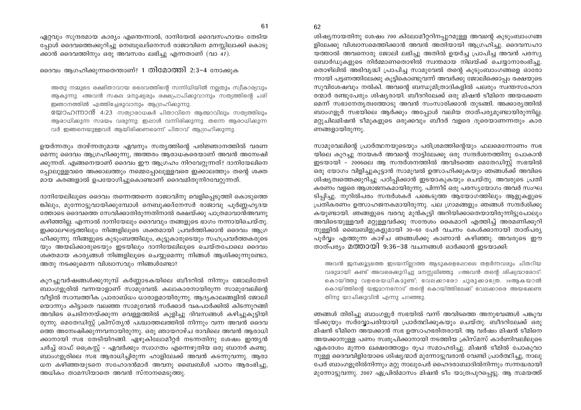61

ഏറ്റവും സുന്ദരമായ കാര്യം എന്തെന്നാൽ, ദാനിയേൽ ദൈവസഹായം തേടിയ പോൾ ദൈവത്തെക്കുറിച്ചു നെബുഖദ്നെസർ രാജാവിനെ മനസ്സിലാക്കി കൊടു ക്കാൻ ദൈവത്തിനും ഒരു അവസരം ലഭിച്ചു എന്നതാണ് (വാ 47).

ദൈവം ആഗഹിക്കുന്നതെന്താണ്? 1 തിമോത്തി 2:3-4 നോക്കുക

അതു നമ്മുടെ രക്ഷിതാവായ ദൈവത്തിന്റെ സന്നിധിയിൽ നല്ലതും സ്വീകാര്യവും ആകുന്നു. 4അവൻ സകല മനുഷ്യരും രക്ഷപ്രാപിക്കുവാനും സത്യത്തിന്റെ പരി ഇഞാനത്തിൽ എത്തിച്ചേരുവാനും ആഗ്രഹിക്കുന്നു.

യോഹന്നാൻ 4:23 സത്യാരാധകർ പിതാവിനെ ആത്മാവിലും സത്യത്തിലും ആരാധിക്കുന്ന സമയം വരുന്നു; ഇഷാൾ വന്നിരിക്കുന്നു. തന്നെ ആരാധിക്കുന്ന വർ ഇങ്ങനെയുള്ളവർ ആയിരിക്കണമെന്ന് പിതാവ് ആഗ്രഹിക്കുന്നു.

ഉയർന്നതും താഴ്ന്നതുമായ ഏവനും സത്യത്തിന്റെ പരിജ്ഞാനത്തിൽ വരണ മെന്നു ദൈവം ആഗ്രഹിക്കുന്നു, അത്തരം ആരാധകരെയാണ് അവൻ അന്വേഷി ക്കുന്നത്. എങ്ങനെയാണ് ദൈവം ഈ ആഗ്രഹം നിറവേറ്റുന്നത്? ദാനിയേലിനെ പ്പോലുള്ളവരെ അക്കാലത്തും നമ്മെപ്പോലുള്ളവരെ ഇക്കാലത്തും തന്റെ ശക്ത മായ കരങ്ങളാൽ ഉപയോഗിച്ചുകൊണ്ടാണ് ദൈവമിതുനിറവേറ്റുന്നത്.

ദാനിയേലിലൂടെ ദൈവം തന്നെത്തന്നെ രാജാവിനു വെളിപ്പെടുത്തി കൊടുത്തെ ങ്കിലും, മുന്നോട്ടുവായിക്കുമ്പോൾ നെബുക്കദ്നേസർ രാജാവു പൂർണ്ണഹൃദയ ത്തോടെ ദൈവത്തെ സേവിക്കാതിരുന്നതിനാൽ രക്ഷയ്ക്കു പാത്രമാവാൻഅവനു കഴിഞ്ഞില്ല. എന്നാൽ ദാനിയേലും ദൈവവും തങ്ങളുടെ ഭാഗം നന്നായിചെയ്തു. ഇക്കാലഘട്ടത്തിലും നിങ്ങളിലൂടെ ശക്തമായി പ്രവർത്തിക്കാൻ ദൈവം ആഗ്ര ഹിക്കുന്നു. നിങ്ങളുടെ കുടുംബത്തിലും, കൂട്ടുകാരുടെയും സഹപ്രവർത്തകരുടെ യും അയല്ക്കാരുടെയും ഇടയിലും ദാനിയേലിലുടെ ചെയ്തപോലെ ദൈവം ശക്തമായ കാര്യങ്ങൾ നിങ്ങളിലൂടെ ചെയ്യുമെന്നു നിങ്ങൾ ആശിക്കുന്നുണ്ടോ, അതു നടക്കുമെന്ന വിശ്വാസവും നിങ്ങൾണ്ടോ?

കുറച്ചുവർഷങ്ങൾക്കുനുമ്പ് കർണ്ണാടകയിലെ ബീദറിൽ നിന്നും ജോലിതേടി ബാംഗളൂരിൽ വന്നയാളാണ് സാമുവേൽ. കലാകാരനായിരുന്ന സാമുവേലിന്റെ വീട്ടിൽ സാമ്പത്തീക പ്രാരാബ്ധം ധാരാളമായിരുന്നു. ആദ്യകാലങ്ങളിൽ ജോലി യൊന്നും കിട്ടാതെ വലഞ്ഞ സാമുവേൽ സർക്കാർ വകപാർക്കിൽ കിടന്നുറങ്ങി അവിടെ ചെടിനനയ്ക്കുന്ന വെള്ളത്തിൽ കുളിച്ചു ദിവസങ്ങൾ കഴിച്ചുകുട്ടിയി രുന്നു. മെതേഡിസ്റ്റ് ക്രിസ്തൃൻ പശ്ചാത്തലത്തിൽ നിന്നും വന്ന അവൻ ദൈവ ത്തെ അമ്പേഷിക്കുന്നവനായിരുന്നു. ഒരു ഞായറാഴ്ച രാവിലെ അവൻ ആരാധി ക്കാനായി സഭ തേടിയിറങ്ങി. ഏഴുകിലോമീറ്റർ നടന്നതിനു ശേഷം ഇന്ത്യൻ ചർച്ച് ഓഫ് ക്രൈസ്റ്റ് – ഏവർക്കും സ്വാഗതം എന്നെഴുതിയ ഒരു ബാനർ കണ്ടു. ബാംഗളൂരിലെ സഭ ആരാധിച്ചിരുന്ന ഹാളിലേക്ക് അവൻ കടന്നുവന്നു. ആരാ ധന കഴിഞ്ഞയുടനെ സഹോദൻമാർ അവനു ബൈബിൾ പഠനം ആരംഭിച്ചു, അധികം താമസിയാതെ അവൻ സ്നാനമെടുത്തു.

ശിഷ്യനായതിനു ശേഷം 700 കിലോമീറ്ററിനപ്പുറമുള്ള അവന്റെ കുടുംബാംഗങ്ങ ളിലേക്കു വിശ്വാസമെത്തിക്കാൻ അവൻ അതിയായി ആഗ്രഹിച്ചു. ദൈവസഹാ യത്താൽ അവനൊരു ജോലി ലഭിച്ചു അതിൽ ഉയർച്ച പ്രാപിച്ച അവൻ പരസ്യ ബോർഡുകളുടെ നിർമ്മാണതൊഴിൽ സ്വന്തമായ നിലയ്ക്ക് ചെയ്യാനാരംഭിച്ചു. തൊഴിലിൽ അഭിവൃദ്ധി പ്രാപിച്ച സാമുവേൽ തന്റെ കുടുംബാംഗങ്ങളെ ഓരോ ന്നായി പട്ടണത്തിലേക്കു കുട്ടികൊണ്ടുവന്ന് അവർക്കു ജോലിക്കൊപ്പം രക്ഷയുടെ സുവിശേഷവും നൽകി. അവന്റെ ബന്ധുമിത്രാദികളിൽ പലരും സ്വന്തസഹോദ രന്മാർ രണ്ടുപേരും ശിഷ്യരായി. ബീദറിലേക്ക് ഒരു മിഷൻ ടീമിനെ അയക്കേണ മെന്ന് സഭാനേതൃത്വത്തോടു അവൻ സംസാരിക്കാൻ തുടങ്ങി. അക്കാരൃത്തിൽ ബാംഗളൂർ സഭയിലെ ആർക്കും അപ്പോൾ വലിയ താത്പര്യമുണ്ടായിരുന്നില്ല. മറ്റുചിലമിഷൻ ടീമുകളുടെ ഒരുക്കവും ബീദർ വളരെ ദൂരെയാണന്നതും കാര ണങ്ങളായിരുന്നു.

സാമുവേലിന്റെ പ്രാർത്ഥനയുടെയും പരിശ്രമത്തിന്റെയും ഫലമെന്നോണം സഭ യിലെ കുറച്ചു നായകർ അവന്റെ നാട്ടിലേക്കു ഒരു സന്ദർശനത്തിനു പോകാൻ ഇടയായി - 2006ലെ ആ സന്ദർശനത്തിൽ അവിടത്തെ മെതേഡിസ്റ്റ് സഭയിൽ ഒരു യോഗം വിളിച്ചുകുട്ടാൻ സാമുവൽ ഉത്സാഹിക്കുകയും ഞങ്ങൾക്ക് അവിടെ ശിഷ്യത്വത്തെക്കുറിച്ചു പഠിപ്പിക്കാൻ ഇടയാകുകയും ചെയ്തു. അവരുടെ പ്രതി കരണം വളരെ ആശാജനകമായിരുന്നു. പിന്നീട് ഒരു പരസ്യയോഗം അവർ സംഘ ടിപ്പിച്ചു. നുറിൽപരം സന്ദർശകർ പങ്കെടുത്ത ആയോഗത്തിലും ആളുകളുടെ പ്രതികരണം ഉത്സാഹജനകമായിരുന്നു. പല ഗ്രാമങ്ങളും ഞങ്ങൾ സന്ദർശിക്കു കയുണ്ടായി. ഞങ്ങളുടെ വരവു മുൻകൂട്ടി അറിയിക്കാതെയായിരുന്നിട്ടുപോലും അവിടെയുള്ളവർ മറ്റുള്ളവർക്കു സന്ദേശം കൈമാറി എത്തിച്ച് അരമണിക്കൂറി നുള്ളിൽ ബൈബിളുകളുമായി 30–60 പേർ വചനം കേൾക്കാനായി താത്പര്യ പൂർവ്വം എത്തുന്ന കാഴ്ച ഞങ്ങൾക്കു കാണാൻ കഴിഞ്ഞു. അവരുടെ ഈ താത്പര്യം മത്തായി 9:36–38 വചനങ്ങൾ ഓർക്കാൻ ഇടയാക്കി:

അവൻ ജനക്കൂട്ടത്തെ ഇടയനില്ലാത്ത ആടുകളെഷോലെ തളർന്നവരും ചിതറിയ വരുമായി കണ്ട് അവരെക്കുറിച്ചു മനസ്സലിഞ്ഞു. 37അവൻ തന്റെ ശിഷ്യന്മാരോട്: കൊയ്ത്തു വളരെയധികമുണ്ട്; വേലക്കാരോ ചുരുക്കമന്രേ. 38ആകയാൽ കൊയ്ത്തിന്റെ യജമാനനോട് തന്റെ കൊയ്ത്തിലേക്ക് വേലക്കാരെ അയക്കേണ്ട തിനു യാചിക്കുവിൻ എന്നു പറഞ്ഞു.

ഞങ്ങൾ തിരിച്ചു ബാംഗളൂർ സഭയിൽ വന്ന് അവിടത്തെ അനുഭവങ്ങൾ പങ്കുവ യ്ക്കുയും സർവ്വോപരിയായി പ്രാർത്ഥിക്കുകയും ചെയ്തു. ബീദറിലേക്ക് ഒരു മിഷൻ ടീമിനെ അയക്കാൻ സഭ ഉത്സാഹഭരിതരായി. ആ വർഷം മിഷൻ ടീമിനെ അയക്കാനുള്ള പണം സ്വരുപിക്കാനായി നടത്തിയ ക്രിസ്മസ് കാർണിവലിലൂടെ ഏകദേശം മൂന്നര ലക്ഷത്തോളം രൂപ സമാഹരിച്ചു. മിഷൻ ടീമിൽ പോകുവാ നുള്ള ദൈവവിളിയോടെ ശിഷ്യന്മാർ മുന്നോട്ടുവരാൻ വേണ്ടി പ്രാർത്ഥിച്ചു, നാലു പേർ ബാംഗളൂരിൽനിന്നും മറ്റു നാലുപേർ ഹൈദരാബാദിൽനിന്നും സന്നദ്ധരായി മുന്നോട്ടുവന്നു. 2007 ഏപ്രിൽമാസം മിഷൻ ടീം യാത്രപുറപ്പെട്ടു. ആ സമയത്ത്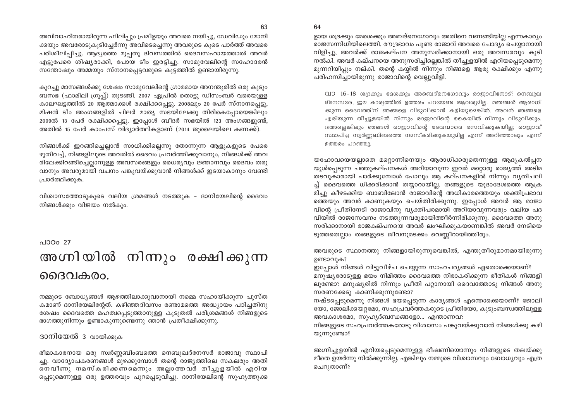64

അവിവാഹിതരായിരുന്ന ഫിലിപ്പും പ്രമീളയും അവരെ നയിച്ചു, ഡേവിഡും മോനി ക്കയും അവരോടുകുടിച്ചേർന്നു അവിടെച്ചെന്നു അവരുടെ കുടെ പാർത്ത് അവരെ പരിശീലിപിച്ചു. ആദ്യത്തെ മൂപ്പതു ദിവസത്തിൽ ദൈവസഹായത്താൽ അവർ എട്ടുപേരെ ശിഷ്യരാക്കി, പോയ ടീം ഇരട്ടിച്ചു. സാമുവേലിന്റെ സഹോദരൻ സന്തോഷും അമ്മയും സ്നാനപ്പെട്ടവരുടെ കൂട്ടത്തിൽ ഉണ്ടായിരുന്നു.

കുറച്ചു മാസങ്ങൾക്കു ശേഷം സാമൂവേലിന്റെ ഗ്രാമമായ അനന്തുരിൽ ഒരു കൂടും ബസഭ (ഫാമിലി ഗ്രൂപ്പ്) തുടങ്ങി. 2007 ഏപ്രിൽ തൊട്ടു ഡിസംബർ വരെയുള്ള കാലഘട്ടത്തിൽ 20 ആത്മാക്കൾ രക്ഷിക്കപ്പെട്ടു. 2008ലും 20 പേർ സ്നാനപ്പെട്ടു, മിഷൻ ടീം അംഗങ്ങളിൽ ചിലർ മാതൃ സഭയിലേക്കു തിരികെപ്പോയെങ്കിലും 2009ൽ 13 പേർ രക്ഷിക്കപ്പെട്ടു. ഇപ്പോൾ ബീദർ സഭയിൽ 123 അംഗങ്ങളുണ്ട്, അതിൽ 15 പേർ കാംപസ് വിദ്യാർത്ഥികളാണ് (2014 ജുലൈയിലെ കണക്ക്).

നിങ്ങൾക്ക് ഇറങ്ങിച്ചെല്ലാൻ സാധിക്കില്ലെന്നു തോന്നുന്ന ആളുകളുടെ പേരെ ഴുതിവച്ച്, നിങ്ങളിലൂടെ അവരിൽ ദൈവം പ്രവർത്തിക്കുവാനും, നിങ്ങൾക്ക് അവ രിലേക്കിറങ്ങിച്ചെല്ലാനുള്ള അവസരങ്ങളും ധൈര്യവും ജ്ഞാനവും ദൈവം തരു വാനും അവരുമായി വചനം പങ്കുവയ്ക്കുവാൻ നിങ്ങൾക്ക് ഇടയാകാനും വേണ്ടി പ്രാർത്ഥിക്കുക.

വിശ്വാസത്തോടുകുടെ വലിയ ശ്രമങ്ങൾ നടത്തുക - ദാനിയേലിന്റെ ദൈവം നിങ്ങൾക്കും വിജയം നൽകും.

പാഠം 27

# അഗ്നിയിൽ നിന്നും രക്ഷിക്കുന്ന ദൈവകരം.

നമ്മുടെ ബോധ്യങ്ങൾ ആഴത്തിലാക്കുവാനായി നമ്മെ സഹായിക്കുന്ന പുസ്ത കമാണ് ദാനിയേലിന്റേത്. കഴിഞ്ഞദിവസം രണ്ടാമത്തെ അദ്ധ്യായം പഠിച്ചതിനു ശേഷം ദൈവത്തെ മഹത്വപ്പെടുത്താനുള്ള കൂടുതൽ പരിശ്രമങ്ങൾ നിങ്ങളുടെ ഭാഗത്തുനിന്നും ഉണ്ടാകുന്നുണ്ടെന്നു ഞാൻ പ്രതീക്ഷിക്കുന്നു.

#### ദാനിയേൽ 3 വായിക്കുക

ഭീമാകാരനായ ഒരു സ്വർണ്ണബിംബത്തെ നെബുഖദ്നേസർ രാജാവു സ്ഥാപി ച്ചു. വാദ്യോപകരണങ്ങൾ മുഴക്കുമ്പോൾ തന്റെ രാജ്യത്തിലെ സകലരും അതി നെ വീണു നമസ്കരിക്കണമെന്നും അല്ലാത്തവർ തീച്ചൂളയിൽ എറിയ പ്പെടുമെന്നുള്ള ഒരു ഉത്തരവും പുറപ്പെടുവിച്ചു. ദാനിയേലിന്റെ സുഹൃത്തുക്ക

ളായ ശദ്രക്കും മേശെക്കും അബദ്നെഗോവും അതിനെ വണങ്ങിയില്ല എന്നകാര്യം രാജസന്നിധിയിലെത്തി. രൗദ്രഭാവം പുണ്ട രാജാവ് അവരെ ചോദ്യം ചെയാനായി വിളിച്ചു, അവർക്ക് രാജകല്പന അനുസരിക്കാനായി ഒരു അവസരവും കുടി നൽകി. അവർ കല്പനയെ അനുസരിച്ചില്ലെങ്കിൽ തീച്ചുളയിൽ എറിയപെടുമെന്നു മുന്നറിയിപ്പും നല്കി. തന്റെ കയ്യിൽ നിന്നും നിങ്ങളെ ആരു രക്ഷിക്കും എന്നു പരിഹസിച്ചായിരുന്നു രാജാവിന്റെ വെല്ലുവിളി.

വാ 16-18 ശഭരക്കും ദേശക്കും അബെദ്നെഗോവും രാജാവിനോട്: നെബുഖ ദ്നേസരേ, ഈ കാര്യത്തിൽ ഉത്തരം പറയേണ്ട ആവശ്യമില്ല. 17ഞങ്ങൾ ആരാധി ക്കുന്ന ദൈവത്തിന് ഞങ്ങളെ വിടുവിക്കാൻ കഴിയുമെങ്കിൽ, അവൻ ഞങ്ങളെ എരിയുന്ന തീച്ചൂളയിൽ നിന്നും രാജാവിന്റെ കൈയിൽ നിന്നും വിടുവിക്കും. 18അല്ലെങ്കിലും ഞങ്ങൾ രാജാവിന്റെ ദേവന്മാരെ സേവിക്കുകയില്ല; രാജാവ് സ്ഥാപിച്ച സ്വർണ്ണബിബത്തെ നമസ്കരിക്കുകയുമില്ല എന്ന് അറിഞ്ഞാലും എന്ന് ഉത്തരം പറഞ്ഞു.

യഹോവയെയല്ലാതെ മറ്റൊന്നിനെയും ആരാധിക്കരുതെന്നുള്ള ആദ്യകൽപ്പന യുൾപ്പെടുന്ന പത്തുകല്പനകൾ അറിയാവുന്ന ഇവർ മറ്റൊരു രാജ്യത്ത് അടിമ തടവുകാരായി പാർക്കുമ്പോൾ പോലും ആ കല്പനകളിൽ നിന്നും വൃതിചലി ച്ച് ദൈവത്തെ ധിക്കരിക്കാൻ തയ്യാറായില്ല. തങ്ങളുടെ യുദാദേശത്തെ ആക്ര മിച്ചു കീഴടക്കിയ ബാബിലോൻ രാജാവിന്റെ അധികാരത്തെയും ശക്തിപ്രഭാവ ത്തെയും അവർ കാണുകയും ചെയ്തിരിക്കുന്നു. ഇപ്പോൾ അവർ ആ രാജാ വിന്റെ പ്രീതിനേടി രാജാവിനു വ്യക്തിപരമായി അറിയാവുന്നവരും വലിയ പദ വിയിൽ രാജസേവനം നടത്തുന്നവരുമായിത്തീർന്നിരിക്കുന്നു. ദൈവത്തെ അനു സരിക്കാനായി രാജകല്പനയെ അവർ ലംഘിക്കുകയാണങ്കിൽ അവർ നേടിയെ ടുത്തതെല്ലാം തങ്ങളുടെ ജീവനുമടക്കം വെണ്ണീറായിത്തീരും.

അവരുടെ സ്ഥാനത്തു നിങ്ങളായിരുന്നുവെങ്കിൽ, എന്തുതീരുമാനമായിരുന്നു ഉണ്ടാവുക?

ഇപ്പോൾ നിങ്ങൾ വിട്ടുവീഴ്ച ചെയ്യുന്ന സാഹചര്യങ്ങൾ ഏതൊക്കെയാണ്? മനുഷ്യരോടുള്ള ഭയം നിമിത്തം ദൈവത്തെ നിരാകരിക്കുന്ന രീതികൾ നിങ്ങളി ലുണ്ടോ? മനുഷ്യരിൽ നിന്നും പ്രീതി പറ്റാനായി ദൈവത്തോടു നിങ്ങൾ അനു സരണക്കേടു കാണിക്കുന്നുണ്ടോ?

നഷ്ടപ്പെടുമെന്നു നിങ്ങൾ ഭയപ്പെടുന്ന കാര്യങ്ങൾ എന്തൊക്കെയാണ്? ജോലി യോ, ജോലിക്കയറ്റമോ, സഹപ്രവർത്തകരുടെ പ്രീതിയോ, കുടുംബസ്വത്തിലുള്ള അവകാശമോ, സൂഹൃദ്ബന്ധങ്ങളോ... എന്താണവ?

നിങ്ങളുടെ സഹപ്രവർത്തകരോടു വിശ്വാസം പങ്കുവയ്ക്കുവാൻ നിങ്ങൾക്കു കഴി യുന്നുണ്ടോ?

അഗ്നിച്ചൂളയിൽ എറിയപ്പെടുമെന്നുള്ള ഭീഷണിയൊന്നും നിങ്ങളുടെ തലയ്ക്കു മീതെ ഉയർന്നു നിൽക്കുന്നില്ല, എങ്കിലും നമ്മുടെ വിശ്വാസവും ബോധ്യവും എത്ര ചെറുതാണ്?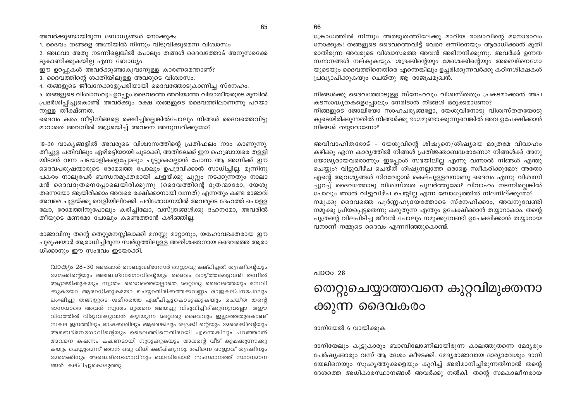അവർക്കുണ്ടായിരുന്ന ബോധ്യങ്ങൾ നോക്കുക:

1. ദൈവം തങ്ങളെ അഗ്നിയിൽ നിന്നും വിടുവിക്കുമെന്ന വിശ്വാസം

2. അഥവാ അതു നടന്നില്ലെങ്കിൽ പോലും തങ്ങൾ ദൈവത്തോട് അനുസരക്കേ ടുകാണിക്കുകയില്ല എന്ന ബോധ്യം.

ഈ ഉറപ്പുകൾ അവർക്കുണ്ടാകുവാനുള്ള കാരണമെന്താണ്?

3. ദൈവത്തിന്റെ ശക്തിയിലുള്ള അവരുടെ വിശ്വാസം.

4. തങ്ങളുടെ ജീവനേക്കാളുപരിയായി ദൈവത്തോടുകാണിച്ച സ്നേഹം.

5. തങ്ങളുടെ വിശ്വാസവും ഉറപ്പും ദൈവത്തെ അറിയാത്ത വിജാതീയരുടെ മുമ്പിൽ പ്രദർശിപ്പിച്ചുകൊണ്ട് അവർക്കും രക്ഷ തങ്ങളുടെ ദൈവത്തിലാണന്നു പറയാ നുള്ള തീക്ഷ്ണത.

ദൈവം കരം നീട്ടിനിങ്ങളെ രക്ഷിച്ചില്ലെങ്കിൽപോലും നിങ്ങൾ ദൈവത്തെവിട്ടു മാറാതെ അവനിൽ ആശ്രയിച്ച് അവനെ അനുസരിക്കുമോ?

19-30 വാക്യങ്ങളിൽ അവരുടെ വിശ്വാസത്തിന്റെ പ്രതിഫലം നാം കാണുന്നു. തീച്ചുള പതിവിലും ഏഴിരട്ടിയായി ചുടാക്കി, അതിലേക്ക് ഈ ഹെബ്രായരെ തള്ളി യിടാൻ വന്ന പടയാളികളെപ്പോലും ചൂട്ടുകൊല്ലാൻ പോന്ന ആ അഗ്നിക്ക് ഈ ദൈവപരുഷന്മാരുടെ രോമത്തെ പോലും ഉപദ്രവിക്കാൻ സാധിച്ചില്ല. മുന്നിനു പകരം നാലുപേർ ബന്ധനമുക്തരായി ചുളയ്ക്കു ചുറ്റും നടക്കുന്നതും നാലാ മൻ ദൈവദുതനെപ്പോലെയിരിക്കുന്നു (ദൈവത്തിന്റെ ദുതന്മാരോ, യേശു തന്നെയോ ആയിരിക്കാം അവരെ രക്ഷിക്കാനായി വന്നത്) എന്നതും കണ്ട രാജാവ് അവരെ ചൂളയ്ക്കു വെളിയിലിറക്കി. പരിശോധനയിൽ അവരുടെ ദേഹത്ത് പൊള്ള ലോ, രോമത്തിനുപോലും കരിച്ചിലോ, വസ്ത്രങ്ങൾക്കു ദഹനമോ, അവരിൽ തീയുടെ മണമോ പോലും കണ്ടെത്താൻ കഴിഞ്ഞില്ല.

രാജാവിനു തന്റെ തെറ്റുമനസ്സിലാക്കി മനസ്സു മാറ്റാനും, യഹോവഭക്തരായ ഈ പുരുഷന്മാർ ആരാധിച്ചിരുന്ന സ്വർഗ്ഗത്തിലുള്ള അതിശക്തനായ ദൈവത്തെ ആരാ ധിക്കാനും ഈ സംഭവം ഇടയാക്കി.

വാക്യം 28-30 അഷോൾ നെബുഖദ്നേസർ രാജാവു കല്പിച്ചത്: ശദ്രക്കിന്റെയും ഭേശക്കിന്റെയും അബേദ്നേഗോവിന്റെയും ദൈവം വാഴ്ത്തപ്പെട്ടവൻ! തന്നിൽ ആശ്രയിക്കുകയും സ്വന്തം ദൈവത്തെയല്ലാതെ മറ്റൊരു ദൈവത്തെയും സേവി ക്കുകയോ ആരാധിക്കുകയോ ചെയ്യാതിരിക്കത്തക്കവണ്ണം രാജകല്പനപോലും ലംഘിച്ചു തങ്ങളുടെ ശരീരത്തെ ഏല്പിച്ചുകൊടുക്കുകയും ചെയ്ത തന്റെ ദാസന്മാരെ അവൻ സ്വന്തം ദൂതനെ അയച്ചു വിടുവിച്ചിരിക്കുന്നുവല്ലോ. 29ഈ വിധത്തിൽ വിടുവിക്കുവാൻ കഴിയുന്ന മറ്റൊരു ദൈവവും ഇല്ലാത്തതുകൊണ്ട് സകല ജനത്തിലും ഭാഷക്കാരിലും ആരെങ്കിലും ശദ്രക്കി ന്റെയും മേശെക്കിന്റെയും അബെദ്നേഗോവിന്റെയും ദൈവത്തിനെതിരായി എന്തെങ്കിലും പറഞ്ഞാൽ അവനെ കഷണം കഷണമായി നുറുക്കുകയും അവന്റെ വീട് കുഷകുന്നാക്കു കയും ചെയ്യുമെന്ന് ഞാൻ ഒരു വിധി കല്ഷിക്കുന്നു. 30പിന്നെ രാജാവ് ശദ്രക്കിനും ഭേരെക്കിനും അബെദ്നെഗോവിനും ബാബിലോൻ സംസ്ഥാനത്ത് സ്ഥാനമാന ങ്ങൾ കല്പിച്ചുകൊടുത്തു.

ക്രോധത്തിൽ നിന്നും അത്ഭുതത്തിലേക്കു മാറിയ രാജാവിന്റെ മനോഭാവം നോക്കുക! തങ്ങളുടെ ദൈവത്തെവിട്ട് വേറെ ഒന്നിനെയും ആരാധിക്കാൻ മുതി രാതിരുന്ന അവരുടെ വിശ്വാസത്തെ അവൻ അഭിനന്ദിക്കുന്നു. അവർക്ക് ഉന്നത സ്ഥാനങ്ങൾ നല്കുകയും, ശദ്രക്കിന്റെയും മേശെക്കിന്റെയും അബെദ്നെഗോ യുടെയും ദൈവത്തിനെതിരെ എന്തെങ്കിലും ഉച്ചരിക്കുന്നവർക്കു കഠിനശിക്ഷകൾ പ്രഖ്യാപിക്കുകയും ചെയ്തു ആ രാജപ്രമുഖൻ.

നിങ്ങൾക്കു ദൈവത്തോടുള്ള സ്നേഹവും വിശ്വസ്തതും പ്രകടമാക്കാൻ അപ കടസാദ്ധ്യതകളെപ്പോലും നേരിടാൻ നിങ്ങൾ ഒരുക്കമാണോ?

നിങ്ങളുടെ ജോലിയോ സാഹചര്യങ്ങളോ, യേശുവിനോടു വിശ്വസ്തതയോടു കൂടെയിരിക്കുന്നതിൽ നിങ്ങൾക്കു ഭംഗമുണ്ടാക്കുന്നുവെങ്കിൽ അവ ഉപേക്ഷിക്കാൻ നിങ്ങൾ തയ്യാറാണോ?

അവിവാഹിതരോട് - യേശുവിന്റെ ശിഷ്യനെ/ശിഷ്യയെ മാത്രമേ വിവാഹം കഴിക്കൂ എന്ന കാര്യത്തിൽ നിങ്ങൾ പ്രതിജ്ഞാബദ്ധരാണോ? നിങ്ങൾക്ക് അനു യോജ്യരായവരൊന്നും ഇപ്പോൾ സഭയിലില്ല എന്നു വന്നാൽ നിങ്ങൾ എന്തു ചെയ്യും? വിട്ടുവീഴ്ച ചെയ്ത് ശിഷ്യനല്ലാത്ത ഒരാളെ സ്വീകരിക്കുമോ? അതോ എന്റെ ആവശ്യങ്ങൾ നിറവേറ്റാൻ കെല്പുള്ളവനാണു ദൈവം എന്നു വിശ്വസി ച്ചുറച്ച് ദൈവത്തോടു വിശ്വസ്തത പുലർത്തുമോ? വിവാഹം നടന്നില്ലെങ്കിൽ

പോലും ഞാൻ വിട്ടുവീഴ്ച ചെയ്യില്ല എന്ന ബോധ്യത്തിൽ നിലനില്ക്കുമോ? നമുക്കു ദൈവത്തെ പൂർണ്ണഹൃദയത്തോടെ സ്നേഹിക്കാം, അവനുവേണ്ടി നമുക്കു പ്രിയപ്പെട്ടതെന്നു കരുതുന്ന എന്തും ഉപേക്ഷിക്കാൻ തയ്യാറാകാം, തന്റെ പുത്രന്റെ വിലപിടിച്ച ജീവൻ പോലും നമുക്കുവേണ്ടി ഉപേക്ഷിക്കാൻ തയ്യാറായ വനാണ് നമ്മുടെ ദൈവം എന്നറിഞ്ഞുകൊണ്ട്.

#### പാഠം 28

## തെറ്റുചെയ്യാത്തവനെ കുറ്റവിമുക്തനാ ക്കുന്ന ദൈവകരം

#### ദാനിയേൽ 6 വായിക്കുക

ദാനിയേലും കൂട്ടുകാരും ബാബിലോണിലായിരുന്ന കാലത്തുതന്നെ മേദൃരും പേർഷ്യക്കാരും വന്ന് ആ ദേശം കീഴടക്കി. മേദ്യരാജാവായ ദാര്യാവേശും ദാനി യേലിനെയും സൂഹൃത്തുക്കളെയും കുറിച്ച് അഭിമാനിച്ചിരുന്നതിനാൽ തന്റെ ദേശത്തെ അധികാരസ്ഥാനങ്ങൾ അവർക്കു നൽകി. തന്റെ സമകാലീനരായ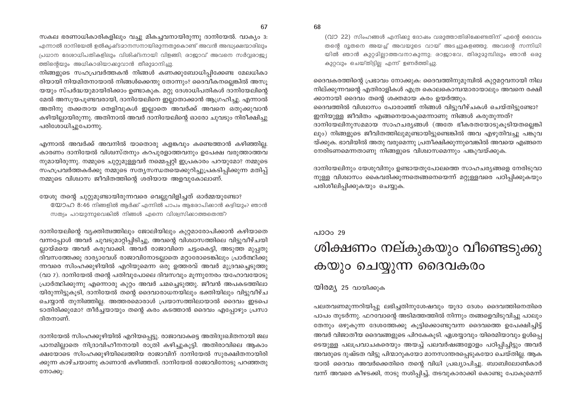സകല ഭരണാധികാരികളിലും വച്ചു മികച്ചവനായിരുന്നു ദാനിയേൽ. വാക്യം 3: എന്നാൽ ദാനിയേൽ ഉൽക്യഷ്ടമാനസനായിരുന്നതുകൊണ്ട് അവൻ അദ്ധ്യക്ഷന്മാരിലും പ്രധാന ദേശാധിപതികളിലും വിശിഷ്ടനായി വിളങ്ങി; രാജാവ് അവനെ സർവരാജ്യ ത്തിന്റെയും അധികാരിയാക്കുവാൻ തീരുമാനിച്ചു.

നിങ്ങളുടെ സഹപ്രവർത്തകൻ നിങ്ങൾ കണക്കുബോധിപിക്കേണ്ട മേലധികാ രിയായി നിയമിതനായാൽ നിങ്ങൾക്കെന്തു തോന്നും? ദൈവീകനല്ലെങ്കിൽ അസു യയും സ്പർദ്ധയുമായിരിക്കാം ഉണ്ടാകുക. മറ്റു ദേശാധിപതികൾ ദാനിയേലിന്റെ മേൽ അസുയപുണ്ടവരായി, ദാനിയേലിനെ ഇല്ലാതാക്കാൻ ആഗ്രഹിച്ചു. എന്നാൽ അതിനു തക്കതായ തെളിവുകൾ ഇല്ലാതെ അവർക്ക് അവനെ ഒതുക്കുവാൻ കഴിയില്ലായിരുന്നു. അതിനാൽ അവർ ദാനിയേലിന്റെ ഓരോ ചുവടും നിരീക്ഷിച്ചു പരിശോധിച്ചുപോന്നു.

എന്നാൽ അവർക്ക് അവനിൽ യാതൊരു കളങ്കവും കണ്ടെത്താൻ കഴിഞ്ഞില്ല. കാരണം ദാനിയേൽ വിശ്വസ്തനും കറപൂരളാത്തവനും ഉപേക്ഷ വരുത്താത്തവ നുമായിരുന്നു. നമ്മുടെ ചുറ്റുമുള്ളവർ നമ്മെപ്പറ്റി ഇപ്രകാരം പറയുമോ? നമ്മുടെ സഹപ്രവർത്തകർക്കു നമ്മുടെ സത്യസന്ധതയെക്കുറിച്ചുപ്രകടിപ്പിക്കുന്ന മതിപ്പ് നമ്മുടെ വിശ്വാസ ജീവിതത്തിന്റെ ശരിയായ അളവുകോലാണ്.

യേശു തന്റെ ചുറ്റുമുണ്ടായിരുന്നവരെ വെല്ലുവിളിച്ചത് ഓർമ്മയുണ്ടോ? യോഹ 8:46 നിങ്ങളിൽ ആർക്ക് എന്നിൽ പാപം ആരോപിക്കാൻ കഴിയും? ഞാൻ സത്യം പറയുന്നുവെങ്കിൽ നിങ്ങൾ എന്നെ വിശ്വസിക്കാത്തതെന്ത്?

ദാനിയേലിന്റെ വ്യക്തിത്വത്തിലും ജോലിയിലും കുറ്റമാരോപിക്കാൻ കഴിയാതെ വന്നപ്പോൾ അവർ ചുവടുമാറ്റിപ്പിടിച്ചു, അവന്റെ വിശ്വാസത്തിലെ വിട്ടുവീഴ്ചയി ല്ലായ്മയെ അവർ കരുവാക്കി. അവർ രാജാവിനെ ചട്ടാകെട്ടി, അടുത്ത മുപ്പതു ദിവസത്തേക്കു ദാര്യാവേശ് രാജാവിനോടല്ലാതെ മറ്റാരോടെങ്കിലും പ്രാർത്ഥിക്കു ന്നവരെ സിംഹക്കുഴിയിൽ എറിയുമെന്ന ഒരു ഉത്തരവ് അവർ മുദ്രവച്ചെടുത്തു (വാ 7). ദാനിയേൽ തന്റെ പതിവുപോലെ ദിവസവും മൂന്നുനേരം യഹോവയോടു പ്രാർത്ഥിക്കുന്നു എന്നൊരു കുറ്റം അവർ ചമച്ചെടുത്തു. ജീവൻ അപകടത്തിലാ യിരുന്നിട്ടുകൂടി, ദാനിയേൽ തന്റെ ദൈവാരാധനയിലും ഭക്തിയിലും വിട്ടുവീഴ്ച ചെയ്യാൻ തുനിഞ്ഞില്ല. അത്തരമൊരാൾ പ്രയാസത്തിലായാൽ ദൈവം ഇടപെ ടാതിരിക്കുമോ? തീർച്ചയായും തന്റെ കരം കടത്താൻ ദൈവം എപ്പോഴും പ്രസാ ദിതനാണ്.

ദാനിയേൽ സിംഹക്കുഴിയിൽ എറിയപ്പെട്ടു. രാജാവാകട്ടെ അതിദുഃഖിതനായി ജല പാനമില്ലാതെ നിദ്രാവിഹീനനായി രാത്രി കഴിച്ചുകൂട്ടി. അതിരാവിലെ ആകാം ക്ഷയോടെ സിംഹക്കുഴിയിലെത്തിയ രാജാവിന് ദാനിയേൽ സുരക്ഷിതനായിരി ക്കുന്ന കാഴ്ചയാണു കാണാൻ കഴിഞ്ഞത്. ദാനിയേൽ രാജാവിനോടു പറഞ്ഞതു നോക്കൂ:

(വാ 22) സിംഹങ്ങൾ എനിക്കു ദോഷം വരുത്താതിരിക്കേണ്ടതിന് എന്റെ ദൈവം തന്റെ ദൂതനെ അയച്ച് അവയുടെ വായ് അടച്ചുകളഞ്ഞു. അവന്റെ സന്നിധി യിൽ ഞാൻ കുറ്റമില്ലാത്തവനാകുന്നു; രാജാവേ, തിരുമുമ്പിലും ഞാൻ ഒരു കുറ്റവും ചെയ്തിട്ടില്ല എന്ന് ഉണർത്തിച്ചു.

ദൈവകരത്തിന്റെ പ്രഭാവം നോക്കുക: ദൈവത്തിനുമുമ്പിൽ കുറ്റമറ്റവനായി നില നില്ക്കുന്നവന്റെ എതിരാളികൾ എത്ര കൊലകൊമ്പന്മാരായാലും അവനെ രക്ഷി ക്കാനായി ദൈവം തന്റെ ശക്തമായ കരം ഉയർത്തും. ദൈവത്തിൽ വിശ്വാസം പോരാഞ്ഞ് നിങ്ങൾ വിട്ടുവീഴ്ചകൾ ചെയ്തിട്ടുണ്ടോ? ഇനിയുള്ള ജീവിതം എങ്ങനെയാകുമെന്നാണു നിങ്ങൾ കരുതുന്നത്? ദാനിയേലിനുസമമായ സാഹചര്യങ്ങൾ (അതേ ഭീകരതയോടുകൂടിയതല്ലെങ്കി ലും) നിങ്ങളുടെ ജീവിതത്തിലുമുണ്ടായിട്ടുണ്ടെങ്കിൽ അവ എഴുതിവച്ചു പങ്കുവ യ്ക്കുക. ഭാവിയിൽ അതു വരുമെന്നു പ്രതീക്ഷിക്കുന്നുവെങ്കിൽ അവയെ എങ്ങനെ നേരിടണമെന്നതാണു നിങ്ങളുടെ വിശ്വാസമെന്നും പങ്കുവയ്ക്കുക.

ദാനിയേലിനും യേശുവിനും ഉണ്ടായതുപോലത്തെ സാഹചര്യങ്ങളെ നേരിടുവാ നുള്ള വിശ്വാസം കൈവരിക്കുന്നതെങ്ങനെയെന്ന് മറ്റുള്ളവരെ പഠിപ്പിക്കുകയും പരിശീലിപ്പിക്കുകയും ചെയ്യുക.

## പാഠം  $29$ ശിക്ഷണം നല്കുകയും വീണ്ടെടുക്കു കയും ചെയ്യുന്ന ദൈവകരം

യിരമ്യ 25 വായിക്കുക

പലതവണമുന്നറിയിപ്പു ലഭിച്ചതിനുശേഷവും യുദാ ദേശം ദൈവത്തിനെതിരെ പാപം തുടർന്നു. ഫറവോന്റെ അടിമത്തത്തിൽ നിന്നും തങ്ങളെവിടുവിച്ചു പാലും തേനും ഒഴുകുന്ന ദേശത്തേക്കു കൂട്ടിക്കൊണ്ടുവന്ന ദൈവത്തെ ഉപേക്ഷിച്ചിട്ട് അവർ വിജാതീയ ദൈവങ്ങളുടെ പിറകേകൂടി. ഏശയ്യാവും യിരെമിയാവും ഉൾപ്പെ ടെയുള്ള പലപ്രവാചകരെയും അയച്ച് പലവർഷങ്ങളോളം പഠിപ്പിച്ചിട്ടും അവർ അവരുടെ ദുഷ്ടത വിട്ടു പിന്മാറുകയോ മാനസാന്തരപ്പെടുകയോ ചെയ്തില്ല. ആക യാൽ ദൈവം അവർക്കെതിരെ തന്റെ വിധി പ്രഖ്യാപിച്ചു. ബാബിലോൺകാർ വന്ന് അവരെ കീഴടക്കി, നാടു നശിപ്പിച്ച്, തടവുകാരാക്കി കൊണ്ടു പോകുമെന്ന്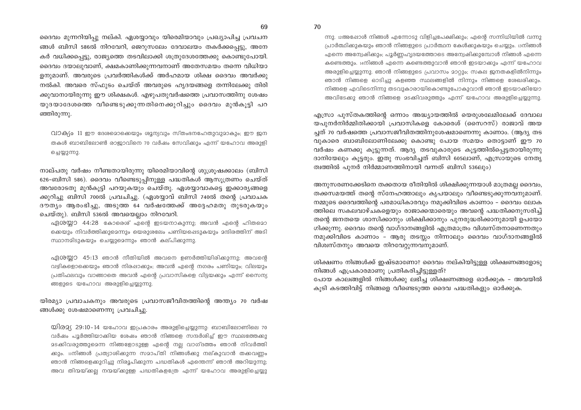ന്നു. 12അഷോൾ നിങ്ങൾ എന്നോടു വിളിച്ചപേക്ഷിക്കും; എന്റെ സന്നിധിയിൽ വന്നു പ്രാർത്ഥിക്കുകയും ഞാൻ നിങ്ങളുടെ പ്രാർത്ഥന കേൾക്കുകയും ചെയ്യും. ദനിങ്ങൾ എന്നെ അന്വേഷിക്കും; പൂർണ്ണഹൃദയത്തോടെ അന്വേഷിക്കുമ്പോൾ നിങ്ങൾ എന്നെ കണ്ടെത്തും. 14നിങ്ങൾ എന്നെ കണ്ടെത്തുവാൻ ഞാൻ ഇടയാക്കും എന്ന് യഹോവ അരുളിച്ചെയ്യുന്നു. ഞാൻ നിങ്ങളുടെ പ്രവാസം മാറ്റും; സകല ജനതകളിൽനിന്നും ഞാൻ നിങ്ങളെ ഓടിച്ചു കളഞ്ഞ സ്ഥലങ്ങളിൽ നിന്നും നിങ്ങളെ ശേഖരിക്കും. നിങ്ങളെ എവിടെനിന്നു തടവുകാരായികൊണ്ടുപോകുവാൻ ഞാൻ ഇടയാക്കിയോ അവിടേക്കു ഞാൻ നിങ്ങളെ മടക്കിവരുത്തും എന്ന് യഹോവ അരുളിച്ചെയ്യുന്നു.

എസ്രാ പുസ്തകത്തിന്റെ ഒന്നാം അദ്ധ്യായത്തിൽ യെരുശലേമിലേക്ക് ദേവാല യപുനർനിർമ്മിതിക്കായി പ്രവാസികളെ കോരെശ് (സൈറസ്) രാജാവ് അയ ച്ചത് 70 വർഷത്തെ പ്രവാസജീവിതത്തിനുശേഷമാണെന്നു കാണാം. (ആദ്യ തട വുകാരെ ബാബിലോണിലേക്കു കൊണ്ടു പോയ സമയം തൊട്ടാണ് ഈ 70 വർഷം കണക്കു കൂട്ടുന്നത്. ആദ്യ തടവുകാരുടെ കൂട്ടത്തിൽപ്പെട്ടതായിരുന്നു ദാനിയേലും കൂട്ടരും. ഇതു സംഭവിച്ചത് ബിസി 605ലാണ്, എസ്രായുടെ നേതൃ ത്വത്തിൽ പുനർ നിർമ്മാണത്തിനായി വന്നത് ബിസി 536ലും)

അനുസരണക്കേടിനെ തക്കതായ രീതിയിൽ ശിക്ഷിക്കുന്നയാൾ മാത്രമല്ല ദൈവം, തക്കസമയത്ത് തന്റെ സ്നേഹത്താലും കൃപയാലും വീണ്ടെടുക്കുന്നവനുമാണ്. നമ്മുടെ ദൈവത്തിന്റെ പരമാധികാരവും നമുക്കിവിടെ കാണാം – ദൈവം ലോക ത്തിലെ സകലവാഴ്ചകളെയും രാജാക്കന്മാരെയും അവന്റെ പദ്ധതിക്കനുസരിച്ച് തന്റെ ജനതയെ ശാസിക്കാനും ശിക്ഷിക്കാനും പുനരുദ്ധരിക്കാനുമായി ഉപയോ ഗിക്കുന്നു. ദൈവം തന്റെ വാഗ്ദാനങ്ങളിൽ എത്രമാത്രം വിശ്വസ്തനാണെന്നതും നമുക്കിവിടെ കാണാം – ആരു തടസ്സം നിന്നാലും ദൈവം വാഗ്ദാനങ്ങളിൽ വിശ്വസ്തനും അവയെ നിറവേറ്റുന്നവനുമാണ്.

ശിക്ഷണം നിങ്ങൾക്ക് ഇഷ്ടമാണോ? ദൈവം നല്കിയിട്ടുള്ള ശിക്ഷണങ്ങളോടു നിങ്ങൾ എപ്രകാരമാണു പ്രതികരിച്ചിട്ടുള്ളത്?

പോയ കാലങ്ങളിൽ നിങ്ങൾക്കു ലഭിച്ച ശിക്ഷണങ്ങളെ ഓർക്കുക - അവയിൽ കുടി കടത്തിവിട്ട് നിങ്ങളെ വീണ്ടെടുത്ത ദൈവ പദ്ധതികളും ഓർക്കുക.

ദൈവം മുന്നറിയിപ്പു നല്കി. ഏശയ്യാവും യിരെമിയാവും പ്രഖ്യാപിച്ച പ്രവചന ങ്ങൾ ബിസി 586ൽ നിറവേറി, ജെറുസലേം ദേവാലയം തകർക്കപ്പെട്ടു, അനേ കർ വധിക്കപ്പെട്ടു, രാജ്യത്തെ തടവിലാക്കി ശത്രുദേശത്തേക്കു കൊണ്ടുപോയി. ദൈവം ദയാലുവാണ്, ക്ഷമകാണിക്കുന്നവനാണ് അതേസമയം തന്നെ വിധിയാ ളനുമാണ്. അവരുടെ പ്രവർത്തികൾക്ക് അർഹമായ ശിക്ഷ ദൈവം അവർക്കു നൽകി. അവരെ സ്ഫുടം ചെയ്ത് അവരുടെ ഹൃദയങ്ങളെ തന്നിലേക്കു തിരി ക്കുവാനായിരുന്നു ഈ ശിക്ഷകൾ. എഴുപതുവർഷത്തെ പ്രവാസത്തിനു ശേഷം യുദയാദേശത്തെ വീണ്ടെടുക്കുന്നതിനെക്കുറിച്ചും ദൈവം മുൻകുട്ടി പറ ഞ്ഞിരുന്നു.

വാക്യം 11 ഈ ദേശമൊക്കെയും ശുന്യവും സ്തംഭനഹേതുവുമാകും; ഈ ജന തകൾ ബാബിലോൺ രാജാവിനെ 70 വർഷം സേവിക്കും എന്ന് യഹോവ അരുളി ച്ചെയ്യുന്നു.

നാല്പതു വർഷം നീണ്ടതായിരുന്നു യിരെമിയാവിന്റെ ശുശ്രൂഷക്കാലം (ബിസി 626–ബിസി 586). ദൈവം വീണ്ടെടുപ്പിനുള്ള പദ്ധതികൾ ആസൂത്രണം ചെയ്ത് അവരോടതു മുൻകുട്ടി പറയുകയും ചെയ്തു. ഏശയ്യാവാകട്ടെ ഇക്കാര്യങ്ങളെ ക്കുറിച്ചു ബിസി 700ൽ പ്രവചിച്ചു. (ഏശയ്യാവ് ബിസി 740ൽ തന്റെ പ്രവാചക ദൗത്യം ആരംഭിച്ചു, അടുത്ത 64 വർഷത്തേക്ക് അദ്ദേഹമതു തുടരുകയും ചെയ്തു). ബിസി 536ൽ അവയെല്ലാം നിറവേറി.

ഏശയ്യാ 44:28 കോരെശ് എന്റെ ഇടയനാകുന്നു; അവൻ എന്റെ ഹിതമൊ ക്കെയും നിവർത്തിക്കുമെന്നും യെരുശലേം പണിയപ്പെടുകയും മന്ദിരത്തിന് അടി സ്ഥാനമിടുകയും ചെയ്യുമെന്നും ഞാൻ കല്പിക്കുന്നു.

ഏശയ്യാ 45:13 ഞാൻ നീതിയിൽ അവനെ ഉണർത്തിയിരിക്കുന്നു; അവന്റെ വഴികളൊക്കെയും ഞാൻ നിരപ്പാക്കും; അവൻ എന്റെ നഗരം പണിയും; വിലയും പ്രതിഫലവും വാങ്ങാതെ അവൻ എന്റെ പ്രവാസികളെ വിട്ടയക്കും എന്ന് സൈന്യ ങ്ങളുടെ യഹോവ അരുളിച്ചെയ്യുന്നു.

യിരമ്യാ പ്രവാചകനും അവരുടെ പ്രവാസജീവിതത്തിന്റെ അന്ത്യം 70 വർഷ ങ്ങൾക്കു ശേഷമാണെന്നു പ്രവചിച്ചു.

 $\omega$ ിര $\alpha$ ്റ്റ 29:10-14 യഹോവ ഇപ്രകാരം അരുളിച്ചെയ്യുന്നു: ബാബിലോണിലെ 70 വർഷം പൂർത്തിയാക്കിയ ശേഷം ഞാൻ നിങ്ങളെ സന്ദർശിച്ച് ഈ സ്ഥലത്തേക്കു മടക്കിവരുത്തുമെന്ന നിങ്ങളോടുള്ള എന്റെ നല്ല വാഗ്ദത്തം ഞാൻ നിവർത്തി കും. 11നിങ്ങൾ പ്രത്യാശിക്കുന്ന സമാപ്തി നിങ്ങൾക്കു നല്കുവാൻ തക്കവണ്ണം ഞാൻ നിങ്ങളെക്കുറിച്ചു നിരൂപിക്കുന്ന പദ്ധതികൾ എന്തെന്ന് ഞാൻ അറിയുന്നു; അവ തിന്മയ്ക്കല്ല നന്മയ്ക്കുള്ള പദ്ധതികളത്രേ എന്ന് യഹോവ അരുളിച്ചെയ്യു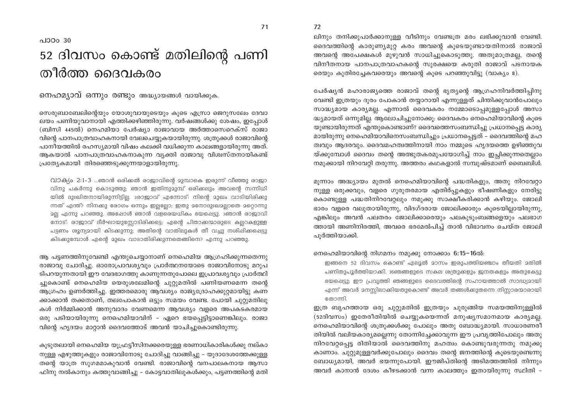## പാഠം 30 52 ദിവസം കൊണ്ട് മതിലിന്റെ പണി തീർത്ത ദൈവകരം

നെഹമ്യാവ് ഒന്നും രണ്ടും അദ്ധ്യായങ്ങൾ വായിക്കുക.

സെരുബാബേലിന്റെയും യോശുവായുടെയും കുടെ എസ്രാ ജെറുസലേം ദേവാ ലയം പണിയുവാനായി എത്തിക്കഴിഞ്ഞിരുന്നു. വർഷങ്ങൾക്കു ശേഷം, ഇപോൾ (ബിസി 445ൽ) നെഹമിയാ പേർഷ്യാ രാജാവായ അർത്താസെറെക്സ് രാജാ വിന്റെ പാനപാത്രവാഹകനായി വേലചെയ്യകയായിരുന്നു. ശത്രുക്കൾ രാജാവിന്റെ പാനീയത്തിൽ രഹസ്യമായി വിഷം കലക്കി വധിക്കുന്ന കാലങ്ങളായിരുന്നു അത്. ആകയാൽ പാനപാത്രവാഹകനാകുന്ന വൃക്തി രാജാവു വിശ്വസ്തനായികണ്ട് പ്രത്യേകമായി തിരഞ്ഞെടുക്കുന്നയാളായിരുന്നു.

 $\Omega$ 10ക്യം 2:1-3 ...ഞാൻ ഒരിക്കൽ രാജാവിന്റെ മുമ്പാകെ ഇരുന്ന് വീഞ്ഞു രാജാ വിനു പകർന്നു കൊടുത്തു; ഞാൻ ഇതിനുമുമ്പ് ഒരിക്കലും അവന്റെ സന്നിധി യിൽ ദുഃഖിതനായിരുന്നിട്ടില്ല. 2രാജാവ് എന്നോട്: നിന്റെ മുഖം വാടിയിരിക്കു ന്നത് എന്ത്? നിനക്കു രോഗം ഒന്നും ഇല്ലല്ലോ; ഇതു മനോദുഃഖമല്ലാതെ മറ്റൊന്നു മല്ല എന്നു പറഞ്ഞു. അഷോൾ ഞാൻ വളരെയധികം ഭയപ്പെട്ടു.  $360^{\circ}$ ൻ രാജാവി നോട്: രാജാവ് ദീർഘായുസ്ലോടിരിക്കട്ടെ; എന്റെ പിതാക്കന്മാരുടെ കല്ലറകളുള്ള പട്ടണം ശൂന്യമായി കിടക്കുന്നു; അതിന്റെ വാതിലുകൾ തീ വച്ചു നശിഷിക്കപ്പെട്ടു കിടക്കുമ്പോൾ എന്റെ മുഖം വാടാതിരിക്കുന്നതെങ്ങിനെ? എന്നു പറഞ്ഞു.

ആ പട്ടണത്തിനുവേണ്ടി എന്തുചെയ്യാനാണ് നെഹെമിയ ആഗ്രഹിക്കുന്നതെന്നു രാജാവു ചോദിച്ചു. ഓരോപ്രാവശ്യവും പ്രാർത്ഥനയോടെ രാജാവിനോടു മറുപ ടിപറയുന്നതായി ഈ വേദഭാഗത്തു കാണുന്നതുപോലെ ഇപ്രാവശ്യവും പ്രാർത്ഥി ച്ചുകൊണ്ട് നെഹെമിയ യെരുശലേമിന്റെ ചുറ്റുമതിൽ പണിയണമെന്ന തന്റെ ആഗ്രഹം ഉണർത്തിച്ചു. ഇത്തരമൊരു ആവശ്യം രാജ്യദ്രോഹക്കുറ്റമായിട്ടു കണ ക്കാക്കാൻ തക്കതാണ്, തലപോകാൻ ഒട്ടും സമയം വേണ്ട. പോയി ചുറ്റുമതിലു കൾ നിർമ്മിക്കാൻ അനുവാദം വേണമെന്ന ആവശ്യം വളരെ അപകടകരമായ ഒരു പടിയായിരുന്നു നെഹെമിയാവിന് – ഏറെ ഭയപ്പെട്ടിട്ടാണെങ്കിലും. രാജാ വിന്റെ ഹൃദയം മാറ്റാൻ ദൈവത്തോട് അവൻ യാചിച്ചുകൊണ്ടിരുന്നു.

കുടുതലായി നെഹെമിയ യുഫ്രട്ടീസിനക്കരെയുള്ള ഭരണാധികാരികൾക്കു നല്കാ നുള്ള എഴുത്തുകളും രാജാവിനോടു ചോദിച്ചു വാങ്ങിച്ചു – യൂദാദേശത്തേക്കുള്ള തന്റെ യാത്ര സുഗമമാകുവാൻ വേണ്ടി. രാജാവിന്റെ വനപാലകനായ ആസാ ഫിനു നൽകാനും കത്തുവാങ്ങിച്ചു – കോട്ടവാതിലുകൾക്കും, പട്ടണത്തിന്റെ മതി ലിനും തനിക്കുപാർക്കാനുള്ള വീടിനും വേണ്ടത്ര മരം ലഭിക്കുവാൻ വേണ്ടി. ദൈവത്തിന്റെ കാരുണ്യമുറ്റ കരം അവന്റെ കുടെയുണ്ടായതിനാൽ രാജാവ് അവന്റെ അപേക്ഷകൾ മുഴുവൻ സാധിച്ചുകൊടുത്തു. അതുമാത്രമല്ല, തന്റെ വിനീതനായ പാനപാത്രവാഹകന്റെ സുരക്ഷയെ കരുതി രാജാവ് പടനായക രെയും കുതിരച്ചേകവരെയും അവന്റെ കൂടെ പറഞ്ഞുവിട്ടു (വാക്യം 8).

പേർഷ്യൻ മഹാരാജ്യത്തെ രാജാവ് തന്റെ ഭ്യത്യന്റെ ആഗ്രഹനിവർത്തിപിനു വേണ്ടി ഇത്രയും ദുരം പോകാൻ തയ്യാറായി എന്നുള്ളത് ചിന്തിക്കുവാൻപോലും സാദ്ധ്യമായ കാര്യമല്ല. എന്നാൽ ദൈവകരം നമ്മോടൊപ്പമുള്ളപ്പോൾ അസാ ദ്ധ്യമായത് ഒന്നുമില്ല. ആലോചിച്ചുനോക്കു: ദൈവകരം നെഹെമിയാവിന്റെ കുടെ യുണ്ടായിരുന്നത് എന്തുകൊണ്ടാണ്? ദൈവത്തെസംബന്ധിച്ചു പ്രധാനപ്പെട്ട കാര്യ മായിരുന്നു നെഹെമിയാവിനെസംബന്ധിച്ചും പ്രധാനപ്പെട്ടത് – ദൈവത്തിന്റെ മഹ ത്വവും ആദരവും. ദൈവമഹത്വത്തിനായി നാം നമ്മുടെ ഹൃദയത്തെ ഉഴിഞ്ഞുവ യ്ക്കുമ്പോൾ ദൈവം തന്റെ അത്ഭുതകരമുപയോഗിച്ച് നാം ഇച്ചിക്കുന്നതെല്ലാം നമുക്കായി നിറവേറ്റി തരുന്നു. അത്തരം കഥകളാൽ സമ്പുഷ്ടമാണ് ബൈബിൾ.

മുന്നാം അദ്ധ്യായം മുതൽ നെഹെമിയാവിന്റെ പദ്ധതികളും, അതു നിറവേറ്റാ നുള്ള ഒരുക്കവും, വളരെ ഗുരുതരമായ എതിർപ്പുകളും ഭീഷണികളും നേരിട്ടു കൊണ്ടുള്ള പദ്ധതിനിറവേറ്റലും നമുക്കു സാക്ഷീകരിക്കാൻ കഴിയും. ജോലി ഭാരം വളരെ വലുതായിരുന്നു, വിദഗ്ദരായ ജോലിക്കാരും കൂടെയില്ലായിരുന്നു, എങ്കിലും അവൻ പലതരം ജോലിക്കാരെയും പലകുടുംബങ്ങളെയും പലഭാഗ ത്തായി അണിനിരത്തി, അവരെ ഭരമേൽപിച്ച് താൻ വിഭാവനം ചെയ്ത ജോലി പൂർത്തിയാക്കി.

#### നെഹെമിയാവിന്റെ നിഗമനം നമുക്കു നോക്കാം 6:15-16ൽ:

ഇങ്ങനെ 52 ദിവസം കൊണ്ട് എലുൽ മാസം ഇരുപത്തിയഞ്ചാം തീയതി മതിൽ പണിതുപൂർത്തിയാക്കി. 16ഞങ്ങളുടെ സകല ശത്രുക്കളും ജനതകളും അതുകേട്ടു ഭയപ്പെട്ടു; ഈ പ്രവൃത്തി ഞങ്ങളുടെ ദൈവത്തിന്റെ സഹായത്താൽ സാദ്ധ്യമായി എന്ന് അവർ മനസ്സിലാക്കിയതുകൊണ്ട് അവർ തങ്ങൾക്കുതന്നെ നിസ്സാരന്മാരായി തോന്നി.

ഇത്ര ബൃഹത്തായ ഒരു ചുറ്റുമതിൽ ഇത്രയും ചുരുങ്ങിയ സമയത്തിനുള്ളിൽ (52ദിവസം) ഇതേരീതിയിൽ ചെയ്യുകയെന്നത് മനുഷ്യസമാനമായ കാര്യമല്ല. നെഹെമിയാവിന്റെ ശത്രുക്കൾക്കു പോലും അതു ബോദ്ധ്യമായി. സാധാരണരീ തിയിൽ വലിയകാര്യമല്ലെന്നു തോന്നിച്ചേക്കാവുന്ന ഈ പ്രവൃത്തിപോലും അതു നിറവേറ്റപ്പെട്ട രിതിയാൽ ദൈവത്തിനു മഹത്വം കൊണ്ടുവരുന്നതു നമുക്കു കാണാം. ചുറ്റുമുള്ളവർക്കുപോലും ദൈവം തന്റെ ജനത്തിന്റെ കൂടെയുണ്ടെന്നു ബോധ്യമായി, അവർ ഭയന്നുപോയി. ഈജിപ്തിന്റെ അടിമത്തത്തിൽ നിന്നും അവർ കാനാൻ ദേശം കീഴടക്കാൻ വന്ന കാലത്തും ഇതായിരുന്നു സ്ഥിതി -

72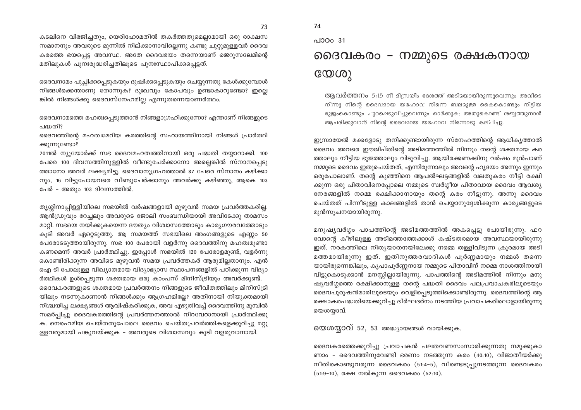കടലിനെ വിഭജിച്ചതും, യെരിഹോമതിൽ തകർത്തതുമെല്ലാമായി ഒരു രാക്ഷസ സമാനനും അവരുടെ മുന്നിൽ നില്ക്കാനാവില്ലെന്നു കണ്ടു ചുറ്റുമുള്ളവർ ദൈവ കരത്തെ ഭയപ്പെട്ട അവസ്ഥ. അതേ ദൈവഭയം തന്നെയാണ് ജെറുസലേമിന്റെ മതിലുകൾ പുനഃരുദ്ധരിച്ചതിലൂടെ പുനഃസ്ഥാപിക്കപ്പെട്ടത്.

ദൈവനാമം പുച്ഛിക്കപ്പെടുകയും ദുഷിക്കപ്പെടുകയും ചെയ്യുന്നതു കേൾക്കുമ്പോൾ നിങ്ങൾക്കെന്താണു തോന്നുക? ദുഃഖവും കോപവും ഉണ്ടാകാറുണ്ടോ? ഇല്ലെ ങ്കിൽ നിങ്ങൾക്കു ദൈവസ്നേഹമില്ല എന്നുതന്നെയാണർത്ഥം.

ദൈവനാമത്തെ മഹത്വപ്പെടുത്താൻ നിങ്ങളാഗ്രഹിക്കുന്നോ? എന്താണ് നിങ്ങളുടെ പദ്ധതി?

ദൈവത്തിന്റെ മഹത്വമേറിയ കരത്തിന്റെ സഹായത്തിനായി നിങ്ങൾ പ്രാർത്ഥി ക്കുന്നുണ്ടോ?

2011ൽ ന്യൂയോർക്ക് സഭ ദൈവമഹത്വത്തിനായി ഒരു പദ്ധതി തയ്യാറാക്കി. 100 പേരെ 100 ദിവസത്തിനുള്ളിൽ വീണ്ടുചേർക്കാനോ അല്ലെങ്കിൽ സ്നാനപ്പെടു ത്താനോ അവർ ലക്ഷ്യമിട്ടു. ദൈവാനുഗ്രഹത്താൽ 87 പേരെ സ്നാനം കഴിക്കാ നും, 16 വിട്ടുപോയവരെ വീണ്ടുചേർക്കാനും അവർക്കു കഴിഞ്ഞു, ആകെ 103 പേർ - അതും 103 ദിവസത്തിൽ.

തൃശ്ശിനാപ്പിള്ളിയിലെ സഭയിൽ വർഷങ്ങളായി മുഴുവൻ സമയ പ്രവർത്തകരില്ല. ആൻഡ്രുവും റേച്ചലും അവരുടെ ജോലി സംബന്ധിയായി അവിടേക്കു താമസം മാറ്റി, സഭയെ നയിക്കുകയെന്ന ദൗത്യം വിശ്വാസത്തോടും കാര്യഗൗരവത്തോടും കുടി അവർ ഏറ്റെടുത്തു. ആ സമയത്ത് സഭയിലെ അംഗങ്ങളുടെ എണ്ണം 50 പേരോടടുത്തായിരുന്നു. സഭ 100 പേരായി വളർന്നു ദൈവത്തിനു മഹത്വമുണ്ടാ കണമെന്ന് അവർ പ്രാർത്ഥിച്ചു. ഇപ്പോൾ സഭയിൽ 120 പേരോളമുണ്ട്, വളർന്നു കൊണ്ടിരിക്കുന്ന അവിടെ മുഴുവൻ സമയ പ്രവർത്തകർ ആരുമില്ലതാനും. എൻ ഐ ടി പോലുള്ള വിഖ്യാതമായ വിദ്യാഭ്യാസ സ്ഥാപനങ്ങളിൽ പഠിക്കുന്ന വിദ്യാ ർത്ഥികൾ ഉൾപ്പെടുന്ന ശക്തമായ ഒരു കാംപസ് മിനിസ്ട്രിയും അവർക്കുണ്ട്. ദൈവകരങ്ങളുടെ ശക്തമായ പ്രവർത്തനം നിങ്ങളുടെ ജീവിതത്തിലും മിനിസ്ട്രി യിലും നടന്നുകാണാൻ നിങ്ങൾക്കും ആഗ്രഹമില്ലേ? അതിനായി നിയുക്തമായി നിശ്ചയിച്ച ലക്ഷ്യങ്ങൾ ആവിഷ്കരിക്കുക, അവ എഴുതിവച്ച് ദൈവത്തിനു മുമ്പിൽ സമർപ്പിച്ചു ദൈവകരത്തിന്റെ പ്രവർത്തനത്താൽ നിറവേറാനായി പ്രാർത്ഥിക്കു ക. നെഹെമിയ ചെയ്തതുപോലെ ദൈവം ചെയ്തപ്രവർത്തികളെക്കുറിച്ചു മറ്റു ള്ളവരുമായി പങ്കുവയ്ക്കുക – അവരുടെ വിശ്വാസവും കൂടി വളരുവാനായി.

പാഠം 31

74

## ദൈവകരം - നമ്മുടെ രക്ഷകനായ  $C_0(0)$

ആവർത്തനം 5:15 നീ മിസ്രയീം ദേശത്ത് അടിമയായിരുന്നുവെന്നും അവിടെ നിന്നു നിന്റെ ദൈവമായ യഹോവ നിന്നെ ബലമുള്ള കൈകൊണ്ടും നീട്ടിയ ഭുജംകൊണ്ടും പുറപ്പെടുവിച്ചുവെന്നും ഓർക്കുക; അതുകൊണ്ട് ശബ്ബത്തുനാൾ ആചരിക്കുവാൻ നിന്റെ ദൈവമായ യഹോവ നിന്നോടു കല്പിച്ചു.

ഇസ്രായേൽ മക്കളോടു തനിക്കുണ്ടായിരുന്ന സ്നേഹത്തിന്റെ ആധികൃത്താൽ ദൈവം അവരെ ഈജിപ്തിന്റെ അടിമത്തത്തിൽ നിന്നും തന്റെ ശക്തമായ കര ത്താലും നീട്ടിയ ഭുജത്താലും വിടുവിച്ചു. ആയിരക്കണക്കിനു വർഷം മുൻപാണ് നമ്മുടെ ദൈവം ഇതുചെയ്തത്, എന്നിരുന്നാലും അവന്റെ ഹൃദയം അന്നും ഇന്നും ഒരുപോലാണ്. തന്റെ കുഞ്ഞിനെ ആപൽഘട്ടങ്ങളിൽ വലതുകരം നീട്ടി രക്ഷി ക്കുന്ന ഒരു പിതാവിനെപ്പോലെ നമ്മുടെ സ്വർഗ്ഗീയ പിതാവായ ദൈവം ആവശ്യ നേരങ്ങളിൽ നമ്മെ രക്ഷിക്കാനായും തന്റെ കരം നീട്ടുന്നു. അന്നു ദൈവം ചെയ്തത് പിന്നീടുള്ള കാലങ്ങളിൽ താൻ ചെയ്യാനുദ്ദേശിക്കുന്ന കാര്യങ്ങളുടെ മുൻസുചനയായിരുന്നു.

മനുഷ്യവർഗ്ഗം പാപത്തിന്റെ അടിമത്തത്തിൽ അകപ്പെട്ടു പോയിരുന്നു. ഫറ വോന്റെ കീഴിലുള്ള അടിമത്തത്തേക്കാൾ കഷ്ടതരമായ അവസ്ഥയായിരുന്നു ഇത്. നരകത്തിലെ നിതൃയാതനയിലേക്കു നമ്മെ തള്ളിവിടുന്ന ക്രൂരമായ അടി മത്തമായിരുന്നു ഇത്. ഇതിനുത്തരവാദികൾ പൂർണ്ണമായും നമ്മൾ തന്നെ യായിരുന്നെങ്കിലും, കൃപാപൂർണ്ണനായ നമ്മുടെ പിതാവിന് നമ്മെ നാശത്തിനായി വിട്ടുകൊടുക്കാൻ മനസ്സില്ലായിരുന്നു. പാപത്തിന്റെ അടിമത്തിൽ നിന്നും മനു ഷ്യവർഗ്ഗത്തെ രക്ഷിക്കാനുള്ള തന്റെ പദ്ധതി ദൈവം പലപ്രവാചകരിലുടെയും ദൈവപുരുഷൻമാരിലൂടെയും വെളിപ്പെടുത്തിക്കൊണ്ടിരുന്നു. ദൈവത്തിന്റെ ആ രക്ഷാകരപദ്ധതിയെക്കുറിച്ചു ദീർഘദർനം നടത്തിയ പ്രവാചകരിലൊളായിരുന്നു യെശയ്യാവ്.

യെശയ്യാവ് 52, 53 അദ്ധ്യായങ്ങൾ വായിക്കുക.

ദൈവകരത്തെക്കുറിച്ചു പ്രവാചകൻ പലതവണസംസാരിക്കുന്നതു നമുക്കുകാ ണാം - ദൈവത്തിനുവേണ്ടി ഭരണം നടത്തുന്ന കരം (40:10), വിജാതീയർക്കു നീതികൊണ്ടുവരുന്ന ദൈവകരം (51:4-5), വീണ്ടെടുപ്പുനടത്തുന്ന ദൈവകരം (51:9–10), രക്ഷ നൽകുന്ന ദൈവകരം (52:10).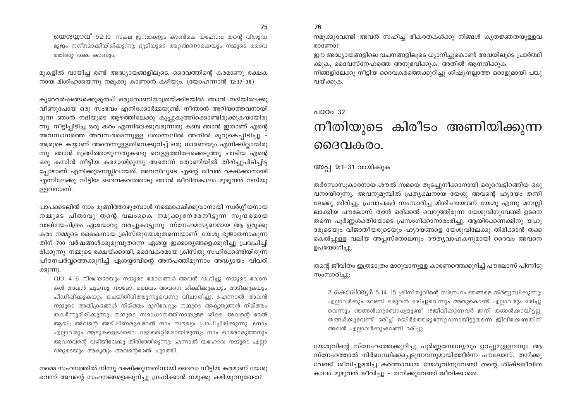യെശയാവ് 52:10 സകല ജനതകളും കാൺകെ യഹോവ തന്റെ വിശുദ്ധ ഭുജം നഗ്നമാക്കിയിരിക്കുന്നു; ഭൂമിയുടെ അറ്റങ്ങളൊക്കെയും നമ്മുടെ ദൈവ ത്തിന്റെ രക്ഷ കാണും.

മുകളിൽ വായിച്ച രണ്ട് അദ്ധ്യായങ്ങളിലൂടെ, ദൈവത്തിന്റെ കരമാണു രക്ഷക നായ മിശിഹായെന്നു നമുക്കു കാണാൻ കഴിയും. (യോഹന്നാൻ 12:37-38)

കുറേവർഷങ്ങൾക്കുമുൻപ് ഒരുതോണിയാത്രയ്ക്കിടയിൽ ഞാൻ നദിയിലേക്കു വീണുപോയ ഒരു സംഭവം എനിക്കോർമ്മയുണ്ട്. നീന്താൻ അറിയാത്തവനായി രുന്ന ഞാൻ നദിയുടെ ആഴത്തിലേക്കു കൂപ്പുകുത്തിക്കൊണ്ടിരുക്കുകയായിരു ന്നു. നീട്ടിപ്പിടിച്ച ഒരു കരം എന്നിലേക്കുവരുന്നതു കണ്ട ഞാൻ ഇതാണ് എന്റെ അവസാനത്തെ അവസരമെന്നുള്ള തോന്നലിൽ അതിൽ മുറുകെപ്പിടിച്ചു -ആരുടെ കയ്യാണ് അതെന്നുള്ളതിനെക്കുറിച്ച് ഒരു ധാരണയും എനിക്കില്ലായിരു ന്നു. ഞാൻ മുങ്ങിത്താഴുന്നതുകണ്ടു വെള്ളത്തിലേക്കെടുത്തു ചാടിയ എന്റെ ഒരു കസിൻ നീട്ടിയ കരമായിരുന്നു അതെന്ന് തോണിയിൽ തിരിച്ചുപിടിച്ചിട്ട പ്പോഴാണ് എനിക്കുമനസ്സിലായത്. അവനിലൂടെ എന്റെ ജീവൻ രക്ഷിക്കാനായി എന്നിലേക്കു നീട്ടിയ ദൈവകരത്തോടു ഞാൻ ജീവിതകാലം മുഴുവൻ നന്ദിയു ളളവനാണ്.

പാപക്കടലിൽ നാം മുങ്ങിത്താഴുമ്പോൾ നമ്മെരക്ഷിക്കുവാനായി സ്വർഗ്ഗീയനായ നമ്മുടെ പിതാവു തന്റെ വലംകൈ നമുക്കുനേരേനീട്ടുന്ന സുന്ദരമായ വാങ്മയചിത്രം ഏശയാവു വരച്ചുകാട്ടുന്നു. സ്നേഹമസ്യണമായ ആ ഉരുക്കു കരം നമ്മുടെ രക്ഷകനായ ക്രിസ്തുയേശുതന്നെയാണ്. യേശു ഭുജാതനാകുന്ന തിന് 700 വർഷങ്ങൾക്കുമുമ്പുതന്നെ ഏശയ്യ ഇക്കാര്യങ്ങളെക്കുറിച്ചു പ്രവചിച്ചി രിക്കുന്നു. നമ്മുടെ രക്ഷയ്ക്കായി, ദൈവകരമായ ക്രിസ്തു സഹിക്കേണ്ടിയിരുന്ന പീഠനപർവ്വത്തെക്കുറിച്ച് ഏശയ്യാവിന്റെ അൻപത്തിമുന്നാം അദ്ധ്യായം വിവരി ക്കുന്നു.

വാ 4-6 നിശ്ചയമായും നമ്മുടെ രോഗങ്ങൾ അവൻ വഹിച്ചു; നമ്മുടെ വേദന കൾ അവൻ ചുമന്നു; നാമോ, ദൈവം അവനെ ശിക്ഷിക്കുകയും അടിക്കുകയും പീഡിഷിക്കുകയും ചെയ്തിരിത്തുന്നുവെന്നു വിചാരിച്ചു. 5എന്നാൽ അവൻ നമ്മുടെ അതിക്രമങ്ങൾ നിമിത്തം മുറിവേറ്റും നമ്മുടെ അകൃത്യങ്ങൾ നിമിത്തം തകർന്നുമിരിക്കുന്നു; നമ്മുടെ സമാധാനത്തിനായുള്ള ശിക്ഷ അവന്റെ മേൽ ആയി; അവന്റെ അടിഷിണരുകളാൽ നാം സൗഖ്യം പ്രാപിച്ചിരിക്കുന്നു. നോം എല്ലാവരും ആടുകളെഷോലെ വഴിതെറ്റിഷോയിരുന്നു; നാം ഓരോരുത്തനും അവനവന്റെ വഴിയിലേക്കു തിരിഞ്ഞിരുന്നു; എന്നാൽ യഹോവ നമ്മുടെ എല്ലാ വരുടെയും അകൃത്യം അവന്റെമേൽ ചുമത്തി.

നമ്മെ സഹനത്തിൽ നിന്നു രക്ഷിക്കുന്നതിനായി ദൈവം നീട്ടിയ കരമാണ് യേശു വെന്ന് അവന്റെ സഹനങ്ങളെക്കുറിച്ചു ഗ്രഹിക്കാൻ നമുക്കു കഴിയുന്നുണ്ടോ?

#### നമുക്കുവേണ്ടി അവൻ സഹിച്ച ഭീകരതകൾക്കു നിങ്ങൾ കൃതജ്ഞതയുള്ളവ രാണോ?

ഈ അദ്ധ്യായങ്ങളിലെ വചനങ്ങളിലൂടെ ധ്യാനിച്ചുകൊണ്ട് അവയിലൂടെ പ്രാർത്ഥി ക്കുക, ദൈവസ്നേഹത്തെ അനുഭവിക്കുക, അതിൽ ആനന്ദിക്കുക.

നിങ്ങളിലേക്കു നീട്ടിയ ദൈവകരത്തെക്കുറിച്ചു ശിഷ്യനലാത്ത ഒരാളുമായി പങ്കു വയ്ക്കുക.

#### $0.100032$

76

# നീതിയുടെ കിരീടം അണിയിക്കുന്ന ദൈവകരം.

#### അപ്പ 9:1-31 വായിക്കുക

തർസോസുകാരനായ ശൗൽ സഭയെ തുടച്ചുനീക്കാനായി ഒരുമ്പെട്ടിറങ്ങിയ ഒരു വനായിരുന്നു. അവനുമുമ്പിൽ പ്രത്യക്ഷനായ യേശു അവന്റെ ഹൃദയം തന്നി ലേക്കു തിരിച്ചു. പ്രവാചകർ സംസാരിച്ച മിശിഹായാണ് യേശു എന്നു മനസി ലാക്കിയ പൗലോസ് താൻ ഒരിക്കൽ വെറുത്തിരുന്ന യേശുവിനുവേണ്ടി ഉടനെ തന്നെ പൂർണ്ണശക്തിയോടെ പ്രസംഗിക്കാനാരംഭിച്ചു. ആയിരക്കണക്കിനു യഹൂ ദരുടെയും വിജാതീയരുടെയും ഹൃദയങ്ങളെ യേശുവിലേക്കു തിരിക്കാൻ തക്ക കെൽപ്പുള്ള വലിയ അപ്പസ്തോലനും ദൗതൃവാഹകനുമായി ദൈവം അവനെ ഉപയോഗിച്ചു.

തന്റെ ജീവിതം ഇത്രമാത്രം മാറുവാനുള്ള കാരണത്തെക്കുറിച്ച് പൗലോസ് പിന്നീടു സംസാരിച്ചു:

2 കൊരിന്ത്യർ 5:14-15 ക്രിസ്തുവിന്റെ സ്നേഹം ഞങ്ങളെ നിർബ്ബന്ധിക്കുന്നു; എല്ലാവർക്കും വേണ്ടി ഒരുവൻ മരിച്ചുവെന്നും അതുകൊണ്ട് എല്ലാവരും മരിച്ചു വെന്നും ഞങ്ങൾക്കുബോധ്യമുണ്ട്. 15ജീവിക്കുന്നവർ ഇനി തങ്ങൾക്കായിട്ടല്ല, തങ്ങൾക്കുവേണ്ടി മരിച്ച് ഉയിർത്തെഴുന്നേറ്റവനായിട്ടുതന്നെ ജീവിക്കേണ്ടതിന് അവൻ എല്ലാവർക്കുംവേണ്ടി മരിച്ചു.

യേശുവിന്റെ സ്നേഹത്തെക്കുറിച്ചു പൂർണ്ണബോധ്യവും ഉറപ്പുമുള്ളവനും ആ സ്നേഹത്താൽ നിർബന്ധിക്കപ്പെടുന്നവനുമായിത്തീർന്ന പൗലോസ്, തനിക്കു വേണ്ടി ജീവിച്ചുമരിച്ച കർത്താവായ യേശുവിനുവേണ്ടി തന്റെ ശിഷ്ടജീവിത കാലം മുഴുവൻ ജീവിച്ചു – തനിക്കുവേണ്ടി ജീവിക്കാതെ.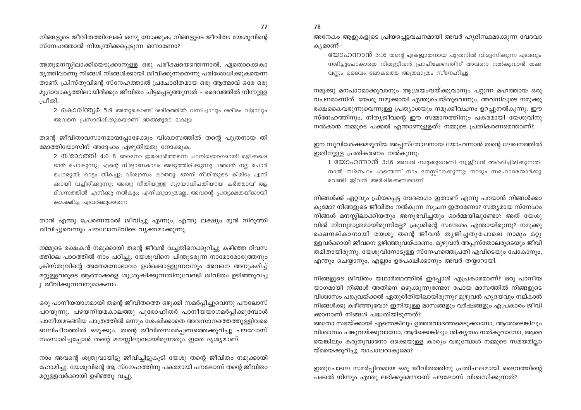നിങ്ങളുടെ ജീവിതത്തിലേക്ക് ഒന്നു നോക്കുക; നിങ്ങളുടെ ജീവിതം യേശുവിന്റെ സ്നേഹത്താൽ നിയന്ത്രിക്കപ്പെടുന്ന ഒന്നാണോ?

അതുമനസ്സിലാക്കിയെടുക്കാനുള്ള ഒരു പരീക്ഷയെന്തെന്നാൽ, ഏതൊക്കെകാ ര്യത്തിലാണു നിങ്ങൾ നിങ്ങൾക്കായി ജീവിക്കുന്നതെന്നു പരിശോധിക്കുകയെന്ന താണ്. ക്രിസ്തുവിന്റെ സ്നേഹത്താൽ പ്രചോദിതമായ ഒരു ആത്മാവ് ഒരേ ഒരു മുദ്രാവാകൃത്തിലായിരിക്കും ജീവിതം ചിട്ടപ്പെടുത്തുന്നത് – ദൈവത്തിൽ നിന്നുള്ള ചീതി.

2 കൊരിന്ത്യർ 5:9 അതുകൊണ്ട് ശരീരത്തിൽ വസിച്ചാലും ശരീരം വിട്ടാലും അവനെ പ്രസാദിപ്പിക്കുകയാണ് ഞങ്ങളുടെ ലക്ഷ്യം

തന്റെ ജീവിതാവസാനമായപ്പോഴേക്കും വിശ്വാസത്തിൽ തന്റെ പുത്രനായ തി മോത്തിയോസിന് അദ്ദേഹം എഴുതിയതു നോക്കുക:

2 തി2ോത്തി 4:6-8 ഞാനോ ഇഷോൾത്തന്നെ പാനീയയാഗമായി ഒഴിക്കപ്പെ ടാൻ പോകുന്നു; എന്റെ നിര്യാണകാലം അടുത്തിരിക്കുന്നു. 7ഞാൻ നല്ല പോർ പൊരുതി; ഓട്ടം തികച്ചു; വിശ്വാസം കാത്തു; 8ഇനി നീതിയുടെ കിരീടം എനി ക്കായി വച്ചിരിക്കുന്നു; അതു നീതിയുള്ള ന്യായാധിപതിയായ കർത്താവ് ആ ദിവസത്തിൽ എനിക്കു നൽകും; എനിക്കുമാത്രമല്ല, അവന്റെ പ്രത്യക്ഷതയ്ക്കായി കാംക്ഷിച്ച ഏവർക്കുംതന്നെ.

താൻ എന്തു പ്രേരണയാൽ ജീവിച്ചു എന്നും, എന്തു ലക്ഷ്യം മുൻ നിറുത്തി ജീവിച്ചുവെന്നും പൗലോസിവിടെ വ്യക്തമാക്കുന്നു.

നമ്മുടെ രക്ഷകൻ നമുക്കായി തന്റെ ജീവൻ വച്ചതിനെക്കുറിച്ചു കഴിഞ്ഞ ദിവസ ത്തിലെ പാഠത്തിൽ നാം പഠിച്ചു. യേശുവിനെ പിന്തുടരുന്ന നാമോരോരുത്തനും ക്രിസ്തുവിന്റെ അതേമനോഭാവം ഉൾക്കൊള്ളുന്നവനും അവനെ അനുകരിച്ച് മറ്റുള്ളവരുടെ ആത്മാക്കളെ ശുശ്രുഷിക്കുന്നതിനുവേണ്ടി ജീവിതം ഉഴിഞ്ഞുവച്ച ു ജീവിക്കുന്നവനുമാകണം.

ഒരു പാനീയയാഗമായി തന്റെ ജീവിതത്തെ ഒഴുക്കി സമർപ്പിച്ചുവെന്നു പൗലോസ് പറയുന്നു. പഴയനിയമകാലത്തു പുരോഹിതർ പാനീയയാഗമർപ്പിക്കുമ്പോൾ പാനീയമടങ്ങിയ പാത്രത്തിൽ ഒന്നും ശേഷിക്കാതെ അവസാനത്തെത്തുള്ളിവരെ ബലിപീഠത്തിൽ ഒഴുക്കും. തന്റെ ജീവിതസമർപ്പണത്തെക്കുറിച്ചു പൗലോസ് സംസാരിച്ചപ്പോൾ തന്റെ മനസ്സിലുണ്ടായിരുന്നതും ഇതേ ദൃശ്യമാണ്.

നാം അവന്റെ ശത്രുവായിട്ടു ജീവിച്ചിട്ടുകൂടി യേശു തന്റെ ജീവിതം നമുക്കായി ഹോമിച്ചു. യേശുവിന്റെ ആ സ്നേഹത്തിനു പകരമായി പൗലോസ് തന്റെ ജീവിതം മറ്റുള്ളവർക്കായി ഉഴിഞ്ഞു വച്ചു.

അനേകം ആളുകളുടെ പ്രിയപ്പെട്ടവചനമായി അവർ ഹൃദിസ്ഥമാക്കുന്ന വേദവാ കൃമാണ്–

യോഹന്നാൻ 3:16 തന്റെ ഏകജാതനായ പുത്രനിൽ വിശ്വസിക്കുന്ന ഏവനും നശിച്ചുപോകാതെ നിത്യജീവൻ പ്രാപിക്കേണ്ടതിന് അവനെ നൽകുവാൻ തക വണം ദൈവം ലോകത്തെ അത്രമാത്രം സ്നേഹിച്ചു.

നമുക്കു മനപാഠമാക്കുവാനും ആശ്രയംവയ്ക്കുവാനും പറ്റുന്ന മഹത്തായ ഒരു വചനമാണിത്. യേശു നമുക്കായി എന്തുചെയ്തുവെന്നും, അവനിലുടെ നമുക്കു രക്ഷകൈവരുന്നുവെന്നുള്ള പ്രത്യാശയും നമുക്കീവചനം ഉറപ്പുനൽകുന്നു. ഈ സ്നേഹത്തിനും, നിത്യജീവന്റെ ഈ സമ്മാനത്തിനും പകരമായി യേശുവിനു നൽകാൻ നമ്മുടെ പക്കൽ എന്താണുള്ളത്? നമ്മുടെ പ്രതികരണമെന്താണ്?

ഈ സുവിശേഷമെഴുതിയ അപ്പസ്തോലനായ യോഹന്നാൻ തന്റെ ലേഖനത്തിൽ ഇതിനുള്ള പ്രതികരണം നൽകുന്നു:

1 യോഹന്നാൻ 3:16 അവൻ നമുക്കുവേണ്ടി സ്വജീവൻ അർപ്പിച്ചിരിക്കുന്നതി നാൽ സ്നേഹം എന്തെന്ന് നാം മനസ്സിലാക്കുന്നു; നാമും സഹോദരന്മാർക്കു വേണ്ടി ഇീവൻ അർപ്പിക്കേണ്ടതാണ്.

നിങ്ങൾക്ക് ഏറ്റവും പ്രിയപ്പെട്ട വേദഭാഗം ഇതാണ് എന്നു പറയാൻ നിങ്ങൾക്കാ കുമോ? നിങ്ങളുടെ ജീവിതം നൽകുന്ന സൂചന ഇതാണോ? സത്യമായ സ്നേഹം നിങ്ങൾ മനസ്സിലാക്കിയതും അനുഭവിച്ചതും ഓർമ്മയിലുണ്ടോ? അത് യേശു വിൽ നിന്നുമാത്രമായിരുന്നില്ലേ? ക്രുശിന്റെ സന്ദേശം എന്തായിരുന്നു? നമുക്കു രക്ഷനല്കാനായി യേശു തന്റെ ജീവൻ തൃജിച്ചതുപോലെ നാമും മറ്റു ള്ളവർക്കായി ജീവനെ ഉഴിഞ്ഞുവയ്ക്കണം. മുഴുവൻ അപ്പസ്തോലരുടെയും ജീവി തമിതായിരുന്നു. യേശുവിനോടുള്ള സ്നേഹത്തെപ്രതി എവിടെയും പോകാനും, എന്തും ചെയ്യാനും, എല്ലാം ഉപേക്ഷിക്കാനും അവർ തയ്യാറായി.

നിങ്ങളുടെ ജീവിതം യഥാർത്ഥത്തിൽ ഇപ്പോൾ എപ്രകാരമാണ്? ഒരു പാനീയ യാഗമായി നിങ്ങൾ അതിനെ ഒഴുക്കുന്നുണ്ടോ? പോയ മാസത്തിൽ നിങ്ങളുടെ വിശ്വാസം പങ്കുവയ്ക്കൽ ഏതുരീതിയിലായിരുന്നു? മുഴുവൻ ഹൃദയവും നല്കാൻ നിങ്ങൾക്കു കഴിഞ്ഞുവോ? ഇനിയുള്ള മാസങ്ങളും വർഷങ്ങളും എപ്രകാരം ജീവി ക്കാനാണ് നിങ്ങൾ പദ്ധതിയിടുന്നത്?

അതോ സഭയ്ക്കായി എന്തെങ്കിലും ഉത്തരവാദത്തമെടുക്കാനോ, ആരോടെങ്കിലും വിശ്വാസം പങ്കുവയ്ക്കുവാനോ, ആർക്കെങ്കിലും ശിഷ്യത്വം നൽകുവാനോ, ആരെ യെങ്കിലും കരുതുവാനോ ഒക്കെയുള്ള കാര്യം വരുമ്പോൾ നമ്മുടെ സമയമില്ലാ യ്മയെക്കുറിച്ചു വാചാലരാകുമോ?

ഇതുപോലെ സമർപ്പിതമായ ഒരു ജീവിതത്തിനു പ്രതിഫലമായി ദൈവത്തിന്റെ പക്കൽ നിന്നും എന്തു ലഭിക്കുമെന്നാണ് പൗലോസ് വിശ്വസിക്കുന്നത്?